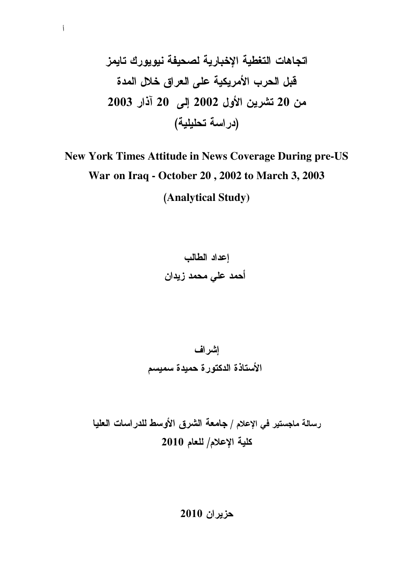# New York Times Attitude in News Coverage During pre-US War on Iraq - October 20, 2002 to March 3, 2003 (Analytical Study)

إعداد الطالب أحمد على محمد زيدان

إشراف الأستاذة الدكتورة حميدة سميسم

رسالة ماجستير في الإعلام / جامعة الشرق الأوسط للدراسات العليا كلية الإعلام/ للعام 2010

حزيران 2010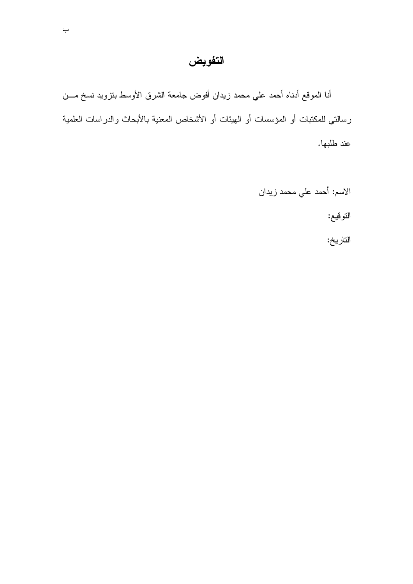# التفويض

أنا الموقع أدناه أحمد علي محمد زيدان أفوض جامعة الشرق الأوسط بنزويد نسخ مـــن رسالتي للمكتبات أو المؤسسات أو الـهيئات أو الأشخاص المعنية بالأبحاث والدراسات العلمية عند طلبها.

> الاسم: أحمد علي محمد زيدان التوقيع: التاريخ: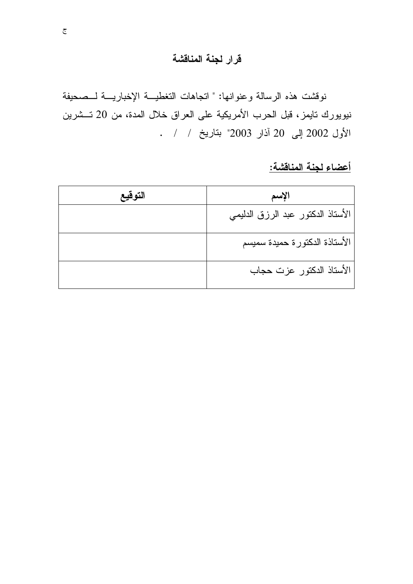## قرار لجنة المناقشة

نوفشت هذه الرسالة وعنوانها: " اتجاهات التغطيــة الإخباريـــة لـــصحيفة نيويورك تايمز، قبل الحرب الأمريكية على العراق خلال المدة، من 20 تــشرين الأول 2002 إلى 20 آذار 2003" بتاريخ / / .

<u>أعضاء لجنة المناقشة:</u>

| التوقيع | الإسم                             |
|---------|-----------------------------------|
|         | الأستاذ الدكتور عبد الرزق الدليمي |
|         | الأستاذة الدكتورة حميدة سميسم     |
|         | الأستاذ الدكتور عزت حجاب          |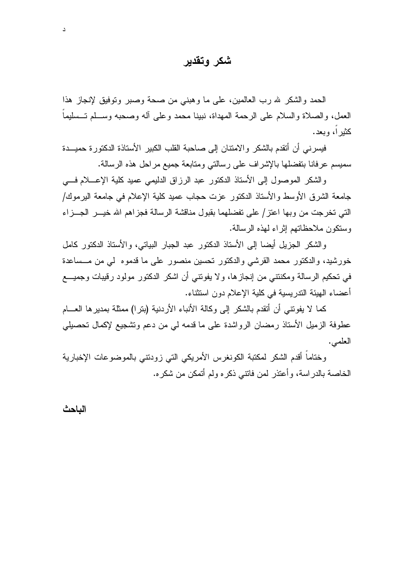## شكر وتقدير

الحمد والشكر لله رب العالمين، على ما وهبني من صحة وصبر وتوفيق لإنجاز هذا العمل، والصلاة والسلام على الرحمة المهداة، نبينا محمد وعلى أله وصحبه وسـلم تــسليما کثیر ا، وبعد.

فيسرني أن أتقدم بالشكر والامتنان إلى صاحبة القلب الكبير الأستاذة الدكتورة حميسدة سميسم عرفانا بتفضلها بالإشراف على رسالتي ومتابعة جميع مراحل هذه الرسالة.

والشكر الموصول إلى الأستاذ الدكتور عبد الرزاق الدليمي عميد كلية الإعـــلام فـــي جامعة الشرق الأوسط والأستاذ الدكتور عزت حجاب عميد كلية الإعلام في جامعة اليرموك/ التي تخرجت من وبها اعتز/ على تفضلهما بقبول مناقشة الرسالة فجزاهم الله خيـــر الجـــزاء وستكون ملاحظاتهم إثر اء لهذه الرسالة.

والشكر الجزيل أيضا إلى الأستاذ الدكتور عبد الجبار البياتي، والأستاذ الدكتور كامل خورشيد، والدكتور محمد القرشي والدكتور تحسين منصور على ما قدموه لي من مـــساعدة في تحكيم الرسالة ومكنتني من إنجازها، ولا يفونتي أن اشكر الدكتور مولود رقيبات وجميــــع أعضاء الهيئة الندر بسبة في كلبة الإعلام دون استثناء.

كما لا يفوننـى أن أنقدم بالشكر إلى وكالـة الأنباء الأردنية (بنرا) ممثلة بمديرها العـــام عطوفة الزميل الأستاذ رمضان الرواشدة على ما قدمه لي من دعم وتشجيع لإكمال تحصيلي العلمي.

وختاماً أقدم الشكر لمكتبة الكونغرس الأمريكي التي زودنتي بالموضوعات الإخبارية الخاصة بالدراسة، وأعتذر لمن فانتبي ذكره ولم أنمكن من شكره.

الباحث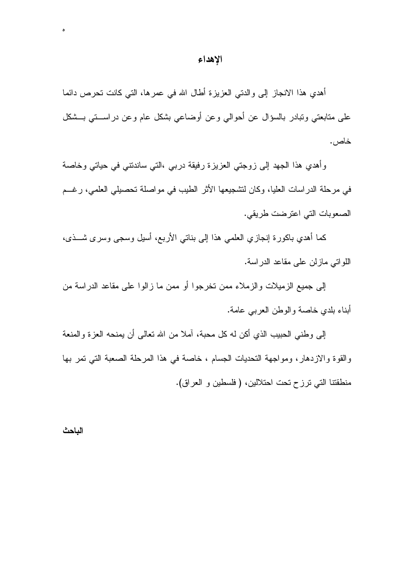#### الإهداء

أهدي هذا الانجاز إلىي والدتبي العزيزة أطال الله في عمرها، التي كانت تحرص دائما علي متابعتي وتبادر بالسؤال عن أحوالي وعن أوضاعي بشكل عام وعن دراســتي بــشكل خاص .

وأهدي هذا الجهد إلى زوجتي العزيزة رفيقة درببي ،النبي ساندنتني في حياتي وخاصة في مرحلة الدراسات العليا، وكان لنشجيعها الأثر الطيب في مواصلة تحصيلي العلمي، رغـــم الصعوبات التي اعترضت طريقي.

كما أهدى باكورة إنجازي العلمي هذا إلى بناتي الأربع، أسيل وسجى وسرى شـــذي، اللو اتبي ماز لن علي مقاعد الدر اسة.

إلى جميع الزميلات والزملاء ممن تخرجوا أو ممن ما زالوا على مقاعد الدراسة من أبناء بلدي خاصة والوطن العربي عامة.

إلى وطنبي الحبيب الذي أكن له كل محبة، آملا من الله نعالى أن يمنحه العزة والمنعة والقوة والازدهار، ومواجهة التحديات الجسام ، خاصة في هذا المرحلة الصعبة التي تمر بها منطقتنا التي ترزح تحت احتلالين، (فلسطين و العراق).

#### الباحث

 $\delta$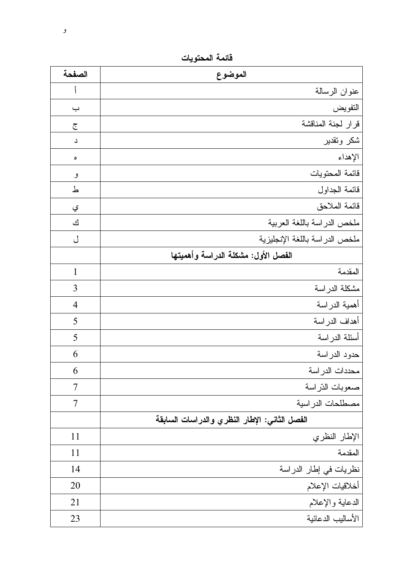فائمة المحتويات

| الصفحة         | الموضوع                                       |
|----------------|-----------------------------------------------|
|                | عنوان الرسالة                                 |
| ب              | التفويض                                       |
| $\tilde{c}$    | قرار لجنة المناقشة                            |
| د              | شكر وتقدير                                    |
| ٥              | الإهداء                                       |
| و              | قائمة المحتويات                               |
| ط              | قائمة الجداول                                 |
| ي              | قائمة الملاحق                                 |
| ك              | ملخص الدراسة باللغة العربية                   |
| ل              | ملخص الدراسة باللغة الإنجليزية                |
|                | الفصل الأول: مشكلة الدراسة وأهميتها           |
| $\mathbf{1}$   | المقدمة                                       |
| 3              | مشكلة الدراسة                                 |
| $\overline{4}$ | أهمية الدراسة                                 |
| 5              | أهداف الدراسة                                 |
| 5              | أسئلة الدراسة                                 |
| 6              | حدود الدراسة                                  |
| 6              | محددات الدر اسة                               |
| 7              | صعوبات الذراسة                                |
| $\overline{7}$ | مصطلحات الدراسية                              |
|                | الفصل الثاني: الإطار النظري والدراسات السابقة |
| 11             | الإطار النظري                                 |
| 11             | المقدمة                                       |
| 14             | نظريات في إطار الدراسة                        |
| 20             | أخلاقيات الإعلام                              |
| 21             | الدعابة والإعلام                              |
| 23             | الأساليب الدعائية                             |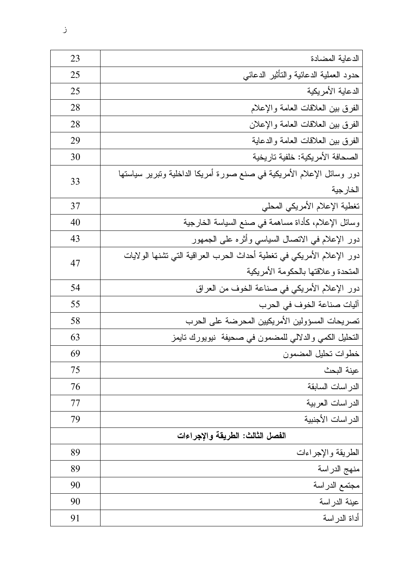| 23 | الدعاية المضادة                                                                                               |  |
|----|---------------------------------------------------------------------------------------------------------------|--|
| 25 | حدود العملية الدعائية والنأثير الدعائبي                                                                       |  |
| 25 | الدعاية الأمريكية                                                                                             |  |
| 28 | الفرق بين العلاقات العامة والإعلام                                                                            |  |
| 28 | الفرق ببن العلاقات العامة والإعلان                                                                            |  |
| 29 | الفرق ببن العلاقات العامة والدعاية                                                                            |  |
| 30 | الصحافة الأمريكية: خلفية تاريخية                                                                              |  |
| 33 | دور وسائل الإعلام الأمريكية في صنع صورة أمريكا الداخلية ونبرير سياستها<br>الخارجية                            |  |
| 37 | تغطية الإعلام الأمريكي المحلي                                                                                 |  |
| 40 | وسائل الإعلام، كأداة مساهمة في صنع السياسة الخارجية                                                           |  |
| 43 | دور الإعلام في الاتصال السياسي وأثره على الجمهور                                                              |  |
| 47 | دور الإعلام الأمريكي في تغطية أحداث الحرب العراقية التي تشنها الولايات<br>المتحدة وعلاقتها بالحكومة الأمريكية |  |
| 54 | دور الإعلام الأمريكي في صناعة الخوف من العراق                                                                 |  |
| 55 | آليات صناعة الخوف في الحرب                                                                                    |  |
| 58 | تصريحات المسؤولين الأمريكيين المحرضة على الحرب                                                                |  |
| 63 | التحليل الكمي والدلالي للمضمون في صحيفة  نيويورك تايمز                                                        |  |
| 69 | خطوات تحليل المضمون                                                                                           |  |
| 75 | عينة البحث                                                                                                    |  |
| 76 | الدر اسات السابقة                                                                                             |  |
| 77 | الدر اسات العربية                                                                                             |  |
| 79 | الدر اسات الأجنبية                                                                                            |  |
|    | الفصل الثالث: الطريقة والإجراءات                                                                              |  |
| 89 | الطريقة والإجراءات                                                                                            |  |
| 89 | منهج الدراسة                                                                                                  |  |
| 90 | مجتمع الدراسة                                                                                                 |  |
| 90 | عينة الدراسة                                                                                                  |  |
| 91 | أداة الدراسة                                                                                                  |  |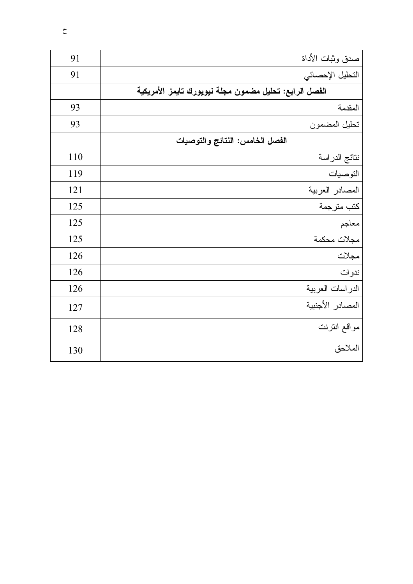| 91  | صدق وثبات الأداة                                       |
|-----|--------------------------------------------------------|
| 91  | التحليل الإحصائي                                       |
|     | الفصل الرابع: تحليل مضمون مجلة نيويورك تايمز الأمريكية |
| 93  | المقدمة                                                |
| 93  | تحليل المضمون                                          |
|     | الفصل الخامس: النتائج والتوصيات                        |
| 110 | نتائج الدراسة                                          |
| 119 | التوصيات                                               |
| 121 | المصادر العربية                                        |
| 125 | كتب مترجمة                                             |
| 125 | معاجم                                                  |
| 125 | مجلات محكمة                                            |
| 126 | مجلات                                                  |
| 126 | ندوات                                                  |
| 126 | الدر اسات العربية                                      |
| 127 | المصادر الأجنبية                                       |
| 128 | مواقع انترنت                                           |
| 130 | الملاحق                                                |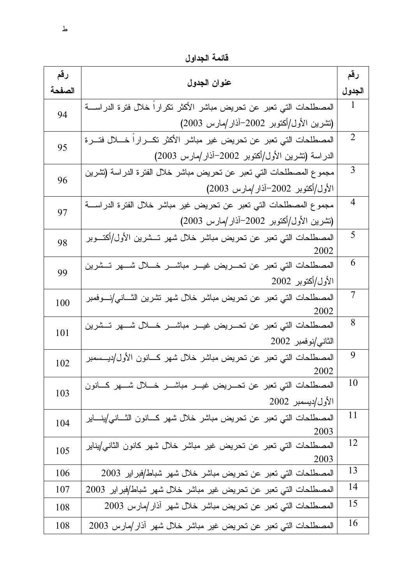قائمة الجداول

| رقم    | عنوان الجدول                                                                         | رقم    |
|--------|--------------------------------------------------------------------------------------|--------|
| الصفحة |                                                                                      | الجدول |
| 94     | المصطلحات التي تعبر عن تحريض مباشر الأكثر تكرارا خلال فترة الدراســــة               | 1      |
|        | (تشرين الأول/أكتوبر 2002–أذار/مارس 2003)                                             |        |
| 95     | المصطلحات التي تعبر عن تحريض غير مباشر الأكثر تكـــرارا خــــلال فتــــرة            | 2      |
|        | الدراسة (نشرين الأول/أكتوبر 2002–آذار/مارس 2003)                                     |        |
| 96     | مجموع المصطلحات التي تعبر عن تحريض مباشر خلال الفترة الدراسة (نشرين                  | 3      |
|        | الأول/أكتوبر 2002–آذار/مارس 2003)                                                    |        |
| 97     | مجموع المصطلحات التي تعبر عن تحريض غير مباشر خلال الفترة الدراســـة                  | 4      |
|        | (تشرين الأول/أكتوبر 2002–آذار/مارس 2003)                                             |        |
| 98     | المصطلحات التي تعبر عن تحريض مباشر خلال شهر تـــشرين الأول/أكتـــوبر                 | 5      |
|        | 2002                                                                                 |        |
| 99     | المصطلحات التي تعبر عن تحـــريض غيـــر مباشــــر خــــلال شــــهر تـــشرين           | 6      |
|        | الأول/أكتوبر 2002                                                                    |        |
| 100    | المصطلحات التي تعبر عن تحريض مباشر خلال شهر تشرين الثـــانـي/نــــوفمبر              | 7      |
|        | 2002                                                                                 | 8      |
| 101    | المصطلحات التي تعبر عن تحـــريض غيـــر مباشــــر خـــــلل شــــهر تـــشرين           |        |
|        | الثاني/نوفمبر 2002                                                                   |        |
| 102    | المصطلحات التي تعبر عن تحريض مباشر خلال شهر كـــانون الأول/ديـــسمبر                 | 9      |
|        | 2002<br>المصطلحات التي تعبر عن تحـــريض غيــــر مباشــــر خــــلال شــــهر كــــانون | 10     |
| 103    | الأول/ديسمبر 2002                                                                    |        |
|        | المصطلحات التي تعبر عن تحريض مباشر خلال شهر كسانون الثساني/ينساير                    | 11     |
| 104    | 2003                                                                                 |        |
| 105    | المصطلحات التي تعبر عن تحريض غير مباشر خلال شهر كانون الثاني/يناير                   | 12     |
|        | 2003                                                                                 |        |
| 106    | المصطلحات التي تعبر عن تحريض مباشر خلال شهر شباط/فبراير 2003                         | 13     |
| 107    | المصطلحات التي تعبر عن تحريض غير مباشر خلال شهر شباط/فبراير 2003                     | 14     |
| 108    | المصطلحات التي تعبر عن تحريض مباشر خلال شهر آذار/مارس 2003                           | 15     |
| 108    | المصطلحات التي تعبر عن تحريض غير مباشر خلال شهر أذار/مارس 2003                       | 16     |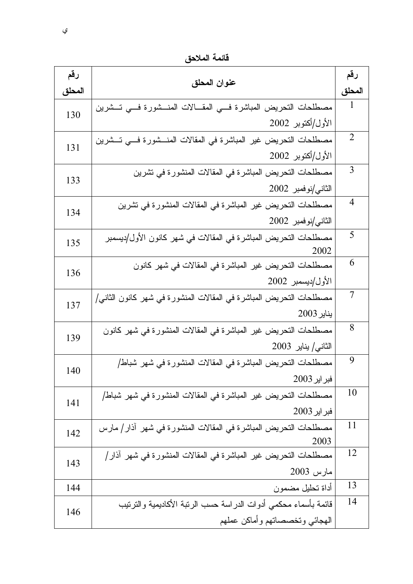قائمة الملاحق

| رقم    |                                                                     | رقم          |
|--------|---------------------------------------------------------------------|--------------|
| المحلق | عنوان المحلق                                                        |              |
| 130    | مصطلحات التحريض المباشرة فسي المقــالات المنــشورة فسي تــشرين      | $\mathbf{1}$ |
|        | الأول/أكتوبر 2002                                                   |              |
| 131    | مصطلحات التحريض غير المباشرة في المقالات المنـــشورة فـــي تـــشرين | 2            |
|        | الأول/أكتوبر 2002                                                   |              |
| 133    | مصطلحات النحريض المباشرة في المقالات المنشورة في تشرين              | 3            |
|        | الثاني/نوفمبر 2002                                                  |              |
| 134    | مصطلحات التحريض غير المباشرة في المقالات المنشورة في تشرين          | 4            |
|        | الثاني/نوفمبر 2002                                                  |              |
| 135    | مصطلحات التحريض المباشرة في المقالات في شهر كانون الأول/ديسمبر      | 5            |
|        | 2002                                                                |              |
| 136    | مصطلحات التحريض غير المباشرة في المقالات في شهر كانون               | 6            |
|        | الأول/ديسمبر 2002                                                   |              |
| 137    | مصطلحات التحريض المباشرة في المقالات المنشورة في شهر كانون الثاني/  | 7            |
|        | يناير 2003                                                          |              |
| 139    | مصطلحات التحريض غير المباشرة في المقالات المنشورة في شهر كانون      | 8            |
|        | $2003$ الثانى/ يناير                                                |              |
| 140    | مصطلحات التحريض المباشرة في المقالات المنشورة في شهر شباط/          | 9            |
|        | فبر ایر 2003                                                        |              |
| 141    | مصطلحات التحريض غير المباشرة في المقالات المنشورة في شهر شباط/      | 10           |
|        | فبر ایر 2003                                                        |              |
| 142    | مصطلحات التحريض المباشرة في المقالات المنشورة في شهر اذار/ مارس     | 11           |
|        | 2003                                                                | 12           |
| 143    | مصطلحات التحريض غير المباشرة في المقالات المنشورة في شهر أذار/      |              |
|        | مارس 2003                                                           |              |
| 144    | أداة تحليل مضمون                                                    | 13           |
| 146    | فائمة بأسماء محكمي أدوات الدراسة حسب الرنبة الأكاديمية والنرنيب     | 14           |
|        | الهجائبي وتخصصاتهم وأماكن عملهم                                     |              |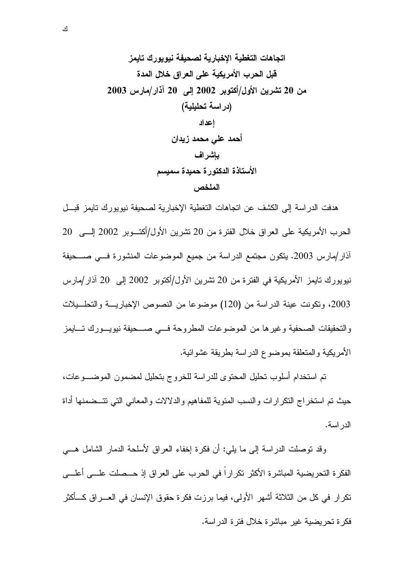هدفت الدر اسة إلى الكشف عن اتجاهات التغطية الإخبارية لصحيفة نيويورك تايمز قبــل الحرب الأمريكية على العراق خلال الفترة من 20 نشرين الأول/أكتـــوبر 2002 إلــــى 20 أذار/مارس 2003. يتكون مجتمع الدراسة من جميع الموضوعات المنشورة فسي صـــحيفة نيويورك نايمز الأمريكية في الفترة من 20 نشرين الأول/أكتوبر 2002 إلى 20 آذار/مارس 2003، وتكونت عينة الدراسة من (120) موضوعا من النصوص الإخباريـــة والتحلـــيلات والنحقيقات الصحفية وغيرها من الموضوعات المطروحة فسي صـــحيفة نيويـــورك تــــايمز الأمر بكية و المتعلقة بموضوع الدر اسة بطر بقة عشو ائية.

تم استخدام أسلوب تحليل المحتوى للدر اسة للخر وج بتحليل لمضمون الموضــــوعات، حيث تم استخراج النكرارات والنسب المئوية للمفاهيم والدلالات والمعانبي التبي نتسضمنها أداة الدر اسة.

وقد نوصلت الدراسة إلى ما يلي: أن فكرة إخفاء العراق لأسلحة الدمار الشامل هـــي الفكر ة التحر بضبة المباشر ة الأكثر تكر ار اً في الحر ب على العر اق إذ حـــصلت علــــى أعلــــى تكرار في كل من الثلاثة أشهر الأولى، فيما برزت فكرة حقوق الإنسان في العـــراق كــــأكثر فكر ة تحر بضية غير مباشر ة خلال فتر ة الدر اسة.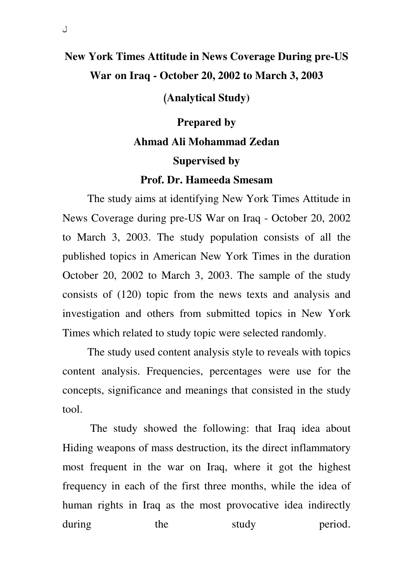## **New York Times Attitude in News Coverage During pre-US War on Iraq - October 20, 2002 to March 3, 2003**

( **Analytical Study)**

# **Prepared by Ahmad Ali Mohammad Zedan Supervised by**

### **Prof. Dr. Hameeda Smesam**

The study aims at identifying New York Times Attitude in News Coverage during pre-US War on Iraq - October 20, 2002 to March 3, 2003. The study population consists of all the published topics in American New York Times in the duration October 20, 2002 to March 3, 2003. The sample of the study consists of (120) topic from the news texts and analysis and investigation and others from submitted topics in New York Times which related to study topic were selected randomly.

The study used content analysis style to reveals with topics content analysis. Frequencies, percentages were use for the concepts, significance and meanings that consisted in the study tool.

 The study showed the following: that Iraq idea about Hiding weapons of mass destruction, its the direct inflammatory most frequent in the war on Iraq, where it got the highest frequency in each of the first three months, while the idea of human rights in Iraq as the most provocative idea indirectly during the study period.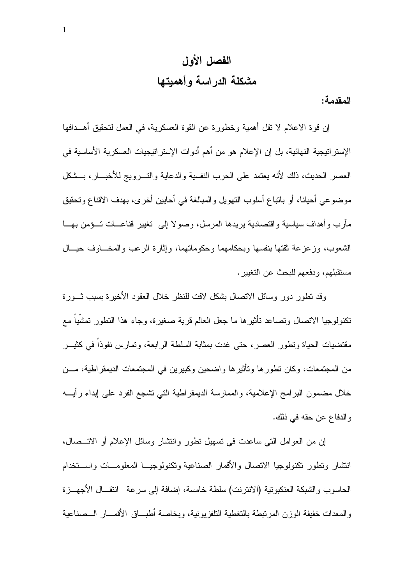# الفصل الأول مشكلة الدراسة وأهميتها

المقدمة:

إن قوة الاعلام لا نقل أهمية وخطورة عن القوة العسكرية، في العمل لتحقيق أهــدافها الإستراتيجية النهائية، بل إن الإعلام هو من أهم أدوات الإستراتيجيات العسكرية الأساسية في العصر الحديث، ذلك لأنه يعتمد على الحرب النفسية والدعابة والتسرويج للأخبسار، بسشكل موضوعي أحيانا، أو باتباع أسلوب التهويل والمبالغة في أحابين أخرى، بهدف الاقناع وتحقيق مآر ب و أهداف سياسية و اقتصادية پر يدها المر سل، وصو لا إلى تغيير قناعـــات تـــؤمن بهـــا الشعوب، وزعزعة نقتها بنفسها وبحكامهما وحكوماتهما، وإثارة الرعب والمخـــاوف حيـــال مستقبلهم، ودفعهم للبحث عن التغيير .

وقد نطور دور وسائل الاتصال بشكل لافت للنظر خلال العقود الأخيرة بسبب ثـــورة تكنولوجيا الاتصال وتصاعد تأثيرها ما جعل العالم قرية صغيرة، وجاء هذا النطور تمشياً مع مقتضيات الحياة وتطور العصر ، حتى غدت بمثابة السلطة الر ابعة، وتمار س نفوذا في كثيــر من المجتمعات، وكان تطور ها وتأثير ها واضحين وكبيرين في المجتمعات الديمقر اطية، مـــن خلال مضمون البرامج الإعلامية، والممارسة الديمقراطية التي نشجع الفرد على إبداء رأيـــه والدفاع عن حقه في ذلك.

إن من العوامل النبي ساعدت في نسهيل نطور وانتشار وسائل الإعلام أو الاتـــصـال، انتشار ونطور نكنولوجيا الاتصال والأقمار الصناعية ونكنولوجيــا المعلومـــات واســـنخدام الحاسوب والشبكة العنكبوتية (الانترنت) سلطة خامسة، إضافة إلى سرعة انتقــال الأجهـــزة والمعدات خفيفة الوزن المرتبطة بالتغطية التلفز بونية، وبخاصة أطبـــاق الأقمـــار الـــصناعية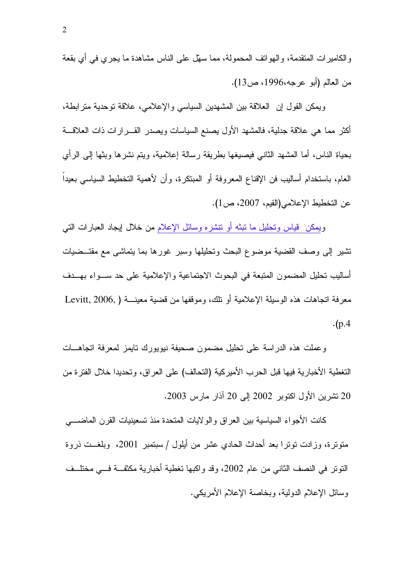والكاميرات المنقدمة، والـهوانف المحمولة، مما سهَّل على النـاس مشاهدة ما يـجري في أي بقعة من العالم (أبو عرجه،1996، ص13).

وبمكن القول إن العلاقة بين المشهدين السياسي والإعلامي، علاقة نوحدية مترابطة، أكثر مما هي علاقة جدلية، فالمشهد الأول بصنع السياسات ويصدر القـــرارات ذات العلاقـــة بحياة الناس، أما المشهد الثاني فيصيغها بطريقة رسالة إعلامية، ويتم نشر ها وبثها إلى الرأى العام، باستخدام أساليب فن الإقناع المعروفة أو المبتكرة، وأن لأهمية التخطيط السياسي بعيداً عن التخطيط الإعلامي(القيم، 2007، ص1).

ويمكن قياس وتحليل ما نبثه أو نتشره وسائل الإعلام من خلال إيجاد العبارات النبي تشير إلى وصف القضية موضوع البحث وتحليلها وسبر غورها بما يتماشى مع مقتــضيات أساليب نحليل المضمون المتبعة في البحوث الاجتماعية والإعلامية على حد ســـواء بهـــدف معرفة اتجاهات هذه الوسبلة الإعلامية أو تلك، وموقفها من قضية معينـــة ( Levitt, 2006,  $\cdot$ (p.4

وعملت هذه الدراسة على نحليل مضمون صحيفة نيويورك نايمز لمعرفة انجاهـــات التغطية الأخبارية فيها قبل الحرب الأميركية (التحالف) على العراق، وتحديدا خلال الفتر ة من 20 تشرين الأول اكتوبر 2002 إلى 20 آذار مارس 2003.

كانت الأجواء السباسية بين العراق والولايات المتحدة منذ تسعينيات القرن الماضــــي متونَّرة، وزادت نوترا بعد أحداث الحادي عشر من أيلول / سبتمبر 2001، وبلغــت ذروة النَّوتِر في النصف الثاني من عام 2002، وقد واكبها تغطية أخبارية مكثفة فـــي مختلــف وسائل الإعلام الدولية، وبخاصة الإعلام الأمريكي.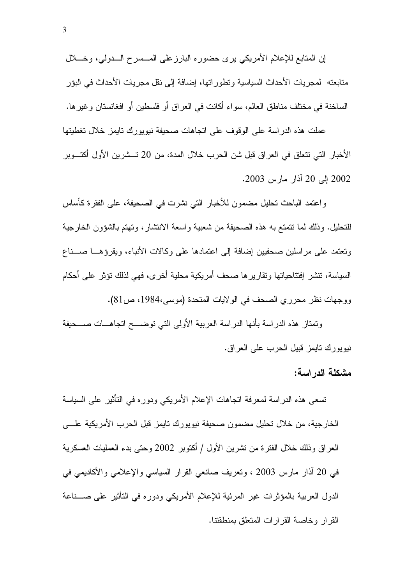إن المتابع للإعلام الأمريكي برى حضوره البارزعلى المـــسرح الـــدولي، وخــــلال متابعته لمجريات الأحداث السياسية ونطور اتها، إضافة إلى نقل مجريات الأحداث في البؤر الساخنة في مختلف مناطق العالم، سواء أكانت في العراق أو فلسطين أو افغانستان وغيرها.

عملت هذه الدراسة على الوقوف على اتجاهات صحيفة نيويورك تايمز خلال تغطيتها الأخبار التي تتعلَّق في العراق قبل شن الحرب خلال المدة، من 20 تـــشرين الأول أكتـــوبر 2002 إلى 20 آذار مارس 2003.

واعتمد الباحث تحليل مضمون للأخبار التبي نشرت في الصحيفة، على الفقرة كأساس للتحليل. وذلك لما نتمتع به هذه الصحيفة من شعبية واسعة الانتشار ، وتهتم بالشؤون الخارجية ونعتمد على مراسلين صحفيين إضافة إلى اعتمادها على وكالات الأنباء، ويقرؤهـــا صـــناع السياسة، تتشر إفتتاحياتها وتقاريرها صحف أمريكية محلية أخرى، فهي لذلك تؤثر على أحكام ووجهات نظر محرري الصحف في الولايات المتحدة (موسى،1984، ص81).

وتمتاز هذه الدراسة بأنها الدراسة العربية الأولى التي توضـــح اتجاهـــات صـــحيفة نيويورك نايمز قبيل الحرب على العراق.

### مشكلة الدراسة:

تسعى هذه الدراسة لمعرفة انجاهات الإعلام الأمريكي ودوره في النأثير على السياسة الخارجية، من خلال نحليل مضمون صحيفة نيويورك نايمز قبل الحرب الأمريكية علــــ, العراق وذلك خلال الفترة من تشرين الأول / أكتوبر 2002 وحتى بدء العمليات العسكرية في 20 أذار مارس 2003 ، وتعريف صانعي القرار السياسي والإعلامي والأكاديمي في الدول العربية بالمؤثِّر ات غير المرئية للإعلام الأمريكي ودوره في التأثير على صـــناعة القر ار وخاصة القر ار ات المتعلق بمنطقتنا.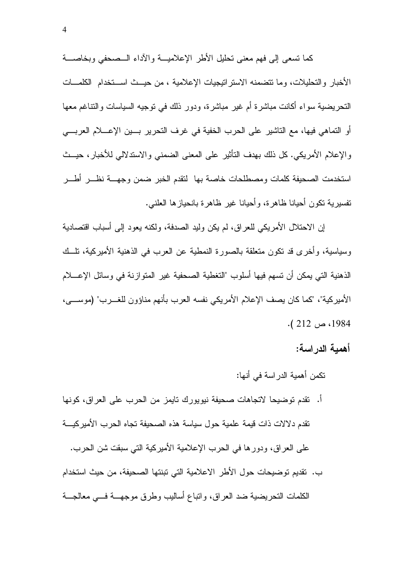كما تسعى إلى فهم معنى تحليل الأطر الإعلاميـــة والآداء الـــصحفى وبخاصــــة الأخبار والتحليلات، وما تتضمنه الاستر اتبجبات الإعلامية ، من حيست اسستخدام الكلمسات النحريضية سواء أكانت مباشرة أم غير مباشرة، ودور ذلك في نوجيه السياسات والنناغم معها أو التماهي فيها، مع التاشير على الحرب الخفية في غرف التحرير بسين الإعسلام العربسي و الإعلام الأمريكي. كل ذلك بهدف التأثير ٍ على المعنى الضمني و الاستدلالي للأخبار ، حيــث استخدمت الصحيفة كلمات ومصطلحات خاصة بها لتقدم الخبر ضمن وجهسة نظس أطسر نفسيرية نكون أحيانا ظاهرة، وأحيانا غير ظاهرة بانحيازها العلنبي.

إن الاحتلال الأمريكي للعراق، لم يكن وليد الصدفة، ولكنه يعود إلى أسباب اقتصادية وسياسية، وأخرى قد تكون متعلقة بالصورة النمطية عن العرب في الذهنية الأميركية، تلــك الذهنية التي يمكن أن تسهم فيها أسلوب "التغطية الصحفية غير المتوازنة في وسائل الإعــــلام الأمير كية"، "كما كان يصف الإعلام الأمريكي نفسه العرب بأنهم مناؤون للغـــرب" (موســــي، 1984، ص 212 ).

أهمبة الدر اسة:

تكمن أهمية الدر اسة في أنها:

- أ. نقدم توضيحا لاتجاهات صحيفة نيويورك نايمز من الحرب على العراق، كونها تقدم دلالات ذات قيمة علمية حول سياسة هذه الصحيفة تجاه الحرب الأميركيــــة على العراق، ودورها في الحرب الإعلامية الأميركية التي سبقت شن الحرب.
- ب. نقديم توضيحات حول الأطر الاعلامية التي تبنتها الصحيفة، من حيث استخدام الكلمات النحريضية ضد العراق، وانباع أساليب وطرق موجهـــة فــــى معالجـــة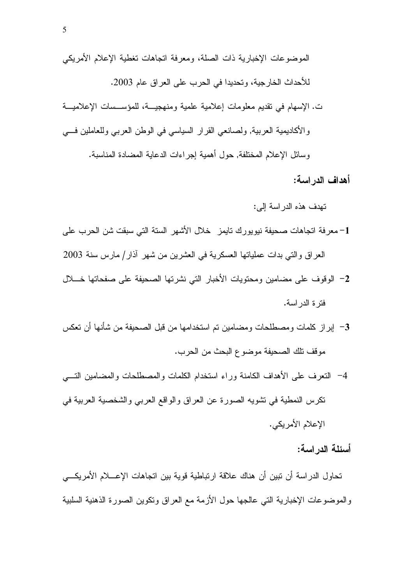أهداف الدراسة:

تهدف هذه الدر اسة إلى:

- 1– معرفة اتجاهات صحيفة نيويورك نايمز خلال الأشهر السنة التي سبقت شن الحرب على العراق والتي بدات عملياتها العسكرية في العشرين من شهر آذار/ مارس سنة 2003
- 2- الوقوف على مضامين ومحتويات الأخبار التي نشرتها الصحيفة على صفحاتها خــلال فتر ة الدر اسة.
- 3– إبراز كلمات ومصطلحات ومضامين تم استخدامها من قبل الصحيفة من شأنها أن تعكس موقف تلك الصحيفة موضوع البحث من الحرب.
- 4– النعرف على الأهداف الكامنة وراء استخدام الكلمات والمصطلحات والمضامين التسي نكرس النمطية في نشويه الصورة عن العراق والواقع العربي والشخصية العربية في الإعلام الأمريكي.

أسئلة الدراسة:

تحاول الدراسة أن تبين أن هناك علاقة ارتباطية قوية بين اتجاهات الإعسلام الأمريكسي والموضوعات الإخبارية التي عالجها حول الأزمة مع العراق ونكوين الصورة الذهنية السلبية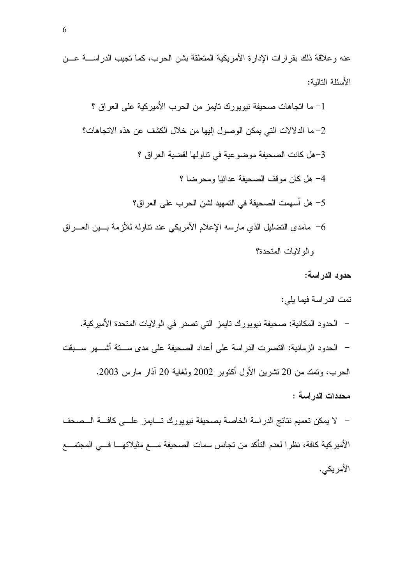عنه وعلاقة ذلك بقرارات الإدارة الأمريكية المتعلقة بشن الحرب، كما تجيب الدراســــة عـــن الأسئلة التالية:

### حدود الدراسة:

تمت الدر اسة فيما يلي: – الحدود المكانية: صحيفة نيويورك تايمز التي تصدر في الولايات المتحدة الأميركية. – الحدود الزمانية: اقتصرت الدراسة على أعداد الصحيفة على مدى ســـتة أشــــهر ســـبقت الحرب، وتمتد من 20 تشرين الأول أكتوبر 2002 ولغاية 20 آذار مارس 2003. محددات الدراسة :

– لا يمكن تعميم نتائج الدراسة الخاصة بصحيفة نيويورك تـــايمز علـــى كافـــة الـــصحف الأميركية كافة، نظرا لعدم التأكد من تجانس سمات الصحيفة مـــع مثيلاتهــــا فـــي المجتمـــع الأمر بكي.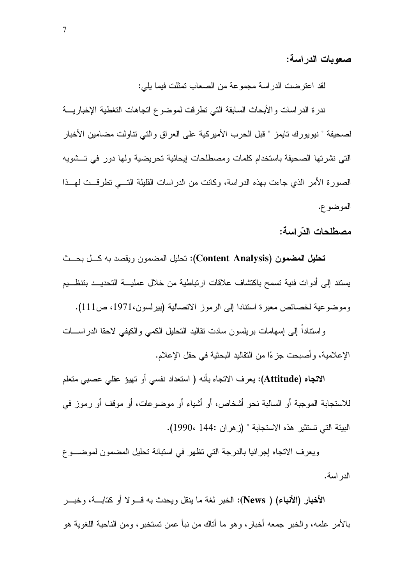#### صعويات الدر اسة:

لقد اعترضت الدراسة مجموعة من الصعاب تمثلت فيما يلي:

ندرة الدراسات والأبحاث السابقة التي نطرقت لموضوع انجاهات النغطية الإخباريـــة لصحيفة " نيويورك تايمز " قبل الحرب الأميركية على العراق والتي تناولت مضامين الأخبار التي نشرتها الصحيفة باستخدام كلمات ومصطلحات ليحائية تحريضية ولها دور في تسشويه الصورة الأمر الذي جاءت بهذه الدراسة، وكانت من الدراسات القليلة التـــي تطرقــت لمهــذا الموضوع.

#### مصطلحات الذّر اسة:

تحليل المضمون (Content Analysis): تحليل المضمون ويقصد به كـــل بحـــث يستند إلى أدوات فنية تسمح باكتشاف علاقات ارتباطية من خلال عمليــــة التحديـــد بتنظـــيم وموضوعية لخصائص معبرة استنادا إلى الرموز الانصالية (بيرلسون،1971، ص111).

واستناداً إلى إسهامات بريلسون سادت نقاليد التحليل الكمى والكيفي لاحقا الدراســـات الإعلامية، و أصبحت جز ءًا من النقاليد البحثية في حقل الإعلام.

ال**اتجاه (Attitude)**: يعرف الاتجاه بأنه ( استعداد نفسي أو تهيؤ عقلي عصبي متعلم للاستجابة الموجبة أو السالبة نحو أشخاص، أو أشياء أو موضوعات، أو موقف أو رموز في البيئة التي تستثير هذه الاستجابة " (زهران :144 ،1990).

ويعرف الانتجاه إجرائيا بالدرجة النبي نظهر في استبانة نحليل المضمون لموضـــوع الدر اسة.

الأخبار (الأنباء) ( News): الخبر لغة ما ينقل ويحدث به قسو لا أو كتابسة، وخبسر بالأمر علمه، والخبر جمعه أخبار، وهو ما أناك من نبأ عمن تستخبر، ومن الناحية اللغوية هو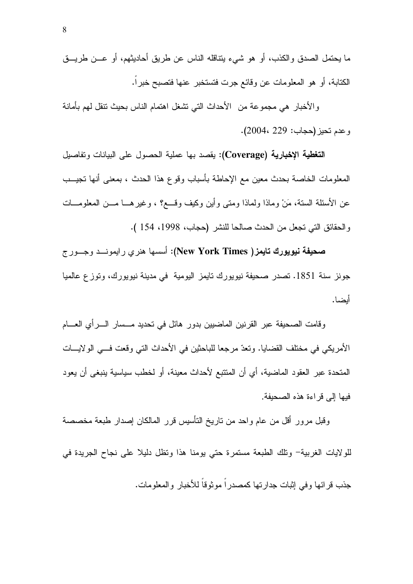ما يحتمل الصدق والكذب، أو هو شيء يتناقله الناس عن طريق أحاديثهم، أو عـــن طريـــق الكتابة، أو هو المعلومات عن وفائع جرت فتستخبر عنها فتصبح خبراً.

والأخبار هي مجموعة من الأحداث التبي نشغل اهتمام الناس بحيث نتقل لهم بأمانة وعدم تحيز (حجاب: 229 ،2004).

التغطية الإخبارية (Coverage): يقصد بها عملية الحصول على البيانات وتفاصيل المعلومات الخاصة بحدث معين مع الإحاطة بأسباب وقوع هذا الحدث ، بمعنى أنها تجيــب عن الأسئلة الستة، مَنْ وماذا ولماذا ومتى وأين وكيف وقسع؟ ، وغيرهـــا مـــن المعلومـــات والحقائق التي تجعل من الحدث صالحا للنشر (حجاب، 1998، 154 ).

صحيفة نيويورك تايمز( New York Times): أسسها هنري رايمونــد وجــورج جونز سنة 1851. تصدر صحيفة نيويورك تايمز اليومية في مدينة نيويورك، وتوزع عالميا أنضا.

وقامت الصحيفة عبر القرنين الماضبين بدور هائل في تحديد مـــسار الــــرأي العـــــام الأمريكي في مختلف القضايا. وتعدّ مرجعا للباحثين في الأحداث التي وقعت فـــي الولايــــات المتحدة عبر العقود الماضية، أي أن المتتبع لأحداث معينة، أو لخطب سياسية ينبغي أن يعود فيها إلى قراءة هذه الصحيفة.

وقبل مرور أقل من عام واحد من ناريخ النأسيس قرر المالكان إصدار طبعة مخصصة للولايات الغربية– ونلك الطبعة مستمرة حتى يومنا هذا ونظل دليلا على نجاح الجريدة في جذب قرائها وفي إثبات جدارتها كمصدراً موثوقاً للأخبار والمعلومات.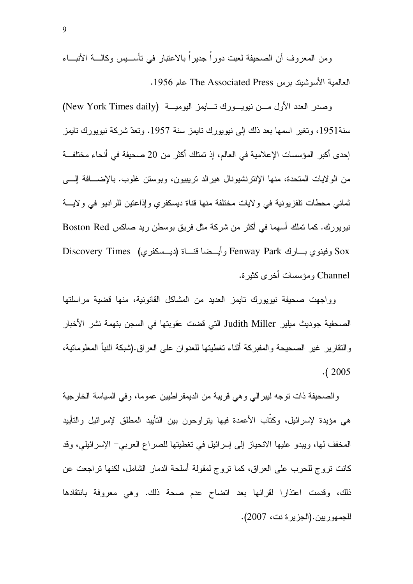ومن المعروف أن الصحيفة لعبت دورًا جديرًا بالاعتبار في تأســـيس وكالــــة الأنبـــاء العالمية الأسوشيند برس The Associated Press عام 1956.

وصدر العدد الأول مـــن نيويـــورك تـــايمز اليوميـــة (New York Times daily) سنة1951، وتغير اسمها بعد ذلك إلى نيويورك تايمز سنة 1957. وتعدّ شركة نيويورك تايمز إحدى أكبر المؤسسات الإعلامية في العالم، إذ تمتلك أكثر من 20 صحيفة في أنحاء مختلفـــة من الولايات المتحدة، منها الإنترنشيونال هيرالد تريبيون، وبوستن غلوب. بالإضـــافة الِــــى نماني محطات نلفزيونية في ولايات مختلفة منها قناة ديسكفري وإذاعتين للراديو في ولايــــة نيويورك. كما تملك أسهما في أكثر من شركة مثل فريق بوسطن ريد صاكس Boston Red Discovery Times ( L4)) 7- -E Fenway Park <-" L Sox Channel ومؤسسات أخرى كثيرة.

وواجهت صحيفة نيويورك نايمز العديد من المشاكل القانونية، منها قضية مراسلتها الصحفية جوديث ميلير Judith Miller التي قضت عقوبتها في السجن بتهمة نشر الأخبار والنقارير غير الصحيحة والمفبركة آثناء تغطيتها للعدوان على العراق.(شبكة النبأ المعلوماتية،  $(2005$ 

والصحيفة ذات توجه ليبرالي وهي قريبة من الديمقر اطبين عموما، وفي السياسة الخارجية هي مؤيدة لإسرائيل، وكتاب الأعمدة فيها يتراوحون بين التأييد المطلق لإسرائيل والتأييد المخفف لمها، ويبدو عليها الانحياز إلى إسرائيل في تغطيتها للصراع العربي– الإسرائيلي، وقد كانت نروج للحرب على العراق، كما نروج لمقولة أسلحة الدمار الشامل، لكنها نراجعت عن ذلك، وقدمت اعتذارا لقرائها بعد اتضاح عدم صحة ذلك. وهي معروفة بانتقادها للجمهوريين.(الجزير ة نت، 2007).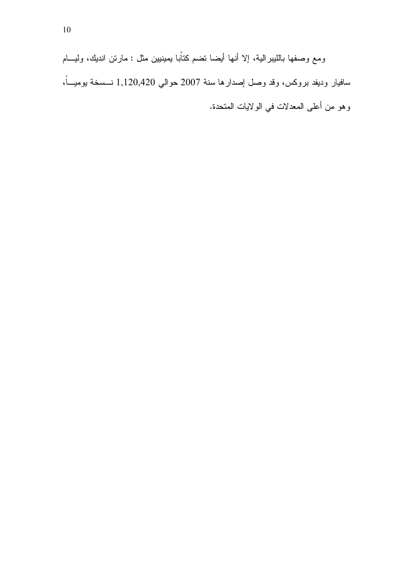ومع وصفها بالليبرالية، إلا أنها أيضا نضم كتاّبا يمينيين مثل : مارتن انديك، وليـــام سافيار وديفد بروكس، وقد وصل إصدارها سنة 2007 حوالي 1,120,420 نــــسخة بوميــــاً، وهو من أعلى المعدلات في الولايات المتحدة.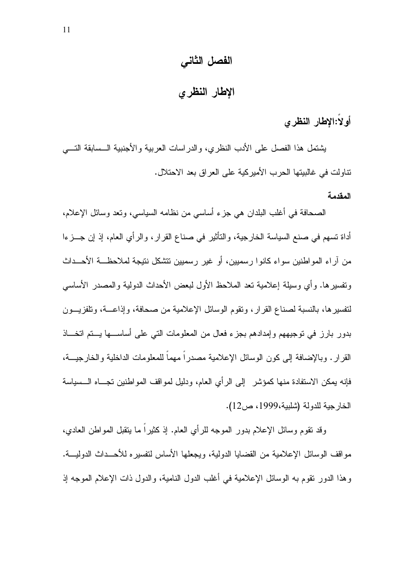## الفصل الثاني

الإطار النظرى

## أولاً:الإطار النظرى

يشتمل هذا الفصل على الأدب النظري، والدراسات العربية والأجنبية الــسابقة النــــي تناولت في غالبيتها الحر ب الأمير كية على العر اق بعد الاحتلال.

#### المقدمة

الصحافة في أغلب البلدان هي جزء أساسي من نظامه السياسي، وتعد وسائل الإعلام، أداة تسهم في صنع السياسة الخارجية، والتأثير في صناع القرار ، والرأي العام، إذ إن جـــزءا من آر اء المو اطنين سو اء كانو ا رسميين، أو غير رسميين نتشكل نتيجة لملاحظــــة الأحـــداث ونفسير ها. و أي وسيلة إعلامية تعد الملاحظ الأول لبعض الأحداث الدولية والمصدر الأساسي لتفسير ها، بالنسبة لصناع القرار ، وتقوم الوسائل الإعلامية من صحافة، وإذاعـــة، وتلفزيـــون بدور بارز في توجيههم وإمدادهم بجزء فعال من المعلومات التي على أساســـها يــــتم اتخــــاذ القرار . وبالإضافة إلى كون الوسائل الإعلامية مصدراً مهماً للمعلومات الداخلية والخارجيـــة، فإنه بمكن الاستفادة منها كمؤشر إلى الرأى العام، ودليل لمواقف المواطنين تجــاه الــسياسة الخار جية للدولة (شلبية،1999، ص12).

وقد نقوم وسائل الإعلام بدور الموجه للرأي العام. إذ كثيراً ما بنقبل المواطن العادي، مواقف الوسائل الإعلامية من القضايا الدولية، ويجعلها الأساس لتفسيره للأحــداث الدوليــــة. وهذا الدور نقوم به الوسائل الإعلامية في أغلب الدول النامية، والدول ذات الإعلام الموجه إذ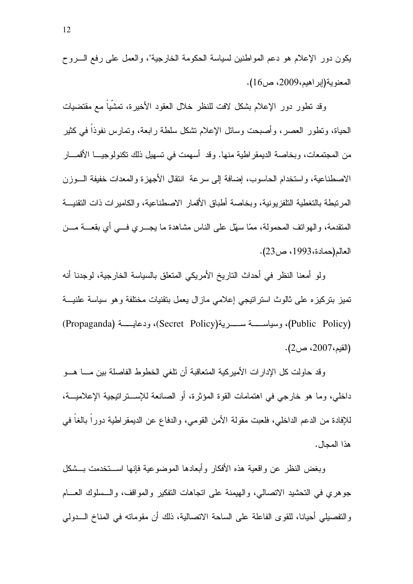يكون دور الإعلام هو دعم المواطنين لسياسة الحكومة الخارجية"، والعمل على رفع السروح المعنوبة(إبر اهيم،2009، ص16).

وقد تطور دور الإعلام بشكل لافت للنظر خلال العقود الأخيرة، تمشيا مع مقتضيات الحياة، ونطور العصر، وأصبحت وسائل الإعلام نشكل سلطة رابعة، ونمارس نفوذاً في كثير من المجتمعات، وبخاصة الديمقر اطية منها. وقد أسهمت في تسهيل ذلك تكنولوجيــــا الأقمــــار الاصطناعية، واستخدام الحاسوب، إضافة إلى سرعة انتقال الأجهز ة والمعدات خفيفة الـــوزن المرتبطة بالتغطية النلفزيونية، وبخاصة أطباق الأقمار الاصطناعية، والكاميرات ذات النقنيــة المتقدمة، والهوانف المحمولة، ممَّا سهَّل على الناس مشاهدة ما يجـــري فـــي أي بقعـــة مـــن العالم(حمادة، 1993، ص23).

ولو أمعنا النظر في أحداث التاريخ الأمريكي المتعلق بالسياسة الخارجية، لوجدنا أنه تميز بتركيز ، على ثالوث استر اتيجي إعلامي ماز ال يعمل بتقنيات مختلفة و هو سياسة علنيـــة (Public Policy)، وسياســـــة ســــــــرية(Secret Policy)، ودعايـــــة (Propaganda) (القيم، 2007، ص2).

وقد حاولت كل الإدارات الأميركية المتعاقبة أن تلغى الخطوط الفاصلة بين مسا هسو داخلي، وما هو خارجي في اهتمامات القوة المؤثرة، أو الصانعة للإســـتراتيجية الإعلاميـــة، للإفادة من الدعم الداخلي، فلعبت مقولة الأمن القومي، والدفاع عن الديمقر اطية دورًا بالغا في هذا المحال.

وبغض النظر عن وإقعية هذه الأفكار وأبعادها الموضوعية فإنها استخدمت بسشكل جوهري في التحشيد الاتصالي، والهيمنة على اتجاهات التفكير والمواقف، والـــسلوك العــــام والتفصيلي أحيانا، للقوى الفاعلة على الساحة الاتصالية، ذلك أن مقوماته في المناخ الـــدولي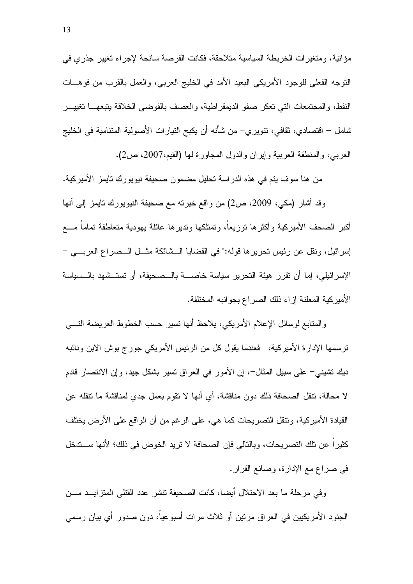مؤاتية، ومتغيرات الخريطة السياسية متلاحقة، فكانت الفرصة سانحة لإجراء تغيير جذرى في النوجه الفعلي للوجود الأمريكي البعيد الأمد في الخليج العربي، والعمل بالقرب من فوهـــات النفط، والمجتمعات التي تعكر صفو الديمقراطية، والعصف بالفوضي الخلاقة يتبعهــا تغييـــر شامل – اقتصادي، ثقافي، نتويري– من شأنه أن يكبح النيار ات الأصولية المتنامية في الخليج العربـي، والمنطقة العربية وإيران والدول المجاورة لـها (القيم،2007، ص2).

من هنا سوف يتم في هذه الدراسة تحليل مضمون صحيفة نيويورك تايمز الأميركية. وقد أشار (مكي، 2009، ص2) من واقع خبرته مع صحيفة النيويورك نايمز إلى أنها أكبر الصحف الأميركية وأكثرها توزيعاً، وتمتلكها وتديرها عائلة يهودية متعاطفة تماماً مـــع إسرائيل، ونقل عن رئيس تحريرها قوله:" في القضايا الــشائكة مثــل الــصراع العربـــي – الإسرائيلي، إما أن نقرر هيئة النحرير سياسة خاصــــة بالـــصحيفة، أو نستـــشهد بالـــسياسة الأمبر كبة المعلنة إز اء ذلك الصر اع بجو انبه المختلفة.

والمتابع لوسائل الإعلام الأمريكي، يلاحظ أنها نسير حسب الخطوط العريضة النسي ترسمها الإدارة الأميركية، فعندما يقول كل من الرئيس الأمريكي جورج بوش الابن ونائبه ديك نتثبيني– على سبيل المثال–، إن الأمور في العراق نسير بشكل جيد، وإن الانتصار قادم لا محالة، تنقل الصحافة ذلك دون مناقشة، أي أنها لا تقوم بعمل جدي لمناقشة ما نتقله عن القيادة الأميركية، وتنقل التصريحات كما هي، على الرغم من أن الواقع على الأرض يختلف كثيراً عن تلك التصريحات، وبالتالي فإن الصحافة لا تريد الخوض في ذلك؛ لأنها ســـتدخل في صراع مع الإدارة، وصانع القرار .

وفي مرحلة ما بعد الاحتلال أيضا، كانت الصحيفة نتشر عدد القتلى المنزايـــد مـــن الجنود الأمريكيين في العراق مرنين أو ثلاث مرات أسبوعياً، دون صدور أي بيان رسمي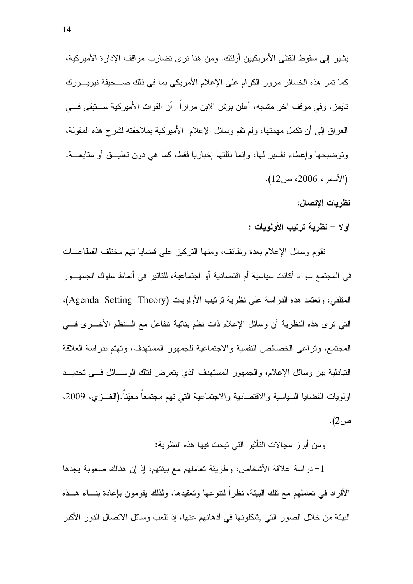يشير إلى سقوط القتلي الأمريكيين أولئك. ومن هنا نرى تضارب مواقف الإدارة الأميركية، كما تمر هذه الخسائر مرور الكرام على الإعلام الأمريكي بما في ذلك صـــحيفة نيويـــورك تابِمز . وفي موقف آخر مشابه، أعلن بوش الابن مراراً ۖ أن القوات الأميرِكية ســـتبقى فـــي العراق إلى أن نكمل مهمتها، ولم نقم وسائل الإعلام الأميركية بملاحقته لشرح هذه المقولة، وتوضيحها وإعطاء تفسير لها، وإنما نقلتها إخباريا فقط، كما هي دون تعليـــق أو متابعــــة. (الأسمر ، 2006، ص12).

نظريات الاتصال:

اولا – نظرية ترتيب الأولويات :

نقوم وسائل الإعلام بعدة وظائف، ومنها النركيز على قضايا نهم مختلف القطاعـــات في المجتمع سواء أكانت سياسية أم اقتصادية أو اجتماعية، للتاثير في أنماط سلوك الجمهـــور المتلقى، وتعتمد هذه الدراسة على نظرية ترتيب الأولويات (Agenda Setting Theory)، التبي نرى هذه النظرية أن وسائل الإعلام ذات نظم بنائية نتفاعل مع الـــنظم الأخــــرى فــــي المجتمع، وتراعى الخصائص النفسية والاجتماعية للجمهور المستهدف، وتهتم بدراسة العلاقة التبادلية بين وسائل الإعلام، والجمهور المستهدف الذي يتعرض لتلك الوســائل فـــي تحديـــد اولويات القضايا السياسية والاقتصادية والاجتماعية التبي تهم مجتمعا معيّنا.(الغـــزي، 2009، ص2).

و من أبر ز \_مجالات التأثير \_التي تبحث فيها هذه النظر ية:

1–دراسة علاقة الأشخاص، وطريقة تعاملهم مع بيئتهم، إذ إن هنالك صعوبة يجدها الأفراد في تعاملهم مع نلك البيئة، نظراً لنتوعها وتعقيدها، ولذلك يقومون بإعادة بنـــاء هـــذه البيئة من خلال الصور التي يشكلونها في أذهانهم عنها، إذ نلعب وسائل الاتصال الدور الأكبر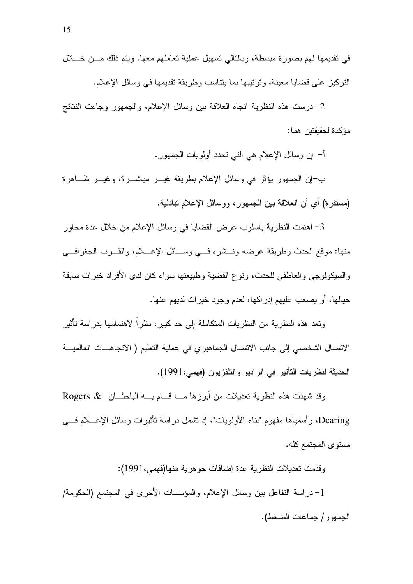2– درست هذه النظرية انجاه العلاقة بين وسائل الإعلام، والجمهور وجاءت النتائج مؤكدة لحقيقتين هما:

أ– إن وسائل الإعلام هي التي نحدد أولويات الجمهور .

ب-إن الجمهور يؤثر في وسائل الإعلام بطريقة غيـــر مباشــــرة، وغيــــر ظــــاهرة (مستقرة) أي أن الـعلاقة بين الـجمهور، ووسائل الإعلام نبادلية.

3– اهتمت النظرية بأسلوب عرض القضايا في وسائل الإعلام من خلال عدة محاور منها: موقع الحدث وطريقة عرضه ونــشره فــي وســـائل الإعـــلام، والقـــرب الجغرافـــي والسبكولوجي والعاطفي للحدث، ونوع القضية وطبيعتها سواء كان لدى الأفراد خبرات سابقة حبالها، أو بصعب عليهم إدر اكها، لعدم وجود خبر ات لدبهم عنها.

وتعد هذه النظرية من النظريات المتكاملة إلى حد كبير ، نظر اً لاهتمامها بدر اسة تأثير الاتصال الشخصبي إلى جانب الاتصال الجماهيري في عملية التعليم ( الاتجاهــات العالميـــة الحديثة لنظريات التأثير في الراديو والنلفزيون (فهمي،1991).

وقد شهدت هذه النظرية تعديلات من أبرزها مــا قـــام بـــه الباحثـــان & Rogers Dearing، وأسمياها مفهوم "بناء الأولويات"، إذ نشمل دراسة نأثيرات وسائل الإعــــلام فــــي مستوى المجتمع كله.

وقدمت تعديلات النظرية عدة إضافات جو هرية منها(فهمي،1991):

1- دراسة التفاعل بين وسائل الإعلام، والمؤسسات الأخرى في المجتمع (الحكومة/ الجمهور/ جماعات الضغط).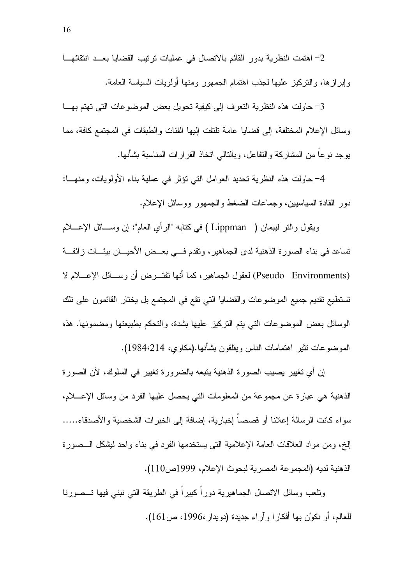2- اهتمت النظرية بدور القائم بالاتصال في عمليات ترتيب القضايا بعــد انتقائهـــا وإبرازها، والتركيز عليها لجذب اهتمام الجمهور ومنها أولويات السياسة العامة.

3- حاولت هذه النظرية التعرف إلى كيفية تحويل بعض الموضوعات التي تهتم بهـا وسائل الإعلام المختلفة، إلى قضايا عامة تلتفت إليها الفئات والطبقات في المجتمع كافة، مما بوجد نوعا من المشاركة والنفاعل، وبالنالبي انخاذ القرارات المناسبة بشأنها.

4– حاولت هذه النظرية نحديد العوامل التبي نؤثر في عملية بناء الأولويات، ومنهـــا: دور القادة السياسيين، وجماعات الضغط والجمهور ووسائل الإعلام.

ويقول والتر ليبمان ( Lippman ) في كتابه "الرأى العام": إن وســـائل الإعــــلام تساعد في بناء الصورة الذهنية لدى الجماهير، ونقدم فـــي بعـــض الأحيــــان بيئــــات زائفـــة (Pseudo Environments) لعقول الجماهير، كما أنها تفتـــرض أن وســــائل الإعــــلام لا تستطيع تقديم جميع الموضوعات والقضايا التي تقع في المجتمع بل يختار القائمون على تلك الوسائل بعض الموضوعات التي يتم التركيز عليها بشدة، والتحكم بطبيعتها ومضمونها. هذه الموضوعات نثير اهتمامات الناس ويقلقون بشأنها.(مكاوي، 1984،214).

إن أي تغيير يصيب الصورة الذهنية يتبعه بالضرورة تغيير في السلوك، لأن الصورة الذهنية هي عبارة عن مجموعة من المعلومات التي يحصل عليها الفرد من وسائل الإعــــلام، سو اء كانت الر سالة إعلانا أو قصصا إخبار بة، إضافة إلى الخبر ات الشخصبة و الأصدقاء..... الِخ، ومن مواد العلاقات العامة الإعلامية التي يستخدمها الفرد في بناء واحد ليشكل الــصورة الذهنية لديه (المجموعة المصرية لبحوث الإعلام، 1999ص110).

ونلعب وسائل الاتصال الجماهيرية دوراً كبيراً في الطريقة التي نبني فيها تـــصورنا للعالم، أو نكوِّن بها أفكار ا و آر اء جديدة (دويدار ،1996، ص161).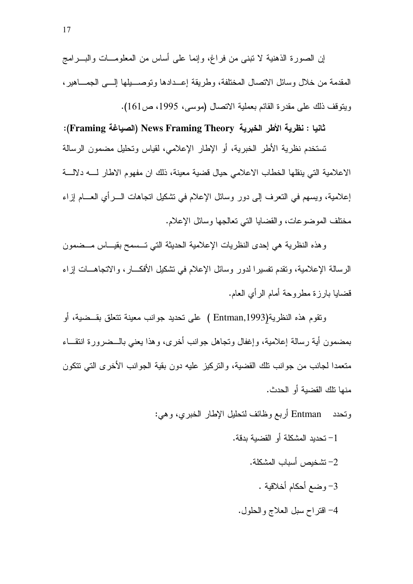إن الصورة الذهنية لا تبنى من فراغ، وإنما على أساس من المعلومـــات والبــــرامج المقدمة من خلال وسائل الاتصال المختلفة، وطريقة إعــدادها وتوصـــبلها إلــــى الجمـــاهبر ، ويتوقف ذلك على مقدر ة القائم بعملية الاتصال (موسى، 1995، ص161).

ثانيا : نظرية الأطر الخبرية News Framing Theory (الصياغة Framing): تستخدم نظرية الأطر الخبرية، أو الإطار الإعلامي، لقياس وتحليل مضمون الرسالة الاعلامية التي ينقلها الخطاب الاعلامي حيال قضية معينة، ذلك ان مفهوم الاطار لــــه دلالـــة إعلامية، ويسهم في النعرف إلى دور وسائل الإعلام في نشكيل انجاهات الــــرأي العـــــام إزاء مختلف الموضوعات، والقضايا التي تعالجها وسائل الإعلام.

وهذه النظرية هي إحدى النظريات الإعلامية الحديثة التي تـــسمح بقيـــاس مـــضمون الرسالة الإعلامية، وتقدم تفسير ا لدور وسائل الإعلام في تشكيل الأفكـــار ، والاتجاهـــات إز اء قضايا بارزة مطروحة أمام الرأي العام.

ونقوم هذه النظرية(Entman,1993 ) على نحديد جوانب معينة نتعلق بقــضية، أو بمضمون أية رسالة إعلامية، وإغفال وتجاهل جوانب أخرى، وهذا يعني بالـــضرورة انتقـــاء متعمدا لجانب من جوانب تلك القضية، والتركيز عليه دون بقية الجوانب الأخرى التي تتكون منها نلك القضبة أو الحدث.

ونحدد Entman أربع وظائف لنحليل الإطار الخبري، وهي:

- 1– تحديد المشكلة أو القضية بدقة. 2– تشخيص أسباب المشكلة. 3- وضع أحكام أخلاقية .
	- 4- اقتراح سبل العلاج والحلول.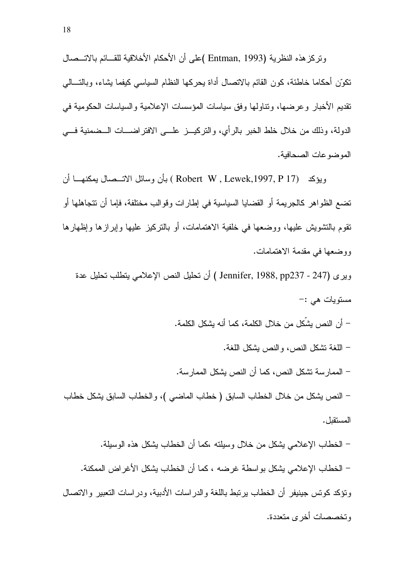وتركز هذه النظرية (Entman, 1993 )على أن الأحكام الأخلاقية للقـــائم بالاتـــصـال نكوّن أحكاما خاطئة، كون القائم بالاتصال أداة يحركها النظام السياسي كيفما يشاء، وبالنسالي تقديم الأخبار وعرضها، ونتاولها وفق سياسات المؤسسات الإعلامية والسياسات الحكومية في الدولة، وذلك من خلال خلط الخبر بالرأي، والتركيـــز علــــى الافتراضــــات الـــضمنية فــــى المو ضو عات الصحافية.

ويؤكد (Robert W , Lewek,1997, P 17 ) بأن وسائل الاتـــصـال يمكنهــــا أن تضـع الظواهر كالجريمة أو القضـايا السياسية في إطارات وقوالب مختلفة، فإمـا أن تتجاهلها أو نقوم بالنشويش عليها، ووضعها في خلفية الاهتمامات، أو بالنركيز عليها وإبرازها وإظهارها ووضعها في مقدمة الاهتمامات.

وير ي (Jennifer, 1988, pp237 - 247 ) أن تحليل النص الإعلامي يتطلب تحليل عدة مستوبات هے :-

– أن النص بشِّكل من خلال الكلمة، كما أنه بشكل الكلمة.

– اللغة تشكل النص، والنص يشكل اللغة.

– الممارسة نشكل النص، كما أن النص يشكل الممارسة.

– النص يشكل من خلال الخطاب السابق ( خطاب الماضيي )، والخطاب السابق يشكل خطاب المستقل.

– الخطاب الإعلامي بشكل من خلال وسبلته ،كما أن الخطاب بشكل هذه الوسبلة. – الخطاب الإعلامي يشكل بو اسطة غرضه ، كما أن الخطاب يشكل الأغر اض الممكنة. ونؤكد كونس جينيفر أن الخطاب يرنبط باللغة والدراسات الأدبية، ودراسات النعبير والاتصال وتخصصات أخر ي متعددة.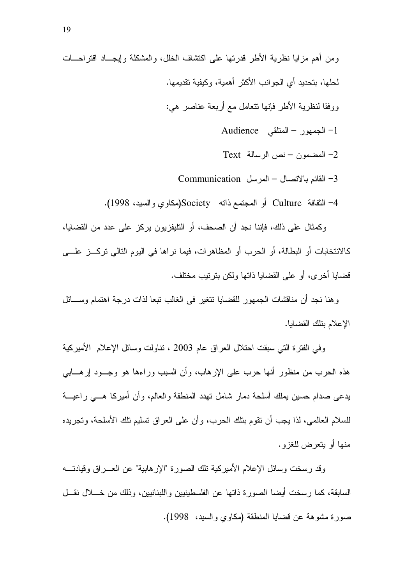1- الجمهور - المنلقى Audience

Text المضمون – نص الرسالة  $-2$ 

Communication – القائم بالاتصال – المرسل

4– الثقافة Culture أو المجتمع ذاته Society(مكاوي والسيد، 1998).

وكمثال على ذلك، فإننا نجد أن الصحف، أو التليفزيون يركز على عدد من القضايا، كالانتخابات أو البطالة، أو الحرب أو المظاهرات، فيما نراها في اليوم التالي تركــز علـــي قضايا أخرى، أو على القضايا ذاتها ولكن بترتيب مختلف.

و هنا نجد أن مناقشات الجمهور للقضابا نتغبر ً في الغالب تبعا لذات در جة اهتمام وســـائل الإعلام بتلك القضايا.

وفي الفترة التي سبقت احتلال العراق عام 2003 ، تناولت وسائل الإعلام الأميركية هذه الحرب من منظور أنها حرب على الإرهاب، وأن السبب وراءها هو وجسود إرهسابي يدعى صدام حسين يملك أسلحة دمار شامل تهدد المنطقة والعالم، وأن أميركا هـــي راعيـــة للسلام العالمي، لذا يجب أن نقوم بنلك الحرب، وأن على العراق نسليم نلك الأسلحة، وتجريده منها أو يتعرض للغزو.

وقد رسخت وسائل الإعلام الأميركية نلك الصورة "الإرهابية" عن العـــراق وقيادتــــه السابقة، كما رسخت أيضا الصورة ذاتها عن الفلسطينيين واللبنانيين، وذلك من خــــلال نقـــل صورة مشوهة عن قضايا المنطقة (مكاوى والسيد، 1998).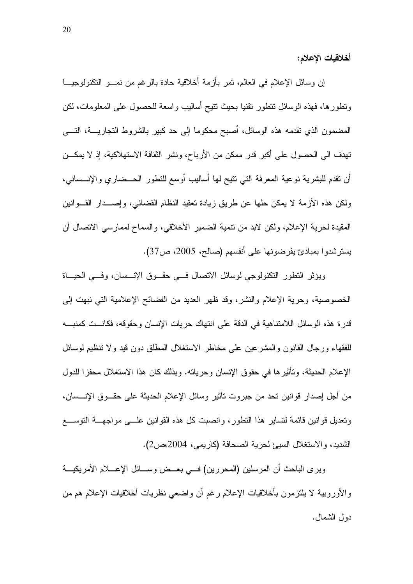أخلاقيات الإعلام:

إن وسائل الإعلام في العالم، نمر بأزمة أخلاقية حادة بالرغم من نمـــو النكنولوجيـــا ونطورها، فهذه الوسائل نتطور نقنيا بحيث نتيح أساليب واسعة للحصول على المعلومات، لكن المضمون الذي نقدمه هذه الوسائل، أصبح محكوما إلى حد كبير بالشروط النجاريــــة، النـــــي تهدف الى الحصول على أكبر قدر ممكن من الأرباح، ونشر الثقافة الاستهلاكية، إذ لا يمكــن أن نقدم للبشرية نوعية المعرفة التبي نتيح لها أساليب أوسع للنطور الحـــضاري والإنـــسانبي، ولكن هذه الأزمة لا يمكن حلها عن طريق زيادة نعقيد النظام القضائبي، وإصـــدار القـــوانين المقيدة لحرية الإعلام، ولكن لابد من نتمية الضمير الأخلاقي، والسماح لممارسي الاتصال أن يسترشدوا بمبادئ يفرضونها على أنفسهم (صالح، 2005، ص37).

ويؤثِّر النَّطور النَّكنولوجي لوسائل الانصال فـــي حقـــوق الإنـــسان، وفـــي الحيـــاة الخصوصية، وحرية الإعلام والنشر ، وقد ظهر العديد من الفضائح الإعلامية التي نبهت إلى قدرة هذه الوسائل اللامتناهية في الدقة على انتهاك حريات الإنسان وحقوقه، فكانست كمنبسه للفقهاء ورجال القانون والمشرعين على مخاطر الاستغلال المطلق دون قيد ولا نتظيم لوسائل الإعلام الحديثة، وتأثيرها في حقوق الإنسان وحرياته. وبذلك كان هذا الاستغلال محفزًا للدول من أجل إصدار فوانين تحد من جبروت تأثير وسائل الإعلام الحديثة على حقــوق الإنـــسان، وتعديل فوانين فائمة لتساير هذا التطور ، وانصبت كل هذه القوانين علـــى مواجهـــة التوســـع الشديد، والاستغلال السيئ لحرية الصحافة (كاريمي، 2004،ص2).

ويرى الباحث أن المرسلين (المحررين) فسي بعــض وســـائل الإعـــلام الأمريكيـــة والأوروبية لا يلتزمون بأخلاقيات الإعلام رغم أن واضعى نظريات أخلاقيات الإعلام هم من دول الشمال.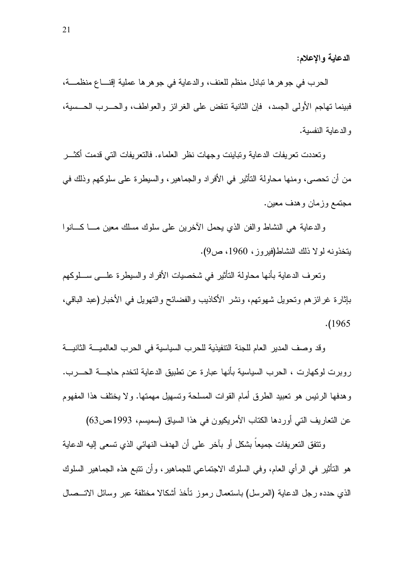الدعاية والإعلام:

الحرب في جو هر ها نبادل منظم للعنف، والدعاية في جو هر ها عملية إقنــــاع منظمــــة، فبينما تهاجم الأولى الجسد، ۖ فإن الثانية تنقض على الغرائز والعواطف، والحــــرب الحـــسية، و الدعاية النفسية.

ونعددت نعريفات الدعاية وتباينت وجهات نظر العلماء. فالنعريفات النبي قدمت أكثـــر من أن تحصبي، و منها محاولة التأثير في الأفر اد و الجماهير ، و السيطر ة على سلوكهم و ذلك في مجتمع وزمان وهدف معين.

والدعاية هي النشاط والفن الذي يحمل الأخرين على سلوك مسلك معين مـــا كــــانوا يتخذونه لولا ذلك النشاط(فيروز، 1960، ص9).

ونعرف الدعاية بأنها محاولة التأثير في شخصيات الأفراد والسيطرة علـــي ســـلوكهم بإثار ة غر ائز هم و تحويل شهو تهم، و نشر ِ الأكاذيب و الفضائح و التهويل في الأخبار (عبد الباقي،  $. (1965$ 

وقد وصف المدير العام للجنة التنفيذية للحرب السياسية في الحرب العالميــــة الثانيــــة روبرت لوكهارت ، الحرب السياسية بأنها عبارة عن تطبيق الدعاية لتخدم حاجــــة الحـــــرب. وهدفها الرئيس هو تعبيد الطرق أمام القوات المسلحة وتسهيل مهمتها. ولا يختلف هذا المفهوم عن التعاريف التي أوردها الكتاب الأمريكيون في هذا السياق (سميسم، 1993،ص63)

و نتفق النعر يفات جميعاً بشكل أو بآخر ٍ على أن الهدف النهائي الذي نسعى إليه الدعاية هو التأثير في الرأى العام، وفي السلوك الاجتماعي للجماهير ، وأن نتبع هذه الجماهير السلوك الذي حدده رجل الدعاية (المرسل) باستعمال رموز نأخذ أشكالا مختلفة عبر وسائل الاتـــصـال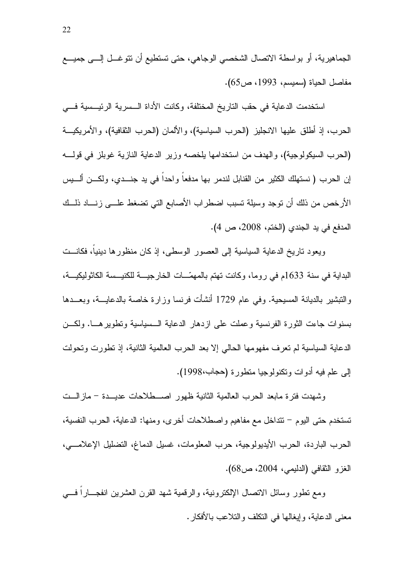الجماهيرية، أو بواسطة الاتصال الشخصبي الوجاهي، حتى تستطيع أن نتوغـــل إلــــي جميــــع مفاصل الحياة (سميسم، 1993، ص65).

استخدمت الدعاية في حقب التاريخ المختلفة، وكانت الأداة الـسرية الرئيـسية فـــي الحرب، إذ أطلق عليها الانجليز (الحرب السياسية)، والألمان (الحرب الثقافية)، والأمريكيـــة (الحرب السيكولوجية)، والهدف من استخدامها يلخصه وزير الدعاية النازية غوبلز في قولــــه إن الحرب ( نستهلك الكثير من القنابل لندمر بها مدفعا و احدا في بد جنـــدي، و لكـــن ألـــبس الأرخص من ذلك أن نوجد وسيلة نسبب اضطراب الأصابع التي نضغط علـــي زنــــاد ذلـــك المدفع في يد الجندي (الختم، 2008، ص 4).

ويعود ناريخ الدعاية السياسية إلى العصور الوسطى، إذ كان منظورها دينياً، فكانـــت البداية في سنة 1633م في روما، وكانت تهتم بالمهمّــات الخارجيـــة للكنيــسة الكاثوليكيـــة، والتبشير بالديانة المسيحية. وفي عام 1729 أنشأت فرنسا وزارة خاصة بالدعايـــة، وبعـــدها بسنوات جاءت الثورة الفرنسية وعملت على ازدهار الدعاية السسياسية ونطوير هسا. ولكـــن الدعاية السياسية لم تعرف مفهومها الحالي إلا بعد الحرب العالمية الثانية، إذ تطورت وتحولت إلى علم فيه أدوات وتكنولوجيا متطورة (حجاب،1998).

وشهدت فترة مابعد الحرب العالمية الثانية ظهور اصـــطلاحات عديـــدة – مازالـــت تستخدم حتى اليوم – تتداخل مع مفاهيم واصطلاحات أخرى، ومنها: الدعاية، الحرب النفسية، الحر ب البار دة، الحر ب الأيديو لو جية، حر ب المعلو مات، غسيل الدماغ، التضليل الإعلامــــى، الغزو الثقافي (الدليمي، 2004، ص68).

ومع نطور وسائل الاتصال الإلكترونية، والرقمية شهد القرن العشرين انفجـــارا فــــى معنى الدعاية، وإيغالها في النكلف والنلاعب بالأفكار .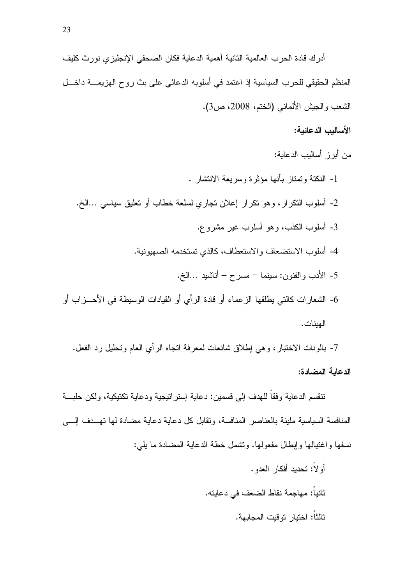أدرك فادة الحرب العالمية الثانية أهمية الدعاية فكان الصحفى الإنجليزى نورث كليف المنظم الحقيقي للحرب السياسية إذ اعتمد في أسلوبه الدعائي على بث روح الهزيمــــة داخــــل الشعب والجيش الألماني (الختم، 2008، ص3).

الأساليب الدعائبة:

من أبر ز أساليب الدعاية: 1- النكتة وتمتاز بأنها مؤثر ة وسربعة الانتشار . 2- أسلوب النكرار، وهو نكرار إعلان نجاري لسلعة خطاب أو نعليق سياسي …الخ. 3- أسلوب الكذب، وهو أسلوب غير مشروع. 4- أسلوب الاستضعاف والاستعطاف، كالذي تستخدمه الصهيونية. 5- الأدب والفنون: سينما – مسرح – أناشيد …الخ. 6- الشعار ات كالتي بطلقها الز عماء أو قادة الر أي أو القبادات الوسبطة في الأحـــز اب أو الهبئات.

7- بالونات الاختبار، وهي إطلاق شائعات لمعرفة انجاه الرأى العام وتحليل رد الفعل. الدعابة المضادة:

تنقسم الدعاية وفقاً للهدف إلى قسمين: دعاية إستر اتيجية ودعاية تكتيكية، ولكن حلبـــة المنافسة السياسية مليئة بالعناصر المنافسة، وتقابل كل دعاية دعاية مضادة لها تهــدف إلــــى نسفها واغتيالها وإبطال مفعولها. ونشمل خطة الدعابة المضادة ما بلي:

> أو لاً: تحديد أفكار العدو . ثانياً: مهاجمة نقاط الضعف في دعايته. ثالثاً: اختبار تو قبت المجابهة.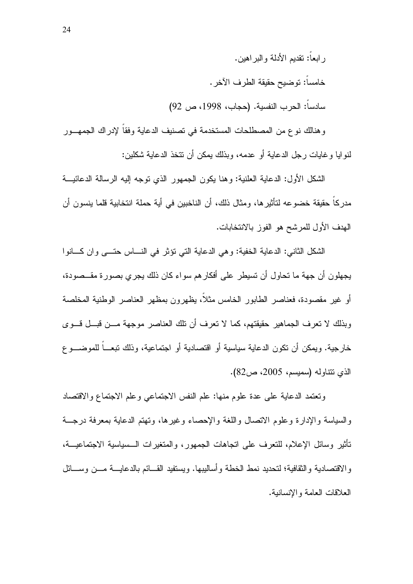ر ابعاً: نقديم الأدلة و البر اهين. خامساً: توضيح حقيقة الطر ف الآخر . سادسا: الحرب النفسية. (حجاب، 1998، ص 92)

وهنالك نوع من المصطلحات المستخدمة في تصنيف الدعاية وفقا لإدراك الجمهـــور لنو ابا و غايات رجل الدعاية أو عدمه، وبذلك يمكن أن نتخذ الدعاية شكلين:

الشكل الأول: الدعاية العلنية: وهنا يكون الجمهور الذي نوجه إليه الرسالة الدعائيـــة مدركاً حقيقة خضوعه لتأثيرها، ومثال ذلك، أن الناخبين في أية حملة انتخابية قلما ينسون أن الهدف الأول للمرشح هو الفوز بالانتخابات.

الشكل الثاني: الدعاية الخفية: و هي الدعاية التي نؤثر في النساس حتـــي و ان كسانو ا يجهلون أن جهة ما تحاول أن تسيطر على أفكار هم سواء كان ذلك يجرى بصورة مقــصودة، أو غير مقصودة، فعناصر الطابور الخامس مثلا، بظهرون بمظهر العناصر الوطنبة المخلصة وبذلك لا نعرف الجماهير حقيقتهم، كما لا نعرف أن نلك العناصر موجهة مـــن قبـــل قـــوى خار جية. ويمكن أن تكون الدعاية سياسية أو اقتصادية أو اجتماعية، وذلك تبعـــاً للموضـــو ع الذي نتتاوله (سميسم، 2005، ص82).

ونعتمد الدعابة على عدة علوم منها: علم النفس الاجتماعي وعلم الاجتماع والاقتصاد والسباسة والإدارة وعلوم الاتصال واللغة والإحصاء وغبر ها، وتهتم الدعابة بمعرفة درجسة تأثير وسائل الإعلام، للنعر ف على اتجاهات الجمهور ، والمتغير ات الـــسياسية الاجتماعيـــة، والاقتصادية والثقافية؛ لتحديد نمط الخطة وأساليبها. ويستفيد القـــائم بالدعايـــة مـــن وســـائل العلاقات العامة والإنسانية.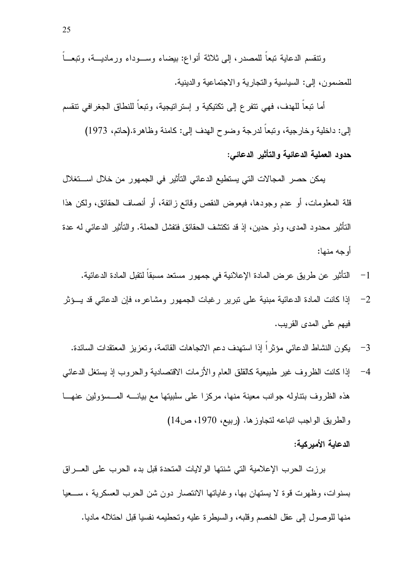ونتقسم الدعاية تبعاً للمصدر، إلى ثلاثة أنواع: بيضاء وســـوداء ورماديـــة، وتبعـــاً للمضمون، إلى: السياسية والتجارية والاجتماعية والدينية.

أما نبعا للهدف، فهي نتفرع إلى نكتيكية و إستراتيجية، ونبعا للنطاق الجغرافي نتقسم إلى: داخلية وخارجية، وتبعا لدرجة وضوح الهدف إلى: كامنة وظاهرة.(حاتم، 1973) حدود العملية الدعائية والتأثير الدعائي:

يمكن حصر المجالات التي يستطيع الدعائي التأثير في الجمهور من خلال اســـتغلال قلة المعلومات، أو عدم وجودها، فيعوض النقص وقائع زائفة، أو أنصاف الحقائق، ولكن هذا التأثير محدود المدى، وذو حدين، إذ قد تكتشف الحقائق فتفشل الحملة. والتأثير الدعائي له عدة أو جه منها:

- التأثير عن طريق عرض المادة الإعلانية في جمهور مستعد مسبقا لنقبل المادة الدعائية.  $-1$
- إذا كانت المادة الدعائية مبنية على نبرير رغبات الجمهور ومشاعره، فإن الدعائي قد يــؤثر  $-2$ فيهم على المدى القر بب.
	- يكون النشاط الدعائبي مؤثراً إذا استهدف دعم الاتجاهات القائمة، وتعزيز المعتقدات السائدة.  $-3$
- إذا كانت الظروف غير طبيعية كالقلق العام والأزمات الاقتصادية والحروب إذ يستغل الدعائبي  $-4$ هذه الظروف بنتاوله جوانب معينة منها، مركزا على سلبيتها مع بيانــــه المـــسؤولين عنهـــا والطريق الواجب اتباعه لتجاوز ها. (ربيع، 1970، ص14)

## الدعابة الأمبر كبة:

برزت الحرب الإعلامية التي شنتها الولايات المتحدة قبل بدء الحرب على العسراق بسنوات، وظهرت قوة لا يستهان بها، وغاياتها الانتصار دون شن الحرب العسكرية ، ســـعيا منها للوصول إلى عقل الخصم وقلبه، والسيطرة عليه وتحطيمه نفسيا قبل احتلاله ماديا.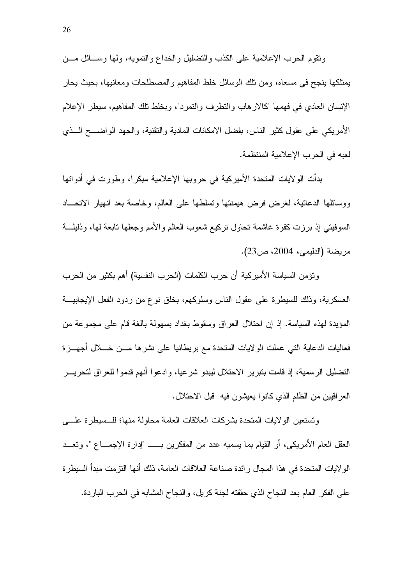ونقوم الحرب الإعلامية على الكذب والتضليل والخداع والتمويه، ولمها وســائل مـــن يمتلكها ينجح في مسعاه، ومن تلك الوسائل خلط المفاهيم والمصطلحات ومعانيها، بحيث يحار الإنسان العادي في فهمها "كالارهاب والنظرف والنمرد"، وبخلط نلك المفاهيم، سيطر الإعلام الأمريكي على عقول كثير الناس، بفضل الامكانات المادية والتقنية، والجهد الواضــــح الـــذي لعبه في الحرب الإعلامية المنتظمة.

بدأت الولايات المتحدة الأميركية في حروبها الإعلامية مبكرا، وطورت في أدواتها ووسائلها الدعائية، لغرض فرض هيمنتها ونسلطها على العالم، وخاصة بعد انهيار الانحساد السوفيتي إذ برزت كقوة غاشمة نحاول نركيع شعوب العالم والأمم وجعلها نابعة لها، وذليلـــة مريضة (الدليمي، 2004، ص23).

ونؤمن السياسة الأميركية أن حرب الكلمات (الحرب النفسية) أهم بكثير من الحرب العسكرية، وذلك للسيطرة على عقول الناس وسلوكهم، بخلق نوع من ردود الفعل الإيجابيـــة المؤيدة لهذه السياسة. إذ إن احتلال العراق وسقوط بغداد بسهولة بالغة قام على مجموعة من فعاليات الدعاية التبي عملت الولايات المتحدة مع بريطانيا على نشرها مـــن خــــلال أجهــــزة التضليل الرسمية، إذ قامت بتبرير الاحتلال ليبدو شرعيا، وادعوا أنهم قدموا للعراق لتحريـــر العراقيين من الظلم الذي كانوا يعيشون فيه ۖ قُبْلُ الاحْتلال.

وتستعين الو لابات المتحدة بشركات العلاقات العامة محاولة منها؛ للــسبطر ة علـــي العقل العام الأمر بكي، أو القيام بما بسميه عدد من المفكر بن بـــــــ "إدار ة الإجمــــاع "، و تعـــد الو لايات المتحدة في هذا المجال رائدة صناعة العلاقات العامة، ذلك أنها التز مت مبدأ السيطر ة على الفكر العام بعد النجاح الذي حققته لجنة كريل، والنجاح المشابه في الحرب الباردة.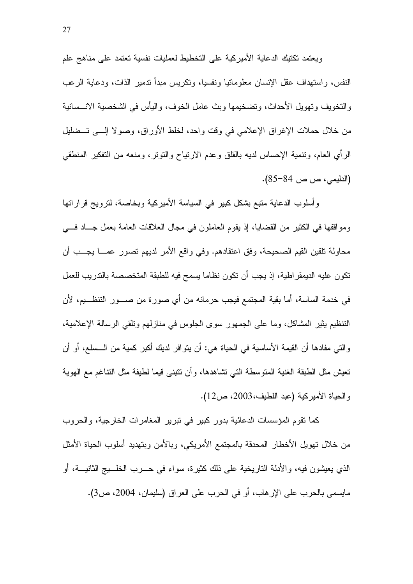ويعتمد تكتيك الدعاية الأميركية على التخطيط لعمليات نفسية تعتمد على مناهج علم النفس، واستهداف عقل الإنسان معلوماتيا ونفسيا، وتكريس مبدأ ندمير الذات، ودعاية الر عب والتخويف وتهويل الأحداث، وتضخيمها وبث عامل الخوف، واليأس في الشخصية الانـــسانية من خلال حملات الإغراق الإعلامي في وقت واحد، لخلط الأوراق، وصولا إلـــي تـــضليل الرأي العام، ونتمية الإحساس لديه بالقلق وعدم الارتياح والنونز ، ومنعه من النفكير المنطقي (الدليمي، ص 84–85).

وأسلوب الدعاية متبع بشكل كبير في السياسة الأميركية وبخاصة، لنرويج قراراتها ومواقفها في الكثير من القضايا، إذ يقوم العاملون في مجال العلاقات العامة بعمل جــاد فـــي محاولة نلقين القيم الصحيحة، وفق اعتقادهم. وفي واقع الأمر لديهم نصور عمـــا يجـــب أن تكون عليه الديمقر اطية، إذ يجب أن تكون نظاما يسمح فيه للطبقة المتخصصة بالتدريب للعمل في خدمة الساسة، أما بقية المجتمع فيجب حرمانه من أي صورة من صـــور التنظـــيم، لأن التنظيم بِثيرِ المشاكل، وما على الجمهور سوى الجلوس في منازلهم ونلقى الرسالة الإعلامية، والتي مفادها أن القيمة الأساسية في الحياة هي: أن يتوافر لديك أكبر كمية من الــسلع، أو أن تعيش مثل الطبقة الغنية المتوسطة التي تشاهدها، وأن نتبنى قيما لطيفة مثل التناغم مع الهوية والحياة الأميركية (عبد اللطيف،2003، ص12).

كما نقوم المؤسسات الدعائية بدور كبير في نبرير المغامرات الخارجية، والحروب من خلال نهويل الأخطار المحدقة بالمجتمع الأمريكي، وبالأمن وبتهديد أسلوب الحياة الأمثل الذي يعيشون فيه، والأدلة الناريخية على ذلك كثيرة، سواء في حـــرب الخلـــيج الثانيـــة، أو مايسمي بالحرب على الإرهاب، أو في الحرب على العراق (سليمان، 2004، ص3).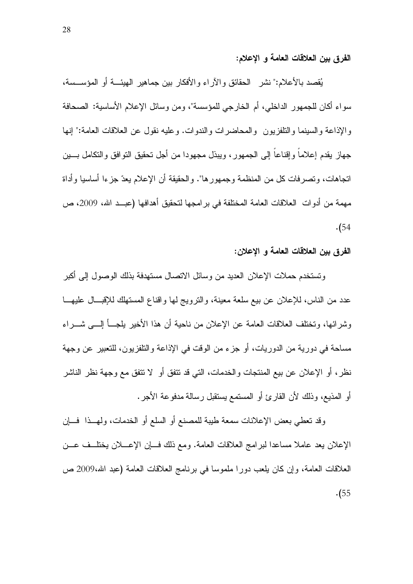الفرق بين العلاقات العامة و الإعلام:

يُقصد بالأعلام:" نشر الحقائق والآراء والأفكار بين جماهير الهيئـــة أو المؤســـسة، سواء أكان للجمهور الداخلي، أم الخارجي للمؤسسة"، ومن وسائل الإعلام الأساسية: الصحافة والإذاعة والسينما والنلفزيون ۖ والمحاضرات والندوات. وعليه نقول عن العلاقات العامة:" إنها جهاز يقدم إعلاما وإقناعا إلى الجمهور ، ويبذل مجهودا من أجل تحقيق التوافق والتكامل بسين اتجاهات، و تصر فات كل من المنظمة و جمهو ر ها". و الحقيقة أن الإعلام يعدّ جز ءا أساسيا و أداة مهمة من أدوات العلاقات العامة المختلفة في بر امجها لتحقيق أهدافها (عبــد الله، 2009، ص  $. (54)$ 

## الفرق بين العلاقات العامة و الإعلان:

وتستخدم حملات الإعلان العديد من وسائل الاتصال مستهدفة بذلك الوصول إلى أكبر عدد من الناس، للإعلان عن بيع سلعة معينة، والترويج لمها واقناع المستهلك للإقبـــال عليهـــا وشرائها، وتختلف العلاقات العامة عن الإعلان من ناحية أن هذا الأخير يلجـــأ الِــــم شــــر اء مساحة في دورية من الدوريات، أو جزء من الوقت في الإذاعة والنلفزيون، للتعبير ٍ عن وجهة نظرٍ، أو الإعلان عن بيع المنتجات والخدمات، التي قد تتفق أو لا تتفق مع وجهة نظر الناشر أو المذيع، وذلك لأن القارئ أو المستمع يستقبل رسالة مدفوعة الأجر.

وقد تعطي بعض الإعلانات سمعة طيبة للمصنع أو السلع أو الخدمات، ولمهــذا فـــان الإعلان يعد عاملا مساعدا لبر امج العلاقات العامة. ومع ذلك فسان الإعسلان يختلسف عسن العلاقات العامة، وإن كان يلعب دورًا ملموسًا في برنامج العلاقات العامة (عبد الله،2009 ص  $\cdot (55)$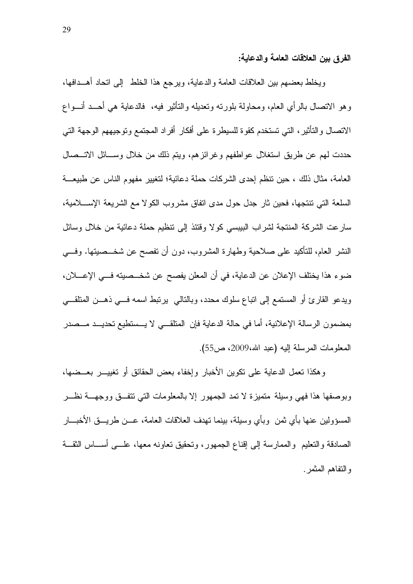الفرق ببن العلاقات العامة والدعابة:

ويخلط بعضهم ببين العلاقات العامة والدعاية، ويرجع هذا الخلط إلىي اتحاد أهــدافها، وهو الاتصال بالرأى العام، ومحاولة بلورته وتعديله والتأثير فيه، ۖ فالدعاية هي أحــد أنـــواع الاتصال والتأثير، التي تستخدم كقوة للسيطرة على أفكار أفراد المجتمع وتوجيههم الوجهة التي حددت لمهم عن طريق استغلال عواطفهم وغرائز هم، ويتم ذلك من خلال وســـائل الاتـــصـال العامة، مثال ذلك ، حين نتظم إحدى الشركات حملة دعائية؛ لتغيير مفهوم الناس عن طبيعة السلعة التي نتنجها، فحين ثار جدل حول مدى انفاق مشروب الكولا مع الشريعة الإســـلامية، سارعت الشركة المنتجة لشراب البيبسي كولا وقتئذ إلى نتظيم حملة دعائية من خلال وسائل النشر العام، للنأكيد على صلاحية وطهارة المشروب، دون أن تفصح عن شخـــصيتها. وفـــي ضوء هذا يختلف الإعلان عن الدعاية، في أن المعلن يفصح عن شخـــصيته فـــي الإعــــلان، ويدعو القارئ أو المستمع إلى اتباع سلوك محدد، وبالتالي يرتبط اسمه فـــي ذهـــن المتلقـــي بمضمون الرسالة الإعلانية، أما في حالة الدعاية فإن المنلقــي لا يـــستطيع تحديــد مـــصدر المعلومات المرسلة إليه (عبد الله،2009، ص55).

وهكذا نعمل الدعاية على نكوين الأخبار وإخفاء بعض الحقائق أو نغييـــر بعـــضـها، وبوصفها هذا فهي وسيلة منميزة لا نمد الجمهور إلا بالمعلومات التي نتفــق ووجهـــة نظـــر المسؤولين عنها بأي ثمن ۖ وبأي وسبلة، ببنما تهدف العلاقات العامة، عـــن طر بــــق الأخبــــار الصادقة والنعليم والممارسة إلى إقناع الجمهور، ونحقيق نعاونه معها، علـــي أســـاس الثقـــة والتفاهم المثمر .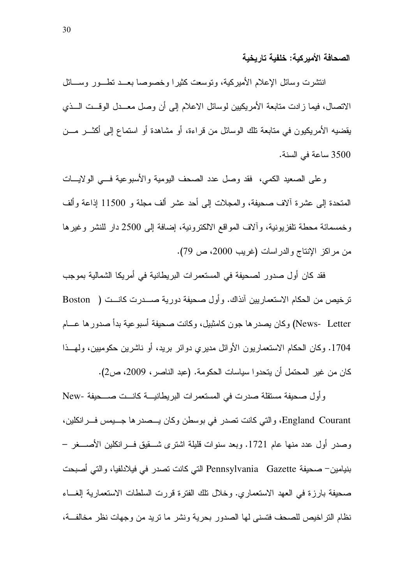الصحافة الأمبر كبة: خلفبة تار بخبة

انتشرت وسائل الإعلام الأميركية، ونوسعت كثيرًا وخصوصاً بعــد نطـــور وســـائل الاتصال، فيما زادت متابعة الأمريكيين لوسائل الاعلام إلى أن وصل معــدل الوقــت الــذي يقضيه الأمريكيون في متابعة تلك الوسائل من قراءة، أو مشاهدة أو استماع إلى أكثـــر مـــن 3500 ساعة في السنة.

وعلى الصعيد الكمي، فقد وصل عدد الصحف اليومية والأسبوعية فسي الولايسات المتحدة إلى عشرة ألاف صحيفة، والمجلات إلى أحد عشر ألف مجلة و 11500 إذاعة وألف وخمسمائة محطة تلفزيونية، وألاف المواقع الالكترونية، إضافة إلى 2500 دار للنشر وغيرها من مراكز الإنتاج والدراسات (غريب 2000، ص 79).

فقد كان أول صدور لصحيفة في المستعمرات البريطانية في أمريكا الشمالية بموجب ترخيص من الحكام الاستعماريين آنذاك. و أول صحيفة دورية صــــدرت كانـــت ( Boston News- Letter) وكان يصدر ها جون كامثبيل، وكانت صحيفة أسبو عية بدأ صدور ها عـــام 1704. وكان الحكام الاستعماريون الأوائل مديري دوائر بريد، أو ناشرين حكوميين، ولمهــذا كان من غير المحتمل أن يتحدوا سياسات الحكومة. (عبد الناصر ، 2009، ص2).

وأول صحيفة مستقلة صدرت في المستعمرات البريطانيـــة كانـــت صــــحيفة -New England Courant، والتي كانت نصدر في بوسطن وكان يـــصدر ها جـــيمس فـــر انكلين، وصدر أول عدد منها عام 1721. وبعد سنوات قليلة اشترى شـــقيق فـــرانكلين الأصــــغر – بنيامين– صحيفة Pennsylvania Gazette التي كانت تصدر في فيلادلفيا، والتي أصبحت صحيفة بارزة في العهد الاستعماري. وخلال نلك الفترة قررت السلطات الاستعمارية الغساء نظام التراخيص للصحف فتسنى لها الصدور بحرية ونشر ما تريد من وجهات نظر مخالفـــة،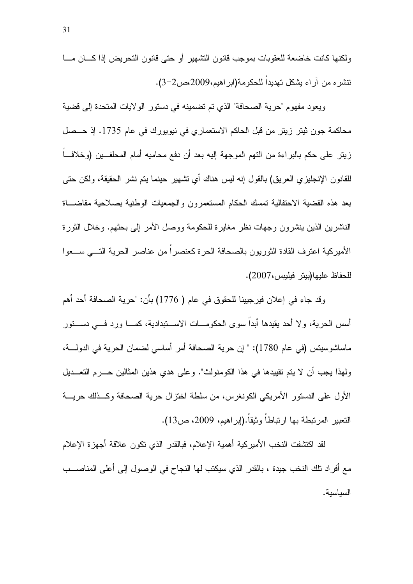ولكنها كانت خاضعة للعقوبات بموجب قانون التشهير أو حتى قانون التحريض إذا كسان مسا نتشر م من آر اء بشكل تهديداً للحكومة(ابر اهيم،2009،ص2-3).

ويعود مفهوم "حرية الصحافة" الذي تم تضمينه في دستور الولايات المتحدة إلى قضية محاكمة جون ثيتر زيتر من قبل الحاكم الاستعماري في نيويورك في عام 1735. إذ حــصل زيتر على حكم بالبراءة من التهم الموجهة إليه بعد أن دفع محاميه أمام المحلفـــين (وخلافـــا للقانون الإنجليزي العريق) بالقول إنه ليس هناك أي نشهير حينما يتم نشر الحقيقة، ولكن حتى بعد هذه القضية الاحتفالية تمسك الحكام المستعمرون والجمعيات الوطنية بصلاحية مقاضساة الناشرين الذين ينشرون وجهات نظر مغايرة للحكومة ووصل الأمر إلىي بحثهم. وخلال الثورة الأميركية اعترف القادة الثوريون بالصحافة الحرة كعنصر أ من عناصر الحرية التـــى ســـعو ا للحفاظ عليها(بيتر فيليبس،2007).

وقد جاء في إعلان فيرجيينا للحقوق في عام ( 1776) بأن: "حرية الصحافة أحد أهم أسس الحرية، ولا أحد يقيدها أبداً سوى الحكومـــات الاســـتبدادية، كمـــا ورد فــــى دســـتور ماساشوسيتس (في عام 1780): " إن حرية الصحافة أمر أساسي لضمان الحرية في الدولــــة، ولهذا يجب أن لا يتم تقييدها في هذا الكومنولث". وعلى هدى هذين المثالين حـــرم التعـــديل الأول على الدستور الأمريكي الكونغرس، من سلطة اختزال حرية الصحافة وكــذلك حريـــة النعبير المرتبطة بها ارتباطاً وثبقاً.(إبر اهبم، 2009، ص13).

لقد اكتشفت النخب الأمير كية أهمية الإعلام، فبالقدر الذي تكون علاقة أجهز ة الإعلام مع أفراد تلك النخب جيدة ، بالقدر الذي سيكتب لها النجاح في الوصول إلى أعلى المناصـــب السياسية.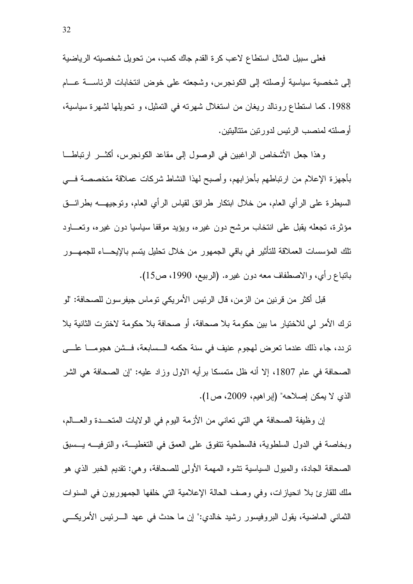فعلي سبيل المثال استطاع لاعب كرة القدم جاك كمب، من تحويل شخصيته الرياضية إلى شخصية سياسية أوصلته إلى الكونجرس، وشجعته على خوض انتخابات الرئاســــة عــــام 1988. كما استطاع رونالد ريغان من استغلال شهرته في التمثيل، و تحويلها لشهرة سياسية، أوصلته لمنصب الرئيس لدورتين متتاليتين.

وهذا جعل الأشخاص الراغبين في الوصول إلى مقاعد الكونجرس، أكثـــر ارتباطــــا بأجهزة الإعلام من ارتباطهم بأحزابهم، وأصبح لهذا النشاط شركات عملاقة متخصصة فسي السيطرة على الرأى العام، من خلال ابتكار طرائق لقياس الرأى العام، ونوجيهــــه بطرائــــق مؤثرة، تجعله يقبل على انتخاب مرشح دون غيره، ويؤيد موقفا سياسيا دون غيره، وتعـــاود نلك المؤسسات العملاقة للنأنير في باقي الجمهور من خلال نحليل يتسم بالإيحـــاء للجمهـــور باتباع رأى، والاصطفاف معه دون غيره. (الربيع، 1990، ص15).

قبل أكثر ٍ من قرِ نين من الزِ من، قال الرِ ئيس الأمرِ يكي تو ماس جيفر سو ن للصحافة: "لو ترك الأمر لي للاختيار ما بين حكومة بلا صحافة، أو صحافة بلا حكومة لاخترت الثانية بلا تردد، جاء ذلك عندما تعرض لهجوم عنيف في سنة حكمه الــسابعة، فــشن هجومــــا علــــي الصحافة في عام 1807، إلا أنه ظل متمسكا بر أيه الاول وزاد عليه: "إن الصحافة هي الشر الذي لا يمكن إصلاحه" (إبراهيم، 2009، ص1).

إن وظيفة الصحافة هي التي تعاني من الأزمة اليوم في الولايات المتحـــدة والعـــالم، وبخاصة في الدول السلطوية، فالسطحية نتفوق على العمق في التغطيـــة، والترفيـــه يـــسبق الصحافة الجادة، والميول السياسية تشوه المهمة الأولى للصحافة، وهي: تقديم الخبر الذي هو ملك للقارئ بلا انحيازات، وفي وصف الحالة الإعلامية التي خلفها الجمهوريون في السنوات الثماني الماضية، يقول البروفيسور رشيد خالدي:" إن ما حدث في عهد الــــرئيس الأمريكــــي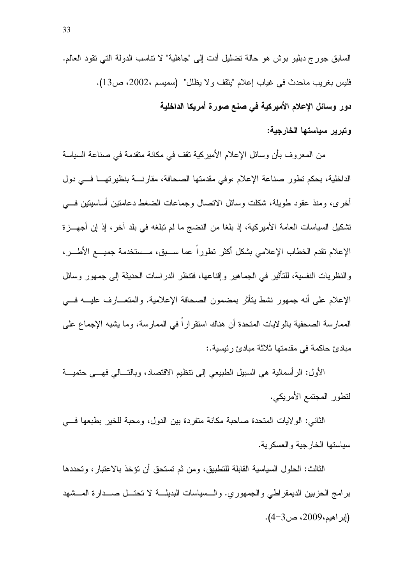السابق جورج دبليو بوش هو حالة تضليل أدت إلى "جاهلية" لا نتاسب الدولة التي تقود العالم. فليس بغريب ماحدث في غياب إعلام "يثقف ولا يظلل" (سميسم ،2002، ص13). دور وسائل الإعلام الأميركية فى صنع صورة أمريكا الداخلية وتبرير سياستها الخارجية:

من المعروف بأن وسائل الإعلام الأميركية تقف في مكانة متقدمة في صناعة السياسة الداخلية، بحكم تطور صناعة الإعلام ،وفي مقدمتها الصحافة، مقارنة بنظيرتها في دول أخرى، ومنذ عقود طويلة، شكلت وسائل الانصال وجماعات الضغط دعامتين أساسيتين في تشكيل السياسات العامة الأميركية، إذ بلغا من النضج ما لم تبلغه في بلد آخر ، إذ إن أجهـــزة الإعلام نقدم الخطاب الإعلامي بشكل أكثر نطورا عما ســبق، مــستخدمة جميـــع الأطـــر، والنظريات النفسية، للتأثير في الجماهير وإقناعها، فتنظر الدراسات الحديثة إلى جمهور وسائل الإعلام على أنه جمهور نشط بِتأثَّر بمضمون الصحافة الإعلامية. والمتعـــارف عليـــه فــــى الممارسة الصحفية بالولايات المتحدة أن هناك استقراراً في الممارسة، وما يشبه الإجماع على مبادئ حاكمة في مقدمتها ثلاثة مبادئ رئبسبة.:

الأول: الرأسمالية هي السبيل الطبيعي إلىي نتظيم الاقتصاد، وبالتـــالـي فهـــي حتميـــة لتطور المجتمع الأمريكي.

الثاني: الولايات المتحدة صاحبة مكانة منفردة بين الدول، ومحبة للخير بطبعها فـــي سباستها الخارجبة والعسكربة.

الثالث: الحلول السياسية القابلة للتطبيق، ومن ثم تستحق أن تؤخذ بالاعتبار ، وتحددها برامج الحزبين الديمقراطي والجمهوري. والسسياسات البديلـــة لا تحتـــل صــــدارة المـــشهد (إبر اهيم،2009، ص4-4).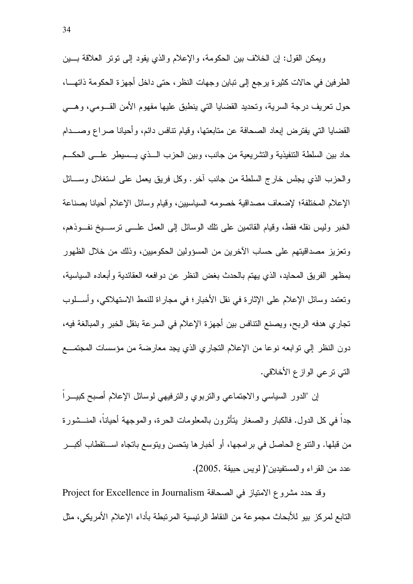ويمكن القول: إن الخلاف بين الحكومة، والإعلام والذي يقود إلى نونر العلاقة بسين الطرفين في حالات كثيرة يرجع إلى تباين وجهات النظر، حتى داخل أجهزة الحكومة ذاتهـــا، حول تعريف درجة السرية، وتحديد القضايا التي ينطبق عليها مفهوم الأمن القـــومي، وهــــي القضايا التبي يفترض إبعاد الصحافة عن متابعتها، وقيام نتافس دائم، وأحيانا صراع وصـــدام حاد بين السلطة التنفيذية والتشريعية من جانب، وبين الحزب الـــذي يـــسيطر علــــي الـحكـــم والحزب الذي يجلس خارج السلطة من جانب أخرٍ. وكل فريقٍ يعمل على استغلال وســـائل الإعلام المختلفة؛ لإضعاف مصداقية خصومه السياسيين، وقيام وسائل الإعلام أحيانا بصناعة الخبر وليس نقله فقط، وقيام القائمين على نلك الوسائل إلى العمل علـــي نرســـيخ نفــوذهم، ونعزيز مصداقيتهم على حساب الأخرين من المسؤولين الحكوميين، وذلك من خلال الظهور بمظهر الفريق المحايد، الذي يهتم بالحدث بغض النظر عن دوافعه العقائدية وأبعاده السياسية، وتعتمد وسائل الإعلام على الإثارة في نقل الأخبار ؛ في مجار اة للنمط الاستهلاكي، و أســـلوب تجاري هدفه الربح، ويصنع النتافس بين أجهزة الإعلام في السرعة بنقل الخبر والمبالغة فيه، دون النظر إلى نوابعه نوعا من الإعلام النجاري الذي يجد معارضة من مؤسسات المجتمع التي ترعى الوازع الأخلاقي.

إن "الدور السياسي والاجتماعي والنربوي والنرفيهي لوسائل الإعلام أصبح كبيـــرا جداً في كل الدول. فالكبار والصغار بتأثَّرون بالمعلومات الحرة، والموجهة أحباناً، المنـــشور ة من قبلها. والنتوع الحاصل في برامجها، أو أخبارها يتحسن ويتوسع باتجاه اســـنقطاب أكبـــر عدد من القراء والمستفيدين"( لويس حبيقة ,2005).

وقد حدد مشروع الامتياز في الصحافة Project for Excellence in Journalism التابع لمركز بيو للأبحاث مجموعة من النقاط الرئيسية المرتبطة بأداء الإعلام الأمريكي، مثل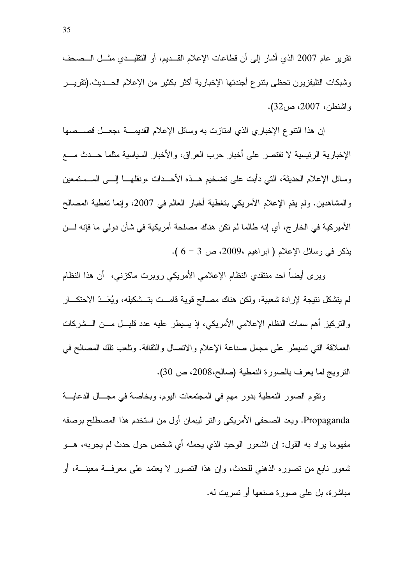نقرير عام 2007 الذي أشار إلى أن قطاعات الإعلام القــديم، أو النقليــدي مثــل الــصـحف وشبكات التليفزيون تحظى بتنوع أجندتها الإخبارية أكثر بكثير من الإعلام الحـــديث.(تقريـــر واشنطن، 2007، ص32).

إن هذا النتوع الإخباري الذي امتازت به وسائل الإعلام القديمـــة ،جعـــل قصـــصـها الإخبارية الرئيسية لا تقتصر على أخبار حرب العراق، والأخبار السياسية مثلما حـــدث مــــع وسائل الإعلام الحديثة، التي دأبت على تضخيم هـــذه الأحـــداث ،ونقلهـــا إلــــي المـــستمعين والمشاهدين. ولم يقم الإعلام الأمريكي بتغطية أخبار العالم في 2007، وإنما تغطية المصالح الأميركية في الخارج، أي إنه طالما لم نكن هناك مصلحة أمريكية في شأن دولي ما فإنه لـــن يذكر في وسائل الإعلام ( ابر اهيم ،2009، ص 3 - 6 ).

ويرى أيضا احد منتقدى النظام الإعلامي الأمريكي روبرت ماكزنبي، ۖ أن هذا النظام لم يتشكل نتيجة لإرادة شعبية، ولكن هناك مصالح قوية قامــت بتــشكيله، ويُعَــدّ الاحتكـــار والنَّزِكيزِ أهم سمات النظام الإعلامي الأمريكي، إذ يسيطر عليه عدد قليـــل مــــن الـــشركات العملاقة التي تسبطر على مجمل صناعة الإعلام والاتصال والثقافة. وتلعب تلك المصالح في النزويج لما يعرف بالصورة النمطية (صالح،2008، ص 30).

ونقوم الصور النمطية بدور مهم في المجتمعات اليوم، وبخاصة في مجــال الدعايـــة Propaganda. ويعد الصحفي الأمريكي والتر ليبمان أولٍ من استخدم هذا المصطلح بوصفه مفهوما بر اد به القول: إن الشعور الوحيد الذي يحمله أي شخص حول حدث لم يجر به، هـــو شعور نابع من نصوره الذهني للحدث، وإن هذا النصور لا يعتمد على معرفـــة معينــــة، أو مباشرة، بل على صورة صنعها أو تسربت له.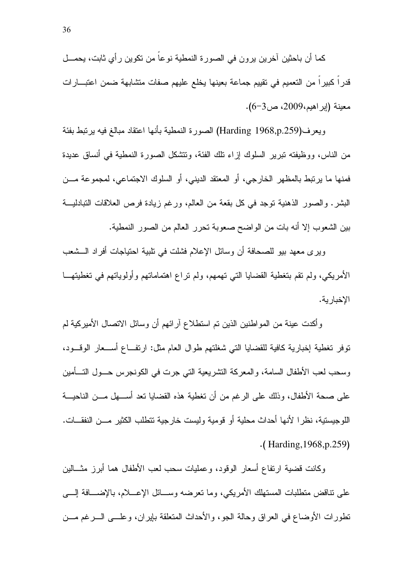كما أن باحثين آخرين يرون في الصورة النمطية نوعاً من تكوين رأى ثابت، يحمـــل قدراً كبيراً من التعميم في تقييم جماعة بعينها يخلع عليهم صفات متشابهة ضمن اعتبــارات معينة (إبراهيم،2009، ص6-6).

ويعرف(Harding 1968,p.259) الصورة النمطية بأنها اعتقاد مبالغ فيه يرتبط بفئة من الناس، ووظيفته تبرير السلوك إزاء تلك الفئة، وتتشكل الصورة النمطية في أنساق عديدة فمنها ما يرتبط بالمظهر الخارجي، أو المعتقد الديني، أو السلوك الاجتماعي، لمجموعة مـــن البشر . والصور الذهنية نوجد في كل بقعة من العالم، ورغم زيادة فرص العلاقات التبادليـــة بين الشعوب إلا أنه بات من الواضح صعوبة تحرر العالم من الصور النمطية.

وير ي معهد بيو للصحافة أن وسائل الإعلام فشلت في تلبية احتياجات أفراد الـــشعب الأمريكي، ولم نقم بنغطية القضايا التي تهمهم، ولم نراع اهتماماتهم وأولوياتهم في تغطيتهـــا الاخدار ية.

وأكدت عينة من المواطنين الذين تم استطلاع آرائهم أن وسائل الاتصال الأميركية لم توفر تغطية إخبارية كافية للقضايا التي شغلتهم طوال العام مثل: ارتفــاع أســـعار الوقـــود، وسحب لعب الأطفال السامة، والمعركة النشريعية النبي جرت في الكونجرس حـــول النـــــأمين على صحة الأطفال، وذلك على الرغم من أن تغطية هذه القضايا تعد أســـهل مـــن الناحيـــة اللوجيستية، نظرا لأنها أحداث محلية أو قومية وليست خارجية تتطلب الكثير مـــن النفقـــات.  $\cdot$ (Harding, 1968, p.259)

وكانت قضية ارتفاع أسعار الوقود، وعمليات سحب لعب الأطفال هما أبرز مثـــالين على نتاقض منطلبات المستهلك الأمريكي، وما نعرضه وســـائل الإعــــلام، بالإضــــافة إلــــي تطورات الأوضاع في العراق وحالة الجو، والأحداث المتعلقة بإيران، وعلـــي الـــرغم مـــن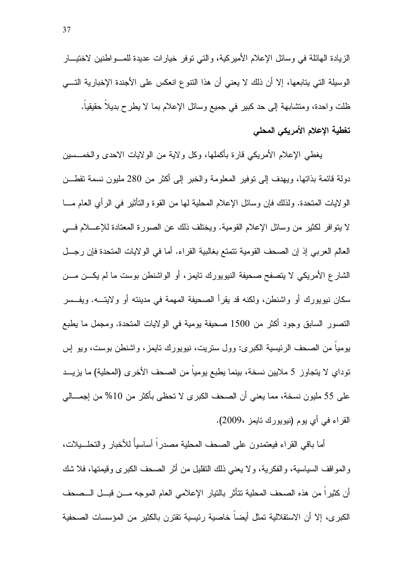الزيادة الهائلة في وسائل الإعلام الأميركية، والتي توفر خيارات عديدة للمـــواطنين لاختيـــار الوسيلة التي يتابعها، إلا أن ذلك لا يعني أن هذا النتوع انعكس على الأجندة الإخبارية التـــي ظلت واحدة، ومتشابهة إلى حد كبير في جميع وسائل الإعلام بما لا يطرح بديلا حقيقيا. تغطية الإعلام الأمريكي المحلي

ببغطي الإعلام الأمريكي قارة بأكملها، وكل ولاية من الولايات الاحدى والخمـــسين دولة قائمة بذاتها، ويهدف إلى نوفير المعلومة والخبر إلى أكثر من 280 مليون نسمة نقطـــن الو لايات المتحدة. ولذلك فإن وسائل الإعلام المحلية لـها من القوة والنتأثير فـي الرأي الـعام مــــا لا يتوافر لكثير من وسائل الإعلام القومية. ويختلف ذلك عن الصورة المعتادة للإعسلام فسي العالم العربي إذ إن الصحف القومية نتمتع بغالبية القراء. أما في الولايات المتحدة فإن رجـــل الشارع الأمريكي لا يتصفح صحيفة النيويورك تايمز، أو الواشنطن بوست ما لم يكـــن مـــن سكان نيويورك أو واشنطن، ولكنه قد يقرأ الصحيفة المهمة في مدينته أو ولايتـــه. ويفــسر النصور السابق وجود أكثر من 1500 صحيفة يومية في الولايات المتحدة. ومجمل ما يطبع يومياً من الصحف الرئيسية الكبرى: وول ستريت، نيويورك تايمز، واشنطن بوست، ويو اس نوداي لا يتجاوز 5 ملايين نسخة، بينما يطبع يومياً من الصحف الأخرى (المحلية) ما يزيـــد على 55 مليون نسخة، مما يعني أن الصحف الكبرى لا تحظى بأكثر من 10% من إجمـــالى القراء في أي يوم (نيويورك تايمز ،2009).

أما باقي القر اء فيعتمدون على الصحف المحلية مصدر اً أساسياً للأخبار والتحلـــيلات، و المو اقف السياسية، و الفكرية، و لا يعني ذلك التقليل من أثر الصحف الكبرى وقيمتها، فلا شك أن كثيراً من هذه الصحف المحلية تتأثَّر بالتيار الإعلامي العام الموجه مـــن قبـــل الـــصـحف الكبرى، إلا أن الاستقلالية تمثل أيضاً خاصية رئيسية تقترن بالكثير من المؤسسات الصحفية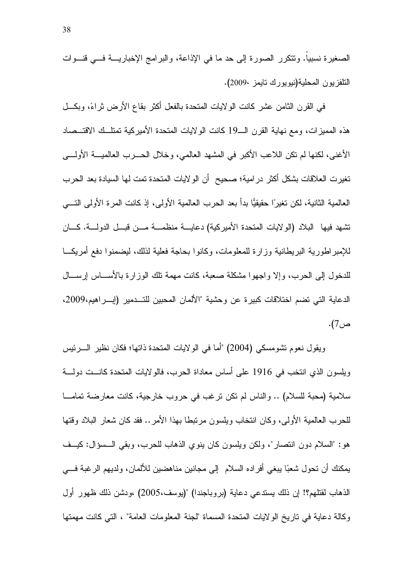الصغيرة نسبيا. وتتكرر الصورة إلى حد ما في الإذاعة، والبرامج الإخباريــــة فــــى قنــــوات النلفزيون المحلية(نيويورك نايمز ،2009).

في القرن الثامن عشر كانت الولايات المتحدة بالفعل أكثر بقاع الأرض ثراءً، وبكـــل هذه المميزات، ومع نهاية القرن الـــ19 كانت الولايات المتحدة الأميركية تمتلــك الاقتـــصـاد الأغني، لكنها لم تكن اللاعب الأكبر في المشهد العالمي، وخلال الحـــرب العالميــــة الأولـــــي تغيرت العلاقات بشكل أكثر در امية؛ صحيح ۖ أن الولايات المتحدة تمت لها السيادة بعد الحرب العالمية الثانية، لكن تغير ًا حقيقيًّا بدأ بعد الحرب العالمية الأولى، إذ كانت المر ة الأولى التــــى تشهد فيها البلاد (الولايات المتحدة الأميركية) دعايسة منظمسة مسن فبسل الدولسة. كسان للإمبر اطورية البريطانية وزارة للمعلومات، وكانوا بحاجة فعلية لذلك، ليضمنوا دفع أمريكــا للدخول إلى الحرب، وإلا واجهوا مشكلة صعبة، كانت مهمة نلك الوزارة بالأســـاس إرســـال الدعابة التي تضم اختلاقات كبير ة عن وحشبة "الألمان المحبين للتـــدمبر (إبـــر اهبم،2009، ص7).

ويقول نعوم تشومسكي (2004) "أما في الولايات المتحدة ذاتها؛ فكان نظير الــــرئيس ويلسون الذي انتخب في 1916 على أساس معاداة الحرب، فالولايات المتحدة كانست دولسة سلامية (محبة للسلام) .. والناس لم نكن نرغب في حروب خارجية، كانت معارضة تمامـــا للحرب العالمية الأولى، وكان انتخاب ويلسون مرتبطًا بهذا الأمر .. فقد كان شعار البلاد وقتها هو: "السلام دون انتصار"، ولكن ويلسون كان ينوى الذهاب للحرب، وبقى الــسؤال: كيــف يمكنك أن تحول شعبًا يبغي أفراده السلام ۖ إلى مجانين مناهضين للألمان، ولديهم الرغبة فـــي الذهاب لقتلهم؟! إن ذلك يستدعى دعاية (بروباجندا) "(بوسف،2005) ،ودشن ذلك ظهور أول وكالة دعاية في تاريخ الولايات المتحدة المسماة "لجنة المعلومات العامة" ، التي كانت مهمتها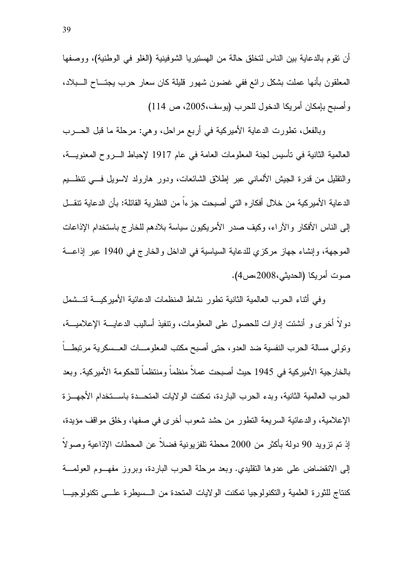أن نقوم بالدعاية بين الناس لتخلق حالة من الهستيريا الشوفينية (الغلو في الوطنية)، ووصفها المعلقون بأنها عملت بشكل رائع ففي غضون شهور قليلة كان سعار حرب يجتـــاح الــــبلاد، وأصبح بإمكان أمريكا الدخول للحرب (يوسف،2005، ص 114)

وبالفعل، نطورت الدعاية الأميركية في أربع مراحل، وهي: مرحلة ما قبل الحــــرب العالمية الثانية في تأسيس لجنة المعلومات العامة في عام 1917 لإحباط الــــروح المعنويــــة، والنقليل من قدرة الجيش الألمانبي عبر إطلاق الشائعات، ودور هارولد لاسويل فسي نتظـــيم الدعاية الأمير كية من خلال أفكار ه التي أصبحت جزءاً من النظرية القائلة: بأن الدعاية تنقـــل إلى الناس الأفكار والآراء، وكيف صدر الأمريكيون سياسة بلادهم للخارج باستخدام الإذاعات الموجهة، وإنشاء جهاز مركزي للدعاية السياسية في الداخل والخارج في 1940 عبر إذاعة صوت أمريكا (الحديثي،2008).

وفي أثناء الحرب العالمية الثانية نطور نشاط المنظمات الدعائية الأميركيـــة لتــشمل دولا أخرى و أنشئت إدارات للحصول على المعلومات، ونتفيذ أساليب الدعايــــة الإعلاميــــة، ونولى مسالة الحرب النفسية ضد العدو، حتى أصبح مكتب المعلومـــات العــسكرية مرتبطـــاً بالخارجية الأميركية في 1945 حيث أصبحت عملاً منظماً ومنتظماً للحكومة الأميركية. وبعد الحرب العالمية الثانية، وبدء الحرب الباردة، تمكنت الولايات المتحــدة باســتخدام الأجهــز ة الإعلامية، والدعائية السريعة التطور ً من حشد شعوب أخرى في صفها، وخلق مواقف مؤيدة، إذ تم نزويد 90 دولة بأكثر من 2000 محطة نلفزيونية فضلاً عن المحطات الإذاعية وصولاً إلى الانقضاض على عدوها النقليدي. وبعد مرحلة الحرب الباردة، وبروز مفهـوم العولمـــة كنتاج للثورة العلمية والنكنولوجيا تمكنت الولايات المتحدة من الـــسيطرة علـــي تكنولوجيـــا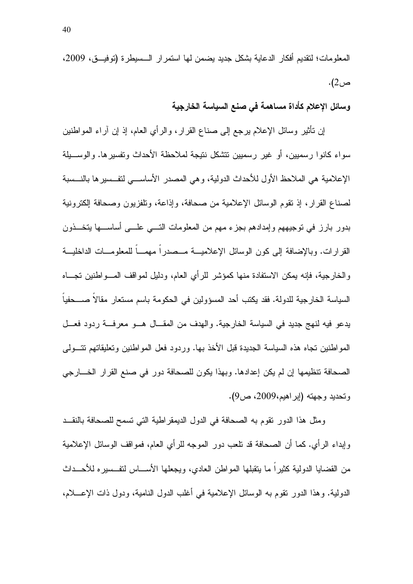المعلومات؛ لتقديم أفكار الدعاية بشكل جديد يضمن لها استمر ار الـــسيطر ة (توفيـــق، 2009،  $(2)$ ص

وسائل الإعلام كأداة مساهمة في صنع السياسة الخارجية

إن نأثير وسائل الإعلام برجع إلى صناع القرار، والرأي العام، إذ إن أراء المواطنين سواء كانوا ر سميين، أو ـغير ر سميين نتشكل نتيجة لملاحظة الأحداث و تفسير ها. والوســـيلة الإعلامية هي الملاحظ الأول للأحداث الدولية، و هي المصدر الأساســـي لتفــسير ها بالنــسبة لصناع القرار، إذ نقوم الوسائل الإعلامية من صحافة، وإذاعة، وتلفزيون وصحافة إلكترونية بدور بارز في نوجيههم وإمدادهم بجزء مهم من المعلومات التسي علسي أساســـها يتخـــذون القرارات. وبالإضافة إلى كون الوسائل الإعلاميـــة مــصدراً مهمـــاً للمعلومـــات الداخليـــة والخارجية، فإنه يمكن الاستفادة منها كمؤشر للرأى العام، ودليل لمواقف المسواطنين تجساه السياسة الخارجية للدولة. فقد يكتب أحد المسؤولين في الحكومة باسم مستعار مقالا صـــحفيا يدعو فيه لنهج جديد في السياسة الخارجية. والهدف من المقــال هــو معرفــة ردود فعــل المواطنين نجاه هذه السياسة الجديدة قبل الأخذ بها. وردود فعل المواطنين ونعليقاتهم نتسولمي الصحافة تنظيمها إن لم يكن إعدادها. وبهذا يكون للصحافة دور في صنع القرار الخـــارجي وتحديد وجهته (إبراهيم،2009، ص9).

ومثل هذا الدور نقوم به الصحافة في الدول الديمقر اطية التي تسمح للصحافة بالنقــد وإبداء الرأى. كما أن الصحافة قد نلعب دور الموجه للرأى العام، فمواقف الوسائل الإعلامية من القضايا الدولية كثيراً ما يتقبلها المواطن العادي، ويجعلها الأســـاس لتفــسير ه للأحـــداث الدولية. وهذا الدور نقوم به الوسائل الإعلامية في أغلب الدول النامية، ودول ذات الإعــــلام،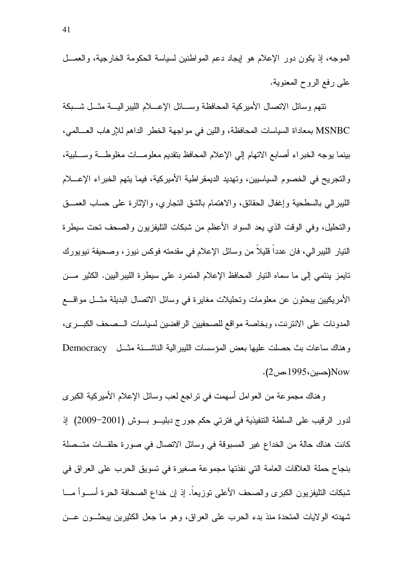الموجه، إذ يكون دور الإعلام هو إيجاد دعم المواطنين لسياسة الحكومة الخارجية، والعمـــل على رفع الروح المعنوية.

نتهم وسائل الاتصال الأميركية المحافظة وســـائل الإعــــلام الليبر اليــــة مثـــل شـــبكة MSNBC بمعاداة السياسات المحافظة، واللين في مواجهة الخطر الداهم للإرهاب العـــالمي، بينما يوجه الخبراء أصابع الاتهام إلى الإعلام المحافظ بتقديم معلومـــات مغلوطــــة وســـلبية، والتجريح في الخصوم السياسيين، وتهديد الديمقراطية الأميركية، فيما يتهم الخبراء الإعــــلام الليبرالي بالسطحية وإغفال الحقائق، والاهتمام بالشق التجاري، والإثارة على حساب العصــق والتحليل، وفي الوقت الذي يعد السواد الأعظم من شبكات التليفزيون والصحف تحت سيطرة النيار الليبرالي، فان عدداً قليلاً من وسائل الإعلام في مقدمته فوكس نيوز، وصحيفة نيويورك تايمز ينتمي إلى ما سماه النيار المحافظ الإعلام المتمرد على سيطرة الليبراليين. الكثير مـــن الأمريكيين يبحثون عن معلومات وتحليلات مغايرة في وسائل الاتصال البديلة مثـــل مواقــــع المدونات على الانترنت، وبخاصة مواقع للصحفيين الرافضين لسياسات السصحف الكبـرى، وهناك ساعات بث حصلت عليها بعض المؤسسات الليبر الية الناشئة مثل Democracy Now(حسين، 1995،ص2).

و هناك مجموعة من العوامل أسهمت في نراجع لعب وسائل الإعلام الأميركية الكبرى لدور الرقيب على السلطة التنفيذية في فترتي حكم جورج دبليـــو بـــوش (2001–2009) إذ كانت هناك حالة من الخداع غير المسبوقة في وسائل الاتصال في صورة حلقات متـصلة بنجاح حملة العلاقات العامة التي نفذتها مجموعة صغيرة في تسويق الحرب على العراق في شبكات النليفزيون الكبرى والصحف الأعلى نوزيعا. إذ إن خداع الصحافة الحرة أســـوأ مــــا شهدته الولايات المتحدة منذ بدء الحرب على العراق، وهو ما جعل الكثيرين يبحثون عــن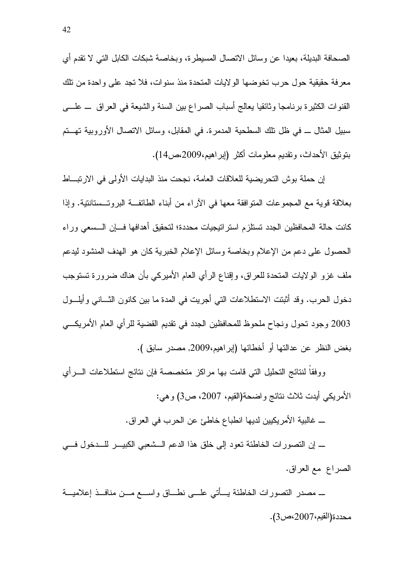الصحافة البديلة، بعيدا عن وسائل الاتصال المسيطر ة، وبخاصة شبكات الكابل التي لا تقدم أي معرفة حقيقية حول حرب تخوضها الولايات المتحدة منذ سنوات، فلا نجد على واحدة من نلك القنوات الكثيرة برنامجا وثائقيا بعالج أسباب الصراع بين السنة والشيعة في العراق ـــ علـــي سبيل المثال ـــ في ظل نلك السطحية المدمرة. في المقابل، وسائل الاتصال الأوروبية تهـــتم بنوينيق الأحداث، ونقديم معلومات أكثر (إبر اهيم،2009،ص14).

إن حملة بوش التحريضية للعلاقات العامة، نجحت منذ البدايات الأولى في الارتبـــاط بعلاقة قوية مع المجموعات المنوافقة معها في الأراء من أبناء الطائفة البروتــستانتية. وإذا كانت حالة المحافظين الجدد تستلزم استراتيجيات محددة؛ لتحقيق أهدافها فسإن السسعى وراء الحصول على دعم من الإعلام وبخاصة وسائل الإعلام الخبرية كان هو الهدف المنشود ليدعم ملف غزو الولايات المتحدة للعراق، وإقناع الرأى العام الأميركي بأن هناك ضرورة تستوجب دخول الحرب. وقد أثبتت الاستطلاعات التي أجريت في المدة ما بين كانون الثـــاني وأيلـــول 2003 وجود تحول ونجاح ملحوظ للمحافظين الجدد في نقديم القضية للرأي العام الأمريكي بغض النظر عن عدالتها أو أخطائها (إبراهيم،2009, مصدر سابق ).

ووفقاً لنتائج التحليل التي قامت بها مراكز متخصصة فإن نتائج استطلاعات السرأي الأمريكي أيدت ثلاث نتائج واضحة(القيم، 2007، ص3) وهي:

\_ غالبية الأمريكيين لديها انطباع خاطئ عن الحرب في العراق.

\_ إن التصورات الخاطئة تعود إلى خلق هذا الدعم الـــشعبي الكبيـــر للــــدخول فــــي الصراع مع العراق.

\_ مصدر النصورات الخاطئة بـــأتـى علــــى نطـــاق واســــع مـــن منافـــذ إعلاميـــة محددة(القيم،2007،ص3).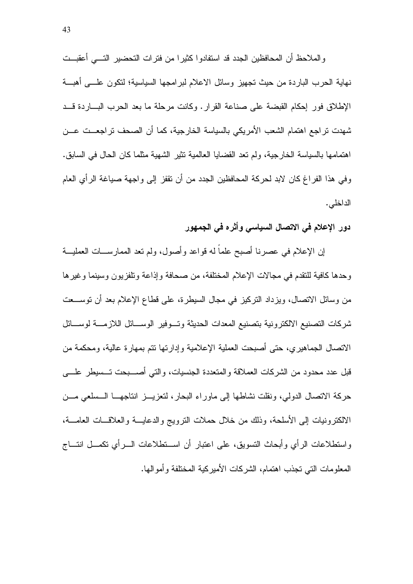والملاحظ أن المحافظين الجدد قد استفادوا كثيرا من فترات التحضير التسى أعقبــت نـهايـة الـحرب البـاردة من حيث نـجهيز وسائل الاعلام لبرامـجـها السياسية؛ لنكون علــــي أهبــــة الإطلاق فور إحكام القبضة على صناعة القرار . وكانت مرحلة ما بعد الحرب البساردة قـــد شهدت تراجع اهتمام الشعب الأمريكي بالسياسة الخارجية، كما أن الصحف تراجعــت عـــن اهتمامها بالسياسة الخار جية، ولم تعد القضايا العالمية تثير الشهية مثلما كان الحال في السابق. وفي هذا الفراغ كان لابد لحركة المحافظين الجدد من أن نقفز إلى واجهة صباغة الرأى العام الداخلي.

دور الإعلام في الاتصال السياسي وأثره في الجمهور

إن الإعلام في عصرنا أصبح علما له قواعد وأصول، ولم نعد الممارســـات العمليـــة وحدها كافية للتقدم في مجالات الإعلام المختلفة، من صحافة وإذاعة وتلفزيون وسينما وغيرها من وسائل الاتصال، ويزداد النركيز في مجال السيطرة، على قطاع الإعلام بعد أن توســعت شركات التصنيع الالكترونية بتصنيع المعدات الحديثة وتسوفير الوسسائل اللازمسة لوسسائل الاتصال الجماهيري، حتى أصبحت العملية الإعلامية وإدارتها نتم بمهارة عالية، ومحكمة من قبل عدد محدود من الشركات العملاقة والمتعددة الجنسيات، والتبي أصــــبحت تـــسيطر علـــــي حركة الاتصال الدولي، ونقلت نشاطها إلى ماوراء البحار، لتعزيـــز انتاجهـــا الـــسلعي مـــن الالكترونيات إلى الأسلحة، وذلك من خلال حملات النرويج والدعابسة والعلاقسات العامسة، و استطلاعات الر أي و أبحاث النسويق، على اعتبار أن اســتطلاعات الـــر أي تكمـــل انتـــاج المعلومات التي تجذب اهتمام، الشركات الأميركية المختلفة وأموالها.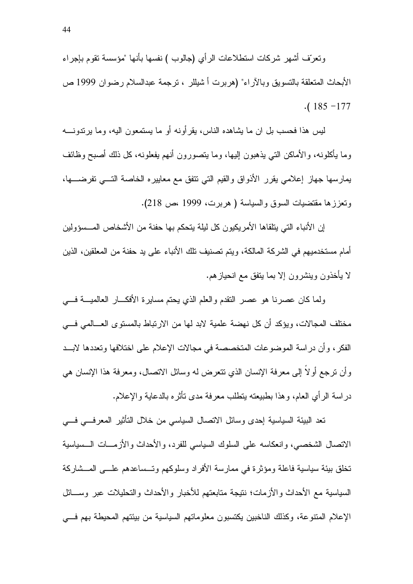ونعرَّف أشهر شركات استطلاعات الرأى (جالوب ) نفسها بأنها "مؤسسة نقوم بإجراء الأبحاث المتعلقة بالتسويق وبالأراء" (هربرت أ شيللر ، ترجمة عبدالسلام رضوان 1999 ص  $. (185 - 177)$ 

ليس هذا فحسب بل ان ما يشاهده الناس، يقرأونه أو ما يستمعون اليه، وما يرندونــــه وما يأكلونه، والأماكن التبي يذهبون إليها، وما يتصورون أنهم يفعلونه، كل ذلك أصبح وظائف بمارسها جهاز إعلامي بقرر الأذواق والقيم التي نتفق مع معابيره الخاصة التسي تفرضسها، ونعززها مقتضيات السوق والسياسة ( هربرت، 1999 مص 218).

إن الأنباء التي يتلقاها الأمريكيون كل ليلة يتحكم بها حفنة من الأشخاص المـــسؤولين أمام مستخدميهم في الشركة المالكة، ويتم تصنيف تلك الأنباء على يد حفنة من المعلقين، الذين لا يأخذون وينشرون إلا بما يتفق مع انحياز هم.

ولما كان عصرنا هو عصر النقدم والعلم الذي يحتم مسايرة الأفكـــار العالميـــة فــــى مختلف المجالات، ويؤكد أن كل نهضة علمية لابد لها من الارتباط بالمستوى العـــالمي فـــي الفكر ، وأن در اسة الموضوعات المتخصصة في مجالات الإعلام على اختلافها وتعددها لابــد وأن نرجع أو لا إلى معرفة الإنسان الذي نتعرض له وسائل الانصال، ومعرفة هذا الإنسان هي دراسة الرأي العام، وهذا بطبيعته ينطلب معرفة مدى نأثره بالدعاية والإعلام.

نعد البيئة السياسية إحدى وسائل الاتصال السياسي من خلال التأثير المعرفي في الاتصال الشخصبي، وانعكاسه على السلوك السياسي للفرد، والأحداث والأزمـــات الـــسياسية تخلق بيئة سياسية فاعلة ومؤثرة في ممارسة الأفراد وسلوكهم وتسساعدهم علـــي المـــشاركة السياسية مع الأحداث والأزمات؛ نتيجة متابعتهم للأخبار والأحداث والتحليلات عبر وســـائل الإعلام المنتوعة، وكذلك الناخبين يكتسبون معلوماتهم السياسية من بيئتهم المحيطة بهم فسي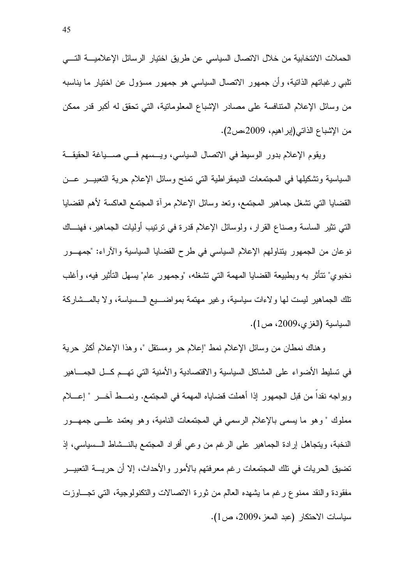الحملات الانتخابية من خلال الاتصال السياسي عن طريق اختيار الرسائل الإعلاميــــة التــــي تلبـي رغباتهم الذاتية، وأن جمهور الاتصـال السياسـي هو جمهور مسؤول عن اختيار ما بناسبه من وسائل الإعلام المتنافسة على مصادر الإشباع المعلوماتية، التي تحقق له أكبر قدر ممكن من الإشباع الذاتـي(إبراهيم، 2009،ص2).

ويقوم الإعلام بدور الوسيط في الاتصال السياسي، ويـــسهم فـــي صــــياغة الـحقيقـــة السياسية وتشكيلها في المجتمعات الديمقر اطية التي تمنح وسائل الإعلام حرية التعبيــــر عـــن القضايا التبي نشغل جماهير المجتمع، ونعد وسائل الإعلام مرأة المجتمع العاكسة لأهم القضايا التبي نثير الساسة وصناع القرار، ولوسائل الإعلام قدرة في نرنيب أوليات الجماهير ، فهنـــاك نوعان من الجمهور ينتاولهم الإعلام السياسي في طرح القضايا السياسية والأراء: "جمهـــور نخبوي" نتأثَّر به وبطبيعة القضايا المهمة التي نشغله، "وجمهور عام" بسهل التأثير فيه، وأغلب نلك الجماهير ليست لها ولاءات سياسية، وغير مهتمة بمواضــــبع الـــسياسة، ولا بالمـــشاركة السياسية (الغزى،2009، ص1).

وهناك نمطان من وسائل الإعلام نمط "إعلام حر ومسنقل "، وهذا الإعلام أكثر حرية في نسليط الأضواء على المشاكل السياسية والاقتصادية والأمنية التي تهــم كـــل الـجمـــاهير ويواجه نقداً من قبل الجمهور إذا أهملت قضاياه المهمة في المجتمع. ونمـــط آخـــر " إعــــلام مملوك " و هو ٍ ما يسمى بالإعلام الرسمي في المجتمعات النامية، و هو يعتمد علـــي جمهـــور النخبة، ويتجاهل إرادة الجماهير على الرغم من وعي أفراد المجتمع بالنـــشاط الـــسياسي، إذ تضيق الحريات في تلك المجتمعات رغم معرفتهم بالأمور والأحداث، إلا أن حريسة التعبيـــر مفقودة والنقد ممنوع رغم ما يشهده العالم من ثورة الاتصالات والنكنولوجية، التي تجـــاوزت سياسات الاحتكار (عبد المعز ،2009، ص1).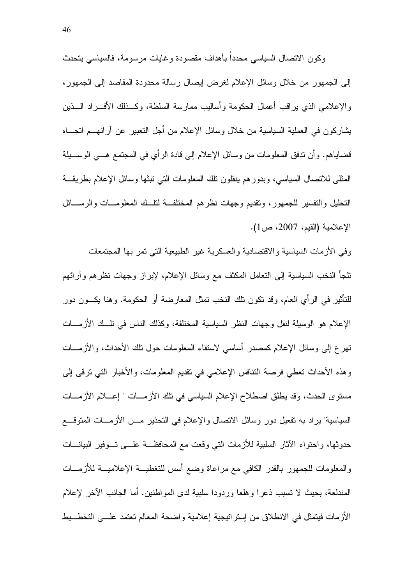وكون الاتصال السياسي محدداً بأهداف مقصودة وغايات مرسومة، فالسياسي يتحدث إلى الجمهور من خلال وسائل الإعلام لغرض إيصال رسالة محدودة المقاصد إلى الجمهور، والإعلامي الذي براقب أعمال الحكومة وأساليب ممارسة السلطة، وكــذلك الأفـــراد الـــذين بشاركون في العملية السياسية من خلال وسائل الإعلام من أجل النعبير عن أرائهــم انجـــاه قضاياهم. وأن ندفق المعلومات من وسائل الإعلام إلى قادة الرأي في المجتمع هـــي الوســـيلة المثلَّي للانصال السياسي، وبدورِهم بنقلون نلك المعلومات التي نبثها وسائل الإعلام بطريقة التحليل والتفسير للجمهور، وتقديم وجهات نظرهم المختلفة لنلَّــك المعلومـــات والرســـائل الإعلامية (القيم، 2007، ص1).

وفى الأزمات السياسية والاقتصادية والعسكرية غير الطبيعية التي تمر بها المجتمعات نلجأ النخب السياسية إلىي النعامل المكثف مع وسائل الإعلام، لإبراز وجهات نظرهم وآرائهم للتأثير في الرأى العام، وقد تكون تلك النخب تمثل المعارضة أو الحكومة. وهنا يكـــون دور الإعلام هو الوسيلة لنقل وجهات النظر السياسية المختلفة، وكذلك الناس في نلَّــك الأزمـــات تهرع إلى وسائل الإعلام كمصدر أساسى لاستقاء المعلومات حول نلك الأحداث، والأزمـــات وهذه الأحداث تعطي فرصة النتافس الإعلامي في تقديم المعلومات، والأخبار التي ترقي إلى مستوى الحدث، وقد يطلق اصطلاح الإعلام السياسي في تلك الأزمـــات " إعـــلام الأزمـــات السياسية" ير اد به نفعيل دور وسائل الاتصال والإعلام في التحذير مـــن الأزمـــات المتوقـــع حدوثها، واحتواء الآثار السلبية للأزمات التي وقعت مع المحافظـــة علـــي تـــوفير البيانــــات والمعلومات للجمهور بالقدر الكافى مع مراعاة وضع أسس للتغطيـــة الإعلاميـــة للأزمــــات المندلعة، بحيث لا نسبب ذعرًا وهلعًا وردودًا سلبية لدى المواطنين. أما الجانب الآخر لإعلام الأزمات فيتمثَّل في الانطلاق من إستراتيجية إعلامية واضحة المعالم تعتمد علـــي التخط يط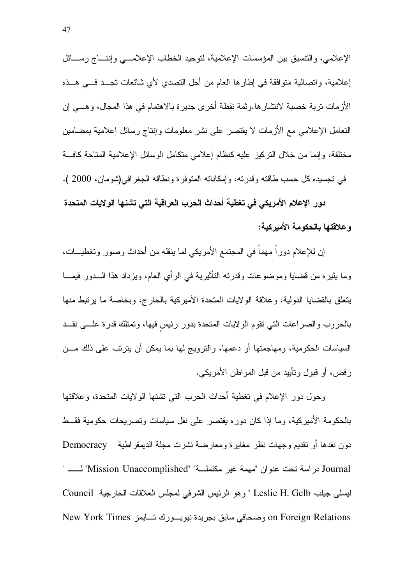الإعلامي، والتتسيق بين المؤسسات الإعلامية، لتوحيد الخطاب الإعلامـــي وإنتـــاج رســـائل إعلامية، واتصالية متوافقة في إطارها العام من أجل التصدي لأي شائعات تجــد فـــي هــذه الأزمات تربة خصبة لانتشارها وثمة نقطة أخرى جديرة بالاهتمام في هذا المجال، وهــي إن النعامل الإعلامي مع الأزمات لا يقتصر على نشر معلومات وإنناج رسائل إعلامية بمضامين مختلفة، وإنما من خلال النركيز عليه كنظام إعلامي متكامل الوسائل الإعلامية المتاحة كافسة في تجسيده كل حسب طاقته وقدر ته، و إمكاناته المتوفر ة و نطاقه الجغر افي(شو مان، 2000 ).

دور الإعلام الأمريكي في تغطية أحداث الحرب العراقية التي تشنها الولايات المتحدة و علاقتها بالحكومة الأمير كبة:

إن للإعلام دوراً مهماً في المجتمع الأمريكي لما ينقله من أحداث وصور وتغطيـــات، وما بِثيره من قضايا وموضوعات وقدرته التأثيرية في الرأى العام، ويزداد هذا الـــدور فيمـــا يتعلق بالقضايا الدولية، وعلاقة الولايات المتحدة الأميركية بالخارج، وبخاصة ما يرتبط منها بالحروب والصراعات التي تقوم الولايات المتحدة بدور رئيس فيها، وتمتلك قدرة علمي نقــد السياسات الحكومية، ومهاجمتها أو دعمها، والترويج لها بما يمكن أن يترتب على ذلك مـــن ر فض، أو قبول وتأييد من قبل المواطن الأمريكي.

وحول دور الإعلام في نغطية أحداث الحرب التي نشنها الولايات المتحدة، وعلاقتها بالحكومة الأميركية، وما إذا كان دوره يقتصر على نقل سياسات وتصريحات حكومية فقــط دون نقدها أو نقديم وجهات نظر مغاير ة ومعار ضنة نشر ت مجلة الديمقر اطنية Democracy Journal در اسة تحت عنوان "مهمة غير مكتملة" "Mission Unaccomplished" لـــــــــ " ليسلى جيلب Leslie H. Gelb " وهو الرئيس الشرفي لمجلس العلاقات الخارجية Council on Foreign Relations وصحافي سابق بجريدة نيويسورك تسايمز New York Times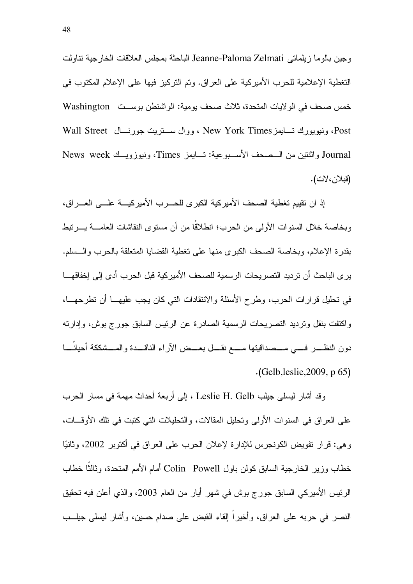وجين بالوما زيلماتي Jeanne-Paloma Zelmati الباحثة بمجلس العلاقات الخارجية تناولت التغطية الإعلامية للحرب الأميركية على العراق. وتم التركيز فيها على الإعلام المكتوب في خمس صحف في الو لايات المتحدة، ثلاث صحف بومية: الواشنطن بوســت Washington Post، ونيويورك تسايمز New York Times ، ووال ســتريت جورنسال Wall Street Journal واثنتين من السصحف الأسبوعية: تسايمز Times، ونيوزويسك News week (قبلان،لات).

إذ ان نقييم تغطية الصحف الأميركية الكبرى للحـــرب الأميركيــــة علــــى العــــراق، وبخاصة خلال السنوات الأولى من الحرب؛ انطلاقًا من أن مستوى النقاشات العامــــة بــــرتبط بقدرة الإعلام، وبخاصة الصحف الكبرى منها على تغطية القضايا المتعلقة بالحرب والسسلم. ير ي الباحث أن ترديد التصريحات الرسمية للصحف الأمير كية قبل الحرب أدى إلى إخفاقهـــا في تحليل قرارات الحرب، وطرح الأسئلة والانتقادات التي كان يجب عليهـــا أن تطرحهـــا، واكتفت بنقل ونرديد التصريحات الرسمية الصادرة عن الرئيس السابق جورج بوش، وإدارته دون النظـــر فــــي مـــصداقيتها مــــع نقـــل بعـــض الآراء الناقـــدة والمـــشككة أحيانــــا  $(Gelb, leslie, 2009, p 65)$ 

وقد أشار ليسلَّى جيلب Leslie H. Gelb ، إلى أربعة أحداث مهمة في مسار الحرب على العراق في السنوات الأولى وتحليل المقالات، والتحليلات التي كتبت في تلك الأوقـــات، و هي: قر ار تفويض الكونجر س للإدار ة لإعلان الحرب على العر اق في أكتوبر 2002، و ثانيًا خطاب وزير الخارجية السابق كولن باول Colin Powell أمام الأمم المتحدة، وثالثًا خطاب الرئيس الأميركي السابق جورج بوش في شهر أيار من العام 2003، والذي أعلن فيه تحقيق النصر في حربه على العراق، وأخيراً إلقاء القبض على صدام حسين، وأشار ليسلى جيلــب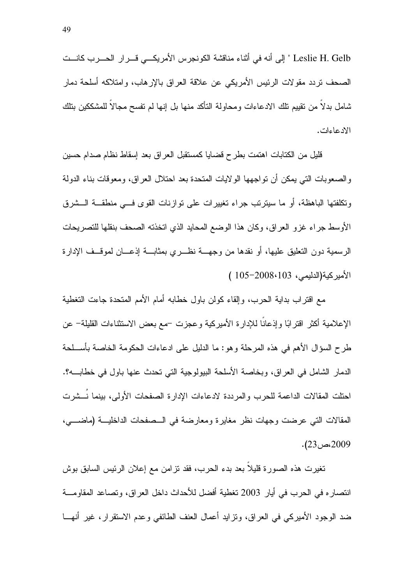Leslie H. Gelb " إلى أنه في أثناء مناقشة الكونجرس الأمريكــي قـــرار الحـــرب كانـــت الصحف نردد مقولات الرئيس الأمريكي عن علاقة العراق بالإرهاب، وامتلاكه أسلحة دمار شامل بدلا من نقييم نلك الادعاءات ومحاولة النأكد منها بل إنها لم نفسح مجالا للمشككين بنلك الادعاءات.

قليل من الكتابات اهتمت بطرح قضايا كمستقبل العراق بعد إسقاط نظام صدام حسين والصعوبات التي يمكن أن نواجهها الولايات المتحدة بعد احتلال العراق، ومعوفات بناء الدولة ونكلفتها الباهظة، أو ما سيترنب جراء تغييرات على نوازنات القوى فسى منطقـــة الـــشرق الأوسط جراء غزو العراق، وكان هذا الوضع المحايد الذي اتخذته الصحف بنقلها للتصريحات الرسمية دون النعليق عليها، أو نقدها من وجهـــة نظــــر ي بمثابـــة إذعــــان لموقـــف الإدار ة الأميركية(الدليمي، 103-2008–105 )

مع اقتراب بداية الحرب، وإلقاء كولن باول خطابه أمام الأمم المتحدة جاءت التغطية الإعلامية أكثر اقترابًا وإذعانًا للإدارة الأميركية وعجزت –مع بعض الاستثناءات القليلة– عن طرح السؤال الأهم في هذه المرحلة وهو: ما الدليل على ادعاءات الحكومة الخاصة بأســلحة الدمار الشامل في العراق، وبخاصة الأسلحة البيولوجية التي تحدث عنها باول في خطابـــــه؟. احتلت المقالات الداعمة للحرب والمرددة لادعاءات الإدار ة الصفحات الأولى، بينما نـــشرت المقالات التي عرضت وجهات نظر ً مغابر ة ومعارضة في السصفحات الداخليـــة (ماضـــــي، .2009 كىسى: 23.

نغيرت هذه الصورة قليلاً بعد بدء الحرب، فقد نزامن مع إعلان الرئيس السابق بوش انتصاره في الحرب في أيار 2003 تغطية أفضل للأحداث داخل العراق، وتصاعد المقاومـــة ضد الوجود الأميركي في العراق، ونزايد أعمال العنف الطائفي وعدم الاستقرار، غير أنهـــا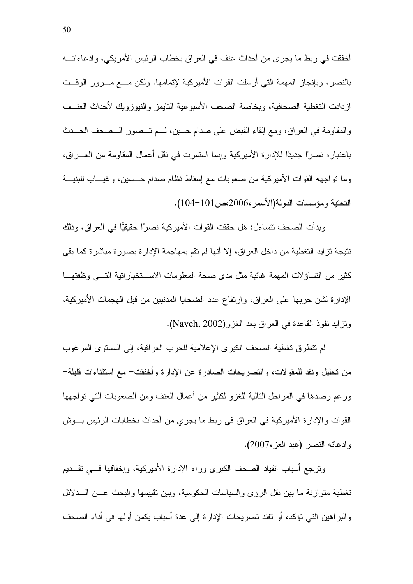أخفقت في ربط ما يجرى من أحداث عنف في العراق بخطاب الرئيس الأمريكي، وادعاءاتـــه بالنصر، وبإنجاز المهمة التي أرسلت القوات الأميركية لإتمامها. ولكن مـــع مـــرور الوقـــت ازدادت النغطية الصحافية، وبخاصة الصحف الأسبوعية النايمز والنيوزويك لأحداث العنــف والمقاومة في العراق، ومع إلقاء القبض على صدام حسين، لـــم تـــصور الـــصـحف الـحـــدث باعتبارِ ه نصر ًا جديدًا للإدارِ ة الأميرِ كية و إنما استمرت في نقل أعمال المقاومة من العــــر اق، وما نواجهه القوات الأميركية من صعوبات مع إسقاط نظام صدام حـــسين، وغيــــاب للبنيــــة التحتية ومؤسسات الدولة(الأسمر ،2006،ص101-104).

وبدأت الصحف نتساءل: هل حققت القوات الأميركية نصرًا حقيقيًّا في العراق، وذلك نتيجة نزايد التغطية من داخل العراق، إلا أنها لم نقم بمهاجمة الإدارة بصورة مباشرة كما بقي كثير من التساؤلات المهمة غائبة مثل مدى صحة المعلومات الاستخبار اتية التبي وظفتها الإدارة لشن حربها على العراق، وارتفاع عدد الضحايا المدنيين من قبل الهجمات الأميركية، ونزايد نفوذ القاعدة في العراق بعد الغزو (Naveh, 2002).

لم نتطرق نغطية الصحف الكبرى الإعلامية للحرب العراقية، إلى المستوى المرغوب من تحليل ونقد للمقولات، والتصريحات الصادر ة عن الإدار ة وأخفقت– مع استثناءات قليلة– ورغم رصدها في المراحل النالية للغزو لكثير من أعمال العنف ومن الصعوبات التي تواجهها القوات والإدارة الأميركية في العراق في ربط ما يجري من أحداث بخطابات الرئيس بـــوش وادعائه النصر (عبد العز ،2007).

وترجع أسباب انقياد الصحف الكبرى وراء الإدارة الأميركية، وإخفاقها فسى تقسديم تغطية متوازنة ما بين نقل الرؤى والسياسات الحكومية، وبين نقييمها والبحث عـــن الــــدلائل والبراهين التي نؤكد، أو نفند تصريحات الإدارة إلى عدة أسباب يكمن أولها في أداء الصحف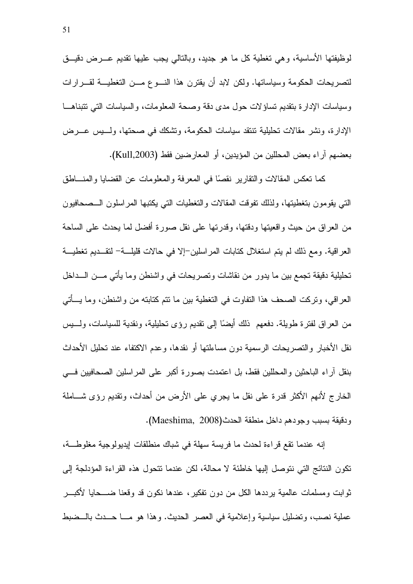لوظيفتها الأساسية، وهي تغطية كل ما هو جديد، وبالتالي يجب عليها نقديم عــــرض دقيــــق لتصريحات الحكومة وسياساتها. ولكن لابد أن يقترن هذا النسوع مسن التغطيسة لقسرارات وسياسات الإدارة بتقديم تساؤلات حول مدى دقة وصحة المعلومات، والسياسات التي تتبناهـا الإدارة، ونشر مقالات تحليلية تنتقد سياسات الحكومة، وتشكك في صحتها، ولــــبس عــــرض بعضهم آراء بعض المحللين من المؤيدين، أو المعارضين فقط (Kull,2003).

كما نعكس المقالات والنقارير نقصًا في المعرفة والمعلومات عن القضايا والمنـــاطق النبى يقومون بتغطيتها، ولذلك تفوقت المقالات والتغطيات التبي يكتبها المراسلون الــصحافيون من العراق من حيث واقعيتها ودقتها، وقدرتها على نقل صورة أفضل لما يحدث على الساحة العر اقية. ومع ذلك لم يتم استغلال كتابات المر اسلين–إلا في حالات قليلــــة– لتقــــديم تغطيــــة تحليلية دقيقة تجمع بين ما يدور من نقاشات وتصريحات في واشنطن وما يأتي مـــن الـــداخل العراقي، وتركت الصحف هذا التفاوت في التغطية بين ما تتم كتابته من واشنطن، وما يـــأتي من العراق لفترة طويلة. دفعهم ذلك أيضًا إلى نقديم رؤى نحليلية، ونقدية للسياسات، ولــــبس نقل الأخبار والتصريحات الرسمية دون مساءلتها أو نقدها، وعدم الاكتفاء عند تحليل الأحداث بنقل آر اء الباحثين والمحللين فقط، بل اعتمدت بصورة أكبر على المر اسلين الصحافيين فــــى الخارج لأنهم الأكثر قدرة على نقل ما يجري على الأرض من أحداث، ونقديم رؤى شـــاملة ودقيقة بسبب وجودهم داخل منطقة الحدث(Maeshima, 2008).

إنه عندما نقع قراءة لحدث ما فريسة سهلة في شباك منطلقات إيديولوجية مغلوطة، تكون النتائج التي نتوصل إليها خاطئة لا محالة، لكن عندما تتحول هذه القراءة المؤدلجة إلى ثوابت ومسلمات عالمية برددها الكل من دون تفكير، عندها نكون قد وقعنا ضــــحايا لأكبـــر عملية نصب، ونضليل سياسية وإعلامية في العصر الحديث. وهذا هو مــا حــدث بالـــضبط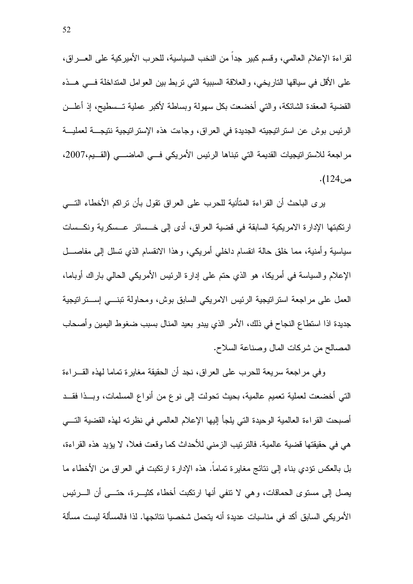لقراءة الإعلام العالمي، وقسم كبير جداً من النخب السياسية، للحرب الأميركية على العــــراق، على الأقل في سياقها التاريخي، والعلاقة السببية التي تربط بين العوامل المتداخلة فـــي هـــذه القضية المعقدة الشائكة، والتي أخضعت بكل سهولة وبساطة لأكبر عملية تــسطيح، إذ أعلـــن الرئيس بوش عن استراتيجيته الجديدة في العراق، وجاءت هذه الإستراتيجية نتيجــة لعمليــة مر اجعة للاستر اتيجيات القديمة التي تبناها الرئيس الأمريكي فــي الماضـــي (القــيم،2007، ص124).

يرى الباحث أن القراءة المتأنية للحرب على العراق نقول بأن نراكم الأخطاء النسي ارتكبتها الإدارة الامريكية السابقة في قضية العراق، أدى إلى خــسائر عــسكرية ونكــسات سياسية وأمنية، مما خلق حالة انقسام داخلي أمريكي، وهذا الانقسام الذي نسلل إلى مفاصــــل الإعلام والسباسة في أمريكا، هو الذي حتم على إدارة الرئيس الأمريكي الحالي باراك أوباما، العمل على مراجعة استر انيجية الرئيس الامريكي السابق بوش، ومحاولة نبنـــي إســـتر انيجية جديدة اذا استطاع النجاح في ذلك، الأمر الذي يبدو بعيد المنال بسبب ضغوط اليمين وأصحاب المصالح من شركات المال وصناعة السلاح.

وفي مراجعة سريعة للحرب على العراق، نجد أن الحقيقة مغايرة تماما لهذه القسراءة التي أخضعت لعملية نعميم عالمية، بحيث نحولت إلى نوع من أنواع المسلمات، وبــذا فقــد أصبحت القراءة العالمية الوحيدة التي يلجأ إليها الإعلام العالمي في نظرته لهذه القضية التـــي هي في حقيقتها قضية عالمية. فالتر تيب الز مني للأحداث كما وقعت فعلا، لا يؤيد هذه القر اءة، بل بالعكس نؤدي بناء إلى نتائج مغايرة تماماً. هذه الإدارة ارتكبت في العراق من الأخطاء ما يصل إلى مستوى الحماقات، وهي لا نتفي أنها ارتكبت أخطاء كثيـــرة، حتــــي أن الــــرئيس الأمريكي السابق أكد في مناسبات عديدة أنه يتحمل شخصيا نتائجها. لذا فالمسألة ليست مسألة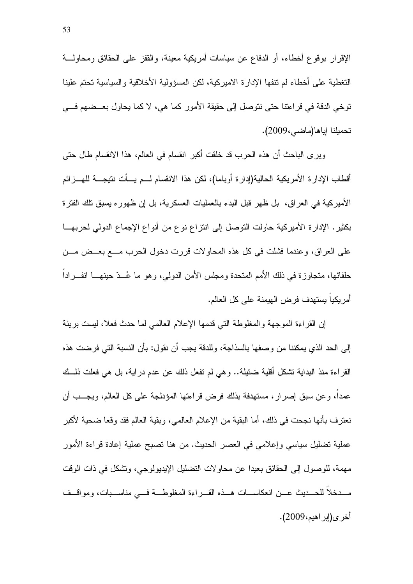الإقرار بوقوع أخطاء، أو الدفاع عن سياسات أمريكية معينة، والقفز على الحقائق ومحاولـــة التغطية على أخطاء لم نتفها الإدارة الاميركية، لكن المسؤولية الأخلاقية والسياسية تحتم علينا توخي الدقة في قراءتنا حتى نتوصل إلى حقيقة الأمور كما هي، لا كما يحاول بعــضهم فـــي تحميلنا إياها(ماضي،2009).

ويرى الباحث أن هذه الحرب قد خلقت أكبر انقسام في العالم، هذا الانقسام طال حتى أقطاب الإدار ة الأمريكية الحالية(إدار ة أوباما)، لكن هذا الانقسام لـــم يـــأت نتيجـــة للهـــز ائم الأميركية في العراق، بل ظهر قبل البدء بالعمليات العسكرية، بل إن ظهوره يسبق نلك الفترة بكثير. الإدارة الأميركية حاولت التوصل إلى انتزاع نوع من أنواع الإجماع الدولي لحربهـــا على العراق، وعندما فشلت في كل هذه المحاولات قررت دخول الحرب مـــع بعــض مـــن حلفائها، متجاوزة في ذلك الأمم المتحدة ومجلس الأمن الدولي، وهو ما عُــدّ حينهــــا انفــــرادا أمر بكباً بستهدف فر ض الـهبمنـة علـي كل الـعالم.

إن القراءة الموجهة والمغلوطة التي قدمها الإعلام العالمي لما حدث فعلا، ليست بريئة إلى الحد الذي يمكننا من وصفها بالسذاجة، وللدقة يجب أن نقول: بأن النسبة التي فرضت هذه القراءة منذ البداية نتشكل أقلية ضئيلة.. وهي لم نفعل ذلك عن عدم دراية، بل هي فعلت ذلــك عمداً، وعن سبق إصرار ، مستهدفة بذلك فرض قراءتها المؤدلجة على كل العالم، ويجـــب أن نعترف بأنها نجحت في ذلك، أما البقية من الإعلام العالمي، وبقية العالم فقد وقعا ضحية لأكبر عملية تضليل سياسي وإعلامي في العصر الحديث. من هنا تصبح عملية إعادة قراءة الأمور مهمة، للوصول إلى الحقائق بعيدا عن محاولات التضليل الإيديولوجي، وتشكل في ذات الوقت مــدخلا للحــديث عــن انعكاســات هــذه القــراءة المغلوطــة فـــى مناســبات، ومواقــف أخر ي(إبر اهيم،2009).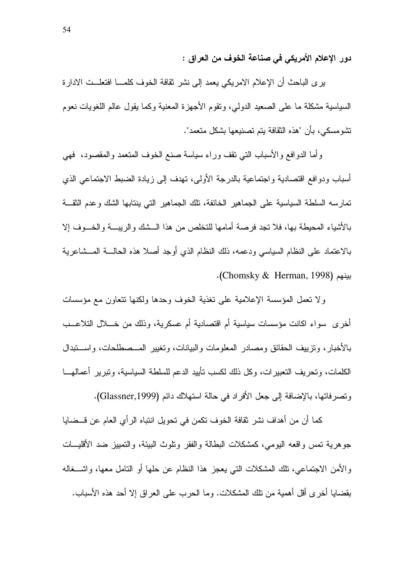دور الإعلام الأمريكي في صناعة الخوف من العراق :

يرى الباحث أن الإعلام الامريكي يعمد إلى نشر نقافة الخوف كلمـــا افتعلـــت الادارة السياسية مشكلة ما على الصعيد الدولي، ونقوم الأجهزة المعنية وكما يقول عالم اللغويات نعوم تشومسكي، بأن "هذه الثقافة يتم تصنيعها بشكل متعمد".

وأما الدوافع والأسباب النبي نقف وراء سياسة صنع الخوف المنعمد والمقصود، فهي أسباب ودوافع اقتصادية واجتماعية بالدرجة الأولى، نهدف إلى زيادة الضبط الاجتماعي الذي تمارسه السلطة السياسية على الجماهير الخائفة، تلك الجماهير التي ينتابها الشك وعدم الثقـــة بالأشياء المحيطة بها، فلا نجد فرصة أمامها للنخلص من هذا الــشك والريبـــة والخـــوف إلا بالاعتماد على النظام السياسي ودعمه، ذلك النظام الذي أوجد أصلا هذه الحالــــة المــــشاعرية بينهم (Chomsky & Herman, 1998).

ولا تعمل المؤسسة الإعلامية على تغذية الخوف وحدها ولكنها تتعاون مع مؤسسات أخرى سواء اكانت مؤسسات سياسية أم اقتصادية أم عسكرية، وذلك من خــــلال التلاعـــب بالأخبار، وتزييف الحقائق ومصادر المعلومات والبيانات، وتغيير المـــصطلحات، واســـتبدال الكلمات، وتحريف النعبيرات، وكل ذلك لكسب تأبيد الدعم للسلطة السياسية، ونبرير أعمالهـــا وتصرفاتها، بالإضافة إلى جعل الأفراد في حالة استهلاك دائم (Glassner,1999).

كما أن من أهداف نشر ثقافة الخوف تكمن في تحويل انتباه الر أي العام عن قـــضابـا جو هر ية تمس و اقعه اليو مي، كمشكلات البطالة و الفقر و تلوث البيئة، و التمييز ضد الأقليسات والأمن الاجتماعي، تلك المشكلات التي يعجز هذا النظام عن حلها أو النامل معها، واشـــغاله بقضايا أخرى أقل أهمية من نلك المشكلات. وما الحرب على العراق إلا أحد هذه الأسباب.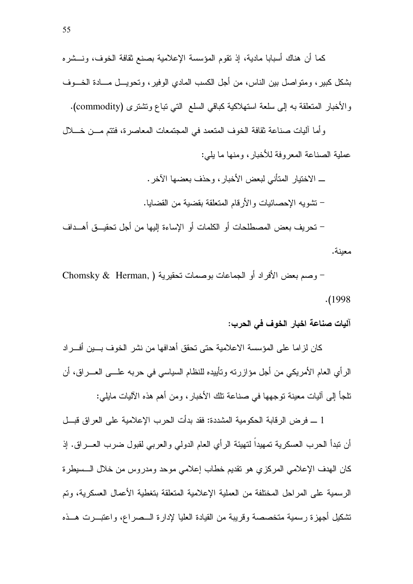كما أن هناك أسبابا مادية، إذ نقوم المؤسسة الإعلامية بصنع نقافة الخوف، ونـــشره بشكل كبير ، ومتواصل بين الناس، من أجل الكسب المادي الوفير ، وتحويـــل مــــادة الخـــوف والأخبار المتعلقة به إلى سلعة استهلاكية كباقي السلع التي نباع وتشتري (commodity).

وأما أليات صناعة ثقافة الخوف المتعمد في المجتمعات المعاصرة، فتتم مـــن خــــلال عملية الصناعة المعروفة للأخبار، ومنها ما يلي:

> ــــ الاختيار المتأني لبعض الأخبار ، و حذف بعضها الآخر . – تشويه الإحصائيات والأرقام المتعلقة بقضية من القضايا.

– تحر بف بعض المصطلحات أو الكلمات أو الإساءة إليها من أجل تحقيـــق أهـــداف معبنة.

- وصم بعض الأفراد أو الجماعات بوصمات تحقيرية ( Chomsky & Herman,  $. (1998$ 

آليات صناعة اخبار الخوف في الحرب:

كان لزاما على المؤسسة الاعلامية حتى تحقق أهدافها من نشر الخوف بسين أفسراد الرأي العام الأمريكي من أجل مؤازرته وتأييده للنظام السياسي في حربه علـــي العـــراق، أن نلجأ إلى آليات معينة نوجهها في صناعة نلك الأخبار ، ومن أهم هذه الآليات مايلي:

1 ـــ فرض الرقابة الحكومية المشددة: فقد بدأت الحرب الإعلامية على العراق قبــل أن نبدأ الحر ب العسكر ية تمهيداً لتهيئة الر أي العام الدولي و العربي لقبول ضر ب العـــر اق. إذ كان الهدف الإعلامي المركزي هو نقديم خطاب إعلامي موحد ومدروس من خلال السبيطرة الر سمية على المر احل المختلفة من العملية الإعلامية المتعلقة بتغطية الأعمال العسكرية، وتم تشكيل أجهزة رسمية متخصصة وقريبة من القيادة العليا لإدارة الــصراع، واعتبــرت هــذه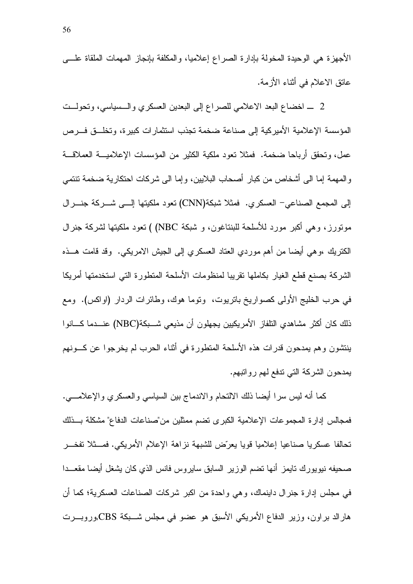الأجهزة هي الوحيدة المخولة بإدارة الصراع إعلاميا، والمكلفة بإنجاز المهمات الملقاة علسى عانق الاعلام في أثناء الأزمة.

2 \_ اخضاع البعد الاعلامي للصراع إلى البعدين العسكري والـــسياسي، وتحولــت المؤسسة الإعلامية الأميركية إلى صناعة ضخمة تجذب استثمارات كبيرة، وتخلَّــق فـــرص عمل، وتحقق أرباحا ضخمة. فمثلاً نعود ملكية الكثير من المؤسسات الإعلاميـــة العملاقـــة والمهمة إما الى أشخاص من كبار أصحاب البلايين، وإما الى شركات احتكارية ضخمة تتتمي إلى المجمع الصناعي- العسكري. فمثلا شبكة(CNN) نعود ملكيتها إلــي شـــركة جنـــرال مونورز، وهي أكبر مورد للأسلحة للبنتاغون، و شبكة NBC) ) تعود ملكيتها لشركة جنرال الكتريك ،وهي أيضا من أهم موردي العتاد العسكري إلىي الجيش الامريكي. وقد قامت هـــذه الشركة بصنع قطع الغيار بكاملها نقريبا لمنظومات الأسلحة المتطورة التي استخدمتها أمريكا في حرب الخليج الأولى كصواريخ باتريوت، ونوما هوك، وطائرات الردار (اواكس). ومع ذلك كان أكثر مشاهدي النلفاز الأمريكيين يجهلون أن مذيعي شـــبكة(NBC) عنـــدما كــــانوا ينتشون وهم يمدحون قدرات هذه الأسلحة المتطورة في أثناء الحرب لم يخرجوا عن كـــونهم يمدحون الشركة التي ندفع لهم روانبهم.

كما أنه ليس سرا أيضا ذلك الالتحام والاندماج بين السياسي والعسكري والإعلامــــي. فمجالس إدارة المجموعات الإعلامية الكبرى تضم ممثلين من صناعات الدفاع" مشكلة بــذلك تحالفا عسكريا صناعيا إعلاميا فويا يعرّض للشبهة نزاهة الإعلام الأمريكي. فمسثلا تفخـــر صحبفه نبويورك نابمز أنها نضم الوزير السابق سايروس فانس الذي كان بشغل أبضا مقعــدا في مجلس إدارة جنرال داينماك، وهي واحدة من اكبر شركات الصناعات العسكرية؛ كما أن هارالد براون، وزير الدفاع الأمريكي الأسبق هو عضو في مجلس شـــبكة CBS,وروبـــرت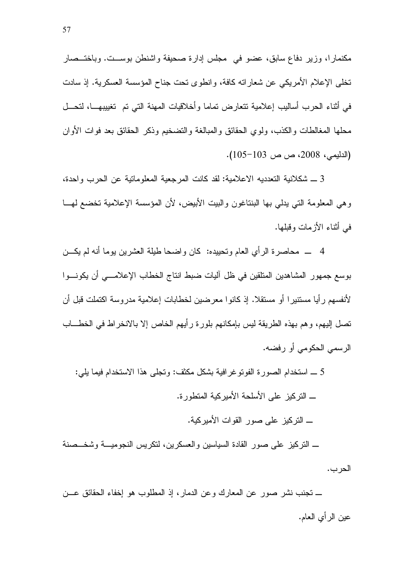مكنمارا، وزير دفاع سابق، عضو في ًمجلس إدارة صحيفة واشنطن بوســت. وباختــصـار تخلَّى الإعلام الأمريكي عن شعاراته كافة، وانطوى تحت جناح المؤسسة العسكرية. إذ سادت في أثناء الحرب أساليب إعلامية نتعارض تماما وأخلاقيات المهنة التي نم تغييبهـــا، لتحـــل محلها المغالطات والكذب، ولوي الحقائق والمبالغة والتضخيم وذكر الحقائق بعد فوات الأوان (الدليمي، 2008، ص ص 103–105).

3 ـــ شكلانية التعدديه الاعلامية: لقد كانت المرجعية المعلوماتية عن الحرب واحدة، و هي المعلومة التبي يدلي بها البنتاغون والبيت الأبيض، لأن المؤسسة الإعلامية تخضع لهـــا في أثناء الأز مات وقطها.

4 \_ محاصرة الرأي العام وتحييده: كان واضحا طيلة العشرين بوما أنه لم يكـــن بوسع جمهور المشاهدين المتلقين في ظل آليات ضبط انتاج الخطاب الإعلامـــي أن يكونـــوا لأنفسهم ر أيا مستنير ا أو مستقلا. إذ كانو ا معرضين لخطابات إعلامية مدروسة اكتملت قبل أن تصل إليهم، وهم بهذه الطريقة ليس بإمكانهم بلورة رأيهم الخاص إلا بالانخراط في الخطـــاب الرسمي الحكومي أو رفضه.

5 \_ استخدام الصورة الفوتوغر افية بشكل مكثف: وتجلَّى هذا الاستخدام فيما يلي: ــ التركيز على الأسلحة الأميركية المتطورة. ــ النركيز على صور القوات الأميركية. ـــ النر كيز ً على صور القادة السياسين والعسكرين، لنكريس النجوميـــة وشخــصنة

الحرب.

ـــ تجنب نشر صور عن المعارك وعن الدمار، إذ المطلوب هو إخفاء الحقائق عـــن عين الر أي العام.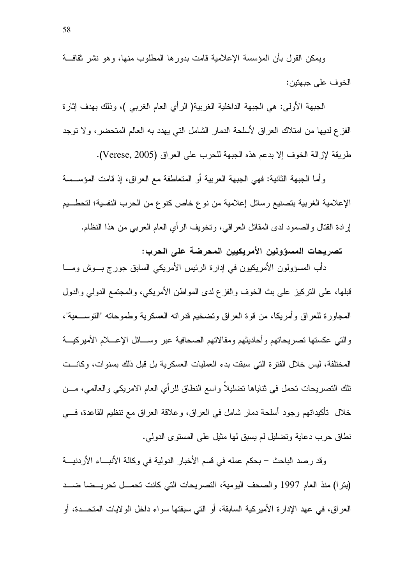ويمكن القول بأن المؤسسة الإعلامية قامت بدور ها المطلوب منها، وهو نشر نقافـــة الخوف على جبهتين:

الجبهة الأولى: هي الجبهة الداخلية الغربية( الرأي العام الغربي )، وذلك بهدف إثارة الفز ع لديها من امتلاك الـعراق لأسلحة الدمار الشامل التبي يـهدد بـه الـعالم المتحضـر ، ولا نوجد طريقة لإزالة الخوف إلا بدعم هذه الجبهة للحرب على العراق (Verese, 2005).

و أما الجبهة الثانية: فهي الجبهة العربية أو المتعاطفة مع العراق، إذ قامت المؤســسة الإعلامية الغربية بتصنيع رسائل إعلامية من نوع خاص كنوع من الحرب النفسية؛ لتحطـــيم إرادة القتال والصمود لدى المقاتل العراقبي، وتخويف الرأي العام العربي من هذا النظام.

تصريحات المسؤولين الأمريكيين المحرضة على الحرب:

دَأَبِ الْمُسؤولُونِ الأَمْرِيكِيونِ في إدارة الرئيس الأَمْرِيكِي السابقِ جورج بـــوشْ ومــــا قبلها، على النركيز على بث الخوف والفزع لدى المواطن الأمريكي، والمجتمع الدولي والدول المجاور ة للعر اق و أمر بكا، من قو ة العر اق و تضخيم قدر اته العسكر بـة و طمو حاته "التوســـعبة"، والتبي عكستها تصريحاتهم وأحاديثهم ومقالاتهم الصحافية عبر وسسائل الإعسلام الأميركيسة المختلفة، ليس خلال الفترة التي سبقت بدء العمليات العسكرية بل قبل ذلك بسنوات، وكانست نلك النصريحات نحمل في نتاياها نضليلا واسع النطاق للرأي العام الامريكي والعالمي، مـــن خلال تأكيداتهم وجود أسلحة دمار شامل في العراق، وعلاقة العراق مع نتظيم القاعدة، فـــي نطاق حرب دعاية وتضليل لم يسبق لها مثيل على المستوى الدولي.

وقد رصد الباحث – بحكم عمله في قسم الأخبار الدولية في وكالة الأنباء الأردنيـــة (بترا) منذ العام 1997 والصحف اليومية، التصريحات التي كانت تحمــل تحريــضا ضـــد العراق، في عهد الإدارة الأميركية السابقة، أو التي سبقتها سواء داخل الولايات المتحــدة، أو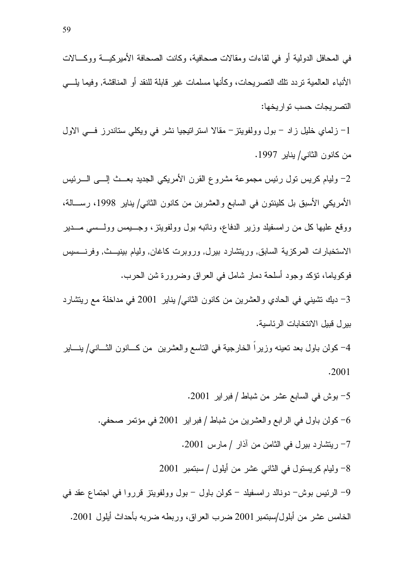1– زلماي خليل زاد – بول وولفويتز – مقالا استراتيجيا نشر في ويكلبي ستاندرز فسي الاول من كانون الثاني/ يناير 1997.

النصر بجات حسب نو ار بخها:

2– وليام كريس نول رئيس مجموعة مشروع القرن الأمريكي الجديد بعــث إلـــي الــــرئيس الأمريكي الأسبق بل كلينتون في السابع والعشرين من كانون الثاني/يناير 1998، رســـالة، ووقع عليها كل من رامسفيلد وزير الدفاع، ونائبه بول وولفويتز، وجـــبمس وولـــسى مــــدير الاستخبارات المركزية السابق, وريتشارد بيرل, وروبرت كاغان, وليام ببنيــث, وفرنـــسيس فوكوياما، نؤكد وجود أسلحة دمار شامل في العراق وضرورة شن الحرب.

3– ديك نتثبيني في الحادي والعشرين من كانون الثاني/ بناير 2001 في مداخلة مع ريتشار د بير ل قبيل الانتخابات الرئاسية.

4– كولن باول بعد تعينه وزيراً الخارجية في التاسع والعشرين من كـــانون الثـــاني/ ينــــاير  $.2001$ 

5- بوش في السابع عشر من شباط / فبراير 2001. كولن باول في الرابع والعشرين من شباط / فبر اير 2001 في مؤتمر صحفي.  $\sim$ 7- ريتشارد بيرل في الثامن من آذار / مارس 2001. 8- وليام كريستول في الثاني عشر من أيلول / سبتمبر 2001 9– الرئيس بوش– دونالد رامسفيلد – كولن باول – بول وولفويتز قرروا في اجتماع عقد في الخامس عشر من أبلول/سبتمبر 2001 ضرب العراق، وربطه ضربه بأحداث أيلول 2001.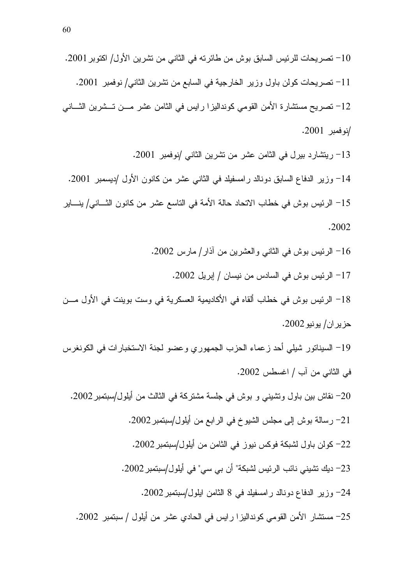. 2001" !) /8  
! -B A!&- d " "- K& %-5! T10 . 2001 " /-B 
! "- -\$ 8 -" 
 ) %-5! T11 -B 
! -B K  ) C  7-! Z5! T 12 . 2001 " / . 2001 " / -B 
! -B 8" -! T13 . 2001 " / 8  
 -) -B 4  - "- U- T14 - / -B 
 -) -!  - -!- ;-\$ d " K& T15

$$
.2002
$$

- 16– الرئيس بوش في الثاني والعشرين من أذار/ مارس 2002. 17 – الرئيس بوش في السادس من نيسان / إبريل 2002. 18= الرئيس بوش في خطاب ألقاه في الأكاديمية العسكرية في وست بوينت في الأول مـــن  $.2002$  حزير ان / يو نيو 19– السيناتور شيلي أحد زعماء الحزب الجمهوري وعضو لجنة الاستخبارات في الكونغرس في الثاني من أب / اغسطس 2002. 20 نقاش بين باول ونشيني و بوش في جلسة مشتركة في الثالث من أيلول/سبتمبر 2002. 21– رسالة بوش إلى مجلس الشيوخ في الرابع من أيلول/سبتمبر 2002. 22– كولن باول لشبكة فوكس نيوز في الثامن من أيلول/سبتمبر 2002. 23– ديك نشيني نائب الرئيس لشبكة" أن بي سي" في أيلول/سبنمبر 2002.
	- 24– وزير الدفاع دونالد رامسفيلد في 8 الثامن ايلول/سبتمبر 2002.
	- 25– مستشار الأمن القومي كونداليزا رايس في الحادي عشر من أيلول / سبتمبر 2002.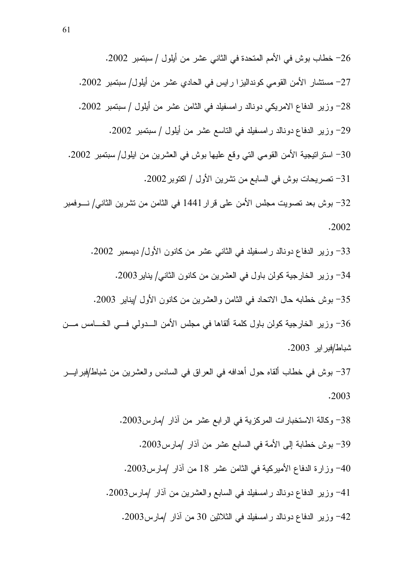26– خطاب بوش في الأمم المتحدة في الثاني عشر من أيلول / سبتمبر 2002. 27– مستشار الأمن القومي كونداليزا رايس في الحادي عشر من أيلول/ سبنمبر 2002. 28– وزير الدفاع الامريكي دونالد رامسفيلد في الثامن عشر من أيلول / سبنمبر 2002. 29– وزير الدفاع دونالد رامسفيلد في الناسع عشر من أيلول / سبنمبر 2002. 30– استر انيجية الأمن القومي التي وقع عليها بوش في العشرين من ايلول/ سبتمبر 2002. 31– تصريحات بوش في السابع من تشرين الأول / اكتوبر 2002. 32– بوش بعد تصويت مجلس الأمن على قرار 1441 في الثامن من تشرين الثاني/ نـــوفمبر . 2002 33– وزير الدفاع دونالد رامسفيلد في الثاني عشر من كانون الأول/ ديسمبر 2002. 34– وزير الخارجية كولن باول في العشرين من كانون الثاني/ يناير 2003. 35– بوش خطابه حال الاتحاد في الثامن والعشرين من كانون الأول /يناير 2003. 36– وزير الخارجية كولن باول كلمة ألقاها في مجلس الأمن الـــدولي فـــي الخــــامس مـــن

شباط/فبر اير 2003.

37– بوش في خطاب ألقاه حول أهدافه في العراق في السادس والعشرين من شباط/فبرايـــر . 2003

> 38– وكالة الاستخبارات المركزية في الرابع عشر من أذار /مارس2003. 39– بوش خطابة إلى الأمة في السابع عشر من أذار /مارس2003. وزارة الدفاع الأميركية في الثامن عشر 18 من أذار /مارس2003.  $-40$ 41– وزير الدفاع دونالد رامسفيلد في السابع والعشرين من أذار /مارس2003. 42– وزير الدفاع دونالد رامسفيلد في الثلاثين 30 من أذار /مارس2003.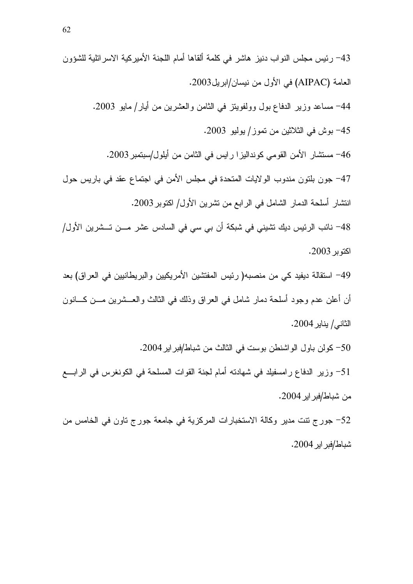50- كولن باول الواشنطن بوست في الثالث من شباط/فبراير 2004.

51– وزير الدفاع رامسفيلد في شهادته أمام لجنة القوات المسلحة في الكونغرس في الرابـــع من شباط/فبر اير 2004.

52– جورج تتت مدير وكالة الاستخبارات المركزية في جامعة جورج تاون في الخامس من شباط/فبر اير 2004.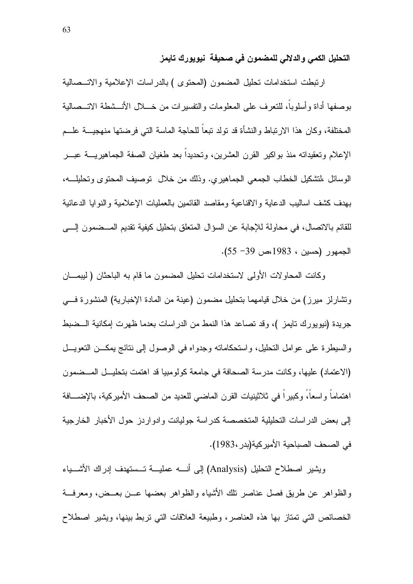التحليل الكمى والدلالي للمضمون في صحيفة نيويورك تايمز

ارتبطت استخدامات تحليل المضمون (المحتوى ) بالدراسات الإعلامية والاتـــصالية بوصفها أداة وأسلوبا، للتعرف على المعلومات والنفسيرات من خــــلال الأنـــشطة الاتـــصالية المختلفة، وكان هذا الارتباط والنشأة قد تولد تبعاً للحاجة الماسة التي فرضتها منهجيـــة علـــم الإعلام وتعقيداته منذ بواكير القرن العشرين، وتحديدا بعد طغيان الصفة الجماهيريــــة عبـــر الوسائل ،لتشكيل الخطاب الجمعي الجماهيري. وذلك من خلال توصيف المحتوى وتحليلـــه، بهدف كشف اساليب الدعاية والاقناعية ومقاصد القائمين بالعمليات الإعلامية والنوايا الدعائية للقائم بالاتصال، في محاولة للإجابة عن السؤال المتعلق بتحليل كيفية تقديم المــضمون إلـــي الجمهور (حسين ، 1983،ص 39- 55).

وكانت المحاولات الأولى لاستخدامات تحليل المضمون ما قام به الباحثان ( ليبمـــان وتشارلز ميرز) من خلال قيامهما بتحليل مضمون (عينة من المادة الإخبارية) المنشورة فسي جريدة (نيويورك نايمز )، وقد تصاعد هذا النمط من الدراسات بعدما ظهرت إمكانية الـــضبط والسيطرة على عوامل التحليل، واستحكاماته وجدواه في الوصول إلى نتائج بمكــن التعويـــل (الاعتماد) عليها، وكانت مدرسة الصحافة في جامعة كولومبيا قد اهتمت بتحليـــل المـــضمون اهتماماً واسعاً، وكبيراً في ثلاثينيات القرن الماضي للعديد من الصحف الأميركية، بالإضـــافة إلى بعض الدر اسات التحليلية المتخصصة كدر اسة جوليانت وإدوار دز حول الأخبار الخارجية في الصحف الصباحية الأمير كية(بدر ،1983).

ويشير اصطلاح التحليل (Analysis) إلى أنسه عمليسة تسستهدف إدراك الأشسباء والظواهر عن طريق فصل عناصر نلك الأشباء والظواهر بعضها عـــن بعــض، ومعرفـــة الخصائص التي تمتاز بها هذه العناصر، وطبيعة العلاقات التي نربط بينها، ويشير اصطلاح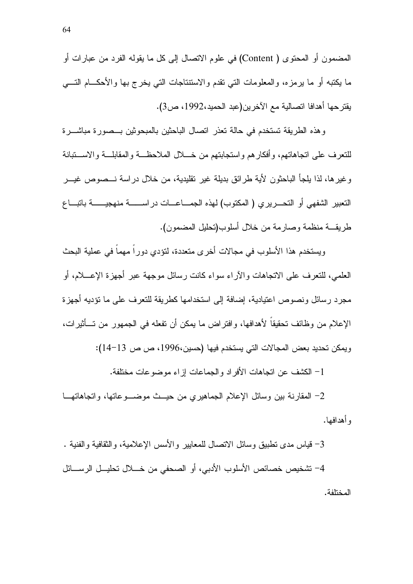المضمون أو المحتوى ( Content) في علوم الاتصال إلى كل ما يقوله الفرد من عبارات أو ما يكتبه أو ما برمزه، والمعلومات التي نقدم والاستنتاجات التي يخرج بها والأحكـــام التــــي يقترحها أهدافا اتصالية مع الآخرين(عبد الحميد،1992، ص3).

وهذه الطريقة تستخدم في حالة تعذر اتصال الباحثين بالمبحوثين بـــصورة مباشــــرة للتعرف على انجاهاتهم، وأفكارهم واستجابتهم من خــــلل الملاحظـــة والمقابلـــة والاســـتبانـة و غير ها، لذا يلجأ الباحثون لأية طر ائق بديلة غير تقليدية، من خلال در اسة نـــصوص غيـــر التعبير الشفهي أو التحـــريري ( المكتوب) لهذه الجمـــاعـــات در اســـــــة منهجيـــــــة باتبـــاع طريقـــة منظمة وصـارمة من خلال أسلوب(تحليل المضمون).

ويستخدم هذا الأسلوب في مجالات أخر ي متعددة، لتؤدي دور اً مهماً في عملية البحث العلمي، للنعرف على الانجاهات والأراء سواء كانت رسائل موجهة عبر أجهزة الإعــــلام، أو مجرد رسائل ونصوص اعتيادية، اِضافة إلى استخدامها كطريقة للتعرف على ما نؤديه أجهزة الإعلام من وظائف تحقيقاً لأهدافها، وإفتراض ما يمكن أن تفعله في الجمهور ٍ من تـــأثيرٍ ات، ويمكن تحديد بعض المجالات التي يستخدم فيها (حسين،1996، ص ص 13−14):

1– الكشف عن اتجاهات الأفر اد و الجماعات إز اء موضو عات مختلفة.

2– المقارنة بين وسائل الإعلام الجماهيري من حيـــث موضــــوعاتها، واتجاهاتهـــا و أهدافها.

3– قياس مدى نطبيق وسائل الاتصال للمعابير والأسس الإعلامية، و الثقافية و الفنية . 4– تشخيص خصائص الأسلوب الأدبي، أو الصحفي من خــــلال تحليـــل الرســــائل المختلفة.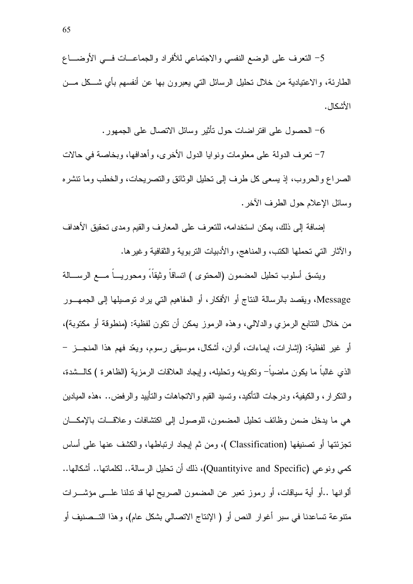5– النعرف على الوضع النفسي والاجتماعي للأفراد والجماعــات فـــي الأوضــــاع الطارئة، والاعتيادية من خلال تحليل الرسائل التبي يعبرون بها عن أنفسهم بأي شـــكل مـــن الأشكال.

الحصول على افتراضات حول نأنثير وسائل الانصال على الجمهور . $6\,$ 

7– نعرف الدولة على معلومات ونوايا الدول الأخرى، وأهدافها، وبخاصة في حالات الصراع والحروب، إذ يسعى كل طرف إلى تحليل الوثائق والتصريحات، والخطب وما تتشره وسائل الإعلام حول الطرف الآخر .

إضافة إلى ذلك، يمكن استخدامه، للنعرف على المعارف والقيم ومدى تحقيق الأهداف والأثار التي تحملها الكتب، والمناهج، والأدبيات النربوية والثقافية وغيرها.

ويتسق أسلوب نحليل المضمون (المحتوى ) انساقاً وثيقاً، ومحوريـــاً مــــع الرســــالـة Message، ويقصد بالرسالة النتاج أو الأفكار ، أو المفاهيم التي يراد توصيلها إلى الجمهــور من خلال النتابع الرمزي والدلالي، وهذه الرموز بمكن أن نكون لفظية: (منطوفة أو مكتوبة)، أو غير لفظية: (إشارات، إيماءات، ألوان، أشكال، موسيقى رسوم، ويعّد فهم هذا المنجـــز – الذي غالبًا ما يكون ماضياً ونكوينه وتحليله، وإيجاد العلاقات الرمزية (الظاهرة ) كالـــشدة، والنكرار، والكيفية، ودرجات النأكيد، ونسيد القيم والانجاهات والنأييد والرفض.. ،هذه الميادين هي ما يدخل ضمن وظائف تحليل المضمون، للوصول إلى اكتشافات وعلاقسات بالإمكسان تجزئتها أو تصنيفها (Classification )، ومن ثم إيجاد ارتباطها، والكشف عنها على أساس كمي ونوعي (Quantityive and Specific)، ذلك أن تحليل الرسالة.. لكلماتها.. أشكالها.. ألوانها ..أو أية سياقات، أو رموز نعبر عن المضمون الصريح لها قد ندلنا علـــي مؤشـــرات منتوعة تساعدنا في سبر أغوار النص أو ( الإنتاج الاتصالي بشكل عام)، وهذا التـــصنيف أو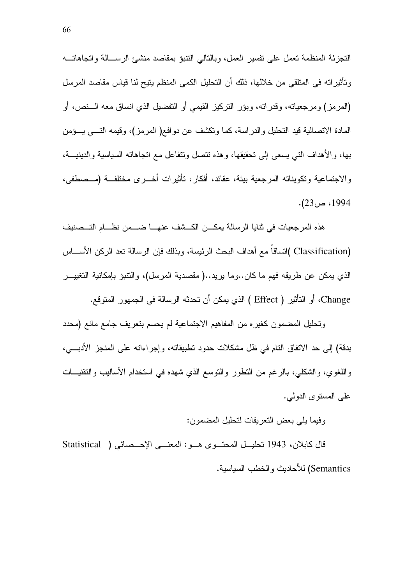التجزئة المنظمة تعمل على تفسير العمل، وبالتالي النتبؤ بمقاصد منشئ الرســالة واتجاهاتـــه وتأثيراته في المتلقى من خلالها، ذلك أن التحليل الكمي المنظم يتيح لنا قياس مقاصد المرسل (المرمز) ومرجعياته، وقدراته، وبؤر التركيز القيمي أو التفضيل الذي انساق معه الـــنص، أو المعادة الانصالية قيد التحليل والدراسة، كما ونكشف عن دوافع( المرمز)، وقيمه النسي يسؤمن بها، والأهداف التبي يسعى إلىي تحقيقها، وهذه تتصل وتتفاعل مع اتجاهاته السياسية والدينيــــة، و الاجتماعية وتكويناته المرجعية بيئة، عقائد، أفكار ، تأثير ات أخـــر ي مختلفـــة (مـــصطفى،  $. (23)$ ، ص $. 1994$ 

هذه المرجعيات في ثنايا الرسالة يمكـــن الكـــشف عنهـــا ضــــمن نظــــام التـــصنيف (Classification )اتساقاً مع أهداف البحث الرئيسة، وبذلك فإن الرسالة تعد الركن الأســـاس الذي بمكن عن طريقه فهم ما كان..وما بريد..( مقصدية المرسل)، والتنبؤ بإمكانية التغييـــر Change، أو التأثير ( Effect ) الذي يمكن أن تحدثه الرسالة في الجمهور المتوقع.

وتحليل المضمون كغيره من المفاهيم الاجتماعية لم يحسم بتعريف جامع مانع (محدد بدقة) إلى حد الاتفاق النام في ظل مشكلات حدود تطبيقاته، وإجراءاته على المنجز الأدبـــي، واللغوي، والشكلبي، بالرغم من النطور والنوسع الذي شهده في استخدام الأساليب والنقنيـــات علي المستوى الدولي.

وفيما بلي بعض النعر بفات لتحليل المضمون:

قال كابلان، 1943 تحليــل المحتــوى هــو: المعنـــى الإحـــصائى ( Statistical Semantics) للأحاديث و الخطب السياسية.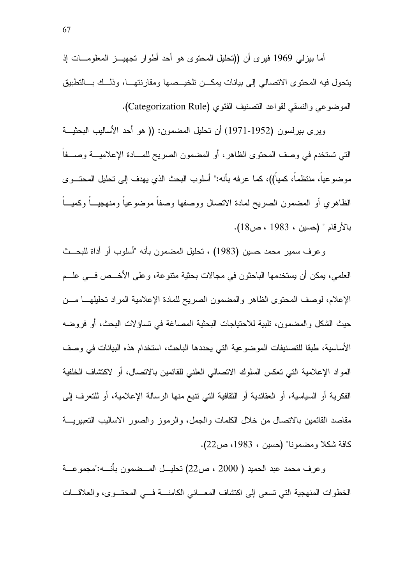أما بيزلمي 1969 فيري أن ((تحليل المحتوى هو أحد أطوار تجهيـــز المعلومـــات إذ يتحول فيه المحتوى الاتصالى إلى بيانات يمكــن نلخيــصها ومقارنتهــا، وذلــك بـــالتطبيق الموضوعي والنسقى لقواعد التصنيف الفئوي (Categorization Rule).

ويرى بيرلسون (1952-1971) أن تحليل المضمون: (( هو أحد الأساليب البحثيـــة التي تستخدم في وصف المحتوى الظاهر ، أو المضمون الصريح للمسادة الإعلاميسة وصسفا موضوعيا، منتظما، كميا))، كما عرفه بأنه:" أسلوب البحث الذي يهدف إلى تحليل المحتـــوي الظاهري أو المضمون الصريح لمادة الاتصال ووصفها وصفا موضوعيا ومنهجيــاً وكميـــاً بالأر قام " (حسين ، 1983 ، ص18).

وعرف سمير محمد حسين (1983) ، تحليل المضمون بأنه "أسلوب أو أداة للبحــث العلمي، يمكن أن يستخدمها الباحثون في مجالات بحثية متنوعة، وعلى الأخـــص فـــي علـــم الإعلام، لوصف المحتوى الظاهر والمضمون الصريح للمادة الإعلامية المراد تحليلهــا مـــن حيث الشكل والمضمون، تلبية للاحتياجات البحثية المصاغة في تساؤلات البحث، أو فروضه الأساسية، طبقا للتصنيفات الموضوعية التي يحددها الباحث، استخدام هذه البيانات في وصف المواد الإعلامية التي تعكس السلوك الاتصالي العلني للقائمين بالاتصال، أو لاكتشاف الخلفية الفكرية أو السياسية، أو العقائدية أو الثقافية التي تتبع منها الرسالة الإعلامية، أو للتعرف إلى مقاصد القائمين بالاتصال من خلال الكلمات والجمل، والرموز والصور الاساليب التعبيريـــة كافة شكلا ومضمونا" (حسين ، 1983، ص22).

وعرف محمد عبد الحميد ( 2000 ، ص22) تحليــل المــضمون بأنـــه:"مجموعـــة الخطوات المنهجية التي تسعى إلى اكتشاف المعــاني الكامنـــة فـــي المحتـــوى، والعلاقـــات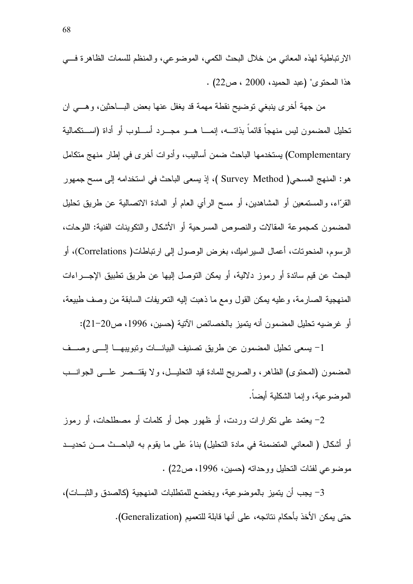الارتباطية لهذه المعاني من خلال البحث الكمي، الموضوعي، والمنظم للسمات الظاهرة فسي . (22 المحتوى" (عبد الحميد، 2000 ، ص $(22)$ .

من جهة أخرى ينبغي توضيح نقطة مهمة قد يغفل عنها بعض البـــاحثين، وهـــي ان تحليل المضمون ليس منهجاً قائماً بذاتــــه، إنمـــــا هــــو مجـــــرد أســــلوب أو أداة (اســــتكمالية Complementary) يستخدمها الباحث ضمن أساليب، و أدوات أخر ي في إطار ٍ منهج متكامل هو : المنهج المسحى( Survey Method )، إذ يسعى الباحث في استخدامه إلى مسح جمهور القرَّاء، والمستمعين أو المشاهدين، أو مسح الرأي العام أو المادة الانصالية عن طريق نحليل المضمون كمجموعة المقالات والنصوص المسرحية أو الأشكال والنكوينات الفنية: اللوحات، الرسوم، المنحونات، أعمال السير اميك، بغرض الوصول إلى ارتباطات( Correlations)، أو البحث عن قيم سائدة أو رموز دلالية، أو يمكن النوصل إليها عن طريق نطبيق الإجــــراءات المنهجية الصبارمة، و عليه يمكن القول ومع ما ذهبت إليه النعريفات السابقة من وصف طبيعة، أو غرضيه تحليل المضمون أنه يتميز بالخصائص الآتية (حسين، 1996، ص20–21):

1- يسعى تحليل المضمون عن طريق تصنيف البيانسات وتبويبهــا إلـــى وصـــف المضمون (المحتوى) الظاهر، والصريح للمادة قيد التحليــل، ولا يقتــصر علـــي الجوانـــب الموضوعية، وإنما الشكلية أبضا.

2– بعتمد علي نكر ار ات وردت، أو ظهور جمل أو كلمات أو مصطلحات، أو رموز أو أشكال ( المعاني المتضمنة في مادة التحليل) بناءً على ما يقوم به الباحــث مـــن تحديـــد موضوعي لفئات التحليل ووحدانه (حسين، 1996، ص22) .

3– يجب أن يتميز بالموضوعية، ويخضع للمتطلبات المنهجية (كالصدق والثبـــات)، حتى يمكن الأخذ بأحكام نتائجه، على أنها قابلة للتعميم (Generalization).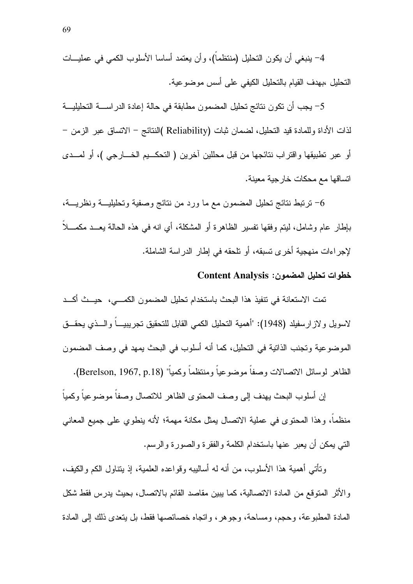4– ينبغي أن يكون التحليل (منتظماً)، وأن يعتمد أساسا الأسلوب الكمي في عمليـــات التحليل ،بهدف القيام بالتحليل الكيفي على أسس موضوعية.

5– يجب أن تكون نتائج تحليل المضمون مطابقة في حالة إعادة الدراســــة التحليليـــة لذات الأداة وللمادة قيد التحليل، لضمان ثبات (Reliability )النتائج – الاتساق عبر الزمن – أو عبر نطبيقها واقتراب نتائجها من قبل محللين أخرين ( التحكـــيم الخــــارجي )، أو لمـــدى اتساقها مع محكات خار جية معينة.

6– ترتبط نتائج تحليل المضمون مع ما ورد من نتائج وصفية وتحليليـــة ونظريـــة، بإطار عام وشامل، ليتم وفقها نفسير الظاهرة أو المشكلة، أي انه في هذه الحالة يعــد مكمـــلاً لإجراءات منهجية أخرى تسبقه، أو تلحقه في إطار الدراسة الشاملة.

#### خطوات تحليل المضمون: Content Analysis

تمت الاستعانة في نتفيذ هذا البحث باستخدام تحليل المضمون الكمـــي، حيـــث أكـــد لاسويل و لاز ارسفيلد (1948): "أهمية التحليل الكمي القابل للتحقيق تجريبيــــاً والــــذي يحقـــق الموضوعية وتجنب الذانية في التحليل، كما أنه أسلوب في البحث يمهد في وصف المضمون الظاهر لوسائل الاتصالات وصفاً موضوعياً ومنتظماً وكمياً" (Berelson, 1967, p.18).

إن أسلوب البحث يهدف إلى وصف المحتوى الظاهر للانصال وصفاً موضوعياً وكمياً منظما، وهذا المحتوى في عملية الاتصال بمثل مكانة مهمة؛ لأنه بنطوى على جميع المعاني التبي بمكن أن يعبر حنها باستخدام الكلمة والفقر ة والصور ة والرسم.

وتأتي أهمية هذا الأسلوب، من أنه له أساليبه وقواعده العلمية، إذ يتناول الكم والكيف، والأثر المتوقع من المادة الاتصالية، كما يبين مقاصد القائم بالاتصال، بحيث يدرس فقط شكل المادة المطبوعة، وحجم، ومساحة، وجوهر ، وإتجاه خصائصها فقط، بل يتعدى ذلك إلى المادة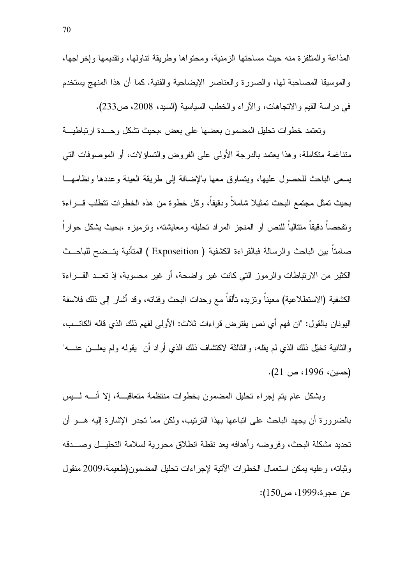المذاعة والمتلفزة منه حيث مساحتها الزمنية، ومحتواها وطريقة تناولها، وتقديمها وإخراجها، و الموسيقا المصاحبة لها، و الصور ة و العناصر الإبضاحية و الفنية. كما أن هذا المنهج بستخدم في دراسة القيم والانجاهات، والأراء والخطب السياسية (السيد، 2008، ص233).

ونعتمد خطوات نحليل المضمون بعضها علىى بعض ،بحيث تشكل وحسدة ارتباطيسة متناغمة متكاملة، وهذا يعتمد بالدرجة الأولى على الفروض والتساؤلات، أو الموصوفات التي بسعى الباحث للحصول عليها، ويتساوق معها بالإضافة إلى طريقة العينة وعددها ونظامهـــا بحيث تمثَّل مجتمع البحث تمثيلا شاملا ودقيقا، وكل خطوة من هذه الخطوات نتطلب قسر اءة وتفحصـا دقيقا منتاليا للنص أو المنجز المراد تحليله ومعايشته، وترميز ه ،بحيث بشكل حوار ا صامتاً بين الباحث والرسالة فبالقراءة الكشفية ( Exposeition ) المتأنية يتــضح للباحــث الكثير من الارتباطات والرموز التبي كانت غير واضحة، أو غير محسوبة، إذ تعــد القـــراءة الكشفية (الاستطلاعية) معيناً ونزيده نألقاً مع وحدات البحث وفئاته، وقد أشار إلى ذلك فلاسفة اليونان بالقول: "ان فهم أي نص يفترض قراءات ثلاث: الأولى لفهم ذلك الذي قاله الكاتــب، و الثانية تخبِّل ذلك الذي لم يقله، و الثالثة لاكتشاف ذلك الذي أر اد أن يقوله ولم يعلـــن عنــــه"  $(21 \nightharpoonup 1996)$  ص)

وبشكل عام يتم إجراء تحليل المضمون بخطوات منتظمة متعاقبسة، إلا أنسه لسيس بالضرور ة أن يجهد الباحث على اتباعها بهذا الترتيب، ولكن مما تجدر الإشارة إليه هــو أن تحديد مشكلة البحث، وفروضه وأهدافه بعد نقطة انطلاق محورية لسلامة التحليــل وصــــدقه وثباته، وعليه بمكن استعمال الخطوات الآتية لإجراءات تحليل المضمون(طعيمة،2009 منقول عن عجوة،1999، ص150):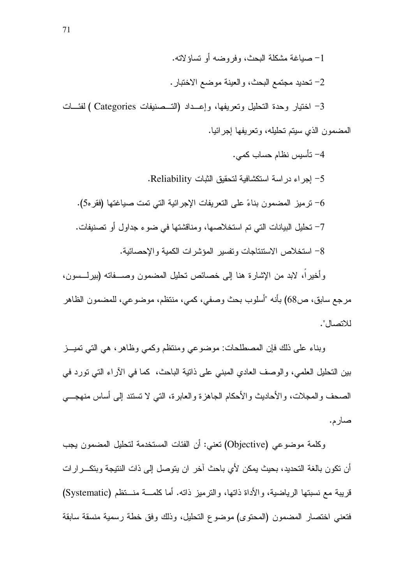3- اختيار وحدة التحليل وتعريفها، وإعــداد (التــصنيفات Categories ) لفئـــات المضمون الذي سيتم تحليله، وتعريفها إجرائيا.

4– نأسيس نظام حساب كمي. 5– إجر اء در اسة استكشافية لتحقيق الثبات Reliability. 6– ترميز المضمون بناءً على النعريفات الإجرائية التي تمت صياغتها (فقر 50). 7– تحليل البيانات التي تم استخلاصها، ومناقشتها في ضوء جداول أو تصنيفات. 8- استخلاص الاستنتاجات وتفسير المؤشرات الكمية والإحصائية. وأخيراً، لابد من الإشارة هنا إلى خصائص تحليل المضمون وصـــفاته (بيرلـــسون،

مرجع سابق، ص68) بأنه "أسلوب بحث وصفي، كمي، منتظم، موضوعي، للمضمون الظاهر للاتصال".

وبناء على ذلك فإن المصطلحات: موضوعي ومنتظم وكمبي وظاهر، هي التي تميـــز بين النحليل العلمي، والوصف العادي المبنى على ذاتية الباحث، كما في الأراء التي نورد في الصحف والمجلات، والأحاديث والأحكام الجاهزة والعابرة، التي لا تستند إلى أساس منهجـــي صار م.

وكلمة موضوعي (Objective) تعني: أن الفئات المستخدمة لتحليل المضمون يجب أن تكون بالغة التحديد، بحيث يمكن لأي باحث آخر ٍ إن يتوصل إلى ذات النتيجة وبتكـــر إر ات قريبة مع نسبتها الرياضية، والأداة ذاتها، والترميز ذاته. أما كلمـــة منـــتظم (Systematic) فتعنى اختصار المضمون (المحتوى) موضوع التحليل، وذلك وفق خطة رسمية منسقة سابقة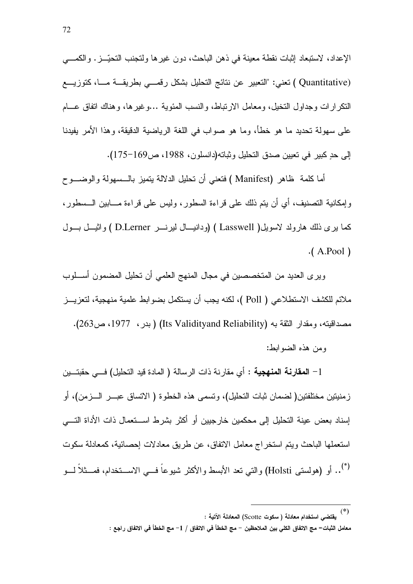الإعداد، لاستبعاد إثبات نقطة معينة في ذهن الباحث، دون غير ها ولتجنب التحيّـــز. والكمــــي (Quantitative ) تعني: "التعبير عن نتائج التحليل بشكل رقصي بطريقــة مـــا، كتوزيـــع النكر ار ات و جداو ل النخيل، و معامل الار نباط، و النسب المئوية …و غير ها، و هناك انفاق عـــام على سهولة تحديد ما هو خطأ، وما هو صواب في اللغة الرياضية الدقيقة، وهذا الأمر يفيدنا الِي حدِ كبيرٍ في تعيين صدق التحليل وثباته(دانسلون، 1988، ص169–175).

أما كلمة ظاهر (Manifest ) فتعني أن تحليل الدلالة بتميز بالـــسهولة والوضـــو ح وإمكانية التصنيف، أي أن يتم ذلك على قراءة السطور، وليس على قراءة مـــابين الـــسطور، كما برى ذلك هارولد لاسويل( Lasswell ) (ودانيسال ليرنسر D.Lerner ) واثيسل بسول  $(A.Pool)$ 

ويرى العديد من المتخصصين في مجال المنهج العلمي أن تحليل المضمون أسطوب ملائم للكشف الاستطلاعي ( Poll )، لكنه يجب أن يستكمل بضوابط علمية منهجية، لتعزيـــز مصداقيته، ومقدار الثقة به (Its Validityand Reliability) (بدر ، 1977، ص263). ومن هذه الضوابط:

1 – ا**لمقارنـة المنـهجيـة :** أي مقارِ نـة ذات الرسالـة ( المـادة قيد التحليل) فـــي حقبتـــين زِمنيتين مختلفتين( لضمان ثبات التحليل)، وتسمى هذه الخطوة ( الاتساق عبـــر الــــزمن)، أو إسناد بعض عبنة التحليل إلى محكمين خار جبين أو أكثر بشرط اســـتعمال ذات الأداة التـــي استعملها الباحث ويتم استخر اج معامل الاتفاق، عن طريق معادلات إحصائية، كمعادلة سكوت <sup>(\*)</sup>.. أو (هولستى Holsti) والتى تعد الأبسط والأكثر شيوعاً فـــي الاســـتخدام، فمـــثلاً لـــو

 $\left( \text{*}\right)$ يقتضي استخدام معادلة ( سكوت Scotte) المعادلة الآتية : معامل الثبات= مج الاتفاق الكلي بين الملاحظين − مج الخطأ في الاتفاق / 1− مج الخطأ في الاتفاق راجع :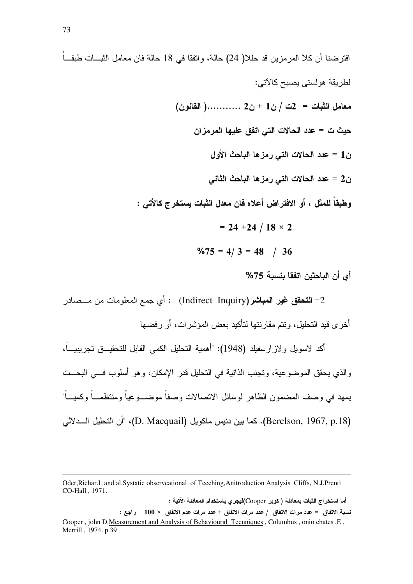افترضنا أن كلا المرمزين قد حللا( 24) حالة، وانفقا في 18 حالة فان معامل الثبـــات طبقـــاً لطر بقة هولستي بصبح كالآتي:  $\frac{1}{2}$  معامل الثبات = 2ت / ن1 + ن2 ............( القانون) حيث ت = عدد الحالات التي اتفق عليها المرمزان ن1 = عدد الحالات التي رمز ها الباحث الأول ن2 = عدد الحالات التي رمزها الباحث الثاني وطبقاً للمثل ، أو الافتراض أعلاه فان معدل الثبات يستخرج كالأتي :  $= 24 + 24 / 18 \times 2$  $\frac{9}{5}$  = 4/3 = 48 / 36 أي أن الباحثين اتفقا بنسبة 75%

2- ا**لتحقق غير المباشر(**Indirect Inquiry) : أي جمع المعلومات من مـــصـادر أخر ي قيد التحليل، وتتم مقار نتها لتأكيد يعض المؤشر ات، أو ر فضها

أكد لاسويل و لاز ارسفيلد (1948): "أهمية التحليل الكمي القابل للتحقيـــق تجريبيــــاً، والذي يحقق الموضوعية، وتجنب الذاتية في التحليل قدر الإمكان، وهو أسلوب في البحــث يمهد فى وصف المضمون الظاهر لوسائل الاتصالات وصفاً موضـــوعياً ومنتظمـــاً وكميـــاً" (Berelson, 1967, p.18). كما بين دنيس ماكويل (D. Macquail)، "أن التحليل الـــدلالي

أما استخراج الثبات بمعادلة ( كوبر Cooper)فيجر ى باستخدام المعادلة الآتية :

Oder, Richar. L and al. Systatic observeational of Teeching, Anitroduction Analysis Cliffs, N.J. Prenti CO-Hall . 1971.

نسبة الاتفاق = عدد مرات الاتفاق / عدد مرات الاتفاق + عدد مرات عدم الاتفاق × 100 راجع : Cooper, john D.Measurement and Analysis of Behavioural Tecnniques, Columbus, onio chates, E, Merrill, 1974. p 39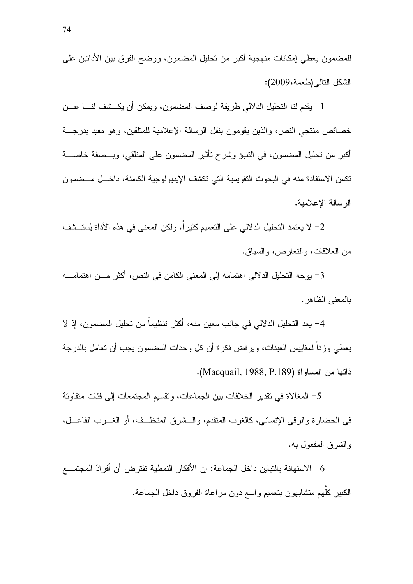للمضمون بعطي إمكانات منهجية أكبر من تحليل المضمون، ووضح الفرق بين الأدانين على الشكل التالي (طعمة،2009):

1– يقدم لنا التحليل الدلالي طريقة لوصف المضمون، ويمكن أن يكـــشف لنــــا عـــن خصائص منتجى النص، والذين يقومون بنقل الرسالة الإعلامية للمتلقين، وهو مفيد بدرجـــة أكبر من تحليل المضمون، في النتبؤ وشرح تأثير المضمون على المتلقى، وبـــصفة خاصــــة تكمن الاستفادة منه في البحوث النقويمية التي تكشف الإيديولوجية الكامنة، داخـــل مـــضمون الر سالة الإعلامية.

2– لا يعتمد التحليل الدلالي على التعميم كثيراً، ولكن المعنى في هذه الأداة يُستَــشف من العلاقات، والنعارض، والسياق.

3– يوجه التحليل الدلالي اهتمامه إلى المعنى الكامن في النص، أكثر مـــن اهتمامــــه بالمعنى الظاهر .

4– يعد التحليل الدلالي في جانب معين منه، أكثر تنظيماً من تحليل المضمون، إذ لا يعطي وزنـاً لمقاييس العينات، ويرفض فكرة أن كل وحدات المضمون يجب أن نعامل بالدرجة ذاتها من المساواة (Macquail, 1988, P.189).

5– المغالاة في نقدير الخلافات بين الجماعات، ونقسيم المجتمعات إلى فئات متفاوتة في الحضارة والرقي الإنساني، كالغرب المنقدم، والـــشرق المتخلــف، أو الغــــرب الفاعـــل، والشرق المفعول به.

6– الاستهانة بالتباين داخل الجماعة: إن الأفكار النمطية تفترض أن أفرادَ المجتمـــع الكبير كلُّهم متشابهون بتعميم واسع دون مراعاة الفروق داخل الجماعة.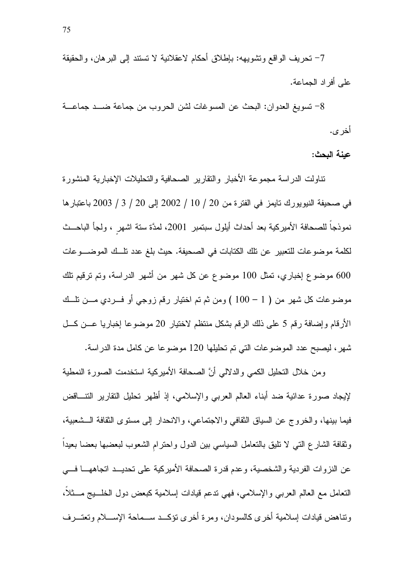7– تحريف الواقع وتشويهه: باطلاق أحكام لاعقلانية لا تستند إلى البرهان، والحقيقة على أفراد الجماعة.

8– تسويغ العدوان: البحث عن المسوغات لشن الحروب من جماعة ضـــد جماعـــة أخر ي.

عبنة البحث:

نتاولت الدر اسة مجموعة الأخبار والنقارير الصحافية والتحليلات الإخبارية المنشور ة في صحيفة النيويورك تايمز في الفترة من 20 / 10 / 2002 إلى 20 / 3 / 2003 باعتبارها نموذجاً للصحافة الأميركية بعد أحداث أيلول سبتمبر 2001، لمدَّة سنة اشهر ، ولجأ الباحــث لكلمة موضوعات للتعبير عن نلك الكتابات في الصحيفة. حيث بلغ عدد تلَّــك الموضــــوعات 600 موضوع إخباري، تمثل 100 موضوع عن كل شهر من أشهر الدراسة، وتم ترقيم تلك موضوعات كل شهر من ( 1 – 100 ) ومن ثم تم اختيار رقم زوجي أو فـــردي مـــن نلـــك الأرقام وإضافة رقم 5 على ذلك الرقم بشكل منتظم لاختيار 20 موضوعا إخباريا عــن كــل شهر، ليصبح عدد الموضوعات التي تم تحليلها 120 موضوعا عن كامل مدة الدراسة.

ومن خلال التحليل الكمى والدلالي أنَّ الصحافة الأميركية استخدمت الصورة النمطية لإيجاد صورة عدائية ضد أبناء العالم العربي والإسلامي، إذ أظهر تحليل النقارير النتـــاقض فيما بينها، والخروج عن السياق الثقافي والاجتماعي، والانحدار إلى مستوى الثقافة الــشعبية، وثقافة الشارع التبي لا نليق بالنعامل السياسي بين الدول واحترام الشعوب لبعضيها بعضا بعيداً عن النزوات الفردية والشخصية، وعدم قدرة الصحافة الأميركية على تحديــد اتجاههـــا فـــى النعامل مع العالم العربي والإسلامي، فهي ندعم فيادات إسلامية كبعض دول الخلسيج مسثلاً، ونتاهض قيادات إسلامية أخرى كالسودان، ومرة أخرى نؤكــد ســماحة الإســـلام وتعتـــرف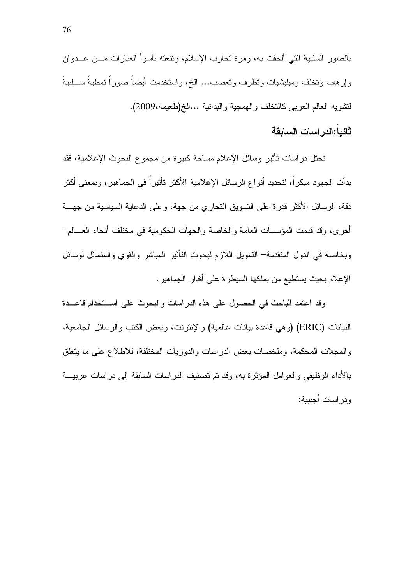بالصور السلبية التي ألحقت به، ومرة تحارب الإسلام، ونتعته بأسوأ العبارات مـــن عـــدوان وإرهاب وتخلف وميليشيات ونطرف وتعصب... الخ، واستخدمت أيضاً صوراً نمطيةً ســـلبيةً لنتشويه العالم العربي كالنخلف والهمجية والبدائية …الخ(طعيمه،2009).

## ثانياً:الدراسات السابقة

تحتل در اسات تأثير وسائل الإعلام مساحة كبيرة من مجموع البحوث الإعلامية، فقد بدأت الجهود مبكراً، لتحديد أنواع الرسائل الإعلامية الأكثر تأثيراً في الجماهير، وبمعنى أكثر دقة، الرسائل الأكثر قدرة على النسويق النجاري من جهة، وعلى الدعاية السياسية من جهسة أخر ي، وقد قدمت المؤسسات العامة والخاصة والجهات الحكومية في مختلف أنحاء العسالم– وبخاصة في الدول المنقدمة– التمويل اللازم لبحوث التأثير المباشر والقوى والمتماثل لوسائل الإعلام بحيث يستطيع من يملكها السيطرة على أقدار الجماهير.

وقد اعتمد الباحث في الحصول على هذه الدراسات والبحوث على استخدام قاعــدة البيانات (ERIC) (وهي قاعدة بيانات عالمية) والإنترنت، وبعض الكتب والرسائل الجامعية، والمجلات المحكمة، وملخصات بعض الدراسات والدوريات المختلفة، للاطلاع على ما يتعلق بالأداء الوظيفي والعوامل المؤثرة به، وقد نم نصنيف الدراسات السابقة إلى دراسات عربيسة و در اسات أجنبية: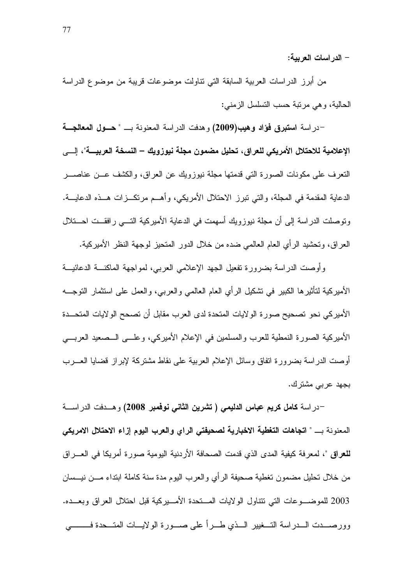– الدر اسات العربية:

من أبرز الدراسات العربية السابقة التي نتاولت موضوعات قريبة من موضوع الدراسة الحالية، وهي مرتبة حسب التسلسل الزمنبي:

–در اسة ا**ستبرق فؤاد وهيب(2009)** وهدفت الدر اسة المعنونة بـــ " حـــول المعالجـــة الإعلامية للاحتلال الأمريكي للعراق، تحليل مضمون مجلة نيوزويك – النسخة العربيــــة"، إلــــي النعرف على مكونات الصورة التي قدمتها مجلة نيوزويك عن العراق، والكشف عــن عناصـــر الدعاية المقدمة في المجلة، والتي تبرز الاحتلال الأمريكي، وأهـــم مرتكـــزات هـــذه الدعايــــة. ونوصلت الدراسة إلى أن مجلة نيوزويك أسهمت في الدعاية الأميركية التـــي رافقــت احــــتلال العراق، وتحشيد الرأي العام العالمي ضده من خلال الدور المنحيز لوجهة النظر الأميركية.

وأوصت الدراسة بضرورة نفعيل الجهد الإعلامي العربي، لمواجهة الماكنـــة الدعائيـــة الأميركية لتأثيرها الكبير في تشكيل الرأي العام العالمي والعربي، والعمل على استثمار التوجـــه الأميركي نحو تصحيح صورة الولايات المتحدة لدى العرب مقابل أن تصحح الولايات المتحـــدة الأميركية الصورة النمطية للعرب والمسلمين في الإعلام الأميركي، وعلـــي الـــصعيد العربـــي أوصت الدراسة بضرورة انفاق وسائل الإعلام العربية على نقاط مشتركة لإبراز قضايا العـــرب بجهد عربي مشترك.

-دراسة كامل كريم عباس الدلي*مي* ( تشرين الثان*ي* نوفمبر 2008) وهــدفت الدراســـة المعنونة بـ " اتجاهات التغطية الاخبارية لصحيفتي الراي والعرب اليوم إزاء الاحتلال الامريكي **للعراق** "، لمعرفة كيفية المدى الذي قدمت الصحافة الأردنية اليومية صورة أمريكا في العـــراق من خلال تحليل مضمون تغطية صحيفة الرأى والعرب اليوم مدة سنة كاملة ابتداء مـــن نيـــسان 2003 للموضـــوعات التبي نتناول الولايات المـــنحدة الأمـــيركية قبل احتلال العراق وبعـــده. وورصـــدت الـــدراسة التـــغيير الـــذي طـــرأ على صـــورة الولايـــات المتـــحدة فـــــــــى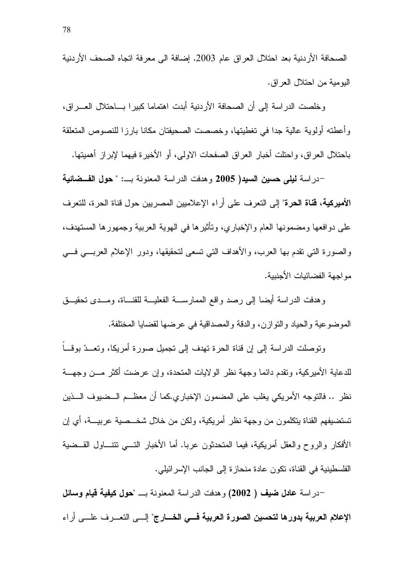الصحافة الأر دنية بعد احتلال العر اق عام 2003. إضافة الى معر فة اتجاه الصحف الأر دنية البومبة من احتلال العر اق.

وخلصت الدراسة إلى أن الصحافة الأردنية أبدت اهتماما كبيرا بساحتلال العسراق، وأعطته أولوية عالية جدا في تغطيتها، وخصصت الصحيفتان مكانا بارزا للنصوص المتعلقة باحتلال العراق، واحتلت أخبار العراق الصفحات الاولى، أو الأخيرة فيهما لإبراز أهميتها.

–در اسة ل**يلي حسين السيد( 2005** و هدفت الدر اسة المعنو نة بـــ: " **حول الفـــضائية** الأميركية، قناة الحرة" إلى التعرف على أراء الإعلاميين المصريين حول قناة الحرة، للتعرف على دوافعها ومضمونها العام والإخباري، وتأثيرها في الهوية العربية وجمهورها المستهدف، والصورة التي نقدم بها العرب، والأهداف التي نسعى لتحقيقها، ودور الإعلام العربـــي فـــي مو اجهة الفضائيات الأجنبية.

وهدفت الدراسة أيضا إلىي رصد واقع الممارســـة الفعليـــة للقنــــاة، ومـــدى نـحقيـــق المو ضو عية و الحياد و النَّو از ن، و الدقة و المصداقية في عر ضبها لقضايا المختلفة.

وتوصلت الدراسة إلى إن قناة الحرة تهدف إلى تجميل صورة أمريكا، وتعــدّ بوقـــاً للدعاية الأميركية، ونقدم دائما وجهة نظر الولايات المنحدة، وإن عرضت أكثر مـــن وجهـــة نظر .. فالتوجه الأمريكي يغلب على المضمون الإخباري.كما أن معظــم الـــضيوف الـــذين تستضيفهم القناة يتكلَّمون من وجهة نظر أمريكية، ولكن من خلال شخـــصية عربيــــة، أي إن الأفكار والر و ح و العقل أمر يكية، فيما المتحدثون عربـا. أما الأخبار التــــى تتتـــاول القـــضية الفلسطينية في القناة، تكون عادة منحاز ة إلى الجانب الإسر ائيلي.

-در اسة عا**دل ضيف ( 2002)** وهدفت الدر اسة المعنونة بـــ "**حول كيفية قيام وسائل** الإعلام العربية بدورها لتحسين الصورة العربية فسي الخسارج" إلسي التعسرف علسي أراء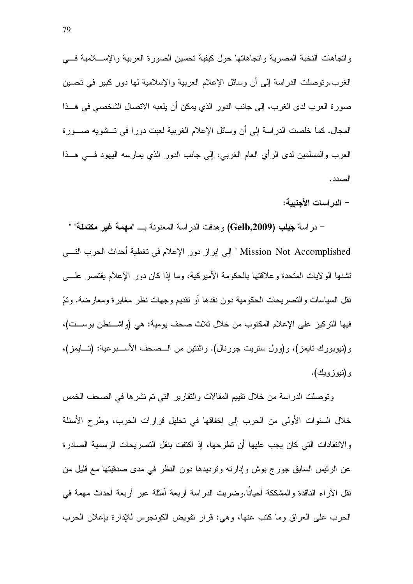واتجاهات النخبة المصرية واتجاهاتها حول كيفية تحسين الصورة العربية والإســـلامية فــــي الغرب.ونوصلت الدراسة إلى أن وسائل الإعلام العربية والإسلامية لمها دور كبير في تحسين صورة العرب لدى الغرب، إلى جانب الدور الذي يمكن أن يلعبه الاتصال الشخصي في هــذا المجال. كما خلصت الدراسة إلى أن وسائل الإعلام الغربية لعبت دورًا في تـــشويه صــــورة العرب والمسلمين لدى الرأي العام الغربي، إلى جانب الدور الذي يمارسه اليهود فسي هــذا الصدد .

– الدر اسات الأجنبية:

– در اسة جيلب (Gelb,2009) وهدفت الدر اسة المعنونة بـــ "مهمة غير مكتملة" " Mission Not Accomplished " إلى إبراز دور الإعلام في تغطية أحداث الحرب التسي تشنها الولايات المتحدة وعلاقتها بالحكومة الأميركية، وما إذا كان دور الإعلام يقتصر علــــي نقل السياسات و النصر يحات الحكومية دون نقدها أو نقديم وجهات نظر ٍ مغاير ة ومعارضة. وتمّ فيها التركيز على الإعلام المكتوب من خلال ثلاث صحف يومية: هي (واشــنطن بوســت)، و(نيويورك نايمز)، و(وول ستريت جورنال). واثنتين من الـــصـحف الأســـبوعية: (تـــايمز)، و(نيوزويك).

وتوصلت الدراسة من خلال نقييم المقالات والنقارير التي تم نشرها في الصحف الخمس خلال السنوات الأولى من الحرب إلى إخفاقها في تحليل قرارات الحرب، وطرح الأسئلة والانتقادات التي كان يجب عليها أن تطرحها، إذ اكتفت بنقل التصريحات الرسمية الصادرة عن الرئيس السابق جورج بوش وإدارته وترديدها دون النظر في مدى صدقيتها مع قليل من نقل الآراء الناقدة والمشككة أحيانًا.وضربت الدراسة أربعة أمثلة عبر أربعة أحداث مهمة في الحرب على العراق وما كتب عنها، وهي: قرار نفويض الكونجرس للإدارة بإعلان الحرب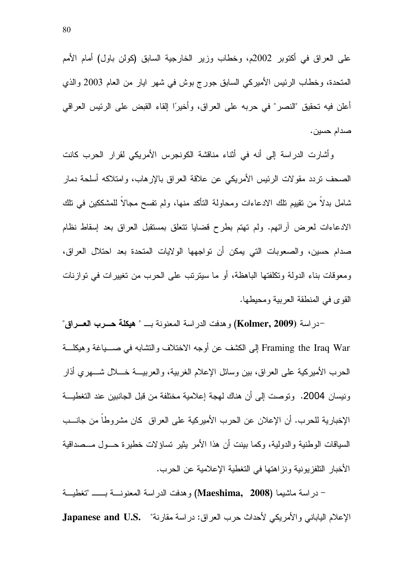على العراق في أكتوبر 2002م، وخطاب وزير الخارجية السابق (كولن باول) أمام الأمم المتحدة، وخطاب الرئيس الأميركي السابق جورج بوش في شهر ايار من العام 2003 والذي أعلن فيه تحقيق "النصر" في حربه على العراق، وأخيرًا إلقاء القبض على الرئيس العراقي صدام حسين.

وأشارت الدراسة إلى أنه في أثناء مناقشة الكونجرس الأمريكي لقرار الحرب كانت الصحف نردد مقولات الرئيس الأمريكي عن علاقة العراق بالإرهاب، وامتلاكه أسلحة دمار شامل بدلاً من نقيبِم نلك الادعاءات ومحاولة النأكد منها، ولم نفسح مجالاً للمشككين في نلك الادعاءات لعرض أرائهم. ولم تهتم بطرح فضايا نتعلق بمستقبل العراق بعد إسقاط نظام صدام حسين، والصعوبات التي يمكن أن تواجهها الولايات المتحدة بعد احتلال العراق، ومعوقات بناء الدولة وتكلفتها الباهظة، أو ما سيترنب على الحرب من تغييرات في توازنات القوى في المنطقة العربية ومحيطها.

–در اسة (Kolmer, 2009) و هدفت الدر اسة المعنونة بــــ " هيكلة حـــرب العـــراق" Framing the Iraq War إلى الكشف عن أوجه الاختلاف والنشابه في صــــباغة وهيكلــــة الحرب الأميركية على العراق، بين وسائل الإعلام الغربية، والعربيـــة خــــلال شــــهري أذار ونيسان 2004. وتوصت إلى أن هناك لهجة إعلامية مختلفة من قبل الجانبين عند التغطيـــة الإخبارية للحرب. أن الإعلان عن الحرب الأميركية على العراق كان مشروطا من جانــب السياقات الوطنية والدولية، وكما بينت أن هذا الأمر يثير تساؤلات خطير ة حـــول مـــصداقية الأخبار التلفزيونية ونزاهتها في التغطية الإعلامية عن الحرب.

- دراسة ماشيما (Maeshima, 2008) وهدفت الدراسة المعنونسة بـــــ "تغطيسة الإعلام الياباني والأمريكي لأحداث حرب العراق: در اسة مقارنة" .Japanese and U.S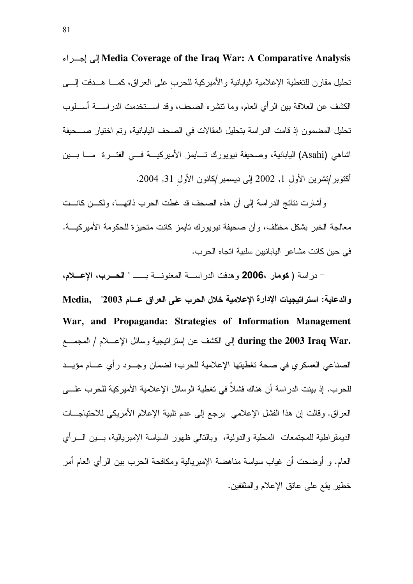Media Coverage of the Iraq War: A Comparative Analysis تحليل مقارن للتغطية الإعلامية اليابانية والأميركية للحرب على العراق، كمـــا هـــدفت إلــــي الكشف عن العلاقة بين الرأي العام، وما نتشره الصحف، وقد اســـنخدمت الدراســــة أســـلوب تحليل المضمون إذ قامت الدراسة بتحليل المقالات في الصحف اليابانية، وتم اختيار صـــحيفة اشاهي (Asahi) اليابانية، وصحيفة نيويورك تـــايمز الأميركيـــة فـــي الفتـــرة مــــا بــــين أكتوبر/تشرين الأول 1, 2002 إلى ديسمبر/كانون الأول 31, 2004.

وأشارت نتائج الدراسة إلى أن هذه الصحف قد غطت الحرب ذاتهـــا، ولكـــن كانـــت معالجة الخبر بشكل مختلف، وأن صحيفة نيويورك نايمز كانت متحيزة للحكومة الأميركيـــة. في حبن كانت مشاعر البابانيين سلبية اتجاه الحر ب.

– دراسة (كومار ،2006 وهدفت الدراســـة المعنونـــة بـــــــ " الحــــرب، الإعــــلام، والدعاية: استراتيجيات الإدارة الإعلامية خلال الحرب على العراق عسام 2003" ,Media War, and Propaganda: Strategies of Information Management during the 2003 Iraq War. إلى الكشف عن إستراتيجية وسائل الإعسلام / المجمع الصناعي العسكري في صحة تغطيتها الإعلامية للحرب؛ لضمان وجـود رأي عــام مؤيــد للحرب. إذ بينت الدراسة أن هناك فشلاً في نغطية الوسائل الإعلامية الأميركية للحرب علــــي العراق. وقالت إن هذا الفشل الإعلامي يرجع إلى عدم نلبية الإعلام الأمريكي للاحتياجـــات الديمقر اطية للمجتمعات المحلية والدولية، وبالتالي ظهور السياسة الإمبريالية، بـــين الــــرأي العام. و أوضحت أن غياب سياسة مناهضة الإمبريالية ومكافحة الحرب بين الرأى العام أمر خطير يقع على عانق الإعلام والمثقفين.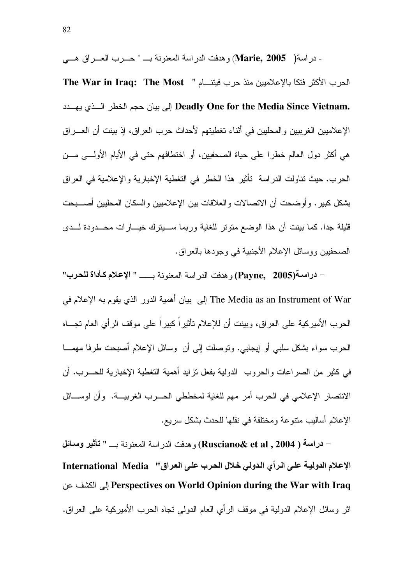- دراسة( Marie, 2005) وهدفت الدراسة المعنونة بـ " حـــرب العـــراق هـــي الحرب الأكثر فتكا بالإعلاميين منذ حرب فيتنـــام " The War in Iraq: The Most Deadly One for the Media Since Vietnam. إلى بيان حجم الخطر السذى يهسدد الإعلاميين الغربيين والمحليين في أثناء تغطيتهم لأحداث حرب العراق، إذ بينت أن العـــراق هي أكثر دول العالم خطر ا على حياة الصحفيين، أو اختطافهم حتى في الأيام الأولـــي مـــن الحر ب. حيث نتاولت الدر اسة تأثير هذا الخطر في التغطية الإخبار ية و الإعلامية في العر اق بشكل كبير . و أو ضحت أن الاتصالات و العلاقات بين الإعلاميين و السكان المحليين أصــــبحت قليلة جدا. كما بينت أن هذا الوضع متونر للغاية وربما ســـيترك خيـــارات محـــدودة لـــدى الصحفيين ووسائل الإعلام الأجنبية في وجودها بالعر اق.

– دراسة(Payne, 2005) و هدفت الدر اسة المعنونة بـــــــــ " الإعلام كـأداة للحرب" The Media as an Instrument of War إلى بيان أهمية الدور الذي بقوم به الإعلام في الحرب الأميركية على العراق، وبينت أن للإعلام نـأثيراً كبيراً على موقف الرأي العام نجـــاه الحرب سواء بشكل سلبي أو إيجابي. وتوصلت إلى أن وسائل الإعلام أصبحت طرفا مهمـــا في كثير من الصراعات والحروب الدولية بفعل نزايد أهمية التغطية الإخبارية للحـــرب. أن الانتصار الإعلامي في الحرب أمر مهم للغاية لمخططي الحـــرب الغربيـــة. وأن لوســـائل الإعلام أساليب متنوعة ومختلفة في نقلها للحدث بشكل سريع.

– دراسة ( Rusciano& et al , 2004) و هدفت الدر اسة المعنونة بــ " تأثير وسائل الإعلام الدوليـة علـى الرأى الدولي خلال الحرب علـى العراق'' International Media Perspectives on World Opinion during the War with Iraq إلى الكشف عن اثر وسائل الإعلام الدولية في موقف الرأى العام الدولي تجاه الحرب الأميركية على العراق.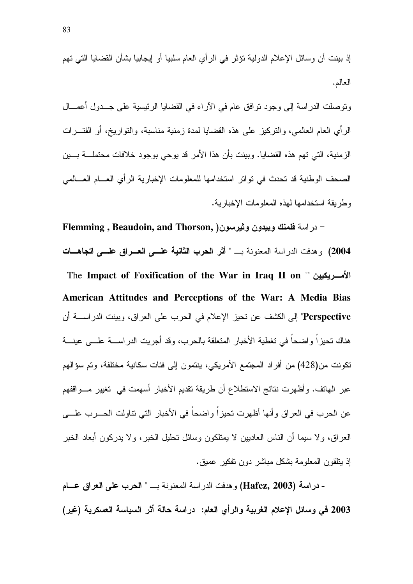إذ بينت أن وسائل الإعلام الدولية نؤثر في الرأى العام سلبيا أو إيجابيا بشأن القضايا التي نهم العالم.

ونوصلت الدراسة إلى وجود نوافق عام في الأراء في القضايا الرئيسية على جــدول أعمـــال الرأي العام العالمي، والنركيز على هذه القضايا لمدة زمنية مناسبة، والنواريخ، أو الفتـــرات الزِ منية، التي تهم هذه القضايا. وبينت بأن هذا الأمر ِ قد يوجي بوجود خلافات محتملـــة بـــين الصحف الوطنية قد تحدث في نو اتر استخدامها للمعلومات الإخبار بة الر أي العسام العسالمي وطربقة استخدامها لهذه المعلومات الإخباربة.

- در اسة فلمنك وبيدون وثيرسون( Flemming , Beaudoin, and Thorson, 2004) وهدفت الدر اسة المعنونة بـــ " أثر الحرب الثانية علـــى العــراق علـــى اتجاهـــات American Attitudes and Perceptions of the War: A Media Bias Perspective" إلى الكشف عن تحيز الإعلام في الحرب على العراق، وبينت الدراســـة أن هناك تحيزاً واضحاً في تغطية الأخبار المتعلقة بالحرب، وقد أجريت الدراســـة علــــى عينـــة تكونت من(428) من أفر اد المجتمع الأمريكي، ينتمون إلى فئات سكانية مختلفة، وتم سؤالهم عبر الهاتف. وأظهرت نتائج الاستطلاع أن طريقة تقديم الأخبار أسهمت في تغيير مـــواقفهم عن الحرب في العراق وأنها أظهرت تحيزاً واضحاً في الأخبار التي تناولت الحـــرب علــــي العر اق، و لا سيما أن الناس العاديين لا يمتلكون وسائل تحليل الخبر ، و لا يدر كون أبعاد الخبر إذ يتلقون المعلومة بشكل مباشر دون تفكير عميق.

- دراسة (Hafez, 2003) وهدفت الدراسة المعنونة بــ " الحرب على العراق عـــام 2003 في وسائل الإعلام الغربية والرأى العام: دراسة حالة أثر السياسة العسكرية (غير)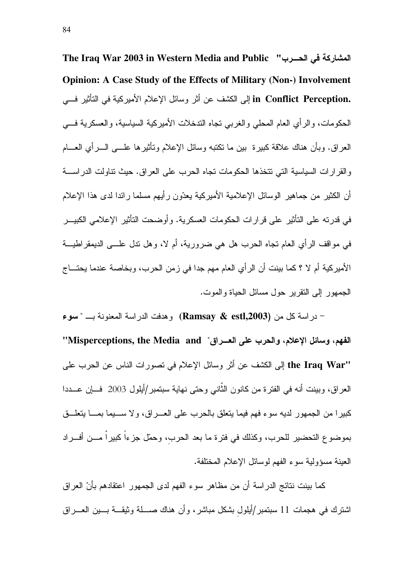The Iraq War 2003 in Western Media and Public "المشاركة في الحسرب" **Opinion: A Case Study of the Effects of Military (Non-) Involvement** in Conflict Perception. إلى الكشف عن أثر وسائل الإعلام الأميركية في التأثير فـــي الحكومات، والرأى العام المحلي والغربي تجاه الندخلات الأميركية السياسية، والعسكرية فسي العراق. وبأن هناك علاقة كببرة ببن ما نكتبه وسائل الإعلام وتأثيرها علـــى الــــرأي العــــام و القر ار ات السياسية التي تتخذها الحكومات تجاه الحرب على العر اق. حيث تناولت الدر اســـة أن الكثير من جماهير الوسائل الإعلامية الأميركية يعدّون رأيهم مسلما رائدا لدى هذا الإعلام في قدرته على التأثير على قرارات الحكومات العسكرية. وأوضحت التأثير الإعلامي الكبيـــر في مواقف الرأي العام تجاه الحرب هل هي ضرورية، أم لا، وهل ندل علـــي الديمقراطيـــة الأميركية أم لا ؟ كما بينت أن الرأى العام مهم جدا في زمن الحرب، وبخاصة عندما يحتـــاج الجمهور الى النقرير حول مسائل الحباة والموت.

در اسة كل من (Ramsay & estl,2003) وهدفت الدر اسة المعنونة بــ "سوع – "الفهم، وسائل الإعلام، والحرب على العــراق" Misperceptions, the Media and' "the Iraq War إلى الكشف عن أثر وسائل الإعلام في نصورات الناس عن الحرب على العراق، وبينت أنه في الفترة من كانون الثَّاني وحتى نهاية سبتمبر/أيلول 2003 ً فسإن عـــددا كبير! من الجمهور لديه سوء فهم فيما يتعلق بالحرب على العـــراق، ولا ســــيما بمـــــا يتعلــــق بموضوع التحضير للحرب، وكذلك في فترة ما بعد الحرب، وحمّل جزءاً كبيراً مـــن أفـــراد العبنة مسؤولية سوء الفهم لوسائل الإعلام المختلفة.

كما بينت نتائج الدراسة أن من مظاهر سوء الفهم لدى الجمهور اعتقادهم بأنّ العراق اشترك في هجمات 11 سبتمبر /أيلول بشكل مباشر ، وأن هناك صــــلة وثيقـــة بــــين العــــراق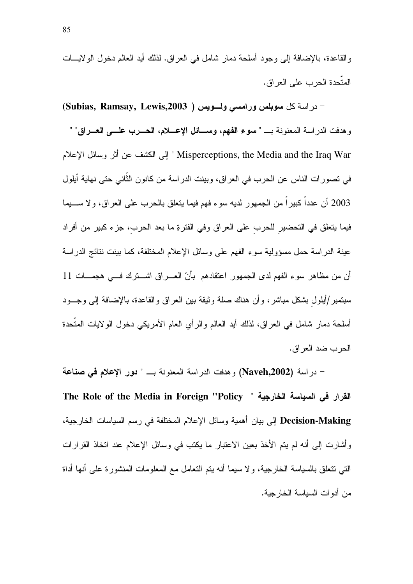والقاعدة، بالإضافة إلى وجود أسلحة دمار شامل في العراق. لذلك أيد العالم دخول الولايسات المتّحدة الحرب على العر اق.

- در اسة كل سوبلس ورامسى ولسويس ( Subias, Ramsay, Lewis,2003) وهدفت الدراسة المعنونة بـ " سوء الفهم، وسـائل الإعـــلام، الحـــرب علــــى العـــراق" " Misperceptions, the Media and the Iraq War " إلى الكشف عن أثر وسائل الإعلام في نصورات الناس عن الحرب في العراق، وبينت الدراسة من كانون الثَّاني حتى نهاية أيلول 2003 أن عدداً كبيراً من الجمهور لديه سوء فهم فيما يتعلق بالحرب على العراق، ولا ســــيما فيما يتعلق في التحضير للحرب على العراق وفي الفترةِ ما بعد الحرب، جزء كبير من أفراد عينة الدراسة حمل مسؤولية سوء الفهم على وسائل الإعلام المختلفة، كما بينت نتائج الدراسة أن من مظاهر سوء الفهم لدى الجمهور اعتقادهم بأنّ العـــراق اشـــترك فـــى هجمـــات 11 سبتمبر /أيلول بشكل مباشر ، و أن هناك صلة وثيقة بين العراق والقاعدة، بالإضافة إلى وجسود أسلحة دمار شامل في العراق، لذلك أيد العالم والرأي العام الأمريكي دخول الولايات المتَّحدة الحرب ضد العراق.

– در اسة (Naveh,2002) و هدفت الدر اسة المعنونة بـــ " دور الإعلام في صناعة The Role of the Media in Foreign "Policy " القرار في السياسة الخارجية " Decision-Making إلى بيان أهمية وسائل الإعلام المختلفة في رسم السياسات الخار جية، و أشار ت إلى أنه لم بتم الأخذ بعين الاعتبار ما بكتب في وسائل الإعلام عند اتخاذ القر ار ات التي نتعلَّق بالسياسة الخارجية، ولا سيما أنه يتم التعامل مع المعلومات المنشورة على أنها أداة من أدوات السياسة الخارجية.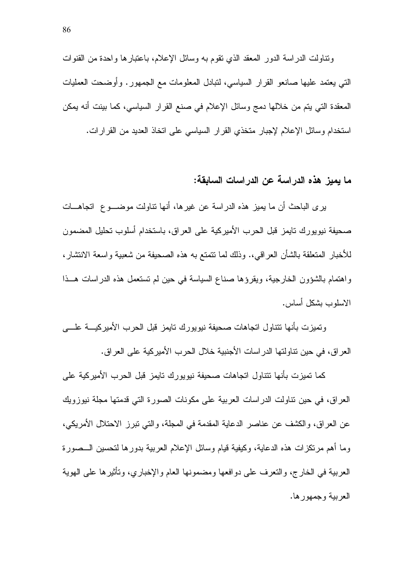ونتاولت الدراسة الدور المعقد الذي نقوم به وسائل الإعلام، باعتبارها واحدة من القنوات التبي يعتمد عليها صانعو القرار السياسي، لتبادل المعلومات مع الجمهور . وأوضحت العمليات المعقدة التي يتم من خلالها دمج وسائل الإعلام في صنع القرار السياسي، كما بينت أنه يمكن استخدام وسائل الإعلام لإجبار متخذي القرار السياسي على اتخاذ العديد من القرارات.

#### ما يميز. هذه الدر اسة عن الدر اسات السابقة:

ير ي الباحث أن ما يميز ٍ هذه الدر اسة عن غير ها، أنها نتاولت موضـــو ع اتجاهـــات صحيفة نيويورك تايمز قبل الحرب الأميركية على العراق، باستخدام أسلوب تحليل المضمون للأخبار المتعلقة بالشأن العراقي،. وذلك لما نتمتع به هذه الصحيفة من شعبية واسعة الانتشار، واهتمام بالشؤون الخارجية، ويقرؤها صناع السياسة في حين لم تستعمل هذه الدراسات هــذا الاسلوب بشكل أساس.

ونميزت بأنها نتناول انجاهات صحيفة نيويورك نايمز قبل الحرب الأميركيــــة علـــــى العراق، في حين نتاولتها الدراسات الأجنبية خلال الحرب الأميركية على العراق.

كما تميزت بأنها نتتاول اتجاهات صحيفة نيويورك تايمز قبل الحرب الأميركية على العراق، في حين نتاولت الدراسات العربية على مكونات الصورة التي قدمتها مجلة نيوزويك عن العراق، والكشف عن عناصر الدعاية المقدمة في المجلة، والتي نبرز الاحتلال الأمريكي، وما أهم مرنكزات هذه الدعاية، وكيفية قيام وسائل الإعلام العربية بدورها لتحسين الـــصورة العربية في الخارج، والنعرف على دوافعها ومضمونها العام والإخباري، ونأثيرها على الهوية العربية وجمهور ها.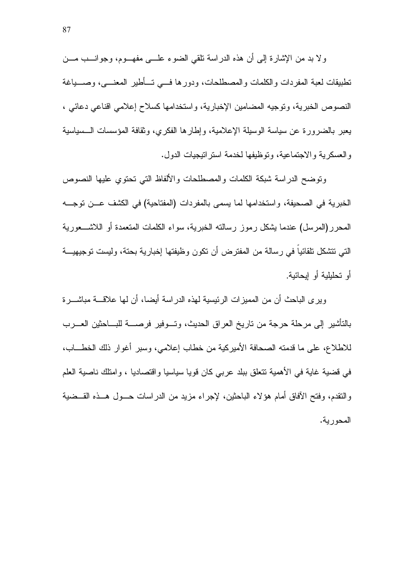ولا بد من الإشارة إلى أن هذه الدراسة تلقى الضوء علـــي مفهـــوم، وجوانـــب مـــن تطبيقات لعبة المفردات والكلمات والمصطلحات، ودور ها فسي تسأطير المعنسي، وصسباغة النصوص الخبرية، وتوجيه المضامين الإخبارية، واستخدامها كسلاح إعلامي اقناعي دعائي ، يعبر بالضرورة عن سياسة الوسيلة الإعلامية، وإطارها الفكري، وثقافة المؤسسات الـــسياسية والعسكرية والاجتماعية، وتوظيفها لخدمة استر انيجيات الدول.

ونوضح الدر اسة شبكة الكلمات والمصطلحات والألفاظ التي نحنوى عليها النصوص الخبرية في الصحيفة، واستخدامها لما يسمى بالمفردات (المفتاحية) في الكشف عـــن توجـــه المحرر(المرسل) عندما بِشكل رموز رسالته الخبرية، سواء الكلمات المتعمدة أو اللاشـــعورية التي تتشكل تلقائياً في رسالة من المفترض أن تكون وظيفتها إخبارية بحتة، وليست توجيهيـــة أو تحليلية أو إيحائية.

ويرى الباحث أن من المميزات الرئيسية لهذه الدراسة أيضا، أن لها علاقــــة مباشـــــرة بالتأشير إلى مرحلة حرجة من تاريخ العراق الحديث، وتـــوفير فرصــــة للبــــاحثين العــــرب للاطلاع، على ما قدمته الصحافة الأميركية من خطاب إعلامي، وسبر أغوار ذلك الخطـــاب، في قضية غاية في الأهمية نتعلَّق ببلد عربي كان قويا سياسيا واقتصاديا ، وامتلك ناصية العلم والنقدم، وفتح الأفاق أمام هؤلاء الباحثين، لإجراء مزيد من الدراسات حـــول هـــذه القـــضية المحور بة.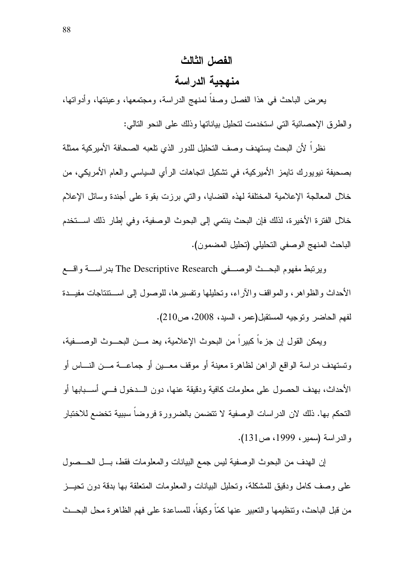# الفصل الثالث

### منهجية الدر اسة

يعرض الباحث في هذا الفصل وصفا لمنهج الدراسة، ومجتمعها، وعينتها، وأدواتها، والطرق الإحصائية التي استخدمت لتحليل بياناتها وذلك على النحو التالي:

نظرا لأن البحث يستهدف وصف النحليل للدور الذي نلعبه الصحافة الأميركية ممثلة بصحيفة نيويورك تايمز الأميركية، في تشكيل اتجاهات الرأى السياسي والعام الأمريكي، من خلال المعالجة الإعلامية المختلفة لهذه القضابيا، والتي برزت بقوة على أجندة وسائل الإعلام خلال الفترة الأخيرة، لذلك فإن البحث ينتمي إلى البحوث الوصفية، وفي إطار ذلك استخدم الباحث المنهج الوصفى التحليلي (تحليل المضمون).

ويرتبط مفهوم البحــث الوصـــفي The Descriptive Research بدراســـة واقـــع الأحداث والظواهر، والمواقف والأراء، وتحليلها وتفسيرها، للوصول إلى اســتتتاجات مفيــدة لفهم الحاضر وتوجيه المستقبل(عمر، السيد، 2008، ص210).

ويمكن القول إن جزءاً كبيراً من البحوث الإعلامية، يعد مـــن البحـــوث الوصــــفية، وتستهدف دراسة الواقع الراهن لظاهرة معينة أو موقف معـــين أو جماعـــة مـــن النــــاس أو الأحداث، بهدف الحصول على معلومات كافية ودقيقة عنها، دون الـــدخول فـــي أســـبابها أو التحكم بها. ذلك لان الدر اسات الوصفية لا تتضمن بالضر ور ة فر و ضا سبيبة تخضع للاختبار والدراسة (سمير، 1999، ص131).

إن الهدف من البحوث الوصفية ليس جمع البيانات والمعلومات فقط، بــل الحـــصول على وصف كامل ودقيق للمشكلة، وتحليل البيانات والمعلومات المتعلقة بها بدقة دون تحيــز من قبل الباحث، وتتظيمها والتعبير عنها كمّاً وكيفاً، للمساعدة على فهم الظاهرة محل البحــث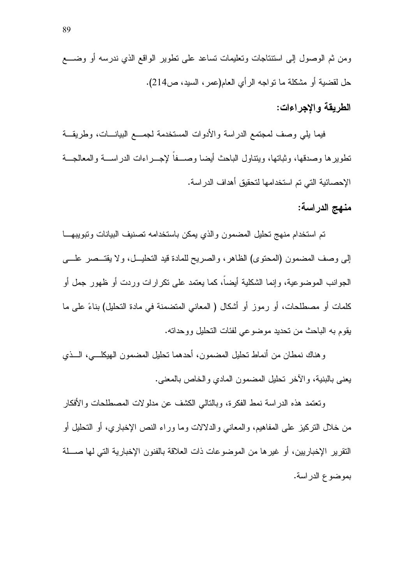### الطريقة والاجراءات:

فيما يلي وصف لمجتمع الدراسة والأدوات المستخدمة لجمـــع البيانـــات، وطريقـــة نطويرها وصدقها، وثباتها، وينتاول الباحث أيضا وصـــفاً لإجـــراءات الدراســـة والمعالجـــة الإحصائية التي تم استخدامها لتحقيق أهداف الدراسة.

منهج الدراسة:

تم استخدام منهج تحليل المضمون والذي يمكن باستخدامه تصنيف البيانات وتبويبهـــا إلى وصف المضمون (المحتوى) الظاهر، والصريح للمادة فيد التحليــل، ولا يقتــصر علــــي الجوانب الموضوعية، وإنما الشكلية أيضاً، كما يعتمد على نكر ارات وردت أو ظهور جمل أو كلمات أو مصطلحات، أو رموز أو أشكال ( المعاني المتضمنة في مادة التحليل) بناءً على ما يقوم به الباحث من تحديد موضوعي لفئات التحليل ووحداته.

وهناك نمطان من أنماط نحليل المضمون، أحدهما نحليل المضمون الهيكلـــي، الـــذي يعني بالبنية، والأخر تحليل المضمون المادي والخاص بالمعنى.

ونعتمد هذه الدراسة نمط الفكرة، وبالنالبي الكشف عن مدلولات المصطلحات والأفكار من خلال النركيز على المفاهيم، والمعانـي والدلالات وما وراء النص الإخباري، أو التحليل أو النقرير الإخباريين، أو غير ها من الموضوعات ذات العلاقة بالفنون الإخبارية التي لها صــــلة بموضوع الدر اسة.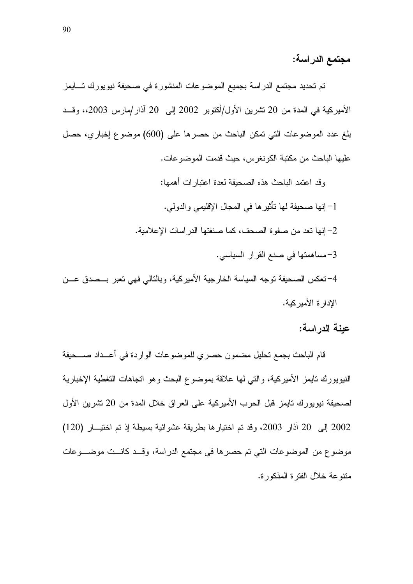مجتمع الدراسة:

تم تحديد مجتمع الدراسة بجميع الموضوعات المنشورة في صحيفة نيويورك تـــايمز الأميركية في المدة من 20 نشرين الأول/أكتوبر 2002 إلى 20 آذار/مارس 2003،، وقـــد بلغ عدد الموضوعات التي تمكن الباحث من حصرها على (600) موضوع إخباري، حصل عليها الباحث من مكتبة الكونغرس، حيث قدمت الموضوعات.

وقد اعتمد الباحث هذه الصحيفة لعدة اعتبارات أهمها: 1– إنها صحيفة لها تأثير ها في المجال الإقليمي والدولي. 2– إنها تعد من صفوة الصحف، كما صنفتها الدر اسات الإعلامية. 3-مساهمتها في صنع القرار السياسي. 4–نعكس الصحيفة نوجه السياسة الخارجية الأميركية، وبالتالي فهي نعبر بـــصدق عـــن الإدار ة الأمير كية.

عينة الدراسة:

قام الباحث بجمع تحليل مضمون حصري للموضوعات الواردة في أعــداد صـــحيفة النيويورك نايمز الأميركية، والتي لها علاقة بموضوع البحث وهو اتجاهات التغطية الإخبارية لصحيفة نيويورك تايمز قبل الحرب الأميركية على العراق خلال المدة من 20 نشرين الأول 2002 إلى 20 آذار 2003، وقد تم اختيار ها بطريقة عشوائية بسيطة إذ تم اختيـــار (120) موضوع من الموضوعات التي تم حصر ها في مجتمع الدراسة، وقــد كانــت موضـــوعات منتو عة خلال الفتر ة المذكور ة.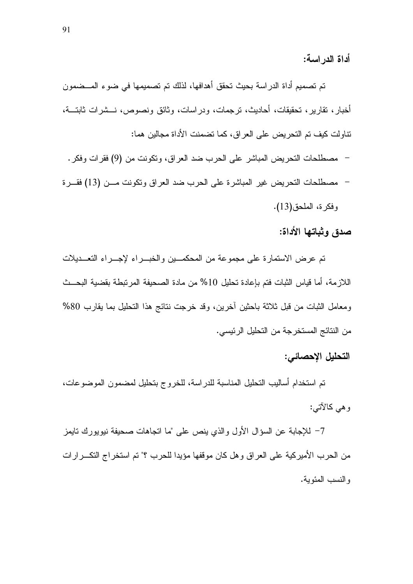أداة الدر اسة:

تم تصميم أداة الدراسة بحيث تحقق أهدافها، لذلك تم تصميمها في ضوء المـــضمون أخبار، نقارير، نحقيقات، أحاديث، نرجمات، ودراسات، وثائق ونصوص، نـــشرات ثابتـــة، نتاولت كيف تم التحريض على العراق، كما تضمنت الأداة مجالين هما:

- مصطلحات التحريض المباشر على الحرب ضد العراق، وتكونت من (9) فقرات وفكر .
- مصطلحات التحريض غير المباشرة على الحرب ضد العراق وتكونت مـــن (13) فقـــرة وفكرة، الملحق(13).

صدق وثباتها الأداة:

تم عرض الاستمارة على مجموعة من المحكمـــين والخبـــراء لإجـــراء التعـــديلات اللازِ مة، أما قياس الثبات فتم بإعادة تحليل 10% من مادة الصحيفة المرتبطة بقضية البحــث ومعامل الثبات من قبل ثلاثة باحثين أخرين، وقد خرجت نتائج هذا التحليل بما يقارب 80% من النتائج المستخرجة من التحليل الرئيسي.

### التحليل الإحصائي:

تم استخدام أساليب التحليل المناسبة للدراسة، للخروج بتحليل لمضمون الموضوعات، وهي كالآتي:

7– للإجابة عن السؤال الأول والذي ينص على "ما انجاهات صحيفة نيويورك نايمز من الحرب الأميركية على العراق وهل كان موقفها مؤيدا للحرب ؟" تم استخراج التكـــرارات والنسب المئوية.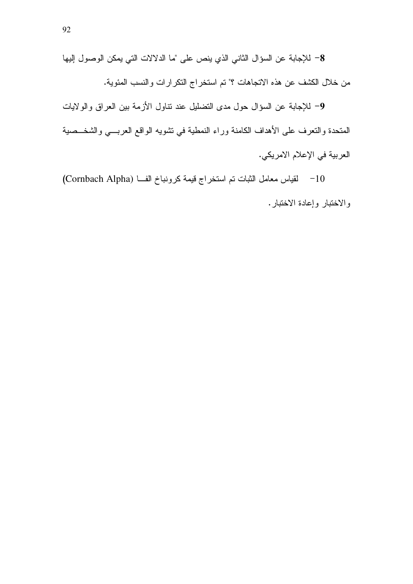8- للإجابة عن السؤال الثاني الذي ينص على "ما الدلالات التي يمكن الوصول إليها من خلال الكشف عن هذه الاتجاهات ؟" تم استخراج النكرارات والنسب المئوية.

9– للإجابة عن السؤال حول مدى التضليل عند نتاول الأزمة بين العراق والولايات المتحدة والتعرف على الأهداف الكامنة وراء النمطية في تشويه الواقع العربـــي والشخـــصية العربية في الإعلام الامريكي.

10 - لقياس معامل الثبات تم استخراج قيمة كرونباخ الف) (Cornbach Alpha) والاختبار وإعادة الاختبار .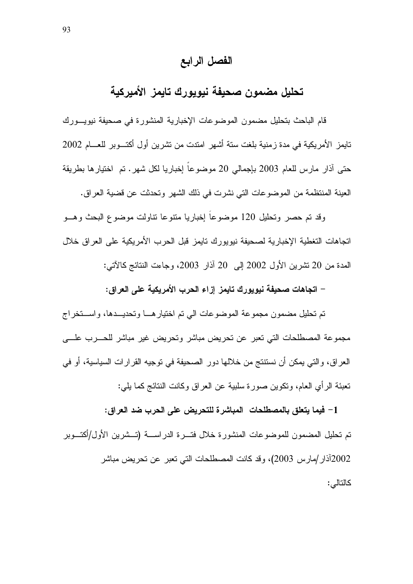### الفصل الرابع

# تحليل مضمون صحيفة نيويورك تايمز الأميركية

قام الباحث بتحليل مضمون الموضوعات الإخبارية المنشورة في صحيفة نيويسورك تابِمز الأمريكية في مدة زمنية بلغت ستة أشهر امندت من تشرين أول أكتـــوبر للعــــام 2002 حتى آذار مارس للعام 2003 بإجمالي 20 موضوعاً إخباريا لكل شهر . تم اختيارها بطريقة العينة المنتظمة من الموضوعات التي نشرت في ذلك الشهر وتحدثت عن فضية العراق.

وقد تم حصر وتحليل 120 موضوعا إخباريا متنوعا نتاولت موضوع البحث وهب اتجاهات التغطية الإخبارية لصحيفة نيويورك تايمز قبل الحرب الأمريكية على العراق خلال المدة من 20 نشرين الأول 2002 إلى 20 آذار 2003، وجاءت النتائج كالآتي:

– اتجاهات صحيفة نيويورك تايمز إزاء الحرب الأمريكية على العراق:

تم تحليل مضمون مجموعة الموضوعات الى تم اختيار هـــا وتحديـــدها، واســـتخراج مجموعة المصطلحات التي تعبر عن تحريض مباشر وتحريض غير مباشر للحـــرب علـــــى العراق، والتي يمكن أن نستنتج من خلالها دور الصحيفة في توجيه القرارات السياسية، أو في تعبئة الرأى العام، وتكوين صورة سلبية عن العراق وكانت النتائج كما بلي:

1– فيما يتعلق بالمصطلحات المباشرة للتحريض على الحرب ضد العراق: تم تحليل المضمون للموضوعات المنشورة خلال فتسرة الدراســـة (تـــشرين الأول/أكتـــوبر 2002آذار /مار س 2003)، وقد كانت المصطلحات التي تعبر عن تحر بض مباشر كالتالي: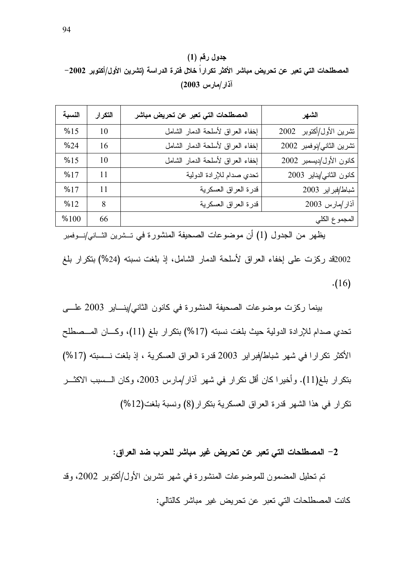$(1)$  جدول رقم المصطلحات التي تعبر عن تحريض مباشر الأكثر تكرارا خلال فترة الدراسة (تشرين الأول/أكتوبر 2002– أذار/مارس 2003)

| النسبة | التكرار | المصطلحات التي تعبر عن تحريض مباشر | الشهر                    |
|--------|---------|------------------------------------|--------------------------|
| %15    | 10      | إخفاء العراق لأسلحة الدمار الشامل  | تشرين الأول/أكتوبر 2002  |
| %24    | 16      | إخفاء العراق لأسلحة الدمار الشامل  | تشرين الثاني/نوفمبر 2002 |
| %15    | 10      | إخفاء العراق لأسلحة الدمار الشامل  | كانون الأول/ديسمبر 2002  |
| %17    | 11      | تحدي صدام للإرادة الدولية          | كانون الثاني/يناير 2003  |
| %17    | 11      | قدرة العراق العسكرية               | شباط/فبراير 2003         |
| %12    | 8       | قدرة العراق العسكرية               | آذار/مارس 2003           |
| %100   | 66      |                                    | المجموع الكلي            |

يظهر من الجدول (1) أن موضوعات الصحيفة المنشورة في تــشرين الثـــاني/نـــوفمبر 2002قد ركزت على إخفاء العراق لأسلحة الدمار الشامل، إذ بلغت نسبته (24%) بنكرار بلغ  $. (16)$ 

بينما ركزت موضوعات الصحيفة المنشورة في كانون الثاني/ينـــاير 2003 علـــى نحدي صدام للإرادة الدولية حيث بلغت نسبته (17%) بنكرار بلغ (11)، وكـــان المـــصطلح الأكثر تكرارا في شهر شباط/فبراير 2003 قدرة العراق العسكرية ، إذ بلغت نـــسبته (17%) بتكرار بلغ(11). وأخيرا كان أقل تكرار في شهر آذار/مارس 2003، وكان الـــسبب الاكثـــر نكر ار في هذا الشهر قدرة العراق العسكرية بنكر ار (8) ونسبة بلغت(12%)

#### 2– المصطلحات التى تعبر عن تحريض غير مباشر للحرب ضد العراق:

نم تحليل المضمون للموضوعات المنشورة في شهر تشرين الأول/أكتوبر 2002، وقد كانت المصطلحات التي تعبر عن تحريض غير مباشر كالتالي: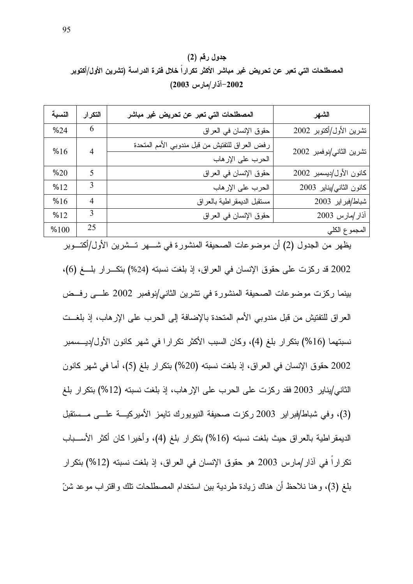## جدول رقم (2) المصطلحات التي تعبر عن تحريض غير مباشر الأكثر تكرارا خلال فترة الدراسة (تشرين الأول/أكتوبر 2002–آذار/مارس 2003)

| النسبة | التكرار        | المصطلحات التي تعبر عن تحريض غير مباشر         | الشهر                    |
|--------|----------------|------------------------------------------------|--------------------------|
| %24    | 6              | حقوق الإنسان في العراق                         | تشرين الأول/أكتوبر 2002  |
| %16    | $\overline{4}$ | رفض العراق للتفتيش من قبل مندوبي الأمم المتحدة | تشرين الثاني/نوفمبر 2002 |
|        |                | الحرب على الإرهاب                              |                          |
| %20    | 5              | حقوق الإنسان في العراق                         | كانون الأول/ديسمبر 2002  |
| %12    | 3              | الحرب على الإرهاب                              | كانون الثاني/يناير 2003  |
| %16    | $\overline{4}$ | مستقبل الديمقر اطية بالعراق                    | شباط/فبراير 2003         |
| %12    | 3              | حقوق الإنسان في العراق                         | آذار /مارس 2003          |
| %100   | 25             |                                                | المجموع الكلي            |

يظهر من الجدول (2) أن موضوعات الصحيفة المنشورة في شـــهر تـــشرين الأول/أكتـــوبر 2002 قد ركزت على حقوق الإنسان في العراق، إذ بلغت نسبته (24%) بتكـــرار بلـــغ (6)، بينما ركزت موضوعات الصحيفة المنشورة في تشرين الثاني/نوفمبر 2002 علـــى رفــض العراق للتفتيش من قبل مندوبي الأمم المتحدة بالإضافة إلى الحرب على الإرهاب، إذ بلغـــت نسبتهما (16%) بنكرار بلغ (4)، وكان السبب الأكثر نكرارا في شهر كانون الأول/ديـــسمبر 2002 حقوق الإنسان في العراق، إذ بلغت نسبته (20%) بتكرار بلغ (5)، أما في شهر كانون الثاني/يناير 2003 فقد ركزت على الحرب على الإرهاب، إذ بلغت نسبته (12%) بنكر ار بلغ (3)، وفي شباط/فبراير 2003 ركزت صحيفة النيويورك نايمز الأميركيـــة علـــي مـــستقبل الديمقر اطية بالعراق حيث بلغت نسبته (16%) بتكرار بلغ (4)، وأخيرا كان أكثر الأســـباب تكرارا في آذار/مارس 2003 هو حقوق الإنسان في العراق، إذ بلغت نسبته (12%) بتكرار بلغ (3)، وهنا نلاحظ أن هناك زيادة طردية بين استخدام المصطلحات نلك واقتراب موعد شنّ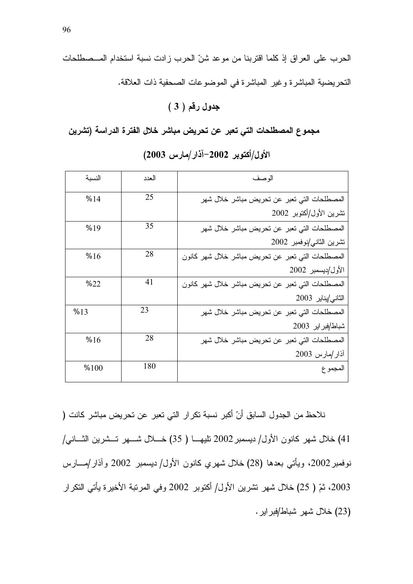# جدول رقم ( 3 )

مجموع المصطلحات التي تعبر عن تحريض مباشر خلال الفترة الدراسة (تشرين

| النسبة | العدد | الو صف                                            |
|--------|-------|---------------------------------------------------|
| %14    | 25    | المصطلحات التي تعبر عن تحريض مباشر خلال شهر       |
|        |       | تشرين الأول/أكتوبر 2002                           |
| %19    | 35    | المصطلحات التي تعبر عن تحريض مباشر خلال شهر       |
|        |       | تشرين الثاني/نوفمبر 2002                          |
| %16    | 28    | المصطلحات التي نعبر عن نحريض مباشر خلال شهر كانون |
|        |       | الأول/ديسمبر 2002                                 |
| %22    | 41    | المصطلحات التي تعبر عن تحريض مباشر خلال شهر كانون |
|        |       | الثاني/يناير 2003                                 |
| %13    | 23    | المصطلحات التي تعبر عن تحريض مباشر خلال شهر       |
|        |       | شباط/فبراير 2003                                  |
| %16    | 28    | المصطلحات التي تعبر عن تحريض مباشر خلال شهر       |
|        |       | أذار /مارس 2003                                   |
| %100   | 180   | المجمو ع                                          |

الأول/أكتوبر 2002–آذار/مارس 2003)

نلاحظ من الجدول السابق أنّ أكبر نسبة نكرار التي نعبر عن نحريض مباشر كانت ( 41) خلال شهر كانون الأول/ ديسمبر 2002 تليهـــا ( 35) خـــلال شـــهر تـــشرين الثــــانـي/ نوفمبر 2002، ويأتي بعدها (28) خلال شهري كانون الأول/ ديسمبر 2002 وآذار/مــــارس 2003، ثمّ ( 25) خلال شهر تشرين الأول/ أكتوبر 2002 وفي المرتبة الأخيرة يأتي التكرار (23) خلال شـهر شباط/فبر اير .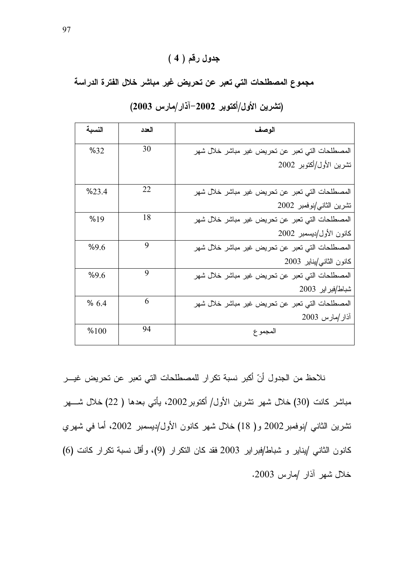## $(4)$  جدول رقم

مجموع المصطلحات التي تعبر عن تحريض غير مباشر خلال الفترة الدراسة

| النسبة | العدد | الوصف                                           |
|--------|-------|-------------------------------------------------|
| %32    | 30    | المصطلحات التي تعبر عن تحريض غير مباشر خلال شهر |
|        |       | تشرين الأول/أكتوبر 2002                         |
| %23.4  | 22    | المصطلحات التي تعبر عن تحريض غير مباشر خلال شهر |
|        |       | تشرين الثاني/نوفمبر 2002                        |
| %19    | 18    | المصطلحات التي تعبر عن تحريض غير مباشر خلال شهر |
|        |       | كانون الأول/ديسمبر 2002                         |
| %9.6   | 9     | المصطلحات التي تعبر عن تحريض غير مباشر خلال شهر |
|        |       | كانون الثاني/يناير 2003                         |
| %9.6   | 9     | المصطلحات التي تعبر عن تحريض غير مباشر خلال شهر |
|        |       | شباط/فبراير 2003                                |
| %6.4   | 6     | المصطلحات التي تعبر عن تحريض غير مباشر خلال شهر |
|        |       | أذار /مارس 2003                                 |
| %100   | 94    | المجمو ع                                        |

### (تشرين الأول/أكتوبر 2002–آذار/مارس 2003)

نلاحظ من الجدول أنّ اكبر نسبة نكرار للمصطلحات التي نعبر عن نحريض غيـــر مباشر كانت (30) خلال شهر تشرين الأول/ أكتوبر 2002، يأتي بعدها ( 22) خلال شـــهر تشرين الثاني /نوفمبر 2002 و( 18) خلال شهر كانون الأول/ديسمبر 2002، أما في شهري كانون الثاني /يناير و شباط/فبراير 2003 فقد كان النكرار (9)، وأقل نسبة نكرار كانت (6) خلال شهر أذار /مارس 2003.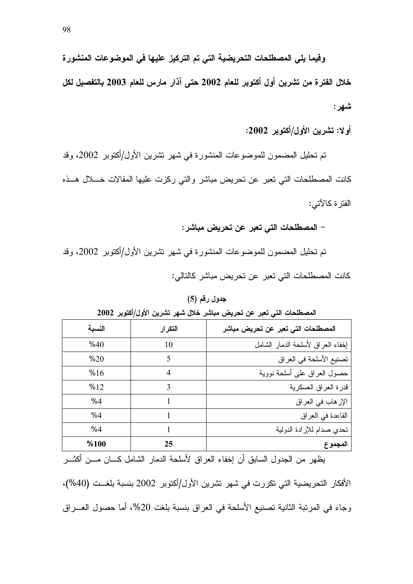وفيما يلي المصطلحات التحريضية التي تم التركيز عليها في الموضوعات المنشورة خلال الفترة من تشرين أول أكتوبر للعام 2002 حتى آذار مارس للعام 2003 بالتفصيل لكل شهر :

أولا: تشرين الأول/أكتوبر 2002:

تم تحليل المضمون للموضوعات المنشورة في شهر نشرين الأول/أكتوبر 2002، وقد كانت المصطلحات التي نعبر عن نحريض مباشر والتي ركزت عليها المقالات خــــلال هـــذه الفتر ۃ کالآتے :

– المصطلحات التي تعبر عن تحريض مباشر :

تم تحليل المضمون للموضوعات المنشورة في شهر نشرين الأول/أكتوبر 2002، وقد كانت المصطلحات التي تعبر عن تحريض مباشر كالتالي:

جدول رقم (5)

| النسبة | التكرار | المصطلحات التي تعبر عن تحريض مباشر |
|--------|---------|------------------------------------|
| %40    | 10      | إخفاء العراق لأسلحة الدمار الشامل  |
| %20    | 5       | تصنيع الأسلحة في العراق            |
| %16    | 4       | حصول العراق على أسلحة نووية        |
| %12    | 3       | قدرة العراق العسكرية               |
| %4     |         | الإر هاب في العراق                 |
| %4     |         | القاعدة في العراق                  |
| %4     |         | تحدي صدام للإرادة الدولية          |
| %100   | 25      | المجموع                            |

المصطلحات التي تعبر عن تحريض مباشر خلال شهر تشرين الأول/أكتوبر 2002

يظهر من الجدول السابق أن إخفاء العراق لأسلحة الدمار الشامل كــــان مــــن أكثــــر الأفكار التحريضية التي تكررت في شهر تشرين الأول/أكتوبر 2002 بنسبة بلغــت (40%)، وجاء في المرتبة الثانية تصنيع الأسلحة في العراق بنسبة بلغت 20%، أما حصول العـــراق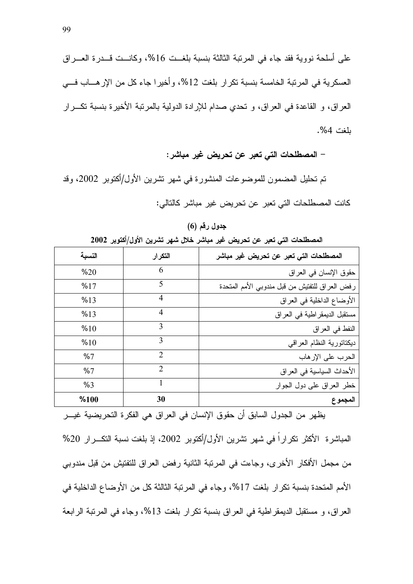على أسلحة نووية فقد جاء في المرتبة الثالثة بنسبة بلغــت 16%، وكانــت قــدرة العـــراق العسكر ية في المرتبة الخامسة بنسبة تكرار بلغت 12%، وأخيرا جاء كل من الإرهــاب فـــي العراق، و القاعدة في العراق، و تحدي صدام للإرادة الدولية بالمرتبة الأخيرة بنسبة تكــرار ىلغت 4%.

– المصطلحات التي تعبر عن تحريض غير مباشر :

تم تحليل المضمون للموضوعات المنشورة في شهر نشرين الأول/أكتوبر 2002، وقد كانت المصطلحات التي تعبر عن تحريض غير مباشر كالتالي:

جدول رقم (6)

المصطلحات التي تعبر عن تحريض غير مباشر خلال شهر تشرين الأول/أكتوبر 2002

| المصطلحات التي تعبر عن تحريض غير مباشر         | التكرار                     | النسبة |
|------------------------------------------------|-----------------------------|--------|
| حقوق الإنسان في العراق                         | 6                           | %20    |
| رفض العراق للتفتيش من قبل مندوبي الأمم المتحدة | 5                           | %17    |
| الأوضاع الداخلية في العراق                     | 4                           | %13    |
| مستقبل الديمقر اطية في العراق                  | 4                           | %13    |
| النفط في العراق                                | 3                           | %10    |
| ديكتاتورية النظام العراقي                      | 3                           | %10    |
| الحرب على الإرهاب                              | $\mathcal{D}$               | %7     |
| الأحداث السياسية في العراق                     | $\mathcal{D}_{\mathcal{L}}$ | %7     |
| خطر العراق على دول الجوار                      | 1                           | %3     |
| المجموع                                        | 30                          | %100   |

يظهر من الجدول السابق أن حقوق الإنسان في العراق هي الفكرة التحريضية غيـــر

المباشرة الأكثر تكر إراً في شهر تشرين الأول/أكتوبر 2002، إذ بلغت نسبة التكـــرار 20% من مجمل الأفكار الأخرى، وجاءت في المرتبة الثانية رفض العراق للتفتيش من قبل مندوبي الأمم المتحدة بنسبة تكرار بلغت 17%، وجاء في المرتبة الثالثة كل من الأوضاع الداخلية في العراق، و مستقبل الديمقراطية في العراق بنسبة نكرار بلغت 13%، وجاء في المرتبة الرابعة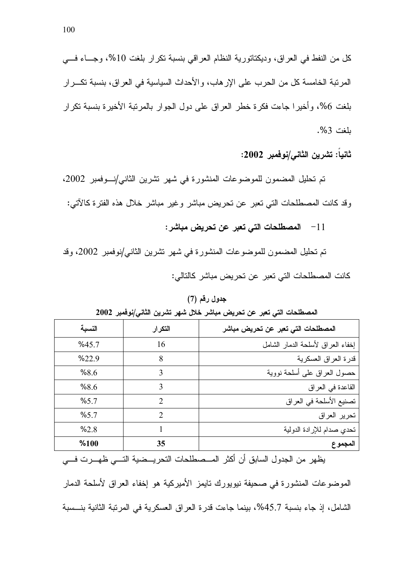ثانياً: تشرين الثاني/نوفمبر 2002:

تم تحليل المضمون للموضوعات المنشورة في شهر نشرين الثاني/نوفمبر 2002، وقد كانت المصطلحات التبي نعبر عن نحريض مباشر وغير مباشر خلال هذه الفترة كالأتبي:

11 - المصطلحات التي تعبر عن تحريض مباشر:

تم تحليل المضمون للموضوعات المنشورة في شهر تشرين الثاني/نوفمبر 2002، وقد كانت المصطلحات التي تعبر عن تحريض مباشر كالتالي:

| انٹی سپر کی سرپس بچشر سن شہر شہریں اسی اب سے اس |                |        |  |  |
|-------------------------------------------------|----------------|--------|--|--|
| المصطلحات التي تعبر عن تحريض مباشر              | التكرار        | النسبة |  |  |
| إخفاء العراق لأسلحة الدمار الشامل               | 16             | %45.7  |  |  |
| قدرة العراق العسكرية                            | 8              | %22.9  |  |  |
| حصول العراق على أسلحة نووية                     | 3              | %8.6   |  |  |
| القاعدة في العراق                               | 3              | %8.6   |  |  |
| تصنيع الأسلحة في العراق                         | $\mathfrak{D}$ | %5.7   |  |  |
| تحرير العراق                                    | $\mathfrak{D}$ | %5.7   |  |  |
| تحدي صدام للإرادة الدولية                       |                | %2.8   |  |  |
| المجموع                                         | 35             | %100   |  |  |
|                                                 |                |        |  |  |

المصطلحات التي تعبر عن تجريض مباشر خلال شهر تشرين الثاني/نوفمبر 2002

جدول رقم (7)

يظهر من الجدول السابق أن أكثر المـــصطلحات التحريـــضية التـــي ظهـــرت فـــي الموضوعات المنشورة في صحيفة نيويورك تايمز الأميركية هو إخفاء العراق لأسلحة الدمار الشامل، إذ جاء بنسبة 45.7%، بينما جاءت قدرة العراق العسكرية في المرتبة الثانية بنــسبة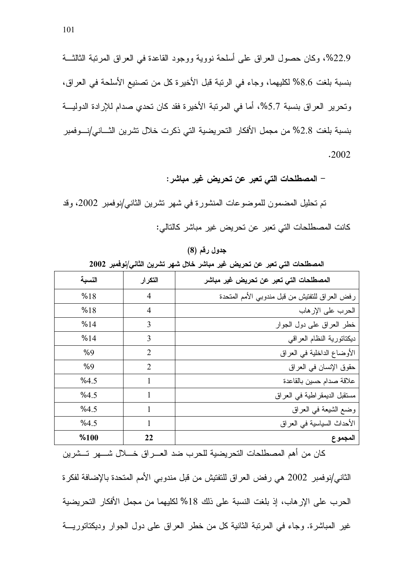22.9%، وكان حصول العراق على أسلحة نووية ووجود القاعدة في العراق المرتبة الثالثــة بنسبة بلغت 8.6% لكليهما، وجاء في الرتبة قبل الأخيرة كل من تصنيع الأسلحة في العراق، وتحرير العراق بنسبة 5.7%، أما في المرتبة الأخيرة فقد كان تحدي صدام للإرادة الدوليـــة بنسبة بلغت 2.8% من مجمل الأفكار التحريضية التي ذكرت خلال تشرين الثـــاني/نـــوفمبر .2002

– المصطلحات التي تعبر عن تحريض غير مباشر :

الأحداث السياسية في العراق

المجموع

تم تحليل المضمون للموضوعات المنشورة في شهر تشرين الثاني/نوفمبر 2002، وقد كانت المصطلحات التي تعبر عن تحريض غير مباشر كالتالي:

النسبة التكرار المصطلحات التي تعبر عن تحريض غير مباشر  $%18$  $\overline{4}$ رفض العراق للتفتيش من قبل مندوبي الأمم المتحدة  $%18$  $\overline{4}$ الحرب على الإرهاب  $%14$ خطر العراق على دول الجوار 3 3  $%14$ ديكتاتورية النظام العراقي  $\overline{2}$  $%9$ الأوضاع الداخلية في العراق  $%9$  $\overline{2}$ حقوق الإنسان في العراق  $%4.5$  $\mathbf{1}$ علاقة صدام حسين بالقاعدة  $%45$  $\mathbf{1}$ مستقبل الديمقر اطية في العراق وضع الشيعة في العراق  $%4.5$  $\mathbf{1}$ 

جدول رقم (8)

المصطلحات التي تعبر عن تحريض غير مباشر خلال شهر تشرين الثانى/نوفمبر 2002

كان من أهم المصطلحات التحريضية للحرب ضد العـــراق خــــلال شــــهر تـــشرين الثاني/نوفمبر 2002 هي رفض العراق للتفتيش من قبل مندوبي الأمم المتحدة بالإضافة لفكرة الحرب على الإر هاب، إذ بلغت النسبة على ذلك 18% لكليهما من مجمل الأفكار النحر يضية غير المباشرة. وجاء في المرتبة الثانية كلٌّ من خطر العراق على دول الجوار وديكتاتوريـــة

 $%4.5$ 

 $%100$ 

 $\mathbf{1}$ 

22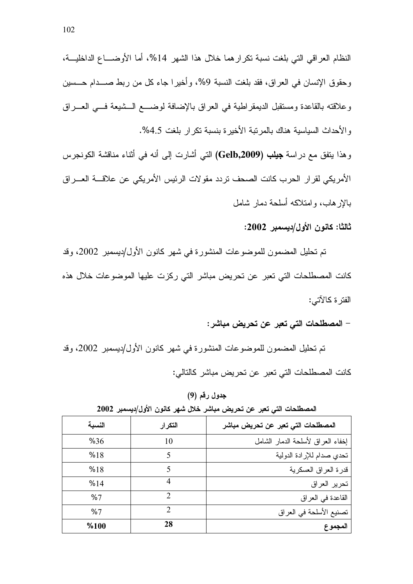النظام العراقي التي بلغت نسبة تكرار هما خلال هذا الشهر 14%، أما الأوضــــاع الداخليـــة، وحقوق الإنسان في العراق، فقد بلغت النسبة 9%، و أخير ا جاء كل من ربط صـــدام حـــسين وعلاقته بالقاعدة ومستقبل الديمقراطية في العراق بالإضافة لوضـــع الــشيعة فـــي العـــراق والأحداث السياسية هناك بالمرتبة الأخيرة بنسبة نكرار بلغت 4.5%. وهذا يتفق مع دراسة جيلب (Gelb,2009) النبي أشارت إلى أنه في أثناء مناقشة الكونجرس

الأمر يكي لقر ار الحر ب كانت الصحف تر دد مقو لات الر ئيس الأمر يكي عن علاقــــة العــــر اق بالإرهاب، وامتلاكه أسلحة دمار شامل

ثالثا: كانون الأول/ديسمبر 2002:

تم تحليل المضمون للموضوعات المنشورة في شهر كانون الأول/ديسمبر 2002، وقد كانت المصطلحات التي تعبر عن تحريض مباشر التي ركزت عليها الموضوعات خلال هذه الفتر ۃ کالآتے :

– المصطلحات التي تعبر عن تحريض مباشر :

تم تحليل المضمون للموضوعات المنشورة في شهر كانون الأول/ديسمبر 2002، وقد كانت المصطلحات التي تعبر عن تحريض مباشر كالتالي:

جدول رقم (9)

| $\cdot$<br>$\cdot$ , $\bullet$ .<br>◡ |                             |                                    |  |  |
|---------------------------------------|-----------------------------|------------------------------------|--|--|
| النسية                                | التكرار                     | المصطلحات التي تعبر عن تحريض مباشر |  |  |
| %36                                   | 10                          | إخفاء العراق لأسلحة الدمار الشامل  |  |  |
| %18                                   |                             | تحدي صدام للإرادة الدولية          |  |  |
| %18                                   |                             | قدرة العراق العسكرية               |  |  |
| %14                                   |                             | تحرير العراق                       |  |  |
| %7                                    | $\mathcal{D}_{\mathcal{A}}$ | القاعدة في العراق                  |  |  |
| %7                                    | $\mathcal{D}$               | تصنيع الأسلحة في العراق            |  |  |
| %100                                  | 28                          | المجموع                            |  |  |

المصطلحات التي تعبر عن تحريض مباشر خلال شهر كانون الأول/ديسمبر 2002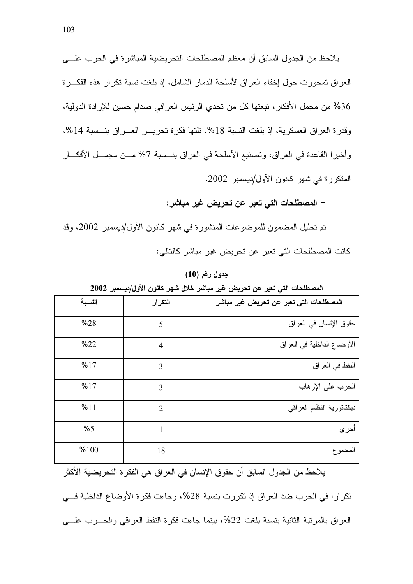يلاحظ من الجدول السابق أن معظم المصطلحات التحريضية المباشرة في الحرب علـــي العراق تمحورت حول إخفاء العراق لأسلحة الدمار الشامل، إذ بلغت نسبة تكرار هذه الفكـــرة 36% من مجمل الأفكار ، تبعتها كل من تحدى الرئيس العراقي صدام حسين للإرادة الدولية، وقدرة العراق العسكرية، إذ بلغت النسبة 18%. تلتها فكرة تحريـــر العــــراق بنـــسبة 14%، وأخيرا القاعدة في العراق، وتصنيع الأسلحة في العراق بنـــسبة 7% مـــن مجمـــل الأفكـــار المتكرر ة في شهر كانون الأول/ديسمبر 2002.

– المصطلحات التي تعبر عن تحريض غير مباشر :

تم تحليل المضمون للموضوعات المنشورة في شهر كانون الأول/ديسمبر 2002، وقد كانت المصطلحات التي تعبر عن تحريض غير مباشر كالتالي:

جدول رقم (10)

المصطلحات التي تعبر عن تحريض غير مباشر خلال شهر كانون الأول/ديسمبر 2002

|        | .              |                                        |
|--------|----------------|----------------------------------------|
| النسبة | التكرار        | المصطلحات التي تعبر عن تحريض غير مباشر |
| %28    | 5              | حقوق الإنسان في العراق                 |
| %22    | $\overline{4}$ | الأوضاع الداخلية في العراق             |
| %17    | 3              | النفط في العراق                        |
| %17    | 3              | الحرب على الإرهاب                      |
| %11    | $\overline{2}$ | ديكتاتورية النظام العراقي              |
| %5     | 1              | أخر ي                                  |
| %100   | 18             | المجموع                                |
|        |                |                                        |

يلاحظ من الجدول السابق أن حقوق الإنسان في العراق هي الفكرة التحريضية الأكثر تكر ار ا في الحر ب ضد العر اق إذ تكر ر ت بنسبة 28%، وجاءت فكر ة الأوضاع الداخلية فـــي العراق بالمرتبة الثانية بنسبة بلغت 22%، بينما جاءت فكرة النفط العراقبي والحسرب علسى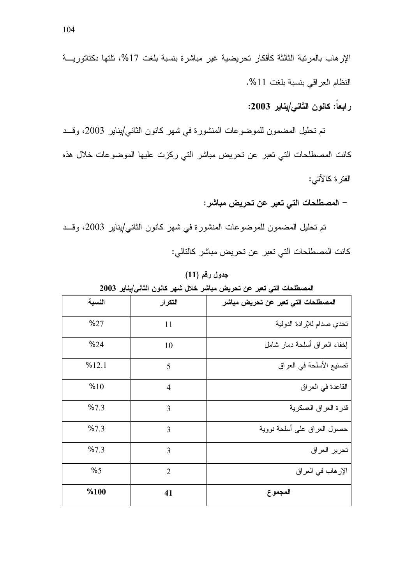رابعا: كانون الثان*ى|*يناير 2003:

نم تحليل المضمون للموضوعات المنشورة في شهر كانون الثان*ي/ي*ناير 2003، وقـــد كانت المصطلحات التي تعبر عن تحريض مباشر التي ركزت عليها الموضوعات خلال هذه الفتر ة كالآتي:

– المصطلحات التي تعبر عن تحريض مباشر :

تم تحليل المضمون للموضوعات المنشورة في شهر كانون الثان*ي/ي*ناير 2003، وقـــد كانت المصطلحات التي تعبر عن تحريض مباشر كالتالي:

جدول رقم (11)

المصطلحات التي تعبر عن تحريض مباشر خلال شهر كانون الثان*ي|ي*ناير 2003

|        | پ ن            |                                    |
|--------|----------------|------------------------------------|
| النسبة | التكرار        | المصطلحات التي تعبر عن تحريض مباشر |
| %27    | 11             | تحدي صدام للإرادة الدولية          |
| %24    | 10             | إخفاء العراق أسلحة دمار شامل       |
| %12.1  | 5              | تصنيع الأسلحة في العراق            |
| %10    | $\overline{4}$ | القاعدة في العراق                  |
| %7.3   | 3              | قدرة العراق العسكرية               |
| %7.3   | 3              | حصول العراق على أسلحة نووية        |
| %7.3   | 3              | تحرير العراق                       |
| %5     | $\overline{2}$ | الإر هاب في العراق                 |
| %100   | 41             | المجموع                            |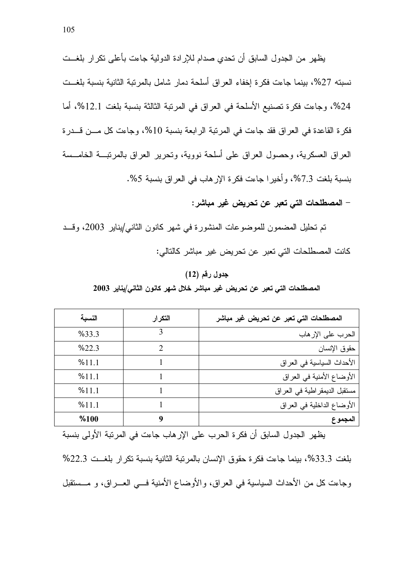يظهر من الجدول السابق أن تحدى صدام للإرادة الدولية جاءت بأعلى تكرار بلغــت نسبته 27%، بينما جاءت فكرة إخفاء العراق أسلحة دمار شامل بالمرتبة الثانية بنسبة بلغــت 24%، وجاءت فكرة تصنيع الأسلحة في العراق في المرتبة الثالثة بنسبة بلغت 12.1%، أما فكرة القاعدة في العراق فقد جاءت في المرتبة الرابعة بنسبة 10%، وجاءت كل مـــن قـــدرة العراق العسكرية، وحصول العراق على أسلحة نووية، ونحرير العراق بالمرنبـــة الخامـــسة بنسبة بلغت 7.3%، و أخير ا جاءت فكر ة الإر هاب في العر اق بنسبة 5%.

– المصطلحات التي تعبر عن تحريض غير مباشر :

تم تحليل المضمون للموضوعات المنشورة في شهر كانون الثاني/يناير 2003، وقــد كانت المصطلحات التي تعبر عن تحريض غير مباشر كالتالي:

#### جدول رقم (12)

المصطلحات التي تعبر عن تحريض غير مباشر خلال شهر كانون الثاني/يناير 2003

| النسىة | التكرار                     | المصطلحات التي تعبر عن تحريض غير مباشر |
|--------|-----------------------------|----------------------------------------|
| %33.3  | 3                           | الحرب على الإر هاب                     |
| %22.3  | $\mathcal{D}_{\mathcal{L}}$ | حقوق الإنسان                           |
| %111   |                             | الأحداث السياسية في العراق             |
| %111   |                             | الأوضاع الأمنية في العراق              |
| %111   |                             | مستقبل الديمقر اطية في العراق          |
| %111   |                             | الأوضاع الداخلية في العراق             |
| %100   | 9                           | المجموع                                |

يظهر الجدول السابق أن فكرة الحرب على الإرهاب جاءت في المرتبة الأولى بنسبة بلغت 33.3%، بينما جاءت فكرة حقوق الإنسان بالمرتبة الثانية بنسبة تكرار بلغــت 22.3% وجاءت كل من الأحداث السياسية في العراق، والأوضاع الأمنية فسي العـــراق، و مـــستقبل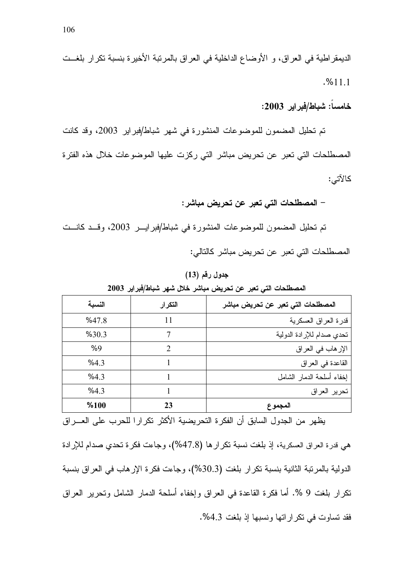الديمقر اطية في العراق، و الأوضاع الداخلية في العراق بالمرتبة الأخيرة بنسبة تكرار بلغــت  $. %11.1$ 

خامساً: شباط/فبراير 2003:

تم تحليل المضمون للموضوعات المنشورة في شهر شباط/فبراير 2003، وقد كانت المصطلحات التي تعبر عن تحريض مباشر التي ركزت عليها الموضوعات خلال هذه الفترة كالآتي:

– المصطلحات التي تعبر عن تحريض مباشر :

تم تحليل المضمون للموضوعات المنشورة في شباط/فبرايـــر 2003، وقــد كانــت المصطلحات التي تعبر عن تحريض مباشر كالتالي:

#### جدول رقم (13)

المصطلحات التي تعبر عن تحريض مباشر خلال شهر شباط/فبراير 2003

| النسبة | التكرار       | المصطلحات التي تعبر عن تحريض مباشر |
|--------|---------------|------------------------------------|
| %47.8  | 11            | قدرة العراق العسكرية               |
| %30.3  |               | تحدي صدام للإرادة الدولية          |
| %9     | $\mathcal{D}$ | الإر هاب في العراق                 |
| %43    |               | القاعدة في العراق                  |
| %4.3   |               | إخفاء أسلحة الدمار الشامل          |
| %4.3   |               | تحرير العراق                       |
| %100   | 23            | المجموع                            |

يظهر من الجدول السابق أن الفكرة التحريضية الأكثر تكرارا للحرب على العـــراق

هي قدرة العراق العسكرية، إذ بلغت نسبة نكر ار ها (47.8%)، وجاءت فكرة تحدي صدام للإرادة الدولية بالمرتبة الثانية بنسبة تكرار بلغت (30.3%)، وجاءت فكرة الإرهاب في العراق بنسبة نكرار بلغت 9 %. أما فكرة القاعدة في العراق وإخفاء أسلحة الدمار الشامل ونحرير العراق فقد تساوت في تكراراتها ونسبها إذ بلغت 4.3%.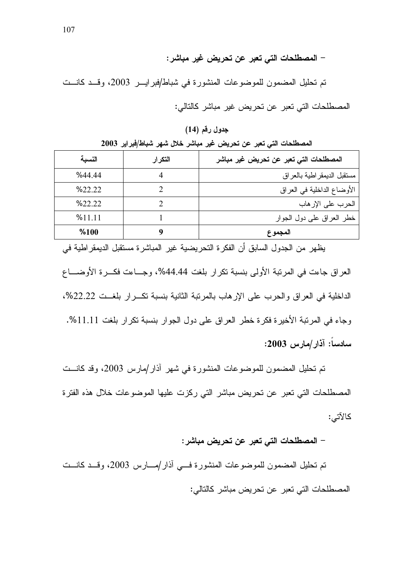– المصطلحات التي تعبر عن تحريض غير مباشر :

تم تحليل المضمون للموضوعات المنشورة في شباط/فبرايـــر 2003، وقـــد كانـــت المصطلحات التي تعبر عن تحريض غير مباشر كالتالي:

جدول رقم (14)

المصطلحات التي تعبر عن تحريض غير مباشر خلال شهر شباط/فبراير 2003

| النسبة | التكرار | المصطلحات التي تعبر عن تحريض غير مباشر |
|--------|---------|----------------------------------------|
| %44.44 |         | مسنقبل الديمقر اطية بالعراق            |
| %22.22 |         | الأوضاع الداخلية في العراق             |
| %22.22 |         | الحرب على الإر هاب                     |
| %11.11 |         | خطر العراق على دول الجوار              |
| %100   |         | المجموع                                |

يظهر من الجدول السابق أن الفكرة التحريضية غير المباشرة مستقبل الديمقراطية في العراق جاءت في المرتبة الأولى بنسبة تكرار بلغت 44.44%، وجساءت فكسرة الأوضساع الداخلية في العراق والحرب على الإرهاب بالمرتبة الثانية بنسبة نكـــرار بلغـــت 22.22%، وجاء في المرتبة الأخيرة فكرة خطر العراق على دول الجوار بنسبة تكرار بلغت 11.11%. سادساً: آذار/مارس 2003:

تم تحليل المضمون للموضوعات المنشورة في شهر آذار/مارس 2003، وقد كانست المصطلحات التي تعبر عن تحريض مباشر التي ركزت عليها الموضوعات خلال هذه الفترة كالآتي:

– المصطلحات التي تعبر عن تحريض مباشر :

تم تحليل المضمون للموضوعات المنشورة في أذار/مسارس 2003، وقــد كانــت المصطلحات التي تعبر عن تحريض مباشر كالتالي: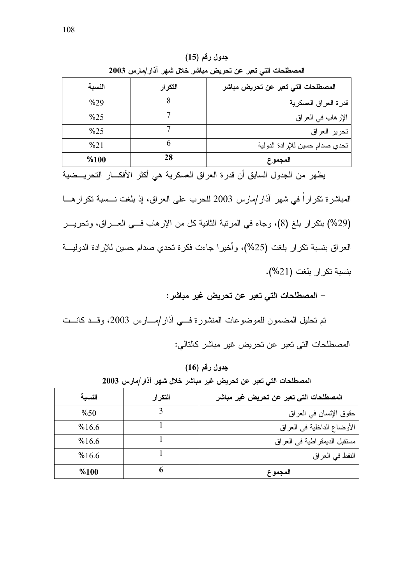| المصطلحات التي تعبر عن تحريض مباشر خلال شهر آذار/مارس 2003 |         |                                    |  |  |
|------------------------------------------------------------|---------|------------------------------------|--|--|
| النسبة                                                     | التكرار | المصطلحات التي تعبر عن تحريض مباشر |  |  |
| %29                                                        |         | قدرة العراق العسكرية               |  |  |
| %25                                                        |         | الإر هاب في العراق                 |  |  |
| %25                                                        |         | تحرير العراق                       |  |  |
| %21                                                        |         | تحدي صدام حسين للإرادة الدولية     |  |  |
| %100                                                       | 28      | المجموع                            |  |  |

جدول رقم (15)

يظهر من الجدول السابق أن قدرة العراق العسكرية هي أكثر الأفكـــار التحريـــضية المباشرة تكرارا في شهر آذار/مارس 2003 للحرب على العراق، إذ بلغت نـــسبة تكرار هـــا (29%) بنكرار بلغ (8)، وجاء في المرتبة الثانية كل من الإرهاب فـــي العـــراق، وتحريـــر العراق بنسبة نكرار بلغت (25%)، وأخيرا جاءت فكرة تحدي صدام حسين للإرادة الدوليـــة بنسبة تكرار بلغت (21%).

– المصطلحات التي تعبر عن تحريض غير مباشر :

نم تحليل المضمون للموضوعات المنشورة فـــي أذار/مــــارس 2003، وقـــد كانـــت المصطلحات التي تعبر عن تحريض غير مباشر كالتالي:

جدول رقم (16)

| المصطلحات التي تعبر عن تحريض غير مباشر خلال شهر آذار/مارس 2003 |  |  |  |  |  |
|----------------------------------------------------------------|--|--|--|--|--|
|----------------------------------------------------------------|--|--|--|--|--|

| المصطلحات التي تعبر عن تحريض غير مباشر | التكرار | النسبة |
|----------------------------------------|---------|--------|
| حقوق الإنسان في العراق                 |         | %50    |
| الأوضاع الداخلية في العراق             |         | %16.6  |
| مستقبل الديمقر اطية في العراق          |         | %16.6  |
| النفط في العراق                        |         | %16.6  |
| المجموع                                |         | %100   |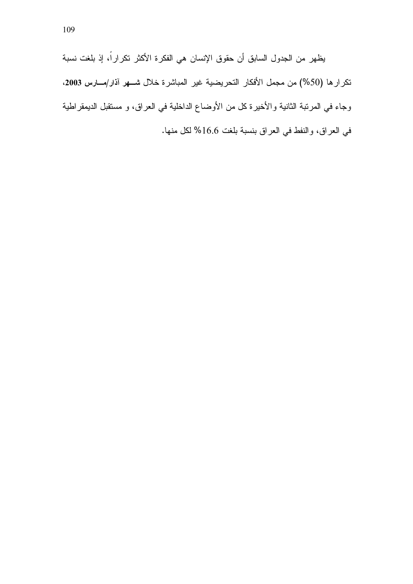يظهر من الجدول السابق أن حقوق الإنسان هي الفكرة الأكثر تكراراً، إذ بلغت نسبة تكرارها (50%) من مجمل الأفكار التحريضية غير المباشرة خلال شــهر آذار/مـــارس 2003، وجاء في المرتبة الثانية والأخيرة كل من الأوضاع الداخلية في العراق، و مستقبل الديمقراطية في العراق، والنفط في العراق بنسبة بلغت 16.6% لكل منها.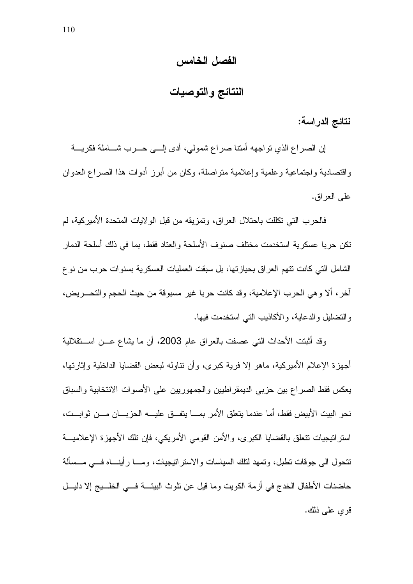### الفصل الخامس

النتائج والتوصيات

نتائج الدراسة:

إن الصراع الذي تواجهه أمتنا صراع شمولي، أدى إلـــي حـــرب شــــاملة فكريــــة واقتصادية واجتماعية وعلمية وإعلامية متواصلة، وكان من أبرز أدوات هذا الصراع العدوان علمي العراق.

فالحرب التي تكلَّلت باحتلال العراق، وتمزيقه من قبل الولايات المتحدة الأميركية، لم تكن حربا عسكرية استخدمت مختلف صنوف الأسلحة والعتاد فقط، بما في ذلك أسلحة الدمار الشامل التي كانت نتهم العر اق بحياز تها، بل سبقت العمليات العسكر ية بسنو ات حر ب من نو ع آخر ، ألا وهي الحرب الإعلامية، وقد كانت حربا غير مسبوقة من حيث الحجم والتحـــريض، والتضليل والدعاية، والأكاذيب التي استخدمت فيها.

وقد أثبتت الأحداث التي عصفت بالعراق عام 2003، أن ما يشاع عـــن اســــنقلالية أجهزة الإعلام الأميركية، ماهو إلا فرية كبرى، وأن نتاوله لبعض القضايا الداخلية وإثارتها، يعكس فقط الصراع بين حزبي الديمقر اطبين والجمهوريين على الأصوات الانتخابية والسباق نحو البيت الأبيض فقط، أما عندما يتعلق الأمر بمـــا يتفـــق عليــــه الحزبــــان مــــن ثوابـــت، استر انيجيات نتعلق بالقضايا الكبرى، والأمن القومي الأمريكي، فإن نلك الأجهزة الإعلاميـــة تتحول الى جوفات نطبل، ونمهد لنلك السياسات والاستراتيجيات، ومـــا رأينــــاه فـــي مـــسألة حاضنات الأطفال الخدج في أزمة الكويت وما قيل عن نلوث البيئـــة فـــي الخلـــيج إلا دليـــل قوى على ذلك.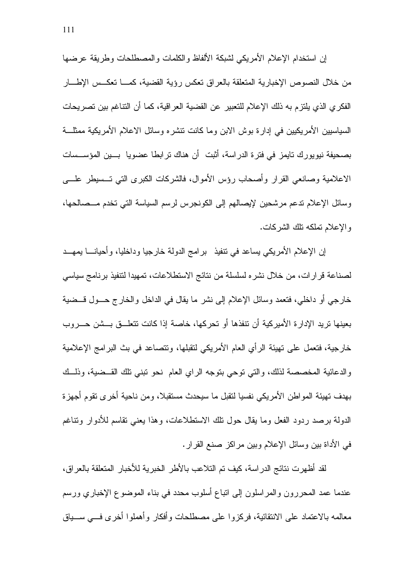إن استخدام الإعلام الأمريكي لشبكة الألفاظ والكلمات والمصطلحات وطريقة عرضها من خلال النصوص الإخبارية المتعلقة بالعراق تعكس رؤية القضية، كمـــا تعكــس الإطـــار الفكر ي الذي يلتزم به ذلك الإعلام للتعبير عن القضية العراقية، كما أن النتاغم بين تصريحات السياسيين الأمريكيين في إدارة بوش الابن وما كانت تنشره وسائل الاعلام الأمريكية ممثلـــة بصحيفة نيويورك تايمز في فترة الدراسة، أُثبت ۖ أن هناك تر ابطا عضويا ۖ بِـــين المؤســـسات الاعلامية وصانعي القرار وأصحاب رؤس الأموال، فالشركات الكبرى التي تـــسيطر علــــي وسائل الإعلام ندعم مرشحين لإيصالهم إلى الكونجرس لرسم السياسة التي تخدم مــصالحها، و الإعلام تملكه نلك الشركات.

إن الإعلام الأمريكي بساعد في نتفيذ برامج الدولة خارجيا وداخليا، وأحيانــــا بمهـــد لصناعة قرارات، من خلال نشره لسلسلة من نتائج الاستطلاعات، تمهيدا لنتفيذ برنامج سياسي خارجي أو داخلي، فتعمد وسائل الإعلام إلى نشر ما يقال في الداخل والخارج حـــول قـــضية بعينها تريد الإدار ة الأمير كية أن تنفذها أو تحركها، خاصة إذا كانت تتعلـــق بـــشن حـــروب خارجية، فتعمل على تهيئة الرأى العام الأمريكي لتقبلها، وتتصاعد في بث البرامج الإعلامية والدعائية المخصصة لذلك، والتي توجي بتوجه الراي العام نحو نبني تلك القبيضة، وذلبك بهدف نهيئة المواطن الأمريكي نفسيا لنقبل ما سيحدث مستقبلا، ومن ناحية أخرى نقوم أجهزة الدولة برصد ردود الفعل وما يقال حول نلك الاستطلاعات، وهذا يعني نقاسم للأدوار ونناغم في الأداة بين وسائل الإعلام وبين مراكز صنع القرار .

لقد أظهرت نتائج الدراسة، كيف تم التلاعب بالأطر الخبرية للأخبار المتعلقة بالعراق، عندما عمد المحررون والمراسلون إلىي انباع أسلوب محدد في بناء الموضوع الإخباري ورسم معالمه بالاعتماد على الانتقائية، فركزوا على مصطلحات وأفكار وأهملوا أخرى فسي ســـباق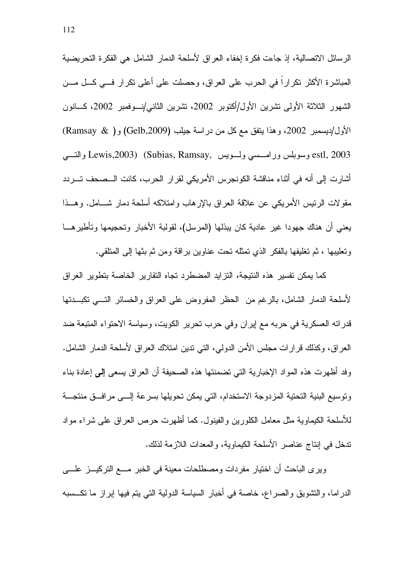الرسائل الاتصالية، إذ جاءت فكرة إخفاء العراق لأسلحة الدمار الشامل هي الفكرة التحريضية المباشرة الأكثر نكراراً في الحرب على العراق، وحصلت على أعلى نكرار فـــي كـــل مـــن الشهور الثلاثة الأولى نشرين الأول/أكتوبر 2002، نشرين الثاني/نسوفمبر 2002، كسانون الأول/ديسمبر 2002، وهذا يتفق مع كل من دراسة جيلب (Gelb,2009) و( Ramsay & ) estl, 2003 وسوبلس ورامسسي ولسويس , Lewis,2003) (Subias, Ramsay أشارت إلى أنه في أثناء مناقشة الكونجرس الأمريكي لقرار الحرب، كانت الـــصحف تـــردد مقولات الرئيس الأمريكي عن علاقة العراق بالإرهاب وامتلاكه أسلحة دمار شـــامل. وهــذا يعني أن هناك جهودا غير عادية كان يبذلها (المرسل)، لقولبة الأخبار وتحجيمها وتأطيرهـــا وتعليبها ، ثم تغليفها بالفكر الذي تمثله نحت عناوين براقة ومن ثم بثها إلى المتلقى.

كما يمكن تفسير هذه النتيجة، التزايد المضطرد تجاه التقارير الخاصة بتطوير العراق لأسلحة الدمار الشامل، بالرغم من الحظر المفروض على العراق والخسائر التسى تكبـــدتها قدراته العسكرية في حربه مع إيران وفي حرب نحرير الكويت، وسياسة الاحتواء المتبعة ضد العراق، وكذلك فرارات مجلس الأمن الدولمي، التي ندين امتلاك العراق لأسلحة الدمار الشامل. وفد أظهرت هذه المواد الإخبارية التي تضمنتها هذه الصحيفة أن العراق يسعى إلى إعادة بناء ونوسيع البنية التحتية المزدوجة الاستخدام، التي يمكن تحويلها بسرعة إلـــي مرافـــق منتجــــة للأسلحة الكيماوية مثل معامل الكلورين والفينول. كما أظهرت حرص العراق على شراء مواد تدخل في إنتاج عناصر الأسلحة الكيماوية، والمعدات اللاز مة لذلك.

وير ي الباحث أن اختيار مفردات ومصطلحات معينة في الخبر مـــع التركيـــز علــــي الدراما، والنشويق والصراع، خاصة في أخبار السياسة الدولية التي يتم فيها إبراز ما نكـــسبه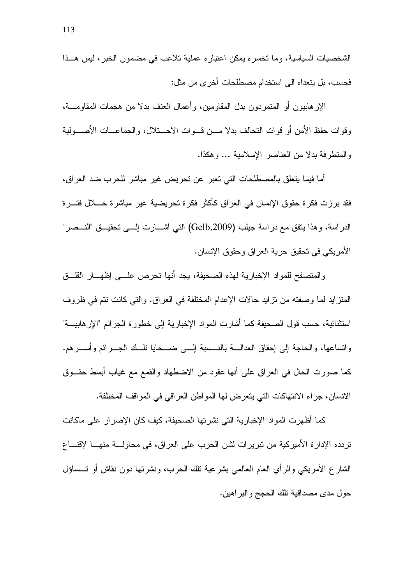الشخصيات السياسية، وما تخسره يمكن اعتباره عملية تلاعب في مضمون الخبر، ليس هــذا فحسب، بل يتعداه الى استخدام مصطلحات أخرى من مثل:

الإرهابيون أو المتمردون بدل المقاومين، وأعمال العنف بدلا من هجمات المقاومــــة، وقوات حفظ الأمن أو قوات التحالف بدلا مـــن قـــوات الاحـــتلال، والجماعـــات الأصــــولية والمنظر فة بدلا من العناصر الإسلامية ... و هكذا.

أما فيما يتعلق بالمصطلحات التي تعبر عن تحريض غير مباشر للحرب ضد العراق، فقد برزت فكرة حقوق الإنسان في العراق كأكثر فكرة تحريضية غير مباشرة خــــلال فتـــرة الدراسة، وهذا بنفق مع دراسة جيلب (Gelb,2009) التبي أشــــارت الـــــي تحقيــــق "النــــصر" الأمريكي في تحقيق حرية العراق وحقوق الإنسان.

والمتصفح للمواد الإخبارية لهذه الصحيفة، يجد أنها تحرص علـــي إظهـــار القلـــق المتزايد لما وصفته من نزايد حالات الإعدام المختلفة في العراق. والتي كانت نتم في ظروف استثنائية، حسب قول الصحيفة كما أشار ت المواد الإخبار ية إلى خطور ة الجر ائم "الإر هابيـــة" واتساعها، والحاجة إلى إحقاق العدالــــة بالنــــسبة إلــــي ضـــــحايا نلـــك الجــــرائم وأســــرهم. كما صورت الحال في العراق على أنها عقود من الاضطهاد والقمع مع غياب أبسط حقـــوق الانسان، جراء الانتهاكات التي يتعرض لها المواطن العراقي في المواقف المختلفة.

كما أظهرت المواد الإخبارية التي نشرتها الصحيفة، كيف كان الإصرار على ماكانت تر دده الإدار ۃ الأمير كية من تبر پر ات لشن الحر ب على العر اق، في محاولــــة منهــــا لإقنــــاع الشارع الأمريكي والرأى العام العالمي بشرعية نلك الحرب، ونشرتها دون نقاش أو نسساؤل حول مدى مصداقية نلك الحجج والبراهين.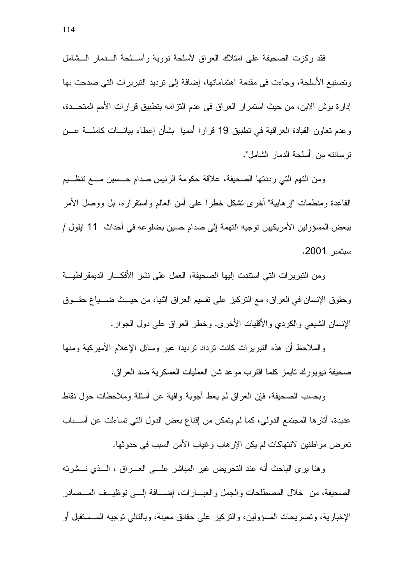فقد ركزت الصحيفة على امتلاك العراق لأسلحة نووية وأســلحة الـــدمار الـــشامل وتصنيع الأسلحة، وجاءت في مقدمة اهتماماتها، إضافة إلى ترديد التبريرات التي صدحت بها إدارة بوش الابن، من حيث استمرار العراق في عدم النزامه بتطبيق قرارات الأمم المتحــدة، وعدم تعاون القيادة العراقية في نطبيق 19 قرارا أمميا بشأن إعطاء بيانـــات كاملــــة عـــن نرسانته من "أسلحة الدمار الشامل".

ومن النهم التي رددتها الصحيفة، علاقة حكومة الرئيس صدام حـــسين مــــع تنظـــيم القاعدة ومنظمات "إرهابية" أخرى نتثىكل خطرا علىي أمن العالم واستقراره، بل ووصل الأمر ببعض المسؤولين الأمريكيين توجيه التهمة إلى صدام حسين بضلوعه في أحداث 11 ايلول / سبتمبر 2001.

ومن النبريرات التي استندت إليها الصحيفة، العمل على نشر الأفكـــار الديمقراطيـــة وحقوق الإنسان في العراق، مع التركيز على نقسيم العراق إثنيا، من حيــث ضـــياع حقــوق الإنسان الشيعي والكردي والأقليات الأخرى. وخطر العراق على دول الجوار.

والملاحظ أن هذه النبريرات كانت نزداد نرديدا عبر وسائل الإعلام الأميركية ومنها صحيفة نيويورك تايمز كلما اقترب موعد شن العمليات العسكرية ضد العراق.

وبحسب الصحيفة، فإن العراق لم يعط أجوبة وافية عن أسئلة وملاحظات حول نقاط عديدة، أثار ها المجتمع الدولي، كما لم يتمكن من إقناع بعض الدول التي تساءلت عن أســـباب تعر ض مو اطنين لانتهاكات لم يكن الإر هاب و غياب الأمن السبب في حدو ثها.

وهنا برى الباحث أنه عند التحريض غير المباشر علـــى العـــراق ، الـــذى نـــشرته الصحيفة، من خلال المصطلحات والجمل والعبــارات، إضـــافة إلـــي توظيــف المــصادر الإخبارية، وتصريحات المسؤولين، والنركيز على حقائق معينة، وبالتالي نوجيه المـــستقبل أو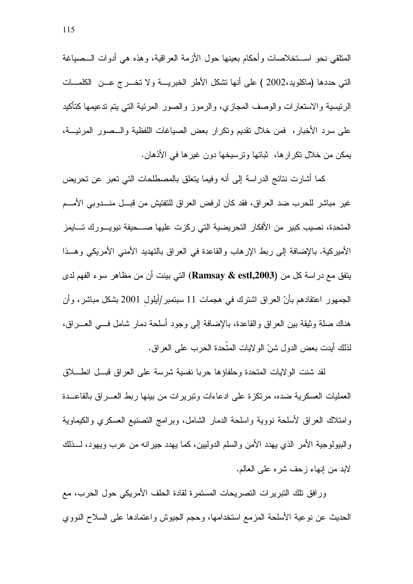المتلقي نحو اســتخلاصات وأحكام بعينها حول الأزمة العراقية، وهذه هي أدوات الـــصياغة التبي حددها (ماكلويد،2002 ) على أنها تشكل الأطر الخبريسة ولا تخسر ج عسن الكلمسات الرئيسية والاستعارات والوصف المجازي، والرموز والصور المرئية التي يتم ندعيمها كتأكيد على سرد الأخبار، فمن خلال نقديم ونكرار بعض الصياغات اللفظية والـــصور المرئيـــة، يمكن من خلال نكرار ها، ثباتها ونرسيخها دون غيرها في الأذهان.

كما أشارت نتائج الدراسة إلى أنه وفيما بتعلق بالمصطلحات التبي تعبر عن تحريض غير مباشر للحرب ضد العراق، فقد كان لرفض العراق للتفتيش من قبـــل منـــدوبي الأمـــم المتحدة، نصيب كبير من الأفكار التحريضية التي ركزت عليها صـــحيفة نيويـــورك تــــايمز الأميركية. بالإضافة إلى ربط الإرهاب والقاعدة في العراق بالتهديد الأمنى الأمريكي وهــذا يتفق مع در اسة كل من (Ramsay & estl,2003) التي بينت أن من مظاهر سوء الفهم لدى الجمهور اعتقادهم بأنّ العراق اشترك في هجمات 11 سبتمبر/أيلول 2001 بشكل مباشر ، وأن هناك صلة وثيقة بين العر اق والقاعدة، بالإضافة إلى وجود أسلحة دمار شامل فسى العسر اق، لذلك أيدت بعض الدول شنّ الولايات المتّحدة الحرب على العراق.

لقد شنت الولايات المتحدة وحلفاؤها حربا نفسية شرسة على العراق قبــل انطـــلاق العمليات العسكرية ضده، مرتكزة على ادعاءات ونبريرات من بينها ربط العـــراق بالقاعـــدة و إمتلاك العراق لأسلحة نووية و إسلحة الدمار الشامل، وبر إمج التصنيع العسكر ي والكيماوية والبيولوجية الأمر الذي يهدد الأمن والسلم الدوليين، كما يهدد جيرانه من عرب ويهود، لـــذلك لابد من إنهاء زحف شره على العالم.

ورافق تلك التبريرات التصريحات المستمرة لقادة الحلف الأمريكي حول الحرب، مع الحديث عن نوعية الأسلحة المزمع استخدامها، وحجم الجيوش واعتمادها على السلاح النووي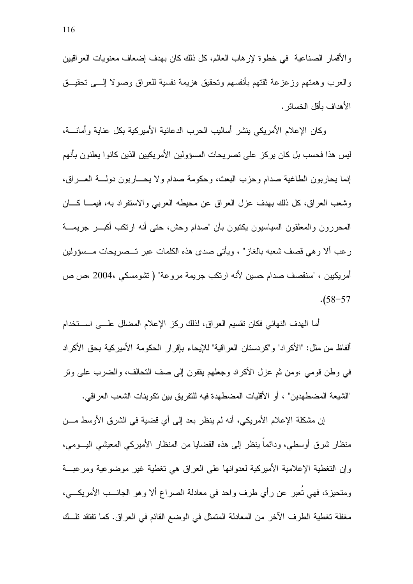والأقمار الصناعية في خطوة لإرهاب العالم، كل ذلك كان بهدف إضعاف معنويات العراقيين والعرب وهمتهم وزعزعة ثقتهم بأنفسهم وتحقيق هزيمة نفسية للعراق وصولا إلـــي تحقيـــق الأهداف بأقل الخسائر .

وكان الإعلام الأمريكي بنشر أساليب الحرب الدعائية الأميركية بكل عناية وأمانــــة، ليس هذا فحسب بل كان يركز على تصريحات المسؤولين الأمريكيين الذين كانوا يعلنون بأنهم إنما يحاربون الطاغية صدام وحزب البعث، وحكومة صدام ولا يحـــاربون دولــــة العــــراق، وشعب العراق، كل ذلك بهدف عزل العراق عن محيطه العربي والاستفراد به، فيمــا كـــان المحررون والمعلقون السياسيون يكتبون بأن "صدام وحش، حتى أنه ارتكب أكبـــر جريمــــة رعب ألا وهي قصف شعبه بالغاز" ، ويأتي صدى هذه الكلمات عبر تـــصريحات مـــسؤولين أمريكيين ، "سنقصف صدام حسين لأنه ارتكب جريمة مروعة" ( تشومسكي ،2004 ،ص ص  $. (58 - 57)$ 

أما الهدف النهائي فكان تقسيم العراق، لذلك ركز الإعلام المضلل علـــي اســـتخدام ألفاظ من مثل: "الأكراد" و"كردستان العراقية" للإيحاء بإقرار الحكومة الأميركية بحق الأكراد في وطن قومي ،ومن ثم عزل الأكراد وجعلهم يقفون إلى صف التحالف، والضرب على ونر "الشيعة المضطهدين" ، أو الأقليات المضطهدة فيه للنفريق بين نكوينات الشعب العراقي.

إن مشكلة الإعلام الأمريكي، أنه لم ينظر بعد إلى أي قضية في الشرق الأوسط مـــن منظار شرق أوسطي، ودائماً بنظر إلى هذه القضايا من المنظار الأميركي المعيشي اليـــومي، وإن التغطية الإعلامية الأميركية لعدوانها على العراق هي تغطية غير موضوعية ومرعبــة ومتحيزة، فهي نُعبر عن رأي طرف واحد في معادلة الصراع ألا وهو الجانـــب الأمريكـــي، مغفلة تغطية الطرف الآخر من المعادلة المتمثل في الوضع القائم في العراق. كما تفتقد تلَّــك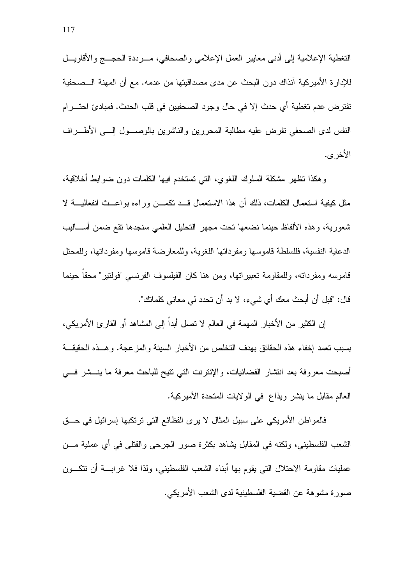التغطية الإعلامية إلى أدنى معايير العمل الإعلامي والصحافي، مـــرددة الحجــــج والأقاويــــل للإدارة الأميركية آنذاك دون البحث عن مدى مصداقيتها من عدمه. مع أن المهنة الـــصـحفية تفتر ض عدم تغطية أي حدث إلا في حال وجود الصحفيين في قلب الحدث. فمبادئ احتـــرام النفس لدى الصحفى نفرض عليه مطالبة المحررين والناشرين بالوصـــول إلـــي الأطــــراف الأخر ي.

وهكذا نظهر مشكلة السلوك اللغوى، التبي تستخدم فيها الكلمات دون ضوابط أخلاقية، مثل كيفية استعمال الكلمات، ذلك أن هذا الاستعمال قـــد تكمـــن وراءه بواعـــث انفعاليــــة لا شعورية، وهذه الألفاظ حينما نضعها نحت مجهر التحليل العلمي سنجدها نقع ضمن أســـاليب الدعاية النفسية، فللسلطة قاموسها ومفرداتها اللغوية، وللمعارضة قاموسها ومفرداتها، وللمحتل قاموسه ومفرداته، وللمقاومة تعبيراتها، ومن هنا كان الفيلسوف الفرنسي "فولتير" محقا حينما قال: "قبل أن أبحث معك أي شبيء، لا بد أن تحدد لبي معاني كلماتك".

إن الكثير من الأخبار المهمة في العالم لا تصل أبداً إلى المشاهد أو القارئ الأمريكي، بسبب نعمد إخفاء هذه الحقائق بهدف التخلص من الأخبار السيئة والمزعجة. وهــذه الحقيقــة أصبحت معروفة بعد انتشار الفضائيات، والإنترنت التي تتيح للباحث معرفة ما ينـــشر فـــي العالم مقابل ما ينشر ويذاع ًفي الولايات المتحدة الأميركية.

فالمو اطن الأمريكي على سبيل المثال لا يرى الفظائع التي ترتكبها إسر ائيل في حـــق الشعب الفلسطيني، ولكنه في المقابل يشاهد بكثرة صور الجرحى والقتلى في أي عملية مـــن عمليات مقاومة الاحتلال التي يقوم بها أبناء الشعب الفلسطيني، ولذا فلا غرابسة أن نتكسون صورة مشوهة عن القضية الفلسطينية لدى الشعب الأمريكي.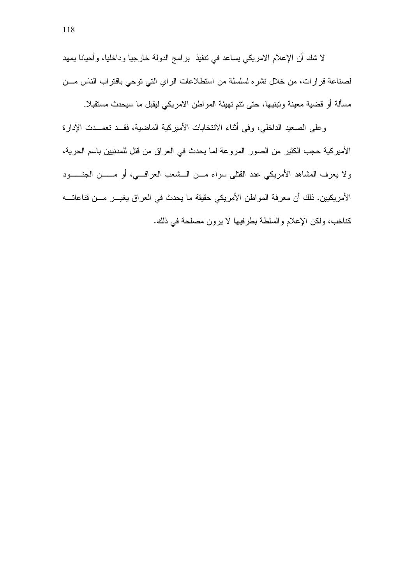لا شك أن الإعلام الامريكي يساعد في تنفيذ برامج الدولة خارجيا وداخليا، وأحيانا يمهد لصناعة قرارات، من خلال نشره لسلسلة من استطلاعات الراي التي توحي باقتراب الناس مـــن مسألة أو قضية معينة وتبنيها، حتى نتم تهيئة المواطن الامريكي ليقبل ما سيحدث مستقبلا.

وعلى الصعيد الداخلي، وفي أثناء الانتخابات الأميركية الماضية، فقــد تعمــدت الإدارة الأميركية حجب الكثير من الصور المروعة لما يحدث في العراق من قتل للمدنيين باسم الحرية، ولا يعرف المشاهد الأمريكي عدد القتلى سواء مـــن الـــشعب العراقــــي، أو مــــــن الـجنــــــود الأمريكيين. ذلك أن معرفة المواطن الأمريكي حقيقة ما يحدث في العراق يغيـــر مـــن قناعاتــــه كناخب، ولكن الإعلام والسلطة بطرفيها لا يرون مصلحة في ذلك.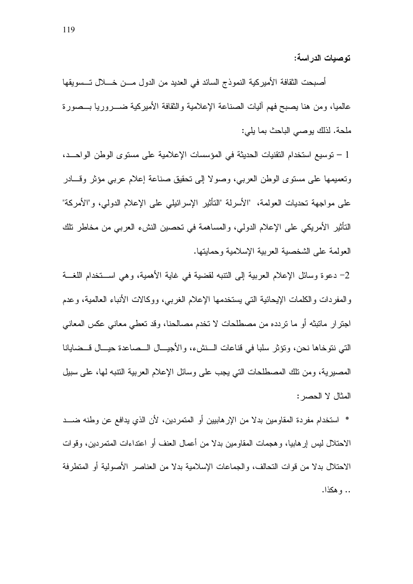توصبات الدر اسة:

أصبحت الثقافة الأميركية النموذج السائد في العديد من الدول مـــن خــــلال تـــسويقها عالميا، ومن هنا يصبح فهم أليات الصناعة الإعلامية والثقافة الأميركية ضـــروريا بـــصورة ملحة. لذلك يوصيي الباحث بما يلي:

1 – نوسيع استخدام التقنيات الحديثة في المؤسسات الإعلامية على مستوى الوطن الواحــد، ونعميمها على مستوى الوطن العربي، وصولا إلى نحقيق صناعة إعلام عربي مؤثر وقسادر على مواجهة تحديات العولمة، "الأسرلة "النأنير الإسرائيلي على الإعلام الدولي، و"الأمركة" التَأْثيرِ الأمريكي على الإعلام الدولي، والمساهمة في تحصين النشء العربي من مخاطر نلك العولمة على الشخصية العربية الإسلامية وحمايتها.

2– دعوة وسائل الإعلام العربية إلى النتبه لقضية في غاية الأهمية، وهي اســـنخدام اللغـــة والمفردات والكلمات الإيحائية التبي يستخدمها الإعلام الغرببي، ووكالات الأنباء العالمية، وعدم اجترار ماتبتْه أو ما تردده من مصطلحات لا تخدم مصالحنا، وقد تعطي معاني عكس المعاني التي نتو خاها نحن، وتؤثر سلبا في قناعات الــنشء، والأجيـــال الــصاعدة حيـــال قــضايانـا المصبرية، ومن نلك المصطلحات التي يجب على وسائل الإعلام العربية النتبه لها، على سبيل المثال لا الحصر :

\* استخدام مفردة المقاومين بدلا من الإرهابيين أو المتمردين، لأن الذي يدافع عن وطنه ضـــد الاحتلال ليس إرهابيا، وهجمات المقاومين بدلا من أعمال العنف أو اعتداءات المتمردين، وقوات الاحتلال بدلا من قوات التحالف، والجماعات الإسلامية بدلا من العناصر الأصولية أو المتطرفة .. وهكذا.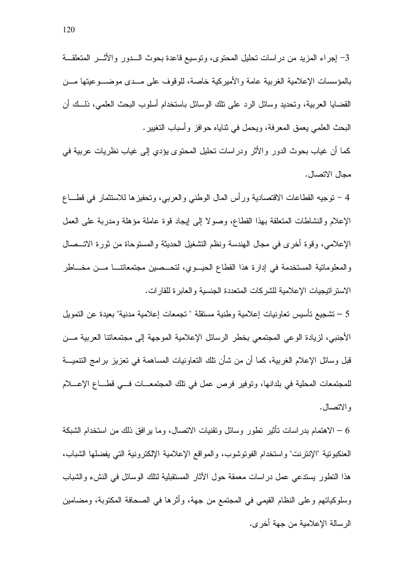3– إجراء المزيد من دراسات نحليل المحتوى، ونوسيع قاعدة بحوث الـــدور والأثـــر المتعلقـــة بالمؤسسات الإعلامية الغربية عامة والأميركية خاصة، للوقوف على مــدى موضـــوعيتها مـــن القضايا العربية، وتحديد وسائل الرد على نلك الوسائل باستخدام أسلوب البحث العلمي، ذلــك أن البحث العلمي يعمق المعرفة، ويحمل في ثناياه حوافز وأسباب النغيير .

كما أن غياب بحوث الدور والأثر ودراسات تحليل المحتوى يؤدي إلى غياب نظريات عربية في مجال الاتصال.

4 – نوجيه القطاعات الاقتصادية ورأس المال الوطني والعربي، وتحفيزها للاستثمار في قطـــاع الإعلام والنشاطات المتعلقة بهذا القطاع، وصولًا إلى إيجاد قوة عاملة مؤهلة ومدربة على العمل الإعلامي، وقوة أخرى في مجال الهندسة ونظم التشغيل الحديثة والمستوحاة من ثورة الاتــصال والمعلوماتية المستخدمة في إدارة هذا القطاع الحيوي، لتحــصين مجتمعاتنـــا مـــن مخـــاطر الاستر اتيجيات الإعلامية للشركات المتعددة الجنسية والعابرة للقارات.

5 – تشجيع تأسيس تعاونيات إعلامية وطنية مستقلة " تجمعات إعلامية مدنية" بعيدة عن التمويل الأجنبي، لزيادة الوعي المجتمعي بخطر الرسائل الإعلامية الموجهة إلى مجتمعاتنا العربية مـــن قبل وسائل الإعلام الغربية، كما أن من شأن نلك النعاونيات المساهمة في نعزيز برامج التنميـــة للمجتمعات المحلية في بلدانها، وتوفير فرص عمل في نلك المجتمعات في فطاع الإعــلام و الاتصال.

6 – الاهتمام بدراسات نأثير نطور وسائل ونقنيات الاتصال، وما يرافق ذلك من استخدام الشبكة العنكبوتية "الإنترنت" واستخدام الفوتوشوب، والمواقع الإعلامية الإلكترونية التي يفضلها الشباب، هذا النظور يستدعي عمل دراسات معمقة حول الأثار المستقبلية لنلك الوسائل في النشء والشباب وسلوكياتهم وعلى النظام القيمي في المجتمع من جهة، وأثرها في الصحافة المكتوبة، ومضامين الرسالة الإعلامية من جهة أخر ي.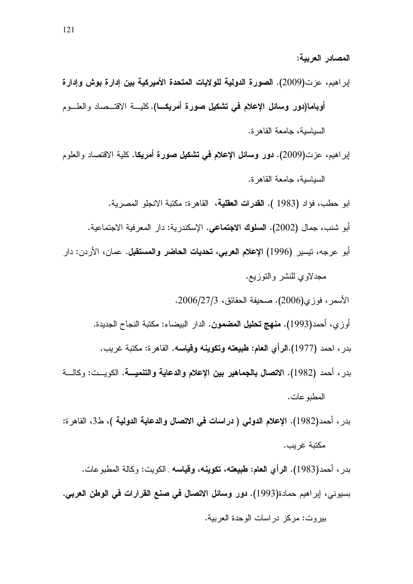إبراهيم، عزت(2009). الصورة الدولية للولايات المتحدة الأميركية بين إدارة بوش وإدارة أوباما(دور وسائل الإعلام في تشكيل صورة أمريكــا).كليـــة الاقتـــصـاد والعلـــوم السياسية، جامعة القاهرة. إبراهيم، عزت(2009). **دور وسائل الإعلام في تشكيل صورة أمريك**ا. كلية الاقتصاد والعلوم السياسية، جامعة القاهرة. ابو حطب، فؤاد (1983 ). ا**لقدرات العقلية**، القاهرة: مكتبة الانجلو المصرية. أبو شنب، جمال (2002). ا**لسلوك الاجتماعي**. الإسكندرية: دار المعرفية الاجتماعية. أبو عرجه، نيسير (1996) ا**لإعلام العرب***ي***، تحديات الحاضر والمستقبل.** عمان، الأردن: دار مجدلاوي للنشر والنوزيع. الأسمر ، فوزي(2006). صحيفة الحقائق، 2006/27/3. أوزي، أحمد(1993). **منهج تحليل المضمون**. الدار البيضاء: مكتبة النجاح الجديدة. بدر ، احمد (1977).ا**لرأي العام: طبيعته وتكوينه وقياسه.** القاهرة: مكتبة غريب. بدر ، أحمد (1982). ال**اتصال بالجماهير بين الإعلام والدعاية والتنميـــة**. الكويـــت: وكالــــة المطبو عات. بدر ، أحمد(1982). الإعلام الدولي ( دراسات في الاتصال والدعاية الدولية )، ط3، القاهرة: مكتبة غريب.

المصادر العربية:

بدر ، أحمد(1983). ا**لرأي العام: طبيعته، تكوينه، وقياسه** الكويت: وكالة المطبوعات. بسيوني، إبراهيم حمادة(1993). **دور وسائل الاتصال في صنع القرارات في الوطن العربي.** بيروت: مركز دراسات الوحدة العربية.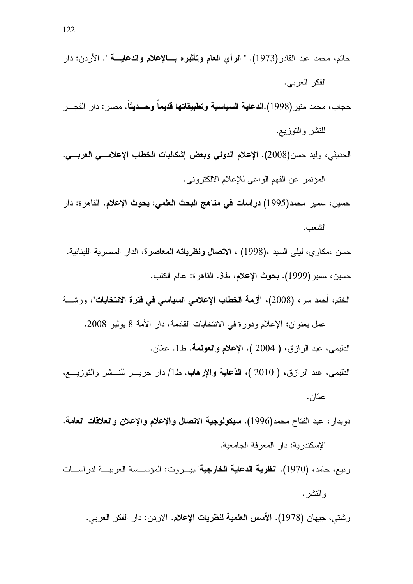الحديثي، وليد حسن(2008). الإعلام الدولي وبعض إشكاليات الخطاب الإعلامسي العربسي. المؤتمر عن الفهم الواعي للإعلام الالكتروني.

حسين، سمير محمد(1995) **دراسات في مناهج البحث العلمي: بحوث الإعلام.** القاهرة: دار الشعب.

حسن ،مكاوي، ليل<sub>ّى</sub> السيد ،(1998) ، ال**اتصال ونظرياته المعاصرة**، الدار المصرية اللبنانية. حسين، سمير (1999). بحوث الإعلام، ط3. القاهر ة: عالم الكتب.

الختم، أحمد سر ، (2008)، "أزمة ا**لخطاب الإعلامي السياسي في فترة الانتخابات**"، ورشـــة

عمل بعنوان: الإعلام ودورة في الانتخابات القادمة، دار الأمة 8 يوليو 2008. الدليمي، عبد الرازق، ( 2004 )، الإعلام والعولمة. ط1. عمّان.

التليمي، عبد الرازق، ( 2010 )، **الدّعاية والإرهاب**. ط1/ دار جريــــر للنــــشر والتوزيــــع، عمّان.

دويدار ، عبد الفتاح محمد(1996). سيكولوجية الاتصال والإعلام والإعلان والعلاقات العامة. الإسكندر بة: دار المعرفة الجامعية.

ربيع، حامد، (1970). "**نظرية الدعاية الخارجية**".بيـــروت: المؤســـسة العربيـــة لدر اســـات و النشر .

رشتي، جيهان (1978). ا**لأسس العلمية لنظريات الإعلام**. الاردن: دار الفكر العربي.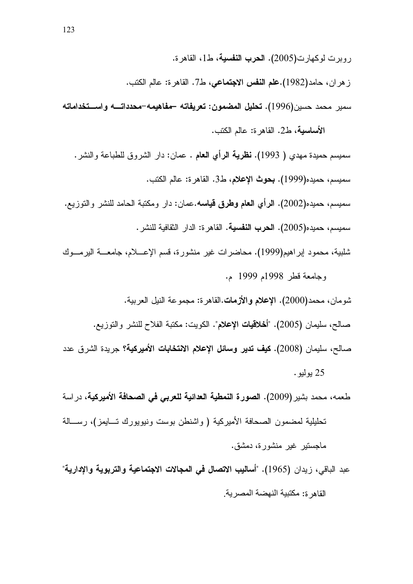روبرت لوكهارت(2005). الحرب النفسية، ط1، القاهرة. ز هر ان، حامد(1982).**علم النفس الاجتماعي،** ط7. القاهرة: عالم الكتب. سمير محمد حسين(1996). تحليل المضمون: تعريفاته –مفاهيمه–محدداتـــه واســـتخداماته

الأساسية، ط2. القاهرة: عالم الكتب. سميسم حميدة مهدى ( 1993). **نظرية الرأى العام** . عمان: دار الشروق للطباعة والنشر . سميسم، حميده(1999). **بحوث الإعلام، ط**3. القاهر ة: عالم الكتب. سميسم، حميده(2002). الرأى الـعام وطرق قياسه.عمان: دار ومكتبة الحامد للنشر والتوزيع. سميسم، حميده(2005). الحرب النفسية. القاهرة: الدار النقافية للنشر .

شلبية، محمود إبراهيم(1999). محاضرات غير منشورة، قسم الإعــــلام، جامعــــة اليرمــــوك وجامعة قطر 1998م 1999 م.

شومان، محمد(2000). الإعلام والأزمات القاهر ة: مجمو عة النيل العربية. صـالـح، سليمان (2005). "أ**خـلاقيات الإعلام**". الكويت: مكتبة الفلاح للنشر والتوزيـع. صـالح، سليمان (2008). **كيف تدير وسائل الإعلام الانتخابات الأميركية؟** جريدة الشرق عدد 25 يو ليو **.** 

طعمه، محمد بشير (2009). ا**لصورة النمطية العدائية للعرب***ى* **ف***ي* **الصحافة الأميركية،** در اسة

تحليلية لمضمون الصحافة الأميركية ( واشنطن بوست ونيويورك تـــايمز)، رســـالـة ماجستير غير منشورة، دمشق.

عبد الباقي، زيدان (1965). "أ**ساليب الاتصال في المجالات الاجتماعية والتربوية والإدارية**" القاهر ة: مكتبية النهضة المصر بة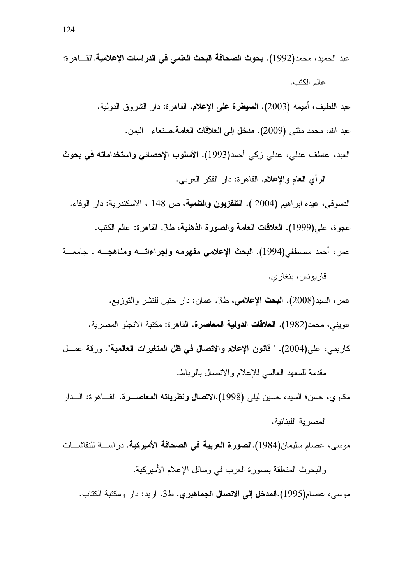عبد الحميد، محمد(1992). **بحوث الصحافة البحث العلم***ي* **ف***ي* **الدراسات الإعلامية.القـــاهر ة:** عالم الكتب.

عبد اللطيف، أميمه (2003). **السبيطرة على الإعلام**. القاهرة: دار الشروق الدولية. عبد الله، محمد مثنى (2009). **مدخل إلى العلاقات العامة**.صنعاء– اليمن. العبد، عاطف عدلي، عدلي زكي أحمد(1993). الأ**سلوب الإحصائي واستخداماته في بحوث** 

ا**لر**أي ا**لـعام والإعلام.** القاهرة: دار الفكر الـعربـي. الدسوقي، عيده ابراهيم (2004 ). **التلفزيون والتنمية**، ص 148 ، الاسكندرية: دار الوفاء. عجوة، علي(1999). ا**لعلاقات العامة والصورة الذهنية**، ط3. القاهرة: عالم الكتب. عمر ، أحمد مصطفي(1994). ا**لبحث الإعلامي مفهومه وإجراءاتــــه ومناهجــــه** . جامعـــة

قاريونس، بنغازي.

عمر ، السيد(2008). ا**لنبحث** الإ**علامي**، ط3. عمان: دار حنين للنشر والتوزيع. عويني، محمد(1982). ا**لـعلاقات الدولية المـعاصرة.** القاهرة: مكتبة الانجلو المصرية. كاريمي، علي(2004). " **قانون الإعلام والاتصال في ظل المتغيرات العالمية**". ورقة عمـــل

مقدمة للمعهد العالمي للإعلام والانصال بالرباط.

مكاوي، حسن؛ السيد، حسين ليل<sub>ّ</sub>ى (1998).ال**اتصال ونظرياته المعاصـــرة.** القــــاهرة: الــــدار المصرية اللبنانية.

موسى، عصـام سليمان(1984).ا**لصورة الـعربية في الصحافة الأميركية**. دراســــة للنقاشــــات والبحوث المتعلقة بصورة العرب في وسائل الإعلام الأميركية.

موسى، عصــام(1995).ا**لمدخل إلى الاتصال الجماهير ي. ط**3. اربد: دار ومكتبة الكتاب.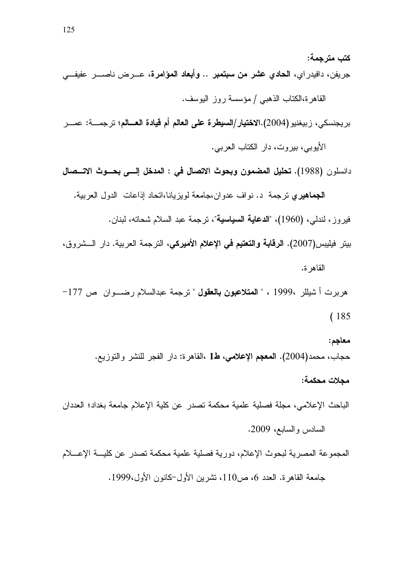كتب مترجمة: جريفن، دافيدر اي، ا**لحادي عشر من سبتمبر .. وأبعاد المؤامرة**، عـــرض ناصــــر عفيفـــ<sub>ي</sub>

القاهرة،الكتاب الذهبي / مؤسسة روز اليوسف.

بريجنسكي، زبيغنيو (2004).الا**ختيار**/ال**سيطرة على العالم أم قيادة العـــالم**؛ ترجمـــة: عمـــر

الأيوبي، بيروت، دار الكتاب العربي.

دانسلون (1988). تحليل المضمون وبحوث الاتصال في : المدخل إلـــي بحـــوث الاتـــصال

الجماهيري ترجمة د. نو اف عدو ان،جامعة لويزيانا،اتحاد اذاعات الدول العربية.

فيروز، لندلي، (1960)، "ا**لدعاية السياسية**"، ترجمة عبد السلام شحاته، لبنان.

بيتر فيليبس(2007). ا**لرقابة والتعتيم في الإعلام الأميركي،** الترجمة العربية. دار الـــشروق، القاهرة.

هربرت أ شيللر 1999 ، " **المتلاعبون بالعقول** " ترجمة عبدالسلام رضــــوان ص 177−  $(185$ 

معاجم: حجاب، محمد(2004). ا**لمعجم الإعلامي، ط1** ،القاهرة: دار الفجر للنشر والتوزيع. مجلات محكمة:

الباحث الإعلامي، مجلة فصلية علمية محكمة تصدر عن كلية الإعلام جامعة بغداد؛ العددان السادس والسابع، 2009.

المجموعة المصرية لبحوث الإعلام، دورية فصلية علمية محكمة تصدر عن كليـــة الإعــــلام

جامعة القاهرة. العدد 6، ص110، تشرين الأول–كانون الأول،1999.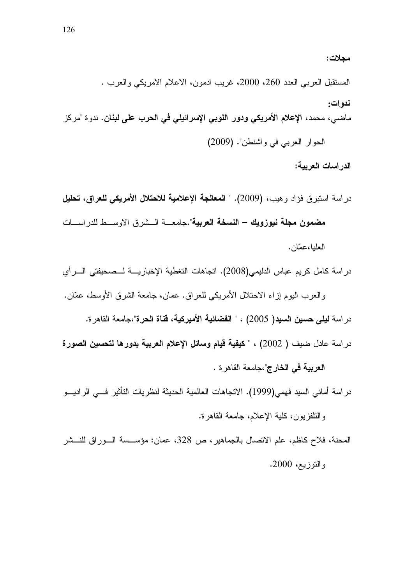المستقبل العربـي الـعدد 260، 2000، غريب ادمون، الاعلام الامريكـي والـعرب . ندو ات: ماضـي، محمد، الإ**علام الأمريكي ودور اللوبي الإسرائيلي في الحرب علي لبنان.** ندوة "مركز الحوار العربي في واشنطن". (2009)

مجلات:

الدر اسات العربية:

دراسة استبرق فؤاد وهيب، (2009). " المعالجة الإعلامية للاحتلال الأمريكي للعراق، تحليل **مضمون مجلة نيوزويك – النسخة العربية**".جامعـــة الـــشرق الاوســـط للدراســـات العلدا، عصّان.

در اسة كامل كريم عباس الدليمي(2008). اتجاهات التغطية الإخباريــــة لـــصـحيفتي الــــر أي

والعرب اليوم إزاء الاحتلال الأمريكي للعراق. عمان، جامعة الشرق الأوسط، عمَّان. در اسة **ليل***ى* **حسين السيد(** 2005) ، " ا**لفضائية الأميركية، قناة الحرة**"،جامعة القاهر ة. در اسة عادل ضيف ( 2002) ، " كيفية قيام وسائل الإعلام العربية بدورها لتحسين الصورة العربية في الخارج"،جامعة القاهرة .

در اسة أماني السيد فهمي(1999). الاتجاهات العالمية الحديثة لنظريات التأثير فـــي الراديـــو والنلفزيون، كلية الإعلام، جامعة القاهرة.

المحنة، فلاح كاظم، علم الاتصال بالجماهير، ص 328، عمان: مؤســـسة الـــوراق للنـــشر والنوزيع، 2000.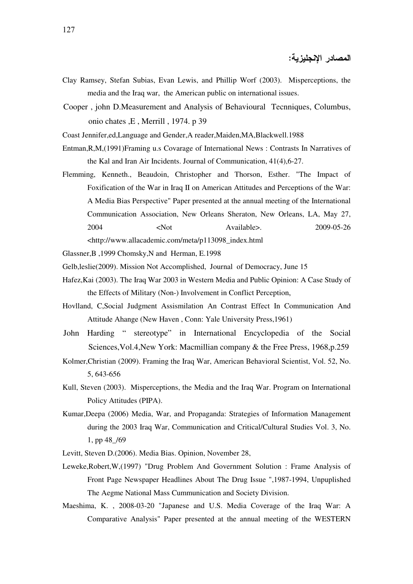المصادر الإنجليزية:

- Clay Ramsey, Stefan Subias, Evan Lewis, and Phillip Worf (2003). Misperceptions, the media and the Iraq war, the American public on international issues.
- Cooper , john D.Measurement and Analysis of Behavioural Tecnniques, Columbus, onio chates ,E , Merrill , 1974. p 39

Coast Jennifer,ed,Language and Gender,A reader,Maiden,MA,Blackwell.1988

- Entman,R,M,(1991)Framing u.s Covarage of International News : Contrasts In Narratives of the Kal and Iran Air Incidents. Journal of Communication, 41(4),6-27.
- Flemming, Kenneth., Beaudoin, Christopher and Thorson, Esther. "The Impact of Foxification of the War in Iraq II on American Attitudes and Perceptions of the War: A Media Bias Perspective" Paper presented at the annual meeting of the International Communication Association, New Orleans Sheraton, New Orleans, LA, May 27, 2004 <Not Available>. 2009-05-26

<http://www.allacademic.com/meta/p113098\_index.html

- Glassner,B ,1999 Chomsky,N and Herman, E.1998
- Gelb,leslie(2009). Mission Not Accomplished, Journal of Democracy, June 15
- Hafez,Kai (2003). The Iraq War 2003 in Western Media and Public Opinion: A Case Study of the Effects of Military (Non-) Involvement in Conflict Perception,
- Hovlland, C,Social Judgment Assismilation An Contrast Effect In Communication And Attitude Ahange (New Haven , Conn: Yale University Press,1961)
- John Harding " stereotype" in International Encyclopedia of the Social Sciences,Vol.4,New York: Macmillian company & the Free Press, 1968,p.259
- Kolmer,Christian (2009). Framing the Iraq War, American Behavioral Scientist, Vol. 52, No. 5, 643-656
- Kull, Steven (2003). Misperceptions, the Media and the Iraq War. Program on International Policy Attitudes (PIPA).
- Kumar,Deepa (2006) Media, War, and Propaganda: Strategies of Information Management during the 2003 Iraq War, Communication and Critical/Cultural Studies Vol. 3, No. 1, pp 48\_/69
- Levitt, Steven D.(2006). Media Bias. Opinion, November 28,
- Leweke,Robert,W,(1997) "Drug Problem And Government Solution : Frame Analysis of Front Page Newspaper Headlines About The Drug Issue ",1987-1994, Unpuplished The Aegme National Mass Cummunication and Society Division.
- Maeshima, K. , 2008-03-20 "Japanese and U.S. Media Coverage of the Iraq War: A Comparative Analysis" Paper presented at the annual meeting of the WESTERN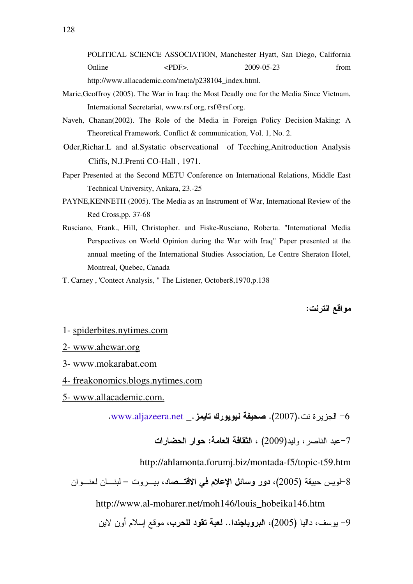POLITICAL SCIENCE ASSOCIATION, Manchester Hyatt, San Diego, California Online  $\langle PDF \rangle$ . 2009-05-23 from http://www.allacademic.com/meta/p238104\_index.html.

- Marie,Geoffroy (2005). The War in Iraq: the Most Deadly one for the Media Since Vietnam, International Secretariat, www.rsf.org, rsf@rsf.org.
- Naveh, Chanan(2002). The Role of the Media in Foreign Policy Decision-Making: A Theoretical Framework. Conflict & communication, Vol. 1, No. 2.
- Oder,Richar.L and al.Systatic observeational of Teeching,Anitroduction Analysis Cliffs, N.J.Prenti CO-Hall , 1971.
- Paper Presented at the Second METU Conference on International Relations, Middle East Technical University, Ankara, 23.-25
- PAYNE,KENNETH (2005). The Media as an Instrument of War, International Review of the Red Cross,pp. 37-68
- Rusciano, Frank., Hill, Christopher. and Fiske-Rusciano, Roberta. "International Media Perspectives on World Opinion during the War with Iraq" Paper presented at the annual meeting of the International Studies Association, Le Centre Sheraton Hotel, Montreal, Quebec, Canada
- T. Carney , 'Contect Analysis, " The Listener, October8,1970,p.138

مو اقع انتر نت:

### 1- spiderbites.nytimes.com

- 2- www.ahewar.org
- 3- www.mokarabat.com
- 4- freakonomics.blogs.nytimes.com
- 5- www.allacademic.com.

 $\frac{1}{2}$ - الجزير ة نت $(2007)$ . صحيفة نيويورك تايمز . $\frac{1}{2}$  - الجزير ة نت $-6$ 

7–عبد الناصر ، وليد(2009) ، ا**لنقافة العامة: حو**ار ا**لحضارات** 

### http://ahlamonta.forumi.biz/montada-f5/topic-t59.htm

8–لويس حبيقة (2005)، **دور وسائل الإعلام في الاقتـــصاد**، بيـــروت – لبنــــان لعنــــوان

### http://www.al-moharer.net/moh146/louis\_hobeika146.htm

9– يوسف، داليا (2005)، ا**لبروباجندا… لعبة تقود للحرب**، موقع إسلام أون لاين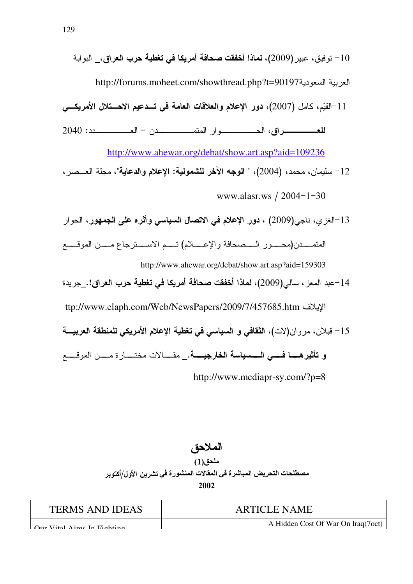العربية السعودية http://forums.moheet.com/showthread.php?t=90197

11–القيِّم، كامل (2007)، دور الإعلام والعلاقات العامة في تــدعيم الاحــتلال الأمريكـــي

للعب سوراق، الحسيسسيوار المتمسسسيدن - العسيسسيدد: 2040

http://www.ahewar.org/debat/show.art.asp?aid=109236

12– سليمان، محمد، (2004)، " الوجه الآخر للشمولية: الإعلام والدعاية"، مجلة العــصر ،

www.alasr.ws / 2004-1-30

13–الغزي، ناجي(2009) ، **دور الإعلام في الاتصال السياسي وأثره على الجمهور** ، الحوار

http://www.ahewar.org/debat/show.art.asp?aid=159303

14–عبد المعز ، سالي(2009)، **لماذا أخفقت صحافة أمريكا في تغطية حرب العراق**!.\_جريدة

ttp://www.elaph.com/Web/NewsPapers/2009/7/457685.htm

15– قبلان، مروان(لات)، الثقافي و السياسي في تغطية الإعلام الأمريكي للمنطقة العربيــــة

و تأثيرهـــا فــــى الــــسياسة الخارجيــــة.\_ مقــــالات مختــــارة مــــن الموقــــع

http://www.mediapr-sy.com/?p=8

الملاحة ، ملحق(1) مصطلحات التحريض المباشرة في المقالات المنشورة في تشرين الأول/أكتوير 2002

| <b>TERMS AND IDEAS</b>                      | <b>ARTICLE NAME</b>                |
|---------------------------------------------|------------------------------------|
| $\Delta_{\text{ur}}$ Vital Aime In Fighting | A Hidden Cost Of War On Iraq(7oct) |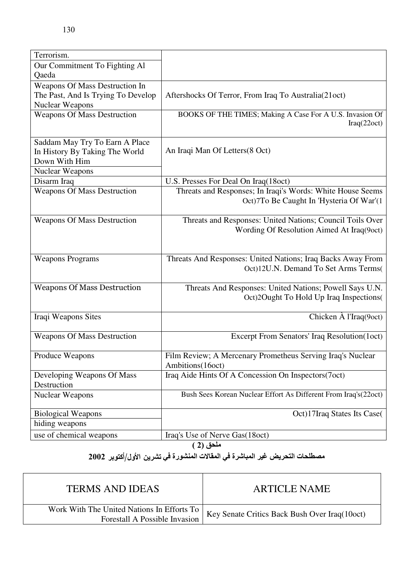| Our Commitment To Fighting Al<br>Qaeda<br>Weapons Of Mass Destruction In<br>The Past, And Is Trying To Develop<br>Aftershocks Of Terror, From Iraq To Australia(21oct) |
|------------------------------------------------------------------------------------------------------------------------------------------------------------------------|
|                                                                                                                                                                        |
|                                                                                                                                                                        |
|                                                                                                                                                                        |
|                                                                                                                                                                        |
| <b>Nuclear Weapons</b>                                                                                                                                                 |
| BOOKS OF THE TIMES; Making A Case For A U.S. Invasion Of<br><b>Weapons Of Mass Destruction</b><br>Iraq(22oct)                                                          |
| Saddam May Try To Earn A Place                                                                                                                                         |
| An Iraqi Man Of Letters (8 Oct)<br>In History By Taking The World                                                                                                      |
| Down With Him                                                                                                                                                          |
| <b>Nuclear Weapons</b>                                                                                                                                                 |
| Disarm Iraq<br>U.S. Presses For Deal On Iraq(18oct)                                                                                                                    |
| <b>Weapons Of Mass Destruction</b><br>Threats and Responses; In Iraqi's Words: White House Seems                                                                       |
| Oct)7To Be Caught In 'Hysteria Of War'(1                                                                                                                               |
|                                                                                                                                                                        |
| <b>Weapons Of Mass Destruction</b><br>Threats and Responses: United Nations; Council Toils Over                                                                        |
| Wording Of Resolution Aimed At Iraq(9oct)                                                                                                                              |
|                                                                                                                                                                        |
|                                                                                                                                                                        |
| Threats And Responses: United Nations; Iraq Backs Away From<br><b>Weapons Programs</b><br>Oct)12U.N. Demand To Set Arms Terms(                                         |
|                                                                                                                                                                        |
| <b>Weapons Of Mass Destruction</b><br>Threats And Responses: United Nations; Powell Says U.N.                                                                          |
| Oct)2Ought To Hold Up Iraq Inspections(                                                                                                                                |
|                                                                                                                                                                        |
| Chicken $\hat{A}$ l'Iraq $(9$ oct)<br>Iraqi Weapons Sites                                                                                                              |
|                                                                                                                                                                        |
| Excerpt From Senators' Iraq Resolution(1oct)<br><b>Weapons Of Mass Destruction</b>                                                                                     |
|                                                                                                                                                                        |
| Film Review; A Mercenary Prometheus Serving Iraq's Nuclear<br>Produce Weapons                                                                                          |
| Ambitions(16oct)                                                                                                                                                       |
| Iraq Aide Hints Of A Concession On Inspectors(7oct)<br>Developing Weapons Of Mass                                                                                      |
| Destruction                                                                                                                                                            |
| Bush Sees Korean Nuclear Effort As Different From Iraq's(22oct)<br><b>Nuclear Weapons</b>                                                                              |
| Oct)17Iraq States Its Case(<br><b>Biological Weapons</b>                                                                                                               |
| hiding weapons                                                                                                                                                         |
| use of chemical weapons<br>Iraq's Use of Nerve Gas(18oct)                                                                                                              |

 $\overline{(2)}$  ملحق

# مصطلحات التحريض غير المباشرة في المقالات المنشورة في تشرين الأول/أكتوبر 2002

| <b>TERMS AND IDEAS</b>                                                        | <b>ARTICLE NAME</b>                           |
|-------------------------------------------------------------------------------|-----------------------------------------------|
| Work With The United Nations In Efforts To  <br>Forestall A Possible Invasion | Key Senate Critics Back Bush Over Iraq(10oct) |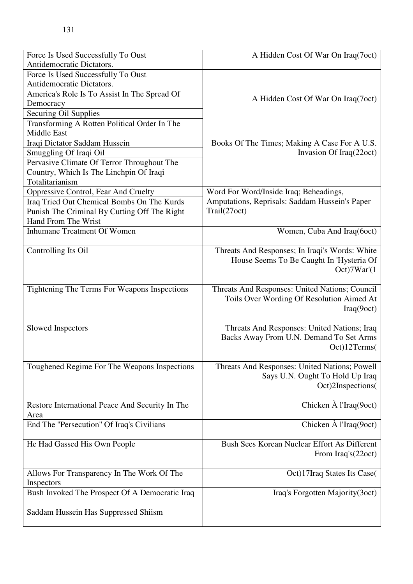| Force Is Used Successfully To Oust              | A Hidden Cost Of War On Iraq(7oct)             |
|-------------------------------------------------|------------------------------------------------|
| Antidemocratic Dictators.                       |                                                |
| Force Is Used Successfully To Oust              |                                                |
| Antidemocratic Dictators.                       |                                                |
| America's Role Is To Assist In The Spread Of    | A Hidden Cost Of War On Iraq(7oct)             |
| Democracy                                       |                                                |
| <b>Securing Oil Supplies</b>                    |                                                |
| Transforming A Rotten Political Order In The    |                                                |
| <b>Middle East</b>                              |                                                |
| Iraqi Dictator Saddam Hussein                   | Books Of The Times; Making A Case For A U.S.   |
| Smuggling Of Iraqi Oil                          | Invasion Of Iraq(22oct)                        |
| Pervasive Climate Of Terror Throughout The      |                                                |
| Country, Which Is The Linchpin Of Iraqi         |                                                |
| Totalitarianism                                 |                                                |
| Oppressive Control, Fear And Cruelty            | Word For Word/Inside Iraq; Beheadings,         |
| Iraq Tried Out Chemical Bombs On The Kurds      | Amputations, Reprisals: Saddam Hussein's Paper |
| Punish The Criminal By Cutting Off The Right    | Trail(27oct)                                   |
| Hand From The Wrist                             |                                                |
| <b>Inhumane Treatment Of Women</b>              | Women, Cuba And Iraq(6oct)                     |
| Controlling Its Oil                             | Threats And Responses; In Iraqi's Words: White |
|                                                 | House Seems To Be Caught In 'Hysteria Of       |
|                                                 | Oct)7War'(1                                    |
|                                                 |                                                |
| Tightening The Terms For Weapons Inspections    | Threats And Responses: United Nations; Council |
|                                                 | Toils Over Wording Of Resolution Aimed At      |
|                                                 | Iraq(9oct)                                     |
|                                                 |                                                |
| Slowed Inspectors                               | Threats And Responses: United Nations; Iraq    |
|                                                 | Backs Away From U.N. Demand To Set Arms        |
|                                                 | Oct)12 Terms(                                  |
| Toughened Regime For The Weapons Inspections    | Threats And Responses: United Nations; Powell  |
|                                                 | Says U.N. Ought To Hold Up Iraq                |
|                                                 | Oct)2Inspections(                              |
|                                                 |                                                |
| Restore International Peace And Security In The | Chicken $\hat{A}$ l'Iraq $(9$ oct)             |
| Area                                            |                                                |
| End The "Persecution" Of Iraq's Civilians       | Chicken $\hat{A}$ l'Iraq $(9$ oct)             |
|                                                 |                                                |
| He Had Gassed His Own People                    | Bush Sees Korean Nuclear Effort As Different   |
|                                                 | From Iraq's(22oct)                             |
|                                                 |                                                |
| Allows For Transparency In The Work Of The      | Oct)17Iraq States Its Case(                    |
| Inspectors                                      |                                                |
| Bush Invoked The Prospect Of A Democratic Iraq  | Iraq's Forgotten Majority(3oct)                |
|                                                 |                                                |
| Saddam Hussein Has Suppressed Shiism            |                                                |
|                                                 |                                                |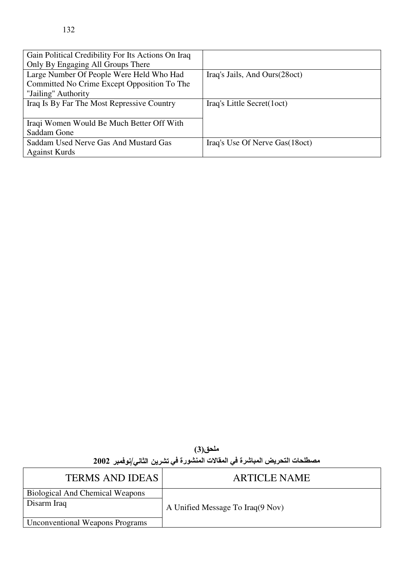| Gain Political Credibility For Its Actions On Iraq |                                |
|----------------------------------------------------|--------------------------------|
| Only By Engaging All Groups There                  |                                |
| Large Number Of People Were Held Who Had           | Iraq's Jails, And Ours(28 oct) |
| Committed No Crime Except Opposition To The        |                                |
| "Jailing" Authority                                |                                |
| Iraq Is By Far The Most Repressive Country         | Iraq's Little Secret(1oct)     |
|                                                    |                                |
| Iraqi Women Would Be Much Better Off With          |                                |
| Saddam Gone                                        |                                |
| Saddam Used Nerve Gas And Mustard Gas              | Iraq's Use Of Nerve Gas(18oct) |
| <b>Against Kurds</b>                               |                                |

ملحق(3) مصطلحات التحريض المباشرة في المقالات المنشورة في تشرين الثاني/نوفمبر 2002

| <b>TERMS AND IDEAS</b>                                | <b>ARTICLE NAME</b>              |
|-------------------------------------------------------|----------------------------------|
| <b>Biological And Chemical Weapons</b><br>Disarm Iraq | A Unified Message To Iraq(9 Nov) |
| <b>Unconventional Weapons Programs</b>                |                                  |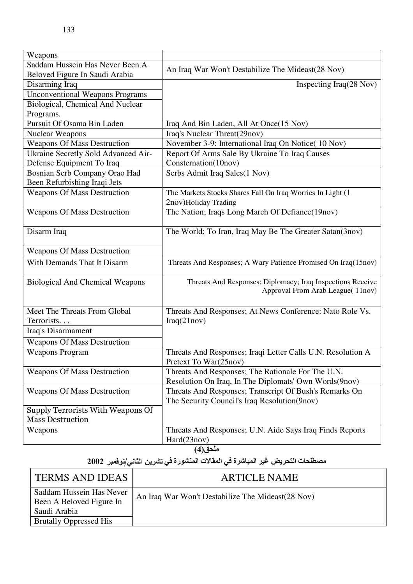| Weapons                                |                                                                |
|----------------------------------------|----------------------------------------------------------------|
| Saddam Hussein Has Never Been A        |                                                                |
| Beloved Figure In Saudi Arabia         | An Iraq War Won't Destabilize The Mideast(28 Nov)              |
| Disarming Iraq                         | Inspecting $Iraq(28 Nov)$                                      |
| <b>Unconventional Weapons Programs</b> |                                                                |
| Biological, Chemical And Nuclear       |                                                                |
| Programs.                              |                                                                |
| Pursuit Of Osama Bin Laden             | Iraq And Bin Laden, All At Once(15 Nov)                        |
| <b>Nuclear Weapons</b>                 | Iraq's Nuclear Threat(29nov)                                   |
| <b>Weapons Of Mass Destruction</b>     | November 3-9: International Iraq On Notice(10 Nov)             |
| Ukraine Secretly Sold Advanced Air-    | Report Of Arms Sale By Ukraine To Iraq Causes                  |
| Defense Equipment To Iraq              | Consternation(10nov)                                           |
| Bosnian Serb Company Orao Had          | Serbs Admit Iraq Sales(1 Nov)                                  |
| Been Refurbishing Iraqi Jets           |                                                                |
| <b>Weapons Of Mass Destruction</b>     | The Markets Stocks Shares Fall On Iraq Worries In Light (1     |
|                                        | 2nov)Holiday Trading                                           |
| <b>Weapons Of Mass Destruction</b>     | The Nation; Iraqs Long March Of Defiance(19nov)                |
|                                        |                                                                |
| Disarm Iraq                            | The World; To Iran, Iraq May Be The Greater Satan(3nov)        |
|                                        |                                                                |
| <b>Weapons Of Mass Destruction</b>     |                                                                |
| With Demands That It Disarm            | Threats And Responses; A Wary Patience Promised On Iraq(15nov) |
|                                        |                                                                |
| <b>Biological And Chemical Weapons</b> | Threats And Responses: Diplomacy; Iraq Inspections Receive     |
|                                        | Approval From Arab League(11nov)                               |
|                                        |                                                                |
| Meet The Threats From Global           | Threats And Responses; At News Conference: Nato Role Vs.       |
| Terrorists                             | Iraq(21nov)                                                    |
| Iraq's Disarmament                     |                                                                |
| <b>Weapons Of Mass Destruction</b>     |                                                                |
| <b>Weapons Program</b>                 | Threats And Responses; Iraqi Letter Calls U.N. Resolution A    |
|                                        | Pretext To War(25nov)                                          |
| <b>Weapons Of Mass Destruction</b>     | Threats And Responses; The Rationale For The U.N.              |
|                                        | Resolution On Iraq, In The Diplomats' Own Words (9nov)         |
| <b>Weapons Of Mass Destruction</b>     | Threats And Responses; Transcript Of Bush's Remarks On         |
|                                        | The Security Council's Iraq Resolution(9nov)                   |
| Supply Terrorists With Weapons Of      |                                                                |
| <b>Mass Destruction</b>                |                                                                |
| Weapons                                | Threats And Responses; U.N. Aide Says Iraq Finds Reports       |
|                                        | Hard(23nov)                                                    |
| ملحق(4)                                |                                                                |

## مصطلحات التحريض غير المباشرة في المفالات المنشورة في تشرين الثاني/نوفمبر 2002

| <b>TERMS AND IDEAS</b>                                               | <b>ARTICLE NAME</b>                                |
|----------------------------------------------------------------------|----------------------------------------------------|
| Saddam Hussein Has Never<br>Been A Beloved Figure In<br>Saudi Arabia | An Iraq War Won't Destabilize The Mideast (28 Nov) |
| <b>Brutally Oppressed His</b>                                        |                                                    |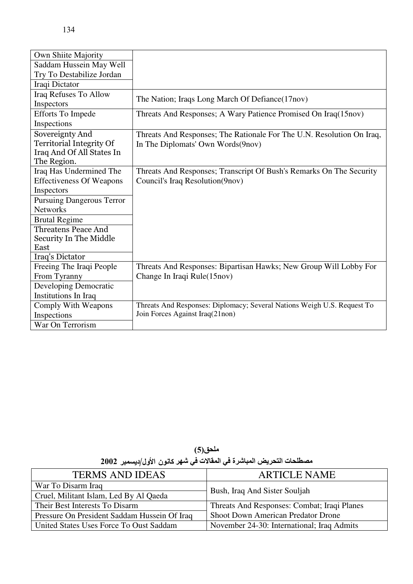| Own Shiite Majority                                                                     |                                                                                                            |
|-----------------------------------------------------------------------------------------|------------------------------------------------------------------------------------------------------------|
| Saddam Hussein May Well                                                                 |                                                                                                            |
| Try To Destabilize Jordan                                                               |                                                                                                            |
| Iraqi Dictator                                                                          |                                                                                                            |
| Iraq Refuses To Allow<br>Inspectors                                                     | The Nation; Iraqs Long March Of Defiance (17nov)                                                           |
| <b>Efforts To Impede</b><br>Inspections                                                 | Threats And Responses; A Wary Patience Promised On Iraq(15nov)                                             |
| Sovereignty And<br>Territorial Integrity Of<br>Iraq And Of All States In<br>The Region. | Threats And Responses; The Rationale For The U.N. Resolution On Iraq,<br>In The Diplomats' Own Words(9nov) |
| Iraq Has Undermined The<br><b>Effectiveness Of Weapons</b><br>Inspectors                | Threats And Responses; Transcript Of Bush's Remarks On The Security<br>Council's Iraq Resolution(9nov)     |
| <b>Pursuing Dangerous Terror</b><br><b>Networks</b>                                     |                                                                                                            |
| <b>Brutal Regime</b>                                                                    |                                                                                                            |
| <b>Threatens Peace And</b><br>Security In The Middle<br>East<br>Iraq's Dictator         |                                                                                                            |
| Freeing The Iraqi People<br>From Tyranny                                                | Threats And Responses: Bipartisan Hawks; New Group Will Lobby For<br>Change In Iraqi Rule(15nov)           |
| Developing Democratic<br>Institutions In Iraq                                           |                                                                                                            |
| Comply With Weapons<br>Inspections<br>War On Terrorism                                  | Threats And Responses: Diplomacy; Several Nations Weigh U.S. Request To<br>Join Forces Against Iraq(21non) |

ملحق(5) مصطلحات التحريض المباشرة في المقالات في شهر كانون الأول/ديسمبر 2002

| <b>TERMS AND IDEAS</b>                       | <b>ARTICLE NAME</b>                         |
|----------------------------------------------|---------------------------------------------|
| War To Disarm Iraq                           | Bush, Iraq And Sister Souljah               |
| Cruel, Militant Islam, Led By Al Qaeda       |                                             |
| Their Best Interests To Disarm               | Threats And Responses: Combat; Iraqi Planes |
| Pressure On President Saddam Hussein Of Iraq | <b>Shoot Down American Predator Drone</b>   |
| United States Uses Force To Oust Saddam      | November 24-30: International; Iraq Admits  |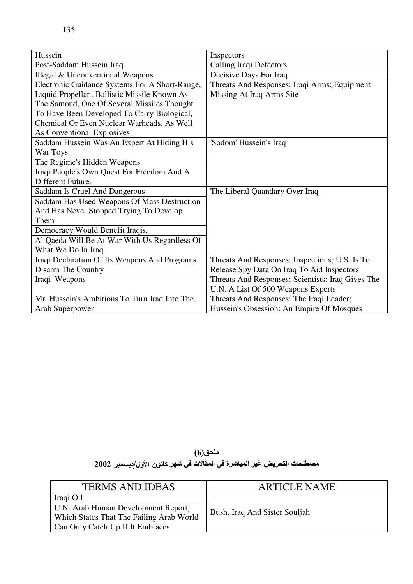| Hussein                                        | Inspectors                                        |
|------------------------------------------------|---------------------------------------------------|
| Post-Saddam Hussein Iraq                       | Calling Iraqi Defectors                           |
| Illegal & Unconventional Weapons               | Decisive Days For Iraq                            |
| Electronic Guidance Systems For A Short-Range, | Threats And Responses: Iraqi Arms; Equipment      |
| Liquid Propellant Ballistic Missile Known As   | Missing At Iraq Arms Site                         |
| The Samoud, One Of Several Missiles Thought    |                                                   |
| To Have Been Developed To Carry Biological,    |                                                   |
| Chemical Or Even Nuclear Warheads, As Well     |                                                   |
| As Conventional Explosives.                    |                                                   |
| Saddam Hussein Was An Expert At Hiding His     | 'Sodom' Hussein's Iraq                            |
| War Toys                                       |                                                   |
| The Regime's Hidden Weapons                    |                                                   |
| Iraqi People's Own Quest For Freedom And A     |                                                   |
| Different Future.                              |                                                   |
| <b>Saddam Is Cruel And Dangerous</b>           | The Liberal Quandary Over Iraq                    |
| Saddam Has Used Weapons Of Mass Destruction    |                                                   |
| And Has Never Stopped Trying To Develop        |                                                   |
| Them                                           |                                                   |
| Democracy Would Benefit Iraqis.                |                                                   |
| Al Qaeda Will Be At War With Us Regardless Of  |                                                   |
| What We Do In Iraq                             |                                                   |
| Iraqi Declaration Of Its Weapons And Programs  | Threats And Responses: Inspections; U.S. Is To    |
| Disarm The Country                             | Release Spy Data On Iraq To Aid Inspectors        |
| Iraqi Weapons                                  | Threats And Responses: Scientists; Iraq Gives The |
|                                                | U.N. A List Of 500 Weapons Experts                |
| Mr. Hussein's Ambitions To Turn Iraq Into The  | Threats And Responses: The Iraqi Leader;          |
| Arab Superpower                                | Hussein's Obsession: An Empire Of Mosques         |

ملحق(6) مصطلحات التحريض غير المباشرة في المقالات في شهر كانون الأول/ديسمبر 2002

| <b>TERMS AND IDEAS</b>                                                                                              | <b>ARTICLE NAME</b>           |
|---------------------------------------------------------------------------------------------------------------------|-------------------------------|
| Iraqi Oil                                                                                                           |                               |
| U.N. Arab Human Development Report,<br>Which States That The Failing Arab World<br>Can Only Catch Up If It Embraces | Bush, Iraq And Sister Souljah |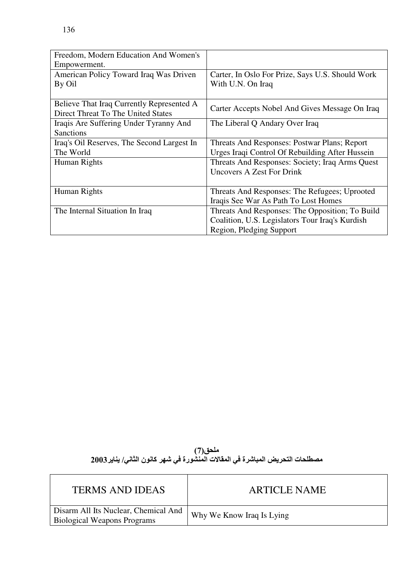| Freedom, Modern Education And Women's      |                                                  |
|--------------------------------------------|--------------------------------------------------|
| Empowerment.                               |                                                  |
| American Policy Toward Iraq Was Driven     | Carter, In Oslo For Prize, Says U.S. Should Work |
| By Oil                                     | With U.N. On Iraq                                |
|                                            |                                                  |
| Believe That Iraq Currently Represented A  |                                                  |
| Direct Threat To The United States         | Carter Accepts Nobel And Gives Message On Iraq   |
| Iraqis Are Suffering Under Tyranny And     | The Liberal Q Andary Over Iraq                   |
| <b>Sanctions</b>                           |                                                  |
| Iraq's Oil Reserves, The Second Largest In | Threats And Responses: Postwar Plans; Report     |
| The World                                  | Urges Iraqi Control Of Rebuilding After Hussein  |
| Human Rights                               | Threats And Responses: Society; Iraq Arms Quest  |
|                                            | Uncovers A Zest For Drink                        |
|                                            |                                                  |
| Human Rights                               | Threats And Responses: The Refugees; Uprooted    |
|                                            | Iraqis See War As Path To Lost Homes             |
| The Internal Situation In Iraq             | Threats And Responses: The Opposition; To Build  |
|                                            | Coalition, U.S. Legislators Tour Iraq's Kurdish  |
|                                            | Region, Pledging Support                         |

ملحق(7)<br>مصطلحات التحريض المباشرة في المقالات المنشورة في شهر كانون الثاني/ يناير 2003

| <b>TERMS AND IDEAS</b>                                                     | <b>ARTICLE NAME</b>       |
|----------------------------------------------------------------------------|---------------------------|
| Disarm All Its Nuclear, Chemical And<br><b>Biological Weapons Programs</b> | Why We Know Iraq Is Lying |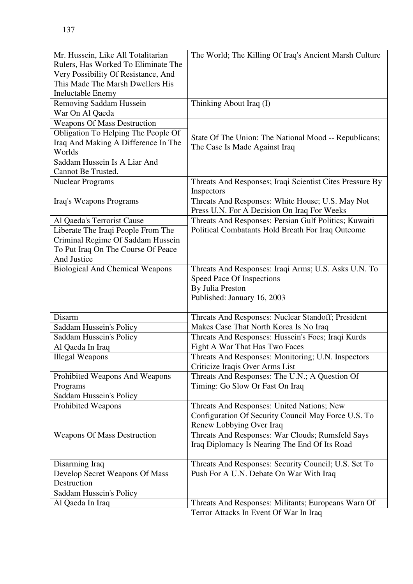| Mr. Hussein, Like All Totalitarian     | The World; The Killing Of Iraq's Ancient Marsh Culture                                 |
|----------------------------------------|----------------------------------------------------------------------------------------|
| Rulers, Has Worked To Eliminate The    |                                                                                        |
| Very Possibility Of Resistance, And    |                                                                                        |
| This Made The Marsh Dwellers His       |                                                                                        |
| <b>Ineluctable Enemy</b>               |                                                                                        |
| Removing Saddam Hussein                | Thinking About Iraq (I)                                                                |
| War On Al Qaeda                        |                                                                                        |
| <b>Weapons Of Mass Destruction</b>     |                                                                                        |
| Obligation To Helping The People Of    |                                                                                        |
| Iraq And Making A Difference In The    | State Of The Union: The National Mood -- Republicans;<br>The Case Is Made Against Iraq |
| Worlds                                 |                                                                                        |
| Saddam Hussein Is A Liar And           |                                                                                        |
| Cannot Be Trusted.                     |                                                                                        |
| <b>Nuclear Programs</b>                | Threats And Responses; Iraqi Scientist Cites Pressure By                               |
|                                        | Inspectors                                                                             |
| Iraq's Weapons Programs                | Threats And Responses: White House; U.S. May Not                                       |
|                                        | Press U.N. For A Decision On Iraq For Weeks                                            |
| Al Qaeda's Terrorist Cause             | Threats And Responses: Persian Gulf Politics; Kuwaiti                                  |
| Liberate The Iraqi People From The     | Political Combatants Hold Breath For Iraq Outcome                                      |
| Criminal Regime Of Saddam Hussein      |                                                                                        |
| To Put Iraq On The Course Of Peace     |                                                                                        |
| And Justice                            |                                                                                        |
| <b>Biological And Chemical Weapons</b> | Threats And Responses: Iraqi Arms; U.S. Asks U.N. To                                   |
|                                        | Speed Pace Of Inspections                                                              |
|                                        | By Julia Preston                                                                       |
|                                        | Published: January 16, 2003                                                            |
| Disarm                                 | Threats And Responses: Nuclear Standoff; President                                     |
| Saddam Hussein's Policy                | Makes Case That North Korea Is No Iraq                                                 |
| Saddam Hussein's Policy                | Threats And Responses: Hussein's Foes; Iraqi Kurds                                     |
| Al Qaeda In Iraq                       | Fight A War That Has Two Faces                                                         |
| <b>Illegal Weapons</b>                 | Threats And Responses: Monitoring; U.N. Inspectors                                     |
|                                        | Criticize Iraqis Over Arms List                                                        |
| Prohibited Weapons And Weapons         | Threats And Responses: The U.N.; A Question Of                                         |
| Programs                               | Timing: Go Slow Or Fast On Iraq                                                        |
| Saddam Hussein's Policy                |                                                                                        |
| <b>Prohibited Weapons</b>              | Threats And Responses: United Nations; New                                             |
|                                        | Configuration Of Security Council May Force U.S. To                                    |
|                                        | Renew Lobbying Over Iraq                                                               |
| <b>Weapons Of Mass Destruction</b>     | Threats And Responses: War Clouds; Rumsfeld Says                                       |
|                                        | Iraq Diplomacy Is Nearing The End Of Its Road                                          |
|                                        |                                                                                        |
| Disarming Iraq                         | Threats And Responses: Security Council; U.S. Set To                                   |
| Develop Secret Weapons Of Mass         | Push For A U.N. Debate On War With Iraq                                                |
| Destruction                            |                                                                                        |
| Saddam Hussein's Policy                |                                                                                        |
|                                        |                                                                                        |
| Al Qaeda In Iraq                       | Threats And Responses: Militants; Europeans Warn Of                                    |

Terror Attacks In Event Of War In Iraq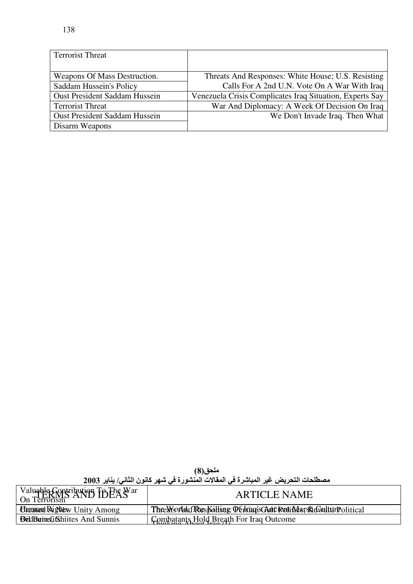| <b>Terrorist Threat</b>              |                                                          |
|--------------------------------------|----------------------------------------------------------|
|                                      |                                                          |
| Weapons Of Mass Destruction.         | Threats And Responses: White House; U.S. Resisting       |
| Saddam Hussein's Policy              | Calls For A 2nd U.N. Vote On A War With Iraq             |
| <b>Oust President Saddam Hussein</b> | Venezuela Crisis Complicates Iraq Situation, Experts Say |
| <b>Terrorist Threat</b>              | War And Diplomacy: A Week Of Decision On Iraq            |
| <b>Oust President Saddam Hussein</b> | We Don't Invade Iraq. Then What                          |
| Disarm Weapons                       |                                                          |

|                                             | ملحق(8)                                                                           |  |
|---------------------------------------------|-----------------------------------------------------------------------------------|--|
|                                             | مصطلحات التحريض غير المباشرة في المقالات المنشورة في شهر كانون الثاني/ يناير 2003 |  |
| $\mathbf{r}$ . The contract of $\mathbf{r}$ |                                                                                   |  |

| Valuable Contribution To The War<br>On Terrorism | <b>ARTICLE NAME</b>                                                |
|--------------------------------------------------|--------------------------------------------------------------------|
| <b>Hruntan Rightesy Unity Among</b>              | The World The Kolling: Oblian Child Political The World The Inical |
| <b>BellBungfi</b> Shiites And Sunnis             | Combatants Hold Breath For Iraq Outcome                            |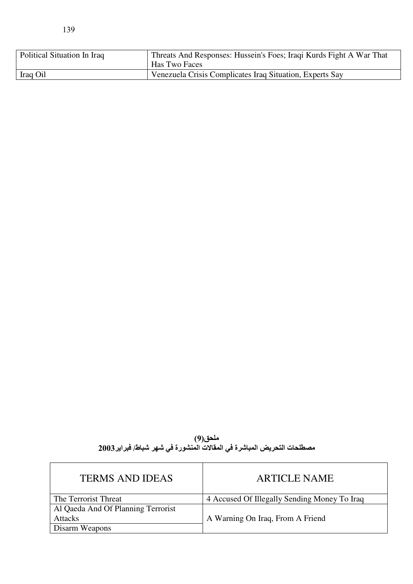| Political Situation In Iraq | Threats And Responses: Hussein's Foes; Iraqi Kurds Fight A War That<br>Has Two Faces |
|-----------------------------|--------------------------------------------------------------------------------------|
| Iraq Oil                    | Venezuela Crisis Complicates Iraq Situation, Experts Say                             |

| ملحق(9)                                                                |  |
|------------------------------------------------------------------------|--|
| مصطلحات التحريض المباشرة في المقالات المنشورة في شهر شباط/ فبراير 2003 |  |

| <b>TERMS AND IDEAS</b>             | <b>ARTICLE NAME</b>                          |
|------------------------------------|----------------------------------------------|
| The Terrorist Threat               | 4 Accused Of Illegally Sending Money To Iraq |
| Al Qaeda And Of Planning Terrorist |                                              |
| <b>Attacks</b>                     | A Warning On Iraq, From A Friend             |
| Disarm Weapons                     |                                              |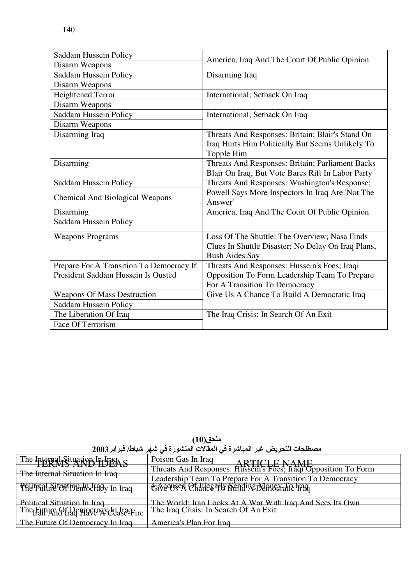| Saddam Hussein Policy                    | America, Iraq And The Court Of Public Opinion      |  |
|------------------------------------------|----------------------------------------------------|--|
| Disarm Weapons                           |                                                    |  |
| Saddam Hussein Policy                    | Disarming Iraq                                     |  |
| Disarm Weapons                           |                                                    |  |
| <b>Heightened Terror</b>                 | International; Setback On Iraq                     |  |
| Disarm Weapons                           |                                                    |  |
| Saddam Hussein Policy                    | International; Setback On Iraq                     |  |
| Disarm Weapons                           |                                                    |  |
| Disarming Iraq                           | Threats And Responses: Britain; Blair's Stand On   |  |
|                                          | Iraq Hurts Him Politically But Seems Unlikely To   |  |
|                                          | Topple Him                                         |  |
| Disarming                                | Threats And Responses: Britain; Parliament Backs   |  |
|                                          | Blair On Iraq, But Vote Bares Rift In Labor Party  |  |
| Saddam Hussein Policy                    | Threats And Responses: Washington's Response;      |  |
| <b>Chemical And Biological Weapons</b>   | Powell Says More Inspectors In Iraq Are 'Not The   |  |
|                                          | Answer'                                            |  |
| Disarming                                | America, Iraq And The Court Of Public Opinion      |  |
| Saddam Hussein Policy                    |                                                    |  |
| <b>Weapons Programs</b>                  | Loss Of The Shuttle: The Overview; Nasa Finds      |  |
|                                          | Clues In Shuttle Disaster; No Delay On Iraq Plans, |  |
|                                          | <b>Bush Aides Say</b>                              |  |
| Prepare For A Transition To Democracy If | Threats And Responses: Hussein's Foes; Iraqi       |  |
| President Saddam Hussein Is Ousted       | Opposition To Form Leadership Team To Prepare      |  |
|                                          | For A Transition To Democracy                      |  |
| <b>Weapons Of Mass Destruction</b>       | Give Us A Chance To Build A Democratic Iraq        |  |
| Saddam Hussein Policy                    |                                                    |  |
| The Liberation Of Iraq                   | The Iraq Crisis: In Search Of An Exit              |  |
| Face Of Terrorism                        |                                                    |  |

The Internal Situation In Iraq<br>**TERMS AND IDEAS** Poison Gas In Iraq Toison Gas in Iraq<br>Threats And Responses: Hussein's Foes; Iraqi Opposition To Form The Internal Situation In Iraq Leadership Team To Prepare For A Transition To Democracy **Phyridical Sitestipe In Jraq** In Iraq **CRECUSED Of Hilesarly Sending Money To Traq** The World; Iran Looks At A War With Iraq And Sees Its Own<br>The Iraq Crisis: In Search Of An Exit Political Situation In Iraq<br>The<sub>I</sub>FaHWGOfraGPH9CEAVCEaSE=Fire The Future Of Democracy In Iraq America's Plan For Iraq

ملحق(10) مصطلحات التحريض غير المباشرة في المقالات المنشورة في شهر شباط/ فبراير2003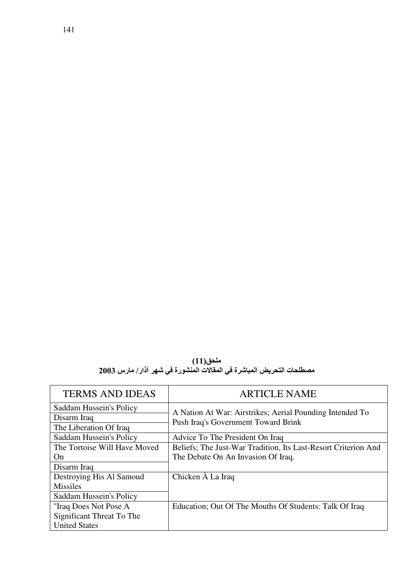ملحق(11)<br>مصطلحات التحريض المباشرة في المقالات المنشورة في شهر آذار/ مارس 2003

| <b>TERMS AND IDEAS</b>                                           | <b>ARTICLE NAME</b>                                                                             |  |
|------------------------------------------------------------------|-------------------------------------------------------------------------------------------------|--|
| Saddam Hussein's Policy<br>Disarm Iraq<br>The Liberation Of Iraq | A Nation At War: Airstrikes; Aerial Pounding Intended To<br>Push Iraq's Government Toward Brink |  |
| Saddam Hussein's Policy                                          | Advice To The President On Iraq                                                                 |  |
| The Tortoise Will Have Moved                                     | Beliefs; The Just-War Tradition, Its Last-Resort Criterion And                                  |  |
| On                                                               | The Debate On An Invasion Of Iraq.                                                              |  |
| Disarm Iraq                                                      |                                                                                                 |  |
| Destroying His Al Samoud                                         | Chicken $\hat{A}$ La Iraq                                                                       |  |
| <b>Missiles</b>                                                  |                                                                                                 |  |
| Saddam Hussein's Policy                                          |                                                                                                 |  |
| "Iraq Does Not Pose A                                            | Education; Out Of The Mouths Of Students: Talk Of Iraq                                          |  |
| Significant Threat To The                                        |                                                                                                 |  |
| <b>United States</b>                                             |                                                                                                 |  |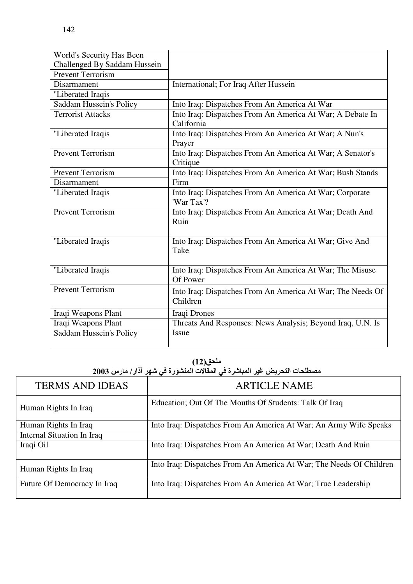| 142                       |  |
|---------------------------|--|
|                           |  |
| Vorld's Security Has Been |  |

| World's Security Has Been    |                                                                         |
|------------------------------|-------------------------------------------------------------------------|
| Challenged By Saddam Hussein |                                                                         |
| <b>Prevent Terrorism</b>     |                                                                         |
| Disarmament                  | International; For Iraq After Hussein                                   |
| "Liberated Iraqis            |                                                                         |
| Saddam Hussein's Policy      | Into Iraq: Dispatches From An America At War                            |
| <b>Terrorist Attacks</b>     | Into Iraq: Dispatches From An America At War; A Debate In<br>California |
| "Liberated Iraqis            | Into Iraq: Dispatches From An America At War; A Nun's<br>Prayer         |
| <b>Prevent Terrorism</b>     | Into Iraq: Dispatches From An America At War; A Senator's<br>Critique   |
| <b>Prevent Terrorism</b>     | Into Iraq: Dispatches From An America At War; Bush Stands               |
| Disarmament                  | Firm                                                                    |
| "Liberated Iraqis            | Into Iraq: Dispatches From An America At War; Corporate<br>'War Tax'?   |
| <b>Prevent Terrorism</b>     | Into Iraq: Dispatches From An America At War; Death And<br>Ruin         |
| "Liberated Iraqis            | Into Iraq: Dispatches From An America At War; Give And<br>Take          |
| "Liberated Iraqis            | Into Iraq: Dispatches From An America At War; The Misuse<br>Of Power    |
| <b>Prevent Terrorism</b>     | Into Iraq: Dispatches From An America At War; The Needs Of<br>Children  |
| Iraqi Weapons Plant          | Iraqi Drones                                                            |
| Iraqi Weapons Plant          | Threats And Responses: News Analysis; Beyond Iraq, U.N. Is              |
| Saddam Hussein's Policy      | Issue                                                                   |

| ملحق(12)<br>مصطلحات التحريض غير المباشرة في المقالات المنشورة في شهر آذار/ مارس 2003 |                                                                     |  |
|--------------------------------------------------------------------------------------|---------------------------------------------------------------------|--|
| <b>TERMS AND IDEAS</b>                                                               | <b>ARTICLE NAME</b>                                                 |  |
| Human Rights In Iraq                                                                 | Education; Out Of The Mouths Of Students: Talk Of Iraq              |  |
| Human Rights In Iraq                                                                 | Into Iraq: Dispatches From An America At War; An Army Wife Speaks   |  |
| Internal Situation In Iraq                                                           |                                                                     |  |
| Iraqi Oil                                                                            | Into Iraq: Dispatches From An America At War; Death And Ruin        |  |
| Human Rights In Iraq                                                                 | Into Iraq: Dispatches From An America At War; The Needs Of Children |  |
| Future Of Democracy In Iraq                                                          | Into Iraq: Dispatches From An America At War; True Leadership       |  |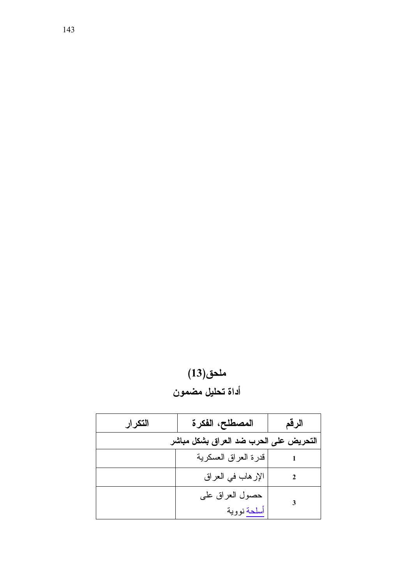|                  | ملحق(13) |  |
|------------------|----------|--|
| أداة تحليل مضمون |          |  |

| التكرار | المصطلح، الفكرة                        | الرقم |
|---------|----------------------------------------|-------|
|         | التحريض على الحرب ضد العراق بشكل مباشر |       |
|         | قدرة العراق العسكرية                   |       |
|         | الإرهاب في العراق                      |       |
|         | حصول العراق على<br>أسلحة نووية         | 3     |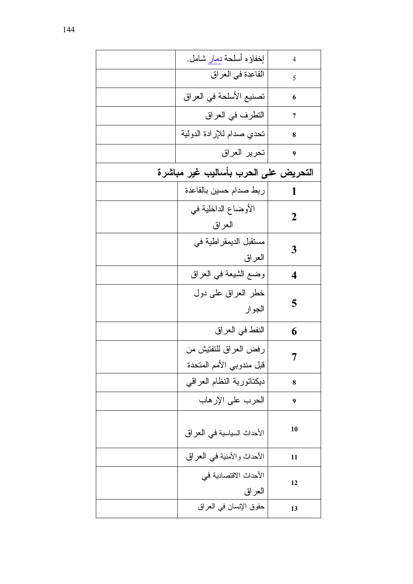| إخفاؤه أسلحة دمار شامل.                               | $\overline{4}$   |
|-------------------------------------------------------|------------------|
| القاعدة في العراق                                     | 5                |
| تصنيع الأسلحة في العراق                               | 6                |
| التطرف في العراق                                      | 7                |
| تحدي صدام للإرادة الدولية                             | 8                |
| تحرير العراق                                          | 9                |
| التحريض على الحرب بأساليب غير مباشرة                  |                  |
| ربط صدام حسين بالقاعدة                                | 1                |
| الأوضاع الداخلية في                                   | $\boldsymbol{2}$ |
| العراق<br>مستقبل الديمقر اطية في                      |                  |
| العراق                                                | 3                |
| وضمع الشيعة في العراق                                 | 4                |
| خطر العراق على دول                                    | 5                |
| الجوار                                                |                  |
| النفط في العراق                                       | 6                |
| رفض العراق للنفتيش من                                 | 7                |
| قبل مندوبي الأمم المتحدة<br>ديكتاتورية النظام العراقي | 8                |
| الحرب على الإرهاب                                     | 9                |
|                                                       |                  |
| الأحداث السياسية في العراق                            | 10               |
| الأحداث والأمنية في العراق                            | 11               |
| الأحداث الاقتصادية في                                 | 12               |
| العراق                                                |                  |
| حقوق الإنسان في العراق                                | 13               |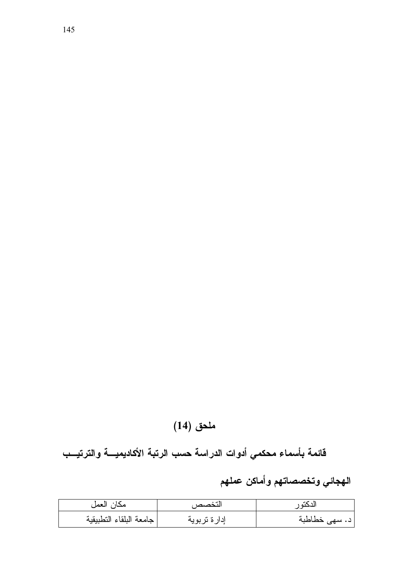## ملحق (14)

قائمة بأسماء محكمي أدوات الدراسة حسب الرتبة الأكاديميسة والترتيسب

## الهجائي وتخصصاتهم وأماكن عملهم

| مكان العمل              | التخصص       | ىددىيە ر                    |
|-------------------------|--------------|-----------------------------|
| جامعة البلقاء التطبيقية | إدارة تربوية | ' د. سه <sub>ی</sub> خطاطبة |